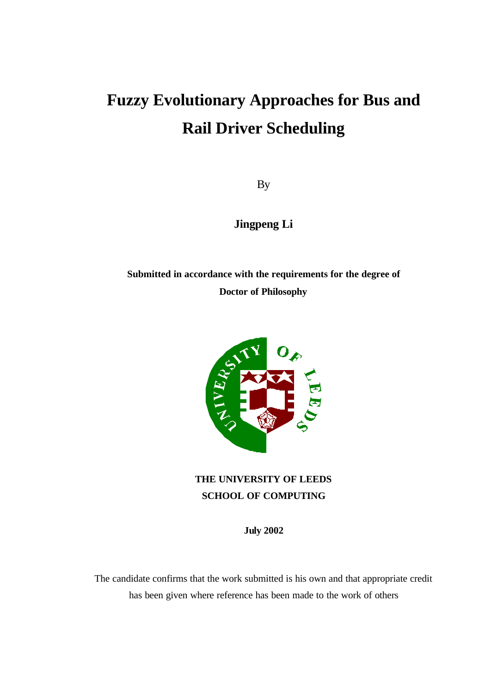# **Fuzzy Evolutionary Approaches for Bus and Rail Driver Scheduling**

By

**Jingpeng Li**

**Submitted in accordance with the requirements for the degree of Doctor of Philosophy**



**THE UNIVERSITY OF LEEDS SCHOOL OF COMPUTING**

**July 2002**

The candidate confirms that the work submitted is his own and that appropriate credit has been given where reference has been made to the work of others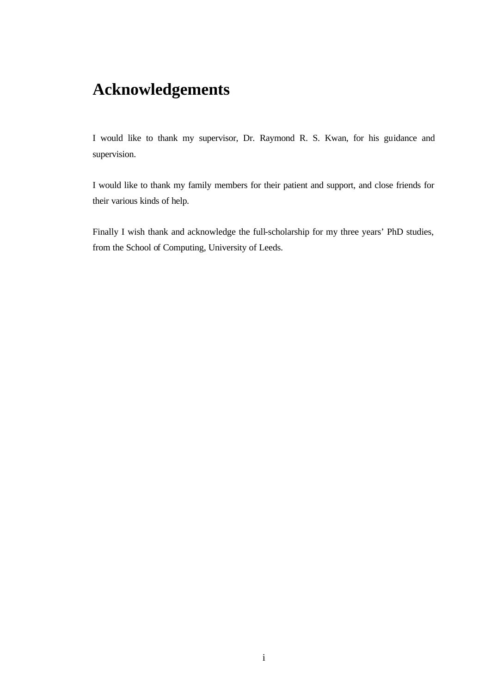# **Acknowledgements**

I would like to thank my supervisor, Dr. Raymond R. S. Kwan, for his guidance and supervision.

I would like to thank my family members for their patient and support, and close friends for their various kinds of help.

Finally I wish thank and acknowledge the full-scholarship for my three years' PhD studies, from the School of Computing, University of Leeds.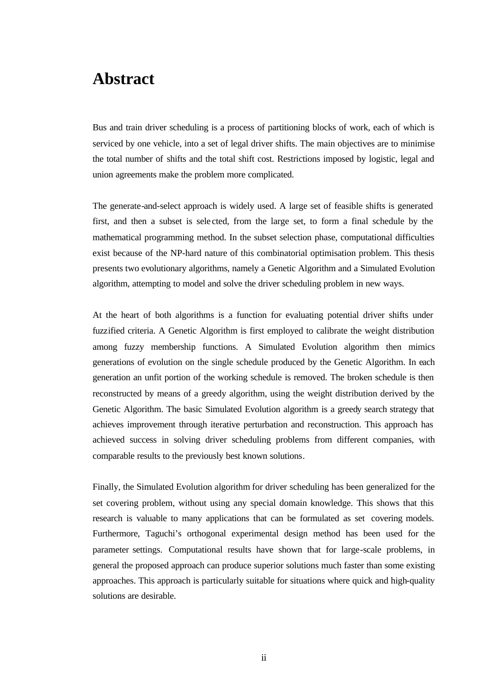### **Abstract**

Bus and train driver scheduling is a process of partitioning blocks of work, each of which is serviced by one vehicle, into a set of legal driver shifts. The main objectives are to minimise the total number of shifts and the total shift cost. Restrictions imposed by logistic, legal and union agreements make the problem more complicated.

The generate-and-select approach is widely used. A large set of feasible shifts is generated first, and then a subset is sele cted, from the large set, to form a final schedule by the mathematical programming method. In the subset selection phase, computational difficulties exist because of the NP-hard nature of this combinatorial optimisation problem. This thesis presents two evolutionary algorithms, namely a Genetic Algorithm and a Simulated Evolution algorithm, attempting to model and solve the driver scheduling problem in new ways.

At the heart of both algorithms is a function for evaluating potential driver shifts under fuzzified criteria. A Genetic Algorithm is first employed to calibrate the weight distribution among fuzzy membership functions. A Simulated Evolution algorithm then mimics generations of evolution on the single schedule produced by the Genetic Algorithm. In each generation an unfit portion of the working schedule is removed. The broken schedule is then reconstructed by means of a greedy algorithm, using the weight distribution derived by the Genetic Algorithm. The basic Simulated Evolution algorithm is a greedy search strategy that achieves improvement through iterative perturbation and reconstruction. This approach has achieved success in solving driver scheduling problems from different companies, with comparable results to the previously best known solutions.

Finally, the Simulated Evolution algorithm for driver scheduling has been generalized for the set covering problem, without using any special domain knowledge. This shows that this research is valuable to many applications that can be formulated as set covering models. Furthermore, Taguchi's orthogonal experimental design method has been used for the parameter settings. Computational results have shown that for large-scale problems, in general the proposed approach can produce superior solutions much faster than some existing approaches. This approach is particularly suitable for situations where quick and high-quality solutions are desirable.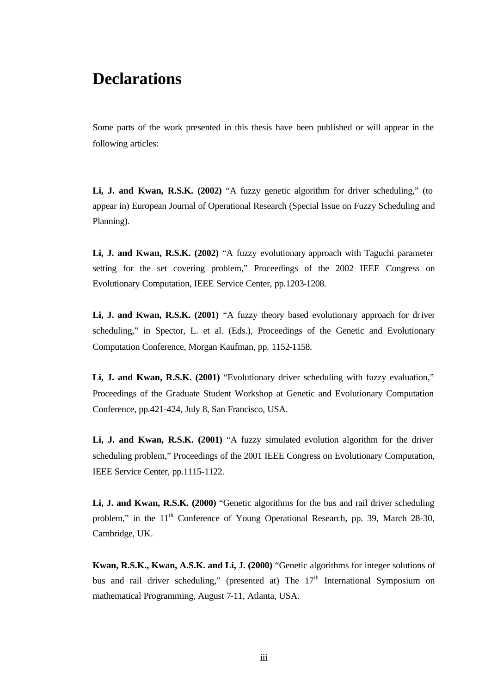### **Declarations**

Some parts of the work presented in this thesis have been published or will appear in the following articles:

**Li, J. and Kwan, R.S.K. (2002)** "A fuzzy genetic algorithm for driver scheduling," (to appear in) European Journal of Operational Research (Special Issue on Fuzzy Scheduling and Planning).

**Li, J. and Kwan, R.S.K. (2002)** "A fuzzy evolutionary approach with Taguchi parameter setting for the set covering problem," Proceedings of the 2002 IEEE Congress on Evolutionary Computation, IEEE Service Center, pp.1203-1208.

**Li, J. and Kwan, R.S.K. (2001)** "A fuzzy theory based evolutionary approach for driver scheduling," in Spector, L. et al. (Eds.), Proceedings of the Genetic and Evolutionary Computation Conference, Morgan Kaufman, pp. 1152-1158.

**Li, J. and Kwan, R.S.K. (2001)** "Evolutionary driver scheduling with fuzzy evaluation," Proceedings of the Graduate Student Workshop at Genetic and Evolutionary Computation Conference, pp.421-424, July 8, San Francisco, USA.

**Li, J. and Kwan, R.S.K. (2001)** "A fuzzy simulated evolution algorithm for the driver scheduling problem," Proceedings of the 2001 IEEE Congress on Evolutionary Computation, IEEE Service Center, pp.1115-1122.

**Li, J. and Kwan, R.S.K. (2000)** "Genetic algorithms for the bus and rail driver scheduling problem," in the 11<sup>th</sup> Conference of Young Operational Research, pp. 39, March 28-30, Cambridge, UK.

**Kwan, R.S.K., Kwan, A.S.K. and Li, J. (2000)** "Genetic algorithms for integer solutions of bus and rail driver scheduling," (presented at) The  $17<sup>th</sup>$  International Symposium on mathematical Programming, August 7-11, Atlanta, USA.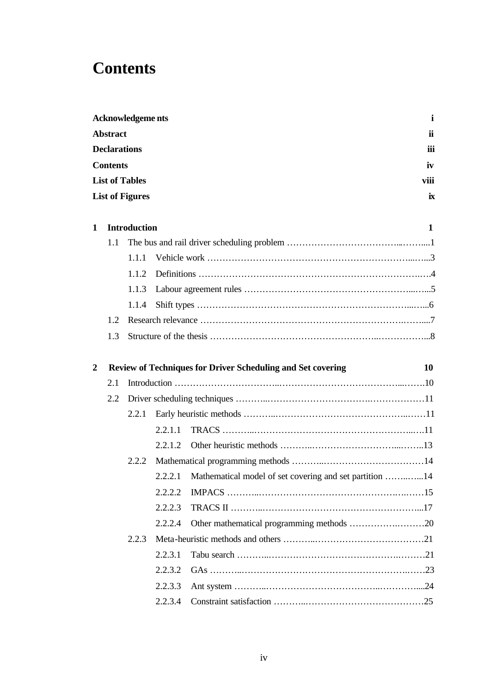## **Contents**

|   |                     | <b>Acknowledgeme nts</b> |                    |
|---|---------------------|--------------------------|--------------------|
|   | <b>Abstract</b>     |                          | ii                 |
|   | <b>Declarations</b> |                          | iii                |
|   | <b>Contents</b>     |                          | iv                 |
|   |                     | <b>List of Tables</b>    | viii               |
|   |                     | <b>List of Figures</b>   | $\mathbf{\dot{R}}$ |
| 1 |                     | <b>Introduction</b>      |                    |
|   | 1.1                 |                          |                    |
|   |                     | 1.1.1                    |                    |
|   |                     | 1.1.2                    |                    |
|   |                     |                          |                    |

| 2 |     |       |         | <b>Review of Techniques for Driver Scheduling and Set covering</b> | 10 |
|---|-----|-------|---------|--------------------------------------------------------------------|----|
|   | 2.1 |       |         |                                                                    |    |
|   | 2.2 |       |         |                                                                    |    |
|   |     | 2.2.1 |         |                                                                    |    |
|   |     |       | 2.2.1.1 |                                                                    |    |
|   |     |       | 2.2.1.2 |                                                                    |    |
|   |     | 2.2.2 |         |                                                                    |    |
|   |     |       | 2.2.2.1 | Mathematical model of set covering and set partition 14            |    |
|   |     |       | 2.2.2.2 |                                                                    |    |
|   |     |       | 2.2.2.3 |                                                                    |    |
|   |     |       | 2.2.2.4 |                                                                    |    |
|   |     | 2.2.3 |         |                                                                    |    |
|   |     |       | 2.2.3.1 |                                                                    |    |
|   |     |       | 2.2.3.2 |                                                                    |    |
|   |     |       | 2.2.3.3 |                                                                    |    |
|   |     |       | 2.2.3.4 |                                                                    |    |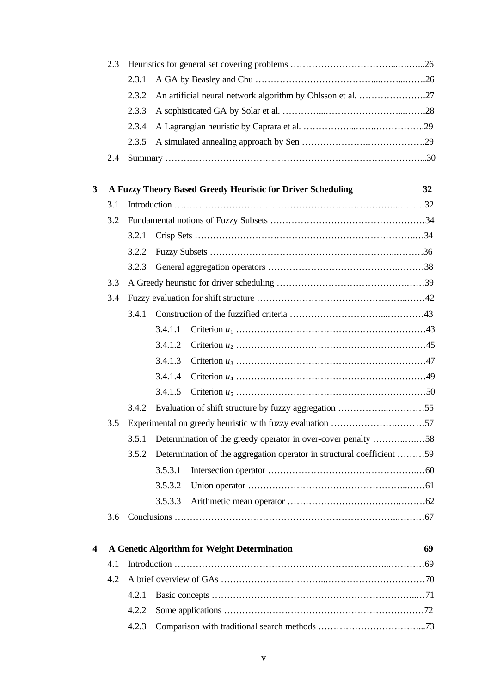|                         | 2.3 |       |         |                                                                        |    |
|-------------------------|-----|-------|---------|------------------------------------------------------------------------|----|
|                         |     | 2.3.1 |         |                                                                        |    |
|                         |     | 2.3.2 |         | An artificial neural network algorithm by Ohlsson et al. 27            |    |
|                         |     | 2.3.3 |         |                                                                        |    |
|                         |     | 2.3.4 |         |                                                                        |    |
|                         |     | 2.3.5 |         |                                                                        |    |
|                         | 2.4 |       |         |                                                                        |    |
| $\overline{\mathbf{3}}$ |     |       |         | A Fuzzy Theory Based Greedy Heuristic for Driver Scheduling            | 32 |
|                         | 3.1 |       |         |                                                                        |    |
|                         | 3.2 |       |         |                                                                        |    |
|                         |     | 3.2.1 |         |                                                                        |    |
|                         |     | 3.2.2 |         |                                                                        |    |
|                         |     | 3.2.3 |         |                                                                        |    |
|                         | 3.3 |       |         |                                                                        |    |
|                         | 3.4 |       |         |                                                                        |    |
|                         |     | 3.4.1 |         |                                                                        |    |
|                         |     |       | 3.4.1.1 |                                                                        |    |
|                         |     |       | 3.4.1.2 |                                                                        |    |
|                         |     |       | 3.4.1.3 |                                                                        |    |
|                         |     |       | 3.4.1.4 |                                                                        |    |
|                         |     |       | 3.4.1.5 |                                                                        |    |
|                         |     | 3.4.2 |         |                                                                        |    |
|                         | 3.5 |       |         |                                                                        |    |
|                         |     | 3.5.1 |         | Determination of the greedy operator in over-cover penalty 58          |    |
|                         |     | 3.5.2 |         | Determination of the aggregation operator in structural coefficient 59 |    |
|                         |     |       | 3.5.3.1 |                                                                        |    |
|                         |     |       | 3.5.3.2 |                                                                        |    |
|                         |     |       | 3.5.3.3 |                                                                        |    |
|                         | 3.6 |       |         |                                                                        |    |
|                         |     |       |         |                                                                        |    |
| $\overline{\mathbf{4}}$ |     |       |         | A Genetic Algorithm for Weight Determination                           | 69 |
|                         | 4.1 |       |         |                                                                        |    |
|                         | 4.2 |       |         |                                                                        |    |
|                         |     | 4.2.1 |         |                                                                        |    |
|                         |     | 4.2.2 |         |                                                                        |    |
|                         |     | 4.2.3 |         |                                                                        |    |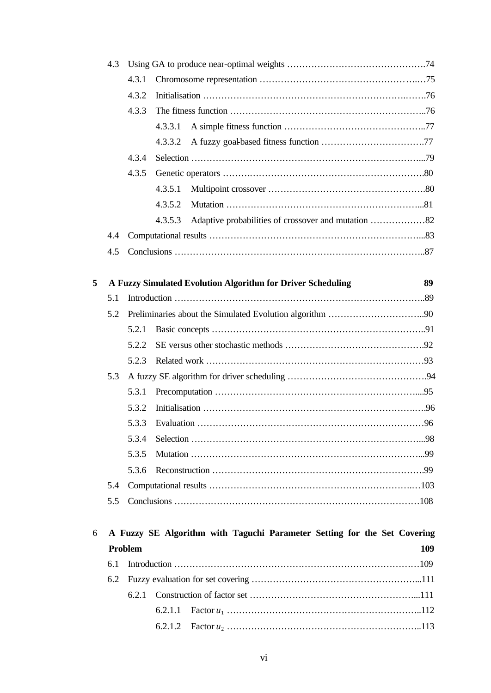|   | 4.3 |         |                                                                          |     |
|---|-----|---------|--------------------------------------------------------------------------|-----|
|   |     | 4.3.1   |                                                                          |     |
|   |     | 4.3.2   |                                                                          |     |
|   |     | 4.3.3   |                                                                          |     |
|   |     | 4.3.3.1 |                                                                          |     |
|   |     | 4.3.3.2 |                                                                          |     |
|   |     | 4.3.4   |                                                                          |     |
|   |     | 4.3.5   |                                                                          |     |
|   |     | 4.3.5.1 |                                                                          |     |
|   |     | 4.3.5.2 |                                                                          |     |
|   |     |         | 4.3.5.3 Adaptive probabilities of crossover and mutation 82              |     |
|   | 4.4 |         |                                                                          |     |
|   | 4.5 |         |                                                                          |     |
|   |     |         |                                                                          |     |
| 5 |     |         | A Fuzzy Simulated Evolution Algorithm for Driver Scheduling              | 89  |
|   | 5.1 |         |                                                                          |     |
|   | 5.2 |         |                                                                          |     |
|   |     | 5.2.1   |                                                                          |     |
|   |     | 5.2.2   |                                                                          |     |
|   |     | 5.2.3   |                                                                          |     |
|   | 5.3 |         |                                                                          |     |
|   |     | 5.3.1   |                                                                          |     |
|   |     | 5.3.2   |                                                                          |     |
|   |     | 5.3.3   |                                                                          |     |
|   |     | 5.3.4   |                                                                          |     |
|   |     | 5.3.5   |                                                                          |     |
|   |     | 5.3.6   |                                                                          |     |
|   | 5.4 |         |                                                                          |     |
|   | 5.5 |         |                                                                          |     |
|   |     |         |                                                                          |     |
| 6 |     |         | A Fuzzy SE Algorithm with Taguchi Parameter Setting for the Set Covering |     |
|   |     | Problem |                                                                          | 109 |
|   | 6.1 |         |                                                                          |     |
|   | 6.2 |         |                                                                          |     |
|   |     | 6.2.1   |                                                                          |     |
|   |     | 6.2.1.1 |                                                                          |     |
|   |     | 6.2.1.2 |                                                                          |     |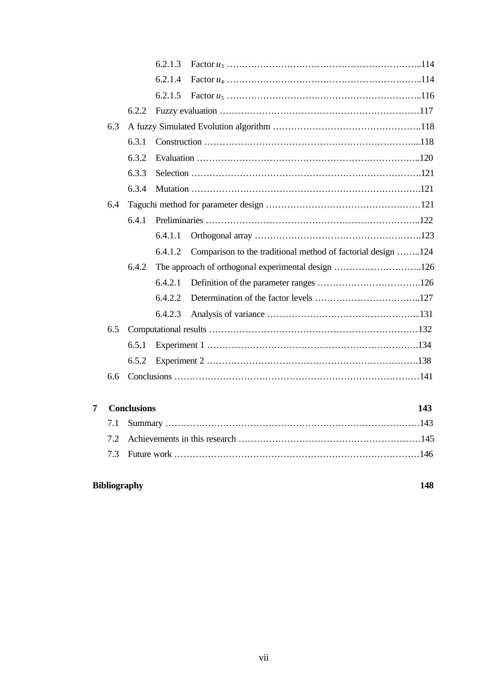|     |       | 6.2.1.3 |                                                              |  |
|-----|-------|---------|--------------------------------------------------------------|--|
|     |       | 6.2.1.4 |                                                              |  |
|     |       | 6.2.1.5 |                                                              |  |
|     | 6.2.2 |         |                                                              |  |
| 6.3 |       |         |                                                              |  |
|     | 6.3.1 |         |                                                              |  |
|     | 6.3.2 |         |                                                              |  |
|     | 6.3.3 |         |                                                              |  |
|     | 6.3.4 |         |                                                              |  |
| 6.4 |       |         |                                                              |  |
|     | 6.4.1 |         |                                                              |  |
|     |       | 6.4.1.1 |                                                              |  |
|     |       | 6.4.1.2 | Comparison to the traditional method of factorial design 124 |  |
|     | 6.4.2 |         |                                                              |  |
|     |       | 6.4.2.1 |                                                              |  |
|     |       | 6.4.2.2 |                                                              |  |
|     |       | 6.4.2.3 |                                                              |  |
| 6.5 |       |         |                                                              |  |
|     | 6.5.1 |         |                                                              |  |
|     | 6.5.2 |         |                                                              |  |
| 6.6 |       |         |                                                              |  |
|     |       |         |                                                              |  |
|     |       |         |                                                              |  |

| <b>7</b> Conclusions |  |  |  |
|----------------------|--|--|--|
|                      |  |  |  |
|                      |  |  |  |
|                      |  |  |  |

### **Bibliography 148**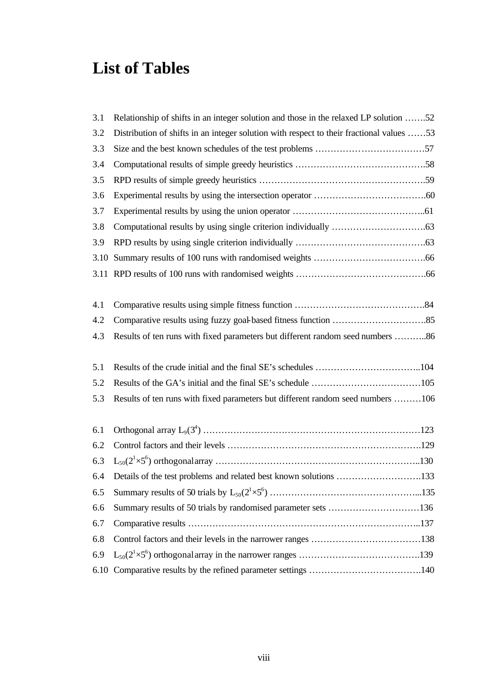## **List of Tables**

| 3.1  | Relationship of shifts in an integer solution and those in the relaxed LP solution 52    |
|------|------------------------------------------------------------------------------------------|
| 3.2  | Distribution of shifts in an integer solution with respect to their fractional values 53 |
| 3.3  |                                                                                          |
| 3.4  |                                                                                          |
| 3.5  |                                                                                          |
| 3.6  |                                                                                          |
| 3.7  |                                                                                          |
| 3.8  |                                                                                          |
| 3.9  |                                                                                          |
| 3.10 |                                                                                          |
|      |                                                                                          |
|      |                                                                                          |
| 4.1  |                                                                                          |
| 4.2  |                                                                                          |
| 4.3  | Results of ten runs with fixed parameters but different random seed numbers 86           |
|      |                                                                                          |
| 5.1  |                                                                                          |
| 5.2  |                                                                                          |
| 5.3  | Results of ten runs with fixed parameters but different random seed numbers 106          |
|      |                                                                                          |
| 6.1  |                                                                                          |
| 6.2  |                                                                                          |
| 6.3  |                                                                                          |
| 6.4  | Details of the test problems and related best known solutions 133                        |
| 6.5  |                                                                                          |
| 6.6  | Summary results of 50 trials by randomised parameter sets 136                            |
| 6.7  |                                                                                          |
| 6.8  |                                                                                          |
| 6.9  |                                                                                          |
| 6.10 |                                                                                          |
|      |                                                                                          |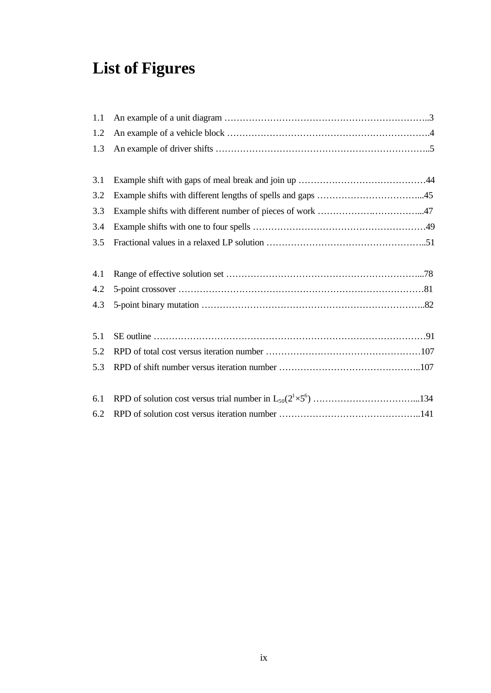# **List of Figures**

| 1.1 |  |
|-----|--|
| 1.2 |  |
| 1.3 |  |
|     |  |
| 3.1 |  |
| 3.2 |  |
| 3.3 |  |
| 3.4 |  |
| 3.5 |  |
|     |  |
| 4.1 |  |
| 4.2 |  |
| 4.3 |  |
|     |  |
| 5.1 |  |
| 5.2 |  |
| 5.3 |  |
|     |  |
| 6.1 |  |
| 6.2 |  |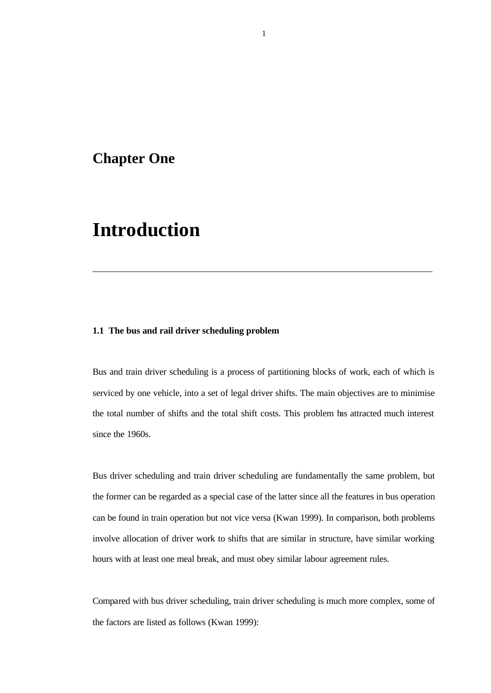### **Chapter One**

## **Introduction**

#### **1.1 The bus and rail driver scheduling problem**

Bus and train driver scheduling is a process of partitioning blocks of work, each of which is serviced by one vehicle, into a set of legal driver shifts. The main objectives are to minimise the total number of shifts and the total shift costs. This problem has attracted much interest since the 1960s.

\_\_\_\_\_\_\_\_\_\_\_\_\_\_\_\_\_\_\_\_\_\_\_\_\_\_\_\_\_\_\_\_\_\_\_\_\_\_\_\_\_\_\_\_\_\_\_\_\_\_\_\_\_\_\_\_\_\_\_\_\_\_\_\_\_\_\_\_\_\_\_\_\_\_\_

Bus driver scheduling and train driver scheduling are fundamentally the same problem, but the former can be regarded as a special case of the latter since all the features in bus operation can be found in train operation but not vice versa (Kwan 1999). In comparison, both problems involve allocation of driver work to shifts that are similar in structure, have similar working hours with at least one meal break, and must obey similar labour agreement rules.

Compared with bus driver scheduling, train driver scheduling is much more complex, some of the factors are listed as follows (Kwan 1999):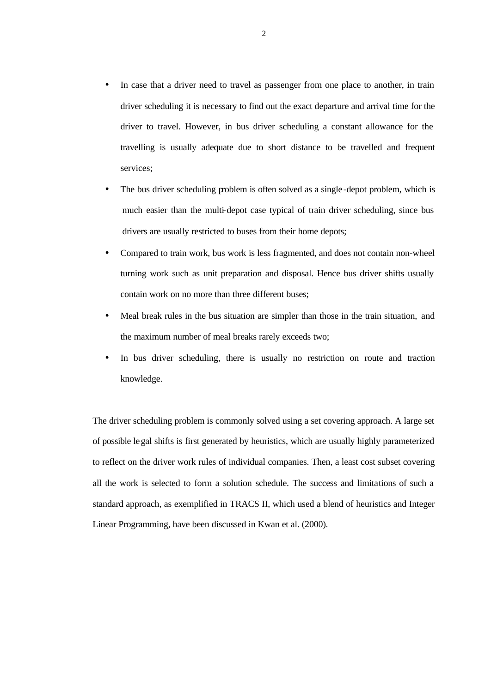- In case that a driver need to travel as passenger from one place to another, in train driver scheduling it is necessary to find out the exact departure and arrival time for the driver to travel. However, in bus driver scheduling a constant allowance for the travelling is usually adequate due to short distance to be travelled and frequent services;
- The bus driver scheduling problem is often solved as a single-depot problem, which is much easier than the multi-depot case typical of train driver scheduling, since bus drivers are usually restricted to buses from their home depots;
- Compared to train work, bus work is less fragmented, and does not contain non-wheel turning work such as unit preparation and disposal. Hence bus driver shifts usually contain work on no more than three different buses;
- Meal break rules in the bus situation are simpler than those in the train situation, and the maximum number of meal breaks rarely exceeds two;
- In bus driver scheduling, there is usually no restriction on route and traction knowledge.

The driver scheduling problem is commonly solved using a set covering approach. A large set of possible legal shifts is first generated by heuristics, which are usually highly parameterized to reflect on the driver work rules of individual companies. Then, a least cost subset covering all the work is selected to form a solution schedule. The success and limitations of such a standard approach, as exemplified in TRACS II, which used a blend of heuristics and Integer Linear Programming, have been discussed in Kwan et al. (2000).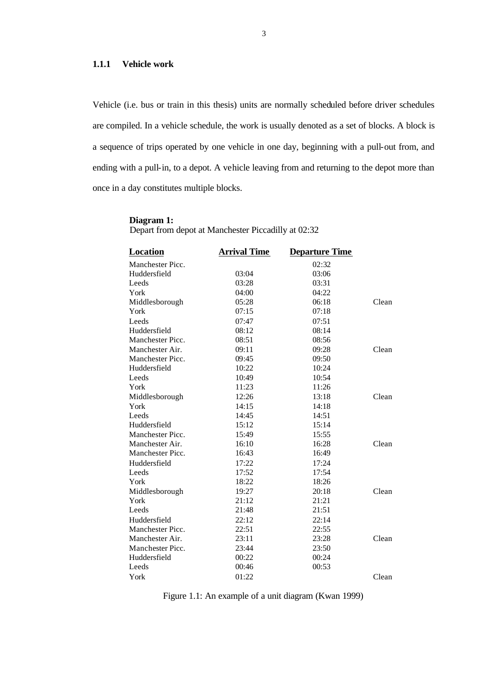#### **1.1.1 Vehicle work**

Vehicle (i.e. bus or train in this thesis) units are normally scheduled before driver schedules are compiled. In a vehicle schedule, the work is usually denoted as a set of blocks. A block is a sequence of trips operated by one vehicle in one day, beginning with a pull-out from, and ending with a pull-in, to a depot. A vehicle leaving from and returning to the depot more than once in a day constitutes multiple blocks.

#### **Diagram 1:**

Depart from depot at Manchester Piccadilly at 02:32

| Location         | <b>Arrival Time</b> | <b>Departure Time</b> |       |
|------------------|---------------------|-----------------------|-------|
| Manchester Picc. |                     | 02:32                 |       |
| Huddersfield     | 03:04               | 03:06                 |       |
| Leeds            | 03:28               | 03:31                 |       |
| York             | 04:00               | 04:22                 |       |
| Middlesborough   | 05:28               | 06:18                 | Clean |
| York             | 07:15               | 07:18                 |       |
| Leeds            | 07:47               | 07:51                 |       |
| Huddersfield     | 08:12               | 08:14                 |       |
| Manchester Picc. | 08:51               | 08:56                 |       |
| Manchester Air.  | 09:11               | 09:28                 | Clean |
| Manchester Picc. | 09:45               | 09:50                 |       |
| Huddersfield     | 10:22               | 10:24                 |       |
| Leeds            | 10:49               | 10:54                 |       |
| York             | 11:23               | 11:26                 |       |
| Middlesborough   | 12:26               | 13:18                 | Clean |
| York             | 14:15               | 14:18                 |       |
| Leeds            | 14:45               | 14:51                 |       |
| Huddersfield     | 15:12               | 15:14                 |       |
| Manchester Picc. | 15:49               | 15:55                 |       |
| Manchester Air.  | 16:10               | 16:28                 | Clean |
| Manchester Picc. | 16:43               | 16:49                 |       |
| Huddersfield     | 17:22               | 17:24                 |       |
| Leeds            | 17:52               | 17:54                 |       |
| York             | 18:22               | 18:26                 |       |
| Middlesborough   | 19:27               | 20:18                 | Clean |
| York             | 21:12               | 21:21                 |       |
| Leeds            | 21:48               | 21:51                 |       |
| Huddersfield     | 22:12               | 22:14                 |       |
| Manchester Picc. | 22:51               | 22:55                 |       |
| Manchester Air.  | 23:11               | 23:28                 | Clean |
| Manchester Picc. | 23:44               | 23:50                 |       |
| Huddersfield     | 00:22               | 00:24                 |       |
| Leeds            | 00:46               | 00:53                 |       |
| York             | 01:22               |                       | Clean |

Figure 1.1: An example of a unit diagram (Kwan 1999)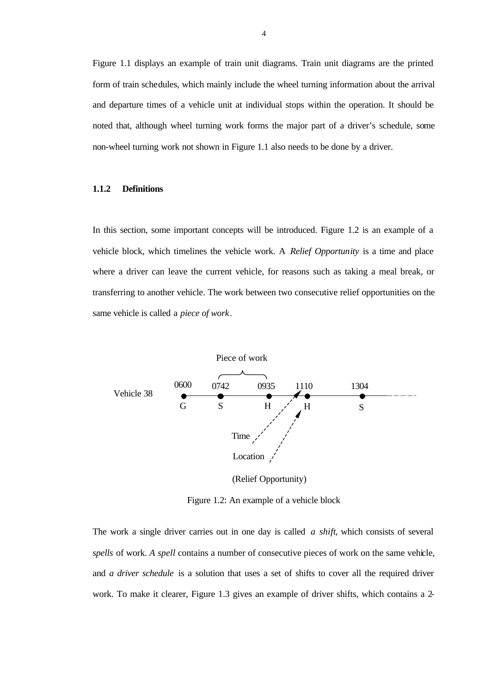Figure 1.1 displays an example of train unit diagrams. Train unit diagrams are the printed form of train schedules, which mainly include the wheel turning information about the arrival and departure times of a vehicle unit at individual stops within the operation. It should be noted that, although wheel turning work forms the major part of a driver's schedule, some non-wheel turning work not shown in Figure 1.1 also needs to be done by a driver.

#### **1.1.2 Definitions**

In this section, some important concepts will be introduced. Figure 1.2 is an example of a vehicle block, which timelines the vehicle work. A *Relief Opportunity* is a time and place where a driver can leave the current vehicle, for reasons such as taking a meal break, or transferring to another vehicle. The work between two consecutive relief opportunities on the same vehicle is called a *piece of work*.



(Relief Opportunity)

Figure 1.2: An example of a vehicle block

The work a single driver carries out in one day is called *a shift*, which consists of several *spells* of work. *A spell* contains a number of consecutive pieces of work on the same vehicle, and *a driver schedule* is a solution that uses a set of shifts to cover all the required driver work. To make it clearer, Figure 1.3 gives an example of driver shifts, which contains a 2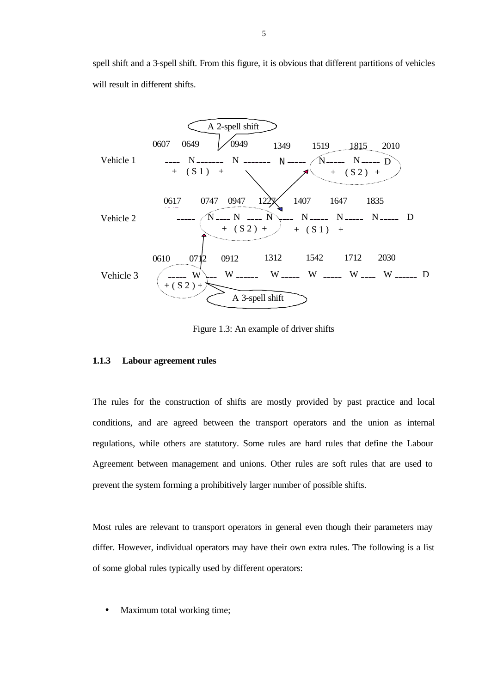spell shift and a 3-spell shift. From this figure, it is obvious that different partitions of vehicles will result in different shifts.



Figure 1.3: An example of driver shifts

#### **1.1.3 Labour agreement rules**

The rules for the construction of shifts are mostly provided by past practice and local conditions, and are agreed between the transport operators and the union as internal regulations, while others are statutory. Some rules are hard rules that define the Labour Agreement between management and unions. Other rules are soft rules that are used to prevent the system forming a prohibitively larger number of possible shifts.

Most rules are relevant to transport operators in general even though their parameters may differ. However, individual operators may have their own extra rules. The following is a list of some global rules typically used by different operators:

• Maximum total working time;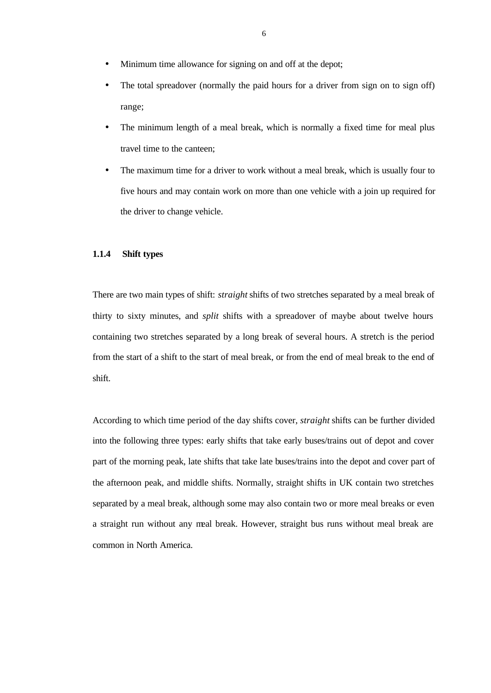- Minimum time allowance for signing on and off at the depot;
- The total spreadover (normally the paid hours for a driver from sign on to sign off) range;
- The minimum length of a meal break, which is normally a fixed time for meal plus travel time to the canteen;
- The maximum time for a driver to work without a meal break, which is usually four to five hours and may contain work on more than one vehicle with a join up required for the driver to change vehicle.

#### **1.1.4 Shift types**

There are two main types of shift: *straight* shifts of two stretches separated by a meal break of thirty to sixty minutes, and *split* shifts with a spreadover of maybe about twelve hours containing two stretches separated by a long break of several hours. A stretch is the period from the start of a shift to the start of meal break, or from the end of meal break to the end of shift.

According to which time period of the day shifts cover, *straight* shifts can be further divided into the following three types: early shifts that take early buses/trains out of depot and cover part of the morning peak, late shifts that take late buses/trains into the depot and cover part of the afternoon peak, and middle shifts. Normally, straight shifts in UK contain two stretches separated by a meal break, although some may also contain two or more meal breaks or even a straight run without any meal break. However, straight bus runs without meal break are common in North America.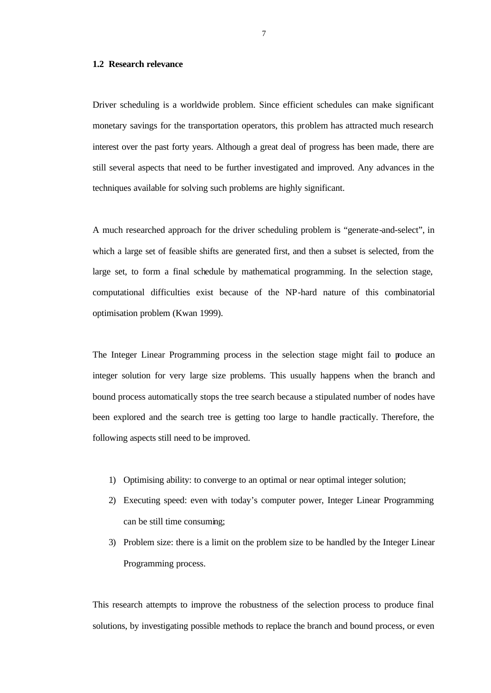#### **1.2 Research relevance**

Driver scheduling is a worldwide problem. Since efficient schedules can make significant monetary savings for the transportation operators, this problem has attracted much research interest over the past forty years. Although a great deal of progress has been made, there are still several aspects that need to be further investigated and improved. Any advances in the techniques available for solving such problems are highly significant.

A much researched approach for the driver scheduling problem is "generate-and-select", in which a large set of feasible shifts are generated first, and then a subset is selected, from the large set, to form a final schedule by mathematical programming. In the selection stage, computational difficulties exist because of the NP-hard nature of this combinatorial optimisation problem (Kwan 1999).

The Integer Linear Programming process in the selection stage might fail to produce an integer solution for very large size problems. This usually happens when the branch and bound process automatically stops the tree search because a stipulated number of nodes have been explored and the search tree is getting too large to handle practically. Therefore, the following aspects still need to be improved.

- 1) Optimising ability: to converge to an optimal or near optimal integer solution;
- 2) Executing speed: even with today's computer power, Integer Linear Programming can be still time consuming;
- 3) Problem size: there is a limit on the problem size to be handled by the Integer Linear Programming process.

This research attempts to improve the robustness of the selection process to produce final solutions, by investigating possible methods to replace the branch and bound process, or even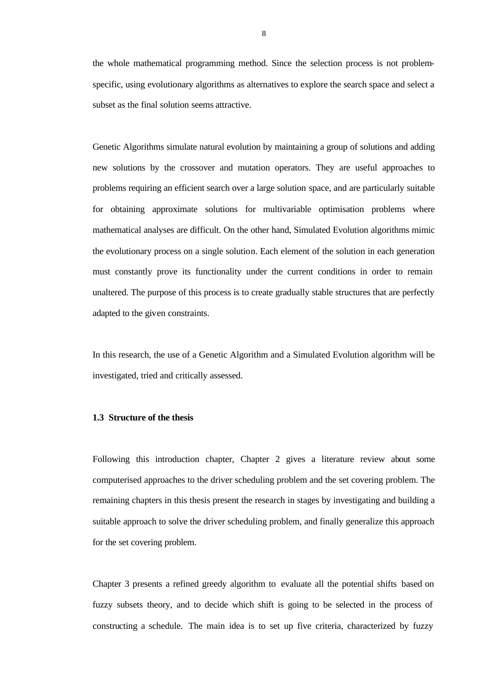the whole mathematical programming method. Since the selection process is not problemspecific, using evolutionary algorithms as alternatives to explore the search space and select a subset as the final solution seems attractive.

Genetic Algorithms simulate natural evolution by maintaining a group of solutions and adding new solutions by the crossover and mutation operators. They are useful approaches to problems requiring an efficient search over a large solution space, and are particularly suitable for obtaining approximate solutions for multivariable optimisation problems where mathematical analyses are difficult. On the other hand, Simulated Evolution algorithms mimic the evolutionary process on a single solution. Each element of the solution in each generation must constantly prove its functionality under the current conditions in order to remain unaltered. The purpose of this process is to create gradually stable structures that are perfectly adapted to the given constraints.

In this research, the use of a Genetic Algorithm and a Simulated Evolution algorithm will be investigated, tried and critically assessed.

#### **1.3 Structure of the thesis**

Following this introduction chapter, Chapter 2 gives a literature review about some computerised approaches to the driver scheduling problem and the set covering problem. The remaining chapters in this thesis present the research in stages by investigating and building a suitable approach to solve the driver scheduling problem, and finally generalize this approach for the set covering problem.

Chapter 3 presents a refined greedy algorithm to evaluate all the potential shifts based on fuzzy subsets theory, and to decide which shift is going to be selected in the process of constructing a schedule. The main idea is to set up five criteria, characterized by fuzzy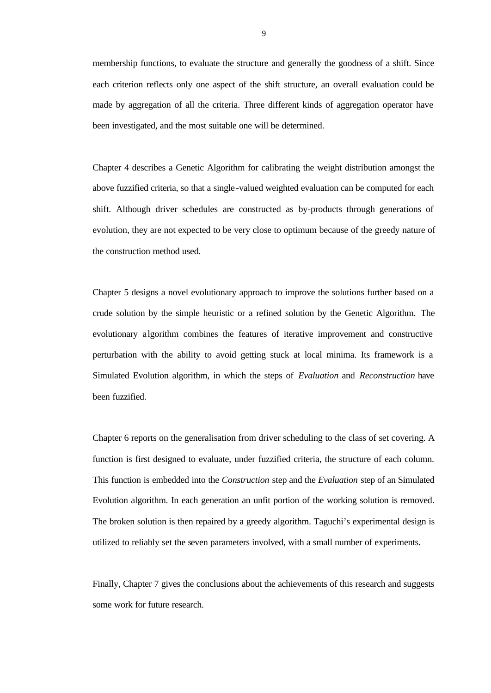membership functions, to evaluate the structure and generally the goodness of a shift. Since each criterion reflects only one aspect of the shift structure, an overall evaluation could be made by aggregation of all the criteria. Three different kinds of aggregation operator have been investigated, and the most suitable one will be determined.

Chapter 4 describes a Genetic Algorithm for calibrating the weight distribution amongst the above fuzzified criteria, so that a single -valued weighted evaluation can be computed for each shift. Although driver schedules are constructed as by-products through generations of evolution, they are not expected to be very close to optimum because of the greedy nature of the construction method used.

Chapter 5 designs a novel evolutionary approach to improve the solutions further based on a crude solution by the simple heuristic or a refined solution by the Genetic Algorithm. The evolutionary algorithm combines the features of iterative improvement and constructive perturbation with the ability to avoid getting stuck at local minima. Its framework is a Simulated Evolution algorithm, in which the steps of *Evaluation* and *Reconstruction* have been fuzzified.

Chapter 6 reports on the generalisation from driver scheduling to the class of set covering. A function is first designed to evaluate, under fuzzified criteria, the structure of each column. This function is embedded into the *Construction* step and the *Evaluation* step of an Simulated Evolution algorithm. In each generation an unfit portion of the working solution is removed. The broken solution is then repaired by a greedy algorithm. Taguchi's experimental design is utilized to reliably set the seven parameters involved, with a small number of experiments.

Finally, Chapter 7 gives the conclusions about the achievements of this research and suggests some work for future research.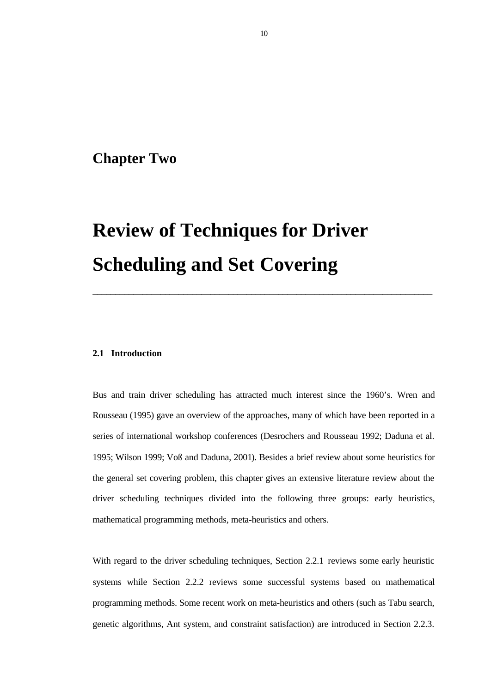### **Chapter Two**

# **Review of Techniques for Driver Scheduling and Set Covering**

#### **2.1 Introduction**

Bus and train driver scheduling has attracted much interest since the 1960's. Wren and Rousseau (1995) gave an overview of the approaches, many of which have been reported in a series of international workshop conferences (Desrochers and Rousseau 1992; Daduna et al. 1995; Wilson 1999; Voß and Daduna, 2001). Besides a brief review about some heuristics for the general set covering problem, this chapter gives an extensive literature review about the driver scheduling techniques divided into the following three groups: early heuristics, mathematical programming methods, meta-heuristics and others.

\_\_\_\_\_\_\_\_\_\_\_\_\_\_\_\_\_\_\_\_\_\_\_\_\_\_\_\_\_\_\_\_\_\_\_\_\_\_\_\_\_\_\_\_\_\_\_\_\_\_\_\_\_\_\_\_\_\_\_\_\_\_\_\_\_\_\_\_\_\_\_\_\_\_\_

With regard to the driver scheduling techniques, Section 2.2.1 reviews some early heuristic systems while Section 2.2.2 reviews some successful systems based on mathematical programming methods. Some recent work on meta-heuristics and others (such as Tabu search, genetic algorithms, Ant system, and constraint satisfaction) are introduced in Section 2.2.3.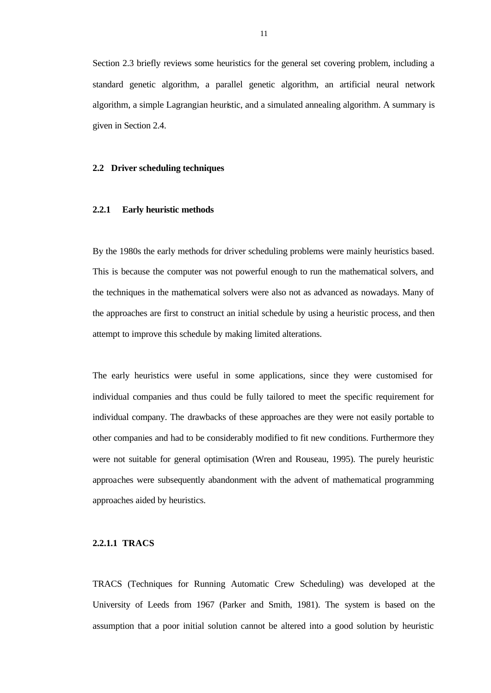Section 2.3 briefly reviews some heuristics for the general set covering problem, including a standard genetic algorithm, a parallel genetic algorithm, an artificial neural network algorithm, a simple Lagrangian heuristic, and a simulated annealing algorithm. A summary is given in Section 2.4.

#### **2.2 Driver scheduling techniques**

#### **2.2.1 Early heuristic methods**

By the 1980s the early methods for driver scheduling problems were mainly heuristics based. This is because the computer was not powerful enough to run the mathematical solvers, and the techniques in the mathematical solvers were also not as advanced as nowadays. Many of the approaches are first to construct an initial schedule by using a heuristic process, and then attempt to improve this schedule by making limited alterations.

The early heuristics were useful in some applications, since they were customised for individual companies and thus could be fully tailored to meet the specific requirement for individual company. The drawbacks of these approaches are they were not easily portable to other companies and had to be considerably modified to fit new conditions. Furthermore they were not suitable for general optimisation (Wren and Rouseau, 1995). The purely heuristic approaches were subsequently abandonment with the advent of mathematical programming approaches aided by heuristics.

#### **2.2.1.1 TRACS**

TRACS (Techniques for Running Automatic Crew Scheduling) was developed at the University of Leeds from 1967 (Parker and Smith, 1981). The system is based on the assumption that a poor initial solution cannot be altered into a good solution by heuristic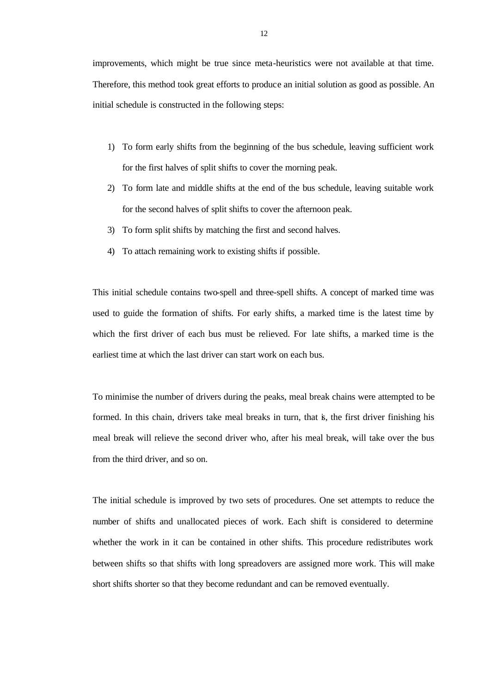improvements, which might be true since meta-heuristics were not available at that time. Therefore, this method took great efforts to produce an initial solution as good as possible. An initial schedule is constructed in the following steps:

- 1) To form early shifts from the beginning of the bus schedule, leaving sufficient work for the first halves of split shifts to cover the morning peak.
- 2) To form late and middle shifts at the end of the bus schedule, leaving suitable work for the second halves of split shifts to cover the afternoon peak.
- 3) To form split shifts by matching the first and second halves.
- 4) To attach remaining work to existing shifts if possible.

This initial schedule contains two-spell and three-spell shifts. A concept of marked time was used to guide the formation of shifts. For early shifts, a marked time is the latest time by which the first driver of each bus must be relieved. For late shifts, a marked time is the earliest time at which the last driver can start work on each bus.

To minimise the number of drivers during the peaks, meal break chains were attempted to be formed. In this chain, drivers take meal breaks in turn, that is, the first driver finishing his meal break will relieve the second driver who, after his meal break, will take over the bus from the third driver, and so on.

The initial schedule is improved by two sets of procedures. One set attempts to reduce the number of shifts and unallocated pieces of work. Each shift is considered to determine whether the work in it can be contained in other shifts. This procedure redistributes work between shifts so that shifts with long spreadovers are assigned more work. This will make short shifts shorter so that they become redundant and can be removed eventually.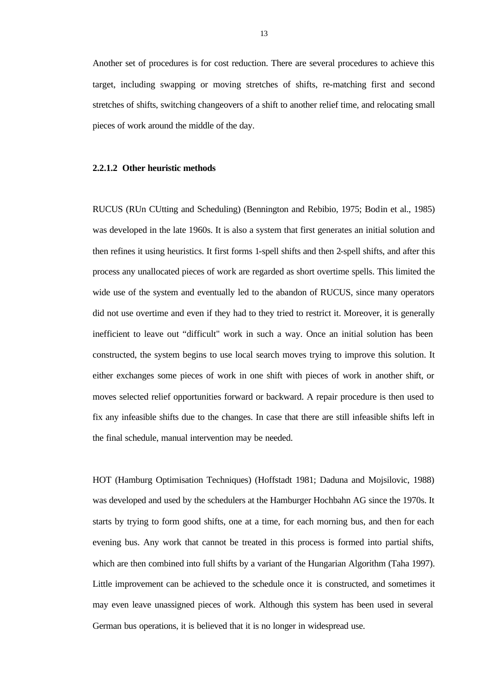Another set of procedures is for cost reduction. There are several procedures to achieve this target, including swapping or moving stretches of shifts, re-matching first and second stretches of shifts, switching changeovers of a shift to another relief time, and relocating small pieces of work around the middle of the day.

#### **2.2.1.2 Other heuristic methods**

RUCUS (RUn CUtting and Scheduling) (Bennington and Rebibio, 1975; Bodin et al., 1985) was developed in the late 1960s. It is also a system that first generates an initial solution and then refines it using heuristics. It first forms 1-spell shifts and then 2-spell shifts, and after this process any unallocated pieces of work are regarded as short overtime spells. This limited the wide use of the system and eventually led to the abandon of RUCUS, since many operators did not use overtime and even if they had to they tried to restrict it. Moreover, it is generally inefficient to leave out "difficult" work in such a way. Once an initial solution has been constructed, the system begins to use local search moves trying to improve this solution. It either exchanges some pieces of work in one shift with pieces of work in another shift, or moves selected relief opportunities forward or backward. A repair procedure is then used to fix any infeasible shifts due to the changes. In case that there are still infeasible shifts left in the final schedule, manual intervention may be needed.

HOT (Hamburg Optimisation Techniques) (Hoffstadt 1981; Daduna and Mojsilovic, 1988) was developed and used by the schedulers at the Hamburger Hochbahn AG since the 1970s. It starts by trying to form good shifts, one at a time, for each morning bus, and then for each evening bus. Any work that cannot be treated in this process is formed into partial shifts, which are then combined into full shifts by a variant of the Hungarian Algorithm (Taha 1997). Little improvement can be achieved to the schedule once it is constructed, and sometimes it may even leave unassigned pieces of work. Although this system has been used in several German bus operations, it is believed that it is no longer in widespread use.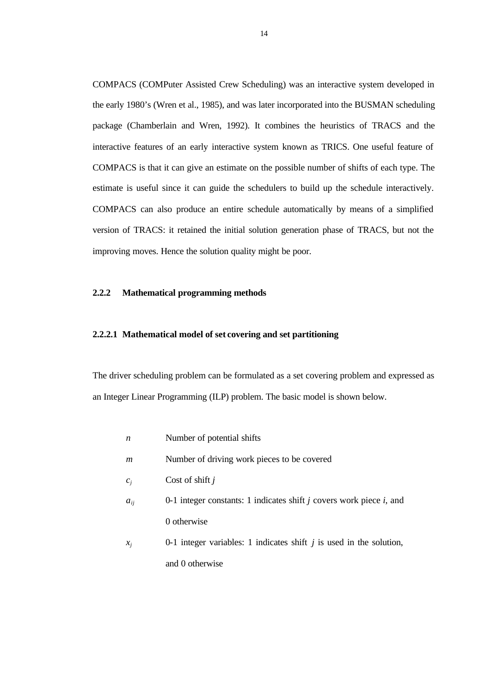COMPACS (COMPuter Assisted Crew Scheduling) was an interactive system developed in the early 1980's (Wren et al., 1985), and was later incorporated into the BUSMAN scheduling package (Chamberlain and Wren, 1992). It combines the heuristics of TRACS and the interactive features of an early interactive system known as TRICS. One useful feature of COMPACS is that it can give an estimate on the possible number of shifts of each type. The estimate is useful since it can guide the schedulers to build up the schedule interactively. COMPACS can also produce an entire schedule automatically by means of a simplified version of TRACS: it retained the initial solution generation phase of TRACS, but not the improving moves. Hence the solution quality might be poor.

#### **2.2.2 Mathematical programming methods**

#### **2.2.2.1 Mathematical model of set covering and set partitioning**

The driver scheduling problem can be formulated as a set covering problem and expressed as an Integer Linear Programming (ILP) problem. The basic model is shown below.

- *n* Number of potential shifts
- *m* Number of driving work pieces to be covered
- *c<sup>j</sup>* Cost of shift *j*
- *aij* 0-1 integer constants: 1 indicates shift *j* covers work piece *i*, and 0 otherwise
- *x<sup>j</sup>* 0-1 integer variables: 1 indicates shift *j* is used in the solution, and 0 otherwise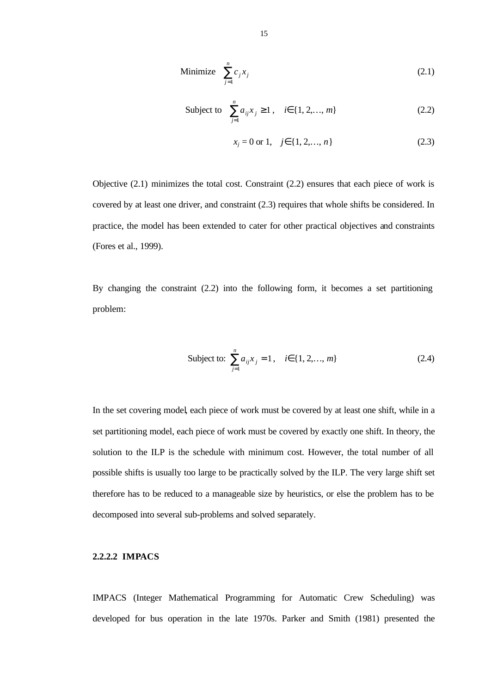Minimize 
$$
\sum_{j=1}^{n} c_j x_j
$$
 (2.1)

Subject to 
$$
\sum_{j=1}^{n} a_{ij} x_j \ge 1, \quad i \in \{1, 2, ..., m\}
$$
 (2.2)

$$
x_j = 0 \text{ or } 1, \quad j \in \{1, 2, \dots, n\}
$$
 (2.3)

Objective (2.1) minimizes the total cost. Constraint (2.2) ensures that each piece of work is covered by at least one driver, and constraint (2.3) requires that whole shifts be considered. In practice, the model has been extended to cater for other practical objectives and constraints (Fores et al., 1999).

By changing the constraint (2.2) into the following form, it becomes a set partitioning problem:

Subject to: 
$$
\sum_{j=1}^{n} a_{ij} x_j = 1, \quad i \in \{1, 2, ..., m\}
$$
 (2.4)

In the set covering model, each piece of work must be covered by at least one shift, while in a set partitioning model, each piece of work must be covered by exactly one shift. In theory, the solution to the ILP is the schedule with minimum cost. However, the total number of all possible shifts is usually too large to be practically solved by the ILP. The very large shift set therefore has to be reduced to a manageable size by heuristics, or else the problem has to be decomposed into several sub-problems and solved separately.

#### **2.2.2.2 IMPACS**

IMPACS (Integer Mathematical Programming for Automatic Crew Scheduling) was developed for bus operation in the late 1970s. Parker and Smith (1981) presented the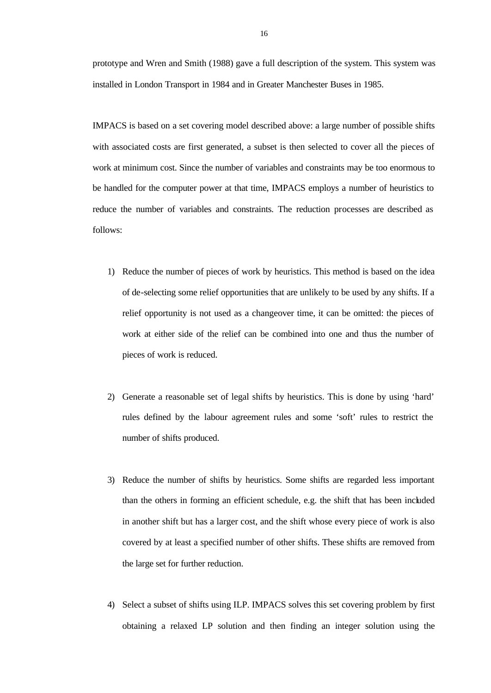prototype and Wren and Smith (1988) gave a full description of the system. This system was installed in London Transport in 1984 and in Greater Manchester Buses in 1985.

IMPACS is based on a set covering model described above: a large number of possible shifts with associated costs are first generated, a subset is then selected to cover all the pieces of work at minimum cost. Since the number of variables and constraints may be too enormous to be handled for the computer power at that time, IMPACS employs a number of heuristics to reduce the number of variables and constraints. The reduction processes are described as follows:

- 1) Reduce the number of pieces of work by heuristics. This method is based on the idea of de-selecting some relief opportunities that are unlikely to be used by any shifts. If a relief opportunity is not used as a changeover time, it can be omitted: the pieces of work at either side of the relief can be combined into one and thus the number of pieces of work is reduced.
- 2) Generate a reasonable set of legal shifts by heuristics. This is done by using 'hard' rules defined by the labour agreement rules and some 'soft' rules to restrict the number of shifts produced.
- 3) Reduce the number of shifts by heuristics. Some shifts are regarded less important than the others in forming an efficient schedule, e.g. the shift that has been included in another shift but has a larger cost, and the shift whose every piece of work is also covered by at least a specified number of other shifts. These shifts are removed from the large set for further reduction.
- 4) Select a subset of shifts using ILP. IMPACS solves this set covering problem by first obtaining a relaxed LP solution and then finding an integer solution using the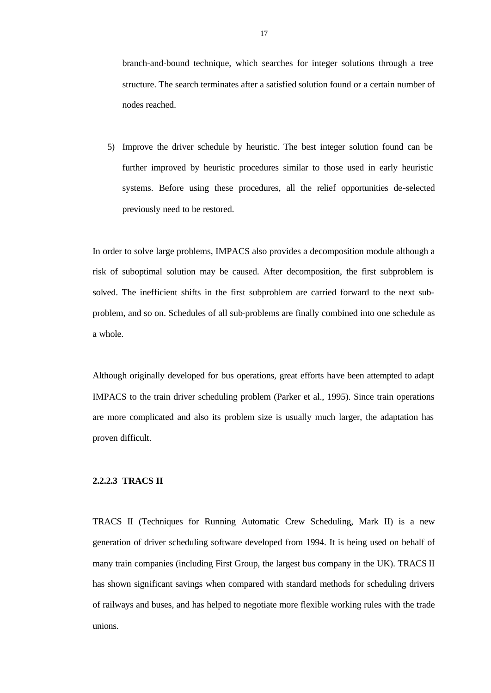branch-and-bound technique, which searches for integer solutions through a tree structure. The search terminates after a satisfied solution found or a certain number of nodes reached.

5) Improve the driver schedule by heuristic. The best integer solution found can be further improved by heuristic procedures similar to those used in early heuristic systems. Before using these procedures, all the relief opportunities de-selected previously need to be restored.

In order to solve large problems, IMPACS also provides a decomposition module although a risk of suboptimal solution may be caused. After decomposition, the first subproblem is solved. The inefficient shifts in the first subproblem are carried forward to the next subproblem, and so on. Schedules of all sub-problems are finally combined into one schedule as a whole.

Although originally developed for bus operations, great efforts have been attempted to adapt IMPACS to the train driver scheduling problem (Parker et al., 1995). Since train operations are more complicated and also its problem size is usually much larger, the adaptation has proven difficult.

#### **2.2.2.3 TRACS II**

TRACS II (Techniques for Running Automatic Crew Scheduling, Mark II) is a new generation of driver scheduling software developed from 1994. It is being used on behalf of many train companies (including First Group, the largest bus company in the UK). TRACS II has shown significant savings when compared with standard methods for scheduling drivers of railways and buses, and has helped to negotiate more flexible working rules with the trade unions.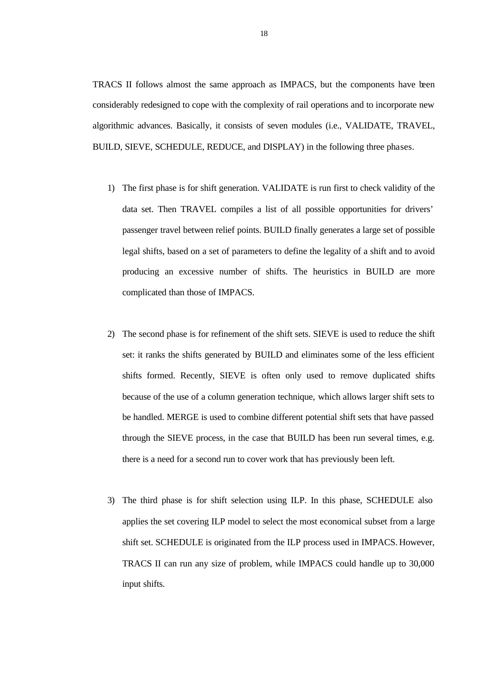TRACS II follows almost the same approach as IMPACS, but the components have been considerably redesigned to cope with the complexity of rail operations and to incorporate new algorithmic advances. Basically, it consists of seven modules (i.e., VALIDATE, TRAVEL, BUILD, SIEVE, SCHEDULE, REDUCE, and DISPLAY) in the following three phases.

- 1) The first phase is for shift generation. VALIDATE is run first to check validity of the data set. Then TRAVEL compiles a list of all possible opportunities for drivers' passenger travel between relief points. BUILD finally generates a large set of possible legal shifts, based on a set of parameters to define the legality of a shift and to avoid producing an excessive number of shifts. The heuristics in BUILD are more complicated than those of IMPACS.
- 2) The second phase is for refinement of the shift sets. SIEVE is used to reduce the shift set: it ranks the shifts generated by BUILD and eliminates some of the less efficient shifts formed. Recently, SIEVE is often only used to remove duplicated shifts because of the use of a column generation technique, which allows larger shift sets to be handled. MERGE is used to combine different potential shift sets that have passed through the SIEVE process, in the case that BUILD has been run several times, e.g. there is a need for a second run to cover work that has previously been left.
- 3) The third phase is for shift selection using ILP. In this phase, SCHEDULE also applies the set covering ILP model to select the most economical subset from a large shift set. SCHEDULE is originated from the ILP process used in IMPACS. However, TRACS II can run any size of problem, while IMPACS could handle up to 30,000 input shifts.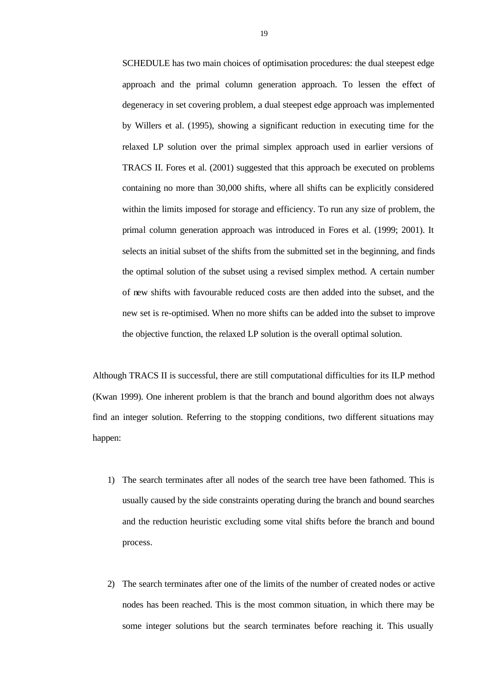SCHEDULE has two main choices of optimisation procedures: the dual steepest edge approach and the primal column generation approach. To lessen the effect of degeneracy in set covering problem, a dual steepest edge approach was implemented by Willers et al. (1995), showing a significant reduction in executing time for the relaxed LP solution over the primal simplex approach used in earlier versions of TRACS II. Fores et al. (2001) suggested that this approach be executed on problems containing no more than 30,000 shifts, where all shifts can be explicitly considered within the limits imposed for storage and efficiency. To run any size of problem, the primal column generation approach was introduced in Fores et al. (1999; 2001). It selects an initial subset of the shifts from the submitted set in the beginning, and finds the optimal solution of the subset using a revised simplex method. A certain number of new shifts with favourable reduced costs are then added into the subset, and the new set is re-optimised. When no more shifts can be added into the subset to improve the objective function, the relaxed LP solution is the overall optimal solution.

Although TRACS II is successful, there are still computational difficulties for its ILP method (Kwan 1999). One inherent problem is that the branch and bound algorithm does not always find an integer solution. Referring to the stopping conditions, two different situations may happen:

- 1) The search terminates after all nodes of the search tree have been fathomed. This is usually caused by the side constraints operating during the branch and bound searches and the reduction heuristic excluding some vital shifts before the branch and bound process.
- 2) The search terminates after one of the limits of the number of created nodes or active nodes has been reached. This is the most common situation, in which there may be some integer solutions but the search terminates before reaching it. This usually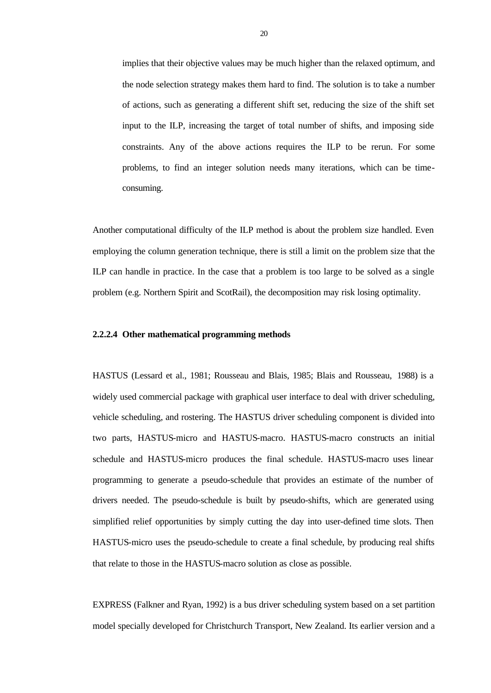implies that their objective values may be much higher than the relaxed optimum, and the node selection strategy makes them hard to find. The solution is to take a number of actions, such as generating a different shift set, reducing the size of the shift set input to the ILP, increasing the target of total number of shifts, and imposing side constraints. Any of the above actions requires the ILP to be rerun. For some problems, to find an integer solution needs many iterations, which can be timeconsuming.

Another computational difficulty of the ILP method is about the problem size handled. Even employing the column generation technique, there is still a limit on the problem size that the ILP can handle in practice. In the case that a problem is too large to be solved as a single problem (e.g. Northern Spirit and ScotRail), the decomposition may risk losing optimality.

#### **2.2.2.4 Other mathematical programming methods**

HASTUS (Lessard et al., 1981; Rousseau and Blais, 1985; Blais and Rousseau, 1988) is a widely used commercial package with graphical user interface to deal with driver scheduling, vehicle scheduling, and rostering. The HASTUS driver scheduling component is divided into two parts, HASTUS-micro and HASTUS-macro. HASTUS-macro constructs an initial schedule and HASTUS-micro produces the final schedule. HASTUS-macro uses linear programming to generate a pseudo-schedule that provides an estimate of the number of drivers needed. The pseudo-schedule is built by pseudo-shifts, which are generated using simplified relief opportunities by simply cutting the day into user-defined time slots. Then HASTUS-micro uses the pseudo-schedule to create a final schedule, by producing real shifts that relate to those in the HASTUS-macro solution as close as possible.

EXPRESS (Falkner and Ryan, 1992) is a bus driver scheduling system based on a set partition model specially developed for Christchurch Transport, New Zealand. Its earlier version and a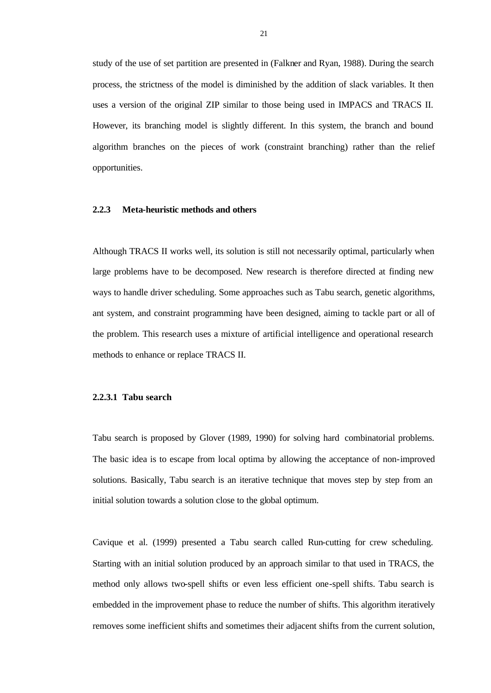study of the use of set partition are presented in (Falkner and Ryan, 1988). During the search process, the strictness of the model is diminished by the addition of slack variables. It then uses a version of the original ZIP similar to those being used in IMPACS and TRACS II. However, its branching model is slightly different. In this system, the branch and bound algorithm branches on the pieces of work (constraint branching) rather than the relief opportunities.

#### **2.2.3 Meta-heuristic methods and others**

Although TRACS II works well, its solution is still not necessarily optimal, particularly when large problems have to be decomposed. New research is therefore directed at finding new ways to handle driver scheduling. Some approaches such as Tabu search, genetic algorithms, ant system, and constraint programming have been designed, aiming to tackle part or all of the problem. This research uses a mixture of artificial intelligence and operational research methods to enhance or replace TRACS II.

#### **2.2.3.1 Tabu search**

Tabu search is proposed by Glover (1989, 1990) for solving hard combinatorial problems. The basic idea is to escape from local optima by allowing the acceptance of non-improved solutions. Basically, Tabu search is an iterative technique that moves step by step from an initial solution towards a solution close to the global optimum.

Cavique et al. (1999) presented a Tabu search called Run-cutting for crew scheduling. Starting with an initial solution produced by an approach similar to that used in TRACS, the method only allows two-spell shifts or even less efficient one-spell shifts. Tabu search is embedded in the improvement phase to reduce the number of shifts. This algorithm iteratively removes some inefficient shifts and sometimes their adjacent shifts from the current solution,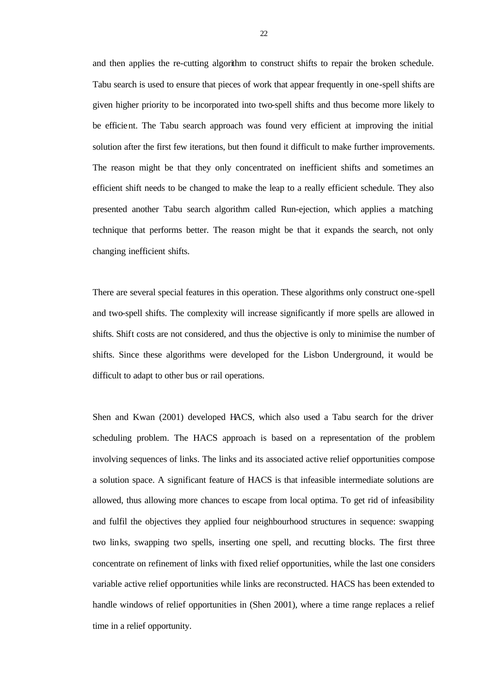and then applies the re-cutting algorithm to construct shifts to repair the broken schedule. Tabu search is used to ensure that pieces of work that appear frequently in one-spell shifts are given higher priority to be incorporated into two-spell shifts and thus become more likely to be efficient. The Tabu search approach was found very efficient at improving the initial solution after the first few iterations, but then found it difficult to make further improvements. The reason might be that they only concentrated on inefficient shifts and sometimes an efficient shift needs to be changed to make the leap to a really efficient schedule. They also presented another Tabu search algorithm called Run-ejection, which applies a matching technique that performs better. The reason might be that it expands the search, not only changing inefficient shifts.

There are several special features in this operation. These algorithms only construct one-spell and two-spell shifts. The complexity will increase significantly if more spells are allowed in shifts. Shift costs are not considered, and thus the objective is only to minimise the number of shifts. Since these algorithms were developed for the Lisbon Underground, it would be difficult to adapt to other bus or rail operations.

Shen and Kwan (2001) developed HACS, which also used a Tabu search for the driver scheduling problem. The HACS approach is based on a representation of the problem involving sequences of links. The links and its associated active relief opportunities compose a solution space. A significant feature of HACS is that infeasible intermediate solutions are allowed, thus allowing more chances to escape from local optima. To get rid of infeasibility and fulfil the objectives they applied four neighbourhood structures in sequence: swapping two links, swapping two spells, inserting one spell, and recutting blocks. The first three concentrate on refinement of links with fixed relief opportunities, while the last one considers variable active relief opportunities while links are reconstructed. HACS has been extended to handle windows of relief opportunities in (Shen 2001), where a time range replaces a relief time in a relief opportunity.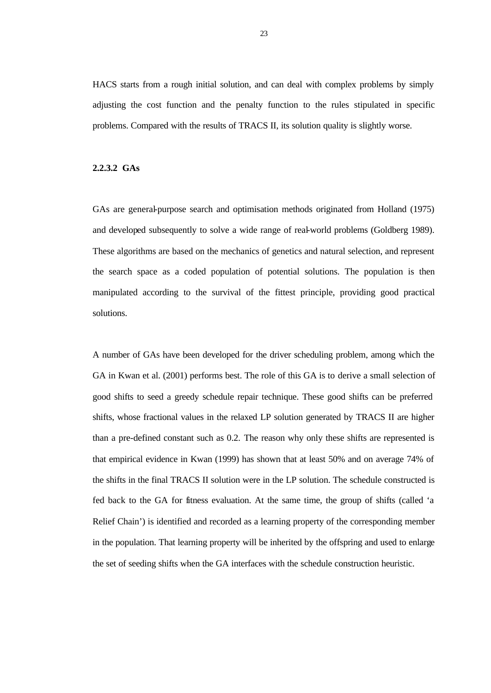HACS starts from a rough initial solution, and can deal with complex problems by simply adjusting the cost function and the penalty function to the rules stipulated in specific problems. Compared with the results of TRACS II, its solution quality is slightly worse.

#### **2.2.3.2 GAs**

GAs are general-purpose search and optimisation methods originated from Holland (1975) and developed subsequently to solve a wide range of real-world problems (Goldberg 1989). These algorithms are based on the mechanics of genetics and natural selection, and represent the search space as a coded population of potential solutions. The population is then manipulated according to the survival of the fittest principle, providing good practical solutions.

A number of GAs have been developed for the driver scheduling problem, among which the GA in Kwan et al. (2001) performs best. The role of this GA is to derive a small selection of good shifts to seed a greedy schedule repair technique. These good shifts can be preferred shifts, whose fractional values in the relaxed LP solution generated by TRACS II are higher than a pre-defined constant such as 0.2. The reason why only these shifts are represented is that empirical evidence in Kwan (1999) has shown that at least 50% and on average 74% of the shifts in the final TRACS II solution were in the LP solution. The schedule constructed is fed back to the GA for fitness evaluation. At the same time, the group of shifts (called 'a Relief Chain') is identified and recorded as a learning property of the corresponding member in the population. That learning property will be inherited by the offspring and used to enlarge the set of seeding shifts when the GA interfaces with the schedule construction heuristic.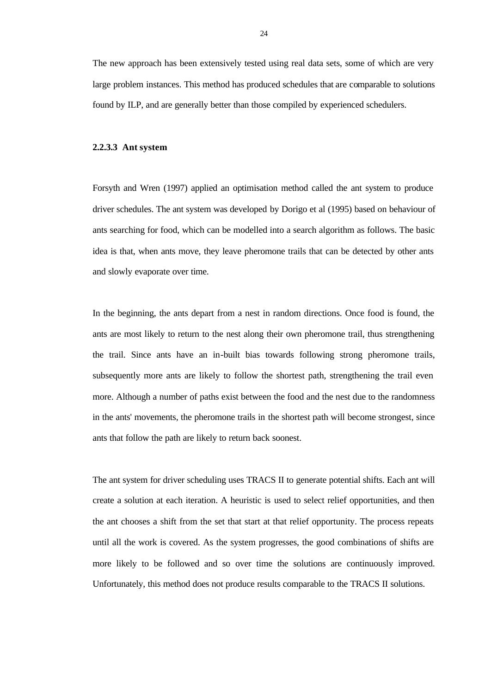The new approach has been extensively tested using real data sets, some of which are very large problem instances. This method has produced schedules that are comparable to solutions found by ILP, and are generally better than those compiled by experienced schedulers.

#### **2.2.3.3 Ant system**

Forsyth and Wren (1997) applied an optimisation method called the ant system to produce driver schedules. The ant system was developed by Dorigo et al (1995) based on behaviour of ants searching for food, which can be modelled into a search algorithm as follows. The basic idea is that, when ants move, they leave pheromone trails that can be detected by other ants and slowly evaporate over time.

In the beginning, the ants depart from a nest in random directions. Once food is found, the ants are most likely to return to the nest along their own pheromone trail, thus strengthening the trail. Since ants have an in-built bias towards following strong pheromone trails, subsequently more ants are likely to follow the shortest path, strengthening the trail even more. Although a number of paths exist between the food and the nest due to the randomness in the ants' movements, the pheromone trails in the shortest path will become strongest, since ants that follow the path are likely to return back soonest.

The ant system for driver scheduling uses TRACS II to generate potential shifts. Each ant will create a solution at each iteration. A heuristic is used to select relief opportunities, and then the ant chooses a shift from the set that start at that relief opportunity. The process repeats until all the work is covered. As the system progresses, the good combinations of shifts are more likely to be followed and so over time the solutions are continuously improved. Unfortunately, this method does not produce results comparable to the TRACS II solutions.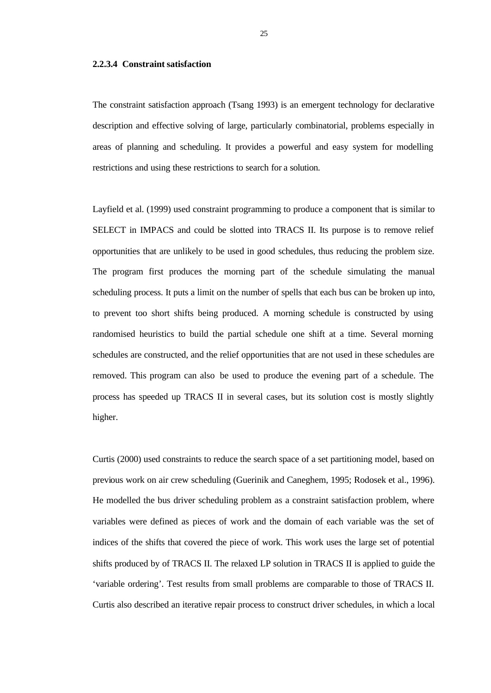#### **2.2.3.4 Constraint satisfaction**

The constraint satisfaction approach (Tsang 1993) is an emergent technology for declarative description and effective solving of large, particularly combinatorial, problems especially in areas of planning and scheduling. It provides a powerful and easy system for modelling restrictions and using these restrictions to search for a solution.

Layfield et al. (1999) used constraint programming to produce a component that is similar to SELECT in IMPACS and could be slotted into TRACS II. Its purpose is to remove relief opportunities that are unlikely to be used in good schedules, thus reducing the problem size. The program first produces the morning part of the schedule simulating the manual scheduling process. It puts a limit on the number of spells that each bus can be broken up into, to prevent too short shifts being produced. A morning schedule is constructed by using randomised heuristics to build the partial schedule one shift at a time. Several morning schedules are constructed, and the relief opportunities that are not used in these schedules are removed. This program can also be used to produce the evening part of a schedule. The process has speeded up TRACS II in several cases, but its solution cost is mostly slightly higher.

Curtis (2000) used constraints to reduce the search space of a set partitioning model, based on previous work on air crew scheduling (Guerinik and Caneghem, 1995; Rodosek et al., 1996). He modelled the bus driver scheduling problem as a constraint satisfaction problem, where variables were defined as pieces of work and the domain of each variable was the set of indices of the shifts that covered the piece of work. This work uses the large set of potential shifts produced by of TRACS II. The relaxed LP solution in TRACS II is applied to guide the 'variable ordering'. Test results from small problems are comparable to those of TRACS II. Curtis also described an iterative repair process to construct driver schedules, in which a local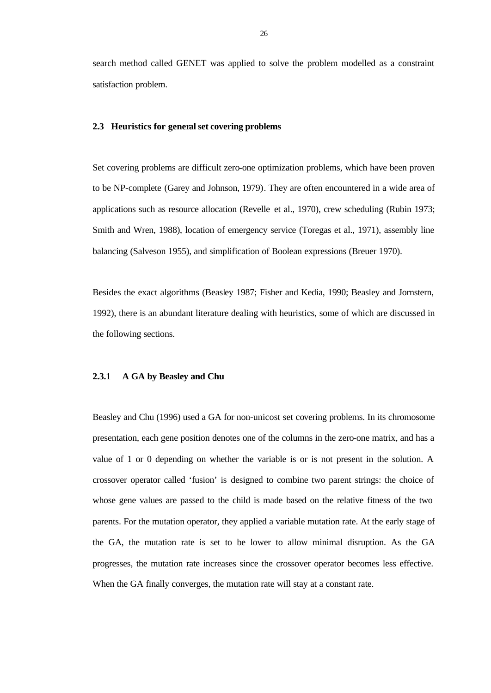search method called GENET was applied to solve the problem modelled as a constraint satisfaction problem.

#### **2.3 Heuristics for general set covering problems**

Set covering problems are difficult zero-one optimization problems, which have been proven to be NP-complete (Garey and Johnson, 1979). They are often encountered in a wide area of applications such as resource allocation (Revelle et al., 1970), crew scheduling (Rubin 1973; Smith and Wren, 1988), location of emergency service (Toregas et al., 1971), assembly line balancing (Salveson 1955), and simplification of Boolean expressions (Breuer 1970).

Besides the exact algorithms (Beasley 1987; Fisher and Kedia, 1990; Beasley and Jornstern, 1992), there is an abundant literature dealing with heuristics, some of which are discussed in the following sections.

#### **2.3.1 A GA by Beasley and Chu**

Beasley and Chu (1996) used a GA for non-unicost set covering problems. In its chromosome presentation, each gene position denotes one of the columns in the zero-one matrix, and has a value of 1 or 0 depending on whether the variable is or is not present in the solution. A crossover operator called 'fusion' is designed to combine two parent strings: the choice of whose gene values are passed to the child is made based on the relative fitness of the two parents. For the mutation operator, they applied a variable mutation rate. At the early stage of the GA, the mutation rate is set to be lower to allow minimal disruption. As the GA progresses, the mutation rate increases since the crossover operator becomes less effective. When the GA finally converges, the mutation rate will stay at a constant rate.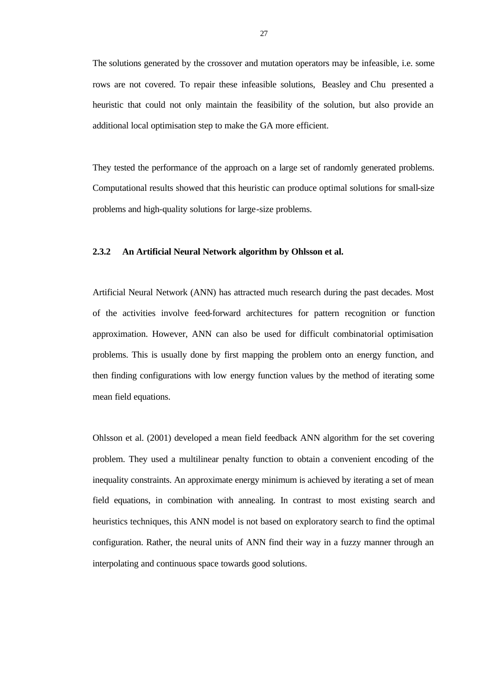The solutions generated by the crossover and mutation operators may be infeasible, i.e. some rows are not covered. To repair these infeasible solutions, Beasley and Chu presented a heuristic that could not only maintain the feasibility of the solution, but also provide an additional local optimisation step to make the GA more efficient.

They tested the performance of the approach on a large set of randomly generated problems. Computational results showed that this heuristic can produce optimal solutions for small-size problems and high-quality solutions for large-size problems.

## **2.3.2 An Artificial Neural Network algorithm by Ohlsson et al.**

Artificial Neural Network (ANN) has attracted much research during the past decades. Most of the activities involve feed-forward architectures for pattern recognition or function approximation. However, ANN can also be used for difficult combinatorial optimisation problems. This is usually done by first mapping the problem onto an energy function, and then finding configurations with low energy function values by the method of iterating some mean field equations.

Ohlsson et al. (2001) developed a mean field feedback ANN algorithm for the set covering problem. They used a multilinear penalty function to obtain a convenient encoding of the inequality constraints. An approximate energy minimum is achieved by iterating a set of mean field equations, in combination with annealing. In contrast to most existing search and heuristics techniques, this ANN model is not based on exploratory search to find the optimal configuration. Rather, the neural units of ANN find their way in a fuzzy manner through an interpolating and continuous space towards good solutions.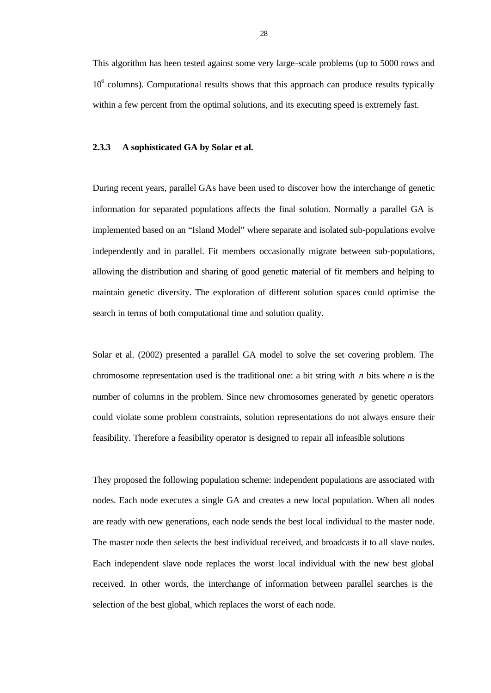This algorithm has been tested against some very large-scale problems (up to 5000 rows and 10<sup>6</sup> columns). Computational results shows that this approach can produce results typically within a few percent from the optimal solutions, and its executing speed is extremely fast.

## **2.3.3 A sophisticated GA by Solar et al.**

During recent years, parallel GAs have been used to discover how the interchange of genetic information for separated populations affects the final solution. Normally a parallel GA is implemented based on an "Island Model" where separate and isolated sub-populations evolve independently and in parallel. Fit members occasionally migrate between sub-populations, allowing the distribution and sharing of good genetic material of fit members and helping to maintain genetic diversity. The exploration of different solution spaces could optimise the search in terms of both computational time and solution quality.

Solar et al. (2002) presented a parallel GA model to solve the set covering problem. The chromosome representation used is the traditional one: a bit string with *n* bits where *n* is the number of columns in the problem. Since new chromosomes generated by genetic operators could violate some problem constraints, solution representations do not always ensure their feasibility. Therefore a feasibility operator is designed to repair all infeasible solutions

They proposed the following population scheme: independent populations are associated with nodes. Each node executes a single GA and creates a new local population. When all nodes are ready with new generations, each node sends the best local individual to the master node. The master node then selects the best individual received, and broadcasts it to all slave nodes. Each independent slave node replaces the worst local individual with the new best global received. In other words, the interchange of information between parallel searches is the selection of the best global, which replaces the worst of each node.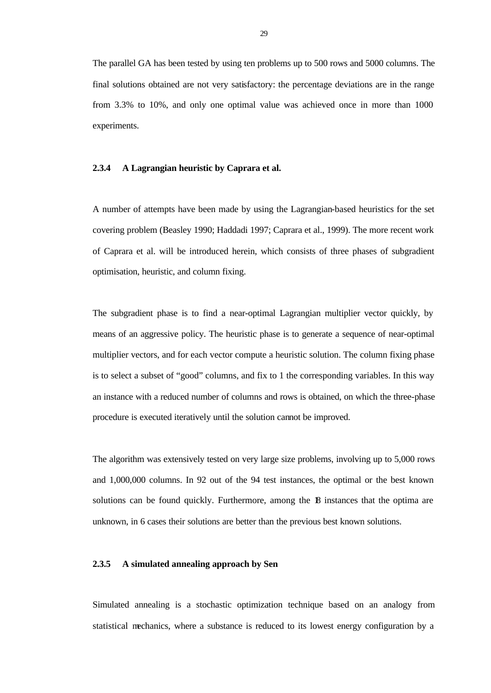The parallel GA has been tested by using ten problems up to 500 rows and 5000 columns. The final solutions obtained are not very satisfactory: the percentage deviations are in the range from 3.3% to 10%, and only one optimal value was achieved once in more than 1000 experiments.

## **2.3.4 A Lagrangian heuristic by Caprara et al.**

A number of attempts have been made by using the Lagrangian-based heuristics for the set covering problem (Beasley 1990; Haddadi 1997; Caprara et al., 1999). The more recent work of Caprara et al. will be introduced herein, which consists of three phases of subgradient optimisation, heuristic, and column fixing.

The subgradient phase is to find a near-optimal Lagrangian multiplier vector quickly, by means of an aggressive policy. The heuristic phase is to generate a sequence of near-optimal multiplier vectors, and for each vector compute a heuristic solution. The column fixing phase is to select a subset of "good" columns, and fix to 1 the corresponding variables. In this way an instance with a reduced number of columns and rows is obtained, on which the three-phase procedure is executed iteratively until the solution cannot be improved.

The algorithm was extensively tested on very large size problems, involving up to 5,000 rows and 1,000,000 columns. In 92 out of the 94 test instances, the optimal or the best known solutions can be found quickly. Furthermore, among the 18 instances that the optima are unknown, in 6 cases their solutions are better than the previous best known solutions.

## **2.3.5 A simulated annealing approach by Sen**

Simulated annealing is a stochastic optimization technique based on an analogy from statistical mechanics, where a substance is reduced to its lowest energy configuration by a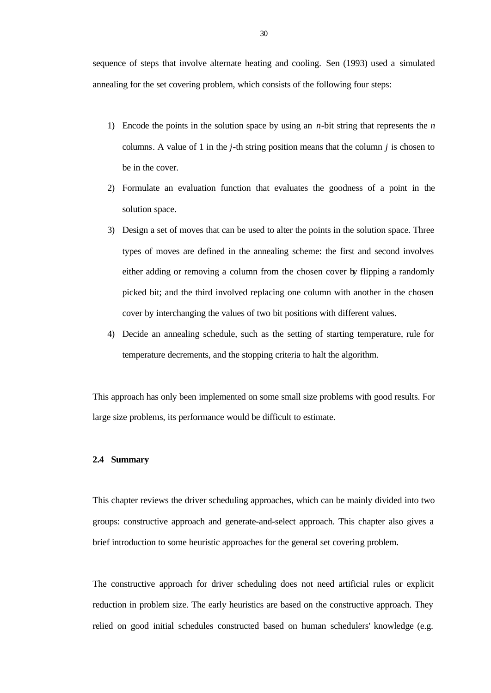sequence of steps that involve alternate heating and cooling. Sen (1993) used a simulated annealing for the set covering problem, which consists of the following four steps:

- 1) Encode the points in the solution space by using an *n*-bit string that represents the *n* columns. A value of 1 in the *j*-th string position means that the column *j* is chosen to be in the cover.
- 2) Formulate an evaluation function that evaluates the goodness of a point in the solution space.
- 3) Design a set of moves that can be used to alter the points in the solution space. Three types of moves are defined in the annealing scheme: the first and second involves either adding or removing a column from the chosen cover by flipping a randomly picked bit; and the third involved replacing one column with another in the chosen cover by interchanging the values of two bit positions with different values.
- 4) Decide an annealing schedule, such as the setting of starting temperature, rule for temperature decrements, and the stopping criteria to halt the algorithm.

This approach has only been implemented on some small size problems with good results. For large size problems, its performance would be difficult to estimate.

## **2.4 Summary**

This chapter reviews the driver scheduling approaches, which can be mainly divided into two groups: constructive approach and generate-and-select approach. This chapter also gives a brief introduction to some heuristic approaches for the general set covering problem.

The constructive approach for driver scheduling does not need artificial rules or explicit reduction in problem size. The early heuristics are based on the constructive approach. They relied on good initial schedules constructed based on human schedulers' knowledge (e.g.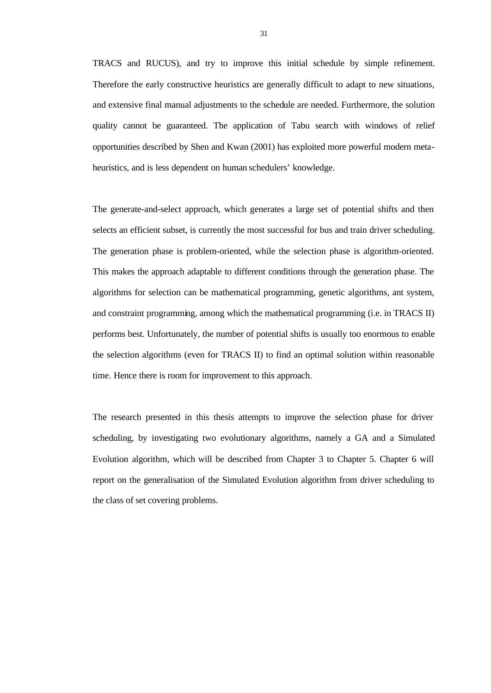TRACS and RUCUS), and try to improve this initial schedule by simple refinement. Therefore the early constructive heuristics are generally difficult to adapt to new situations, and extensive final manual adjustments to the schedule are needed. Furthermore, the solution quality cannot be guaranteed. The application of Tabu search with windows of relief opportunities described by Shen and Kwan (2001) has exploited more powerful modern metaheuristics, and is less dependent on human schedulers' knowledge.

The generate-and-select approach, which generates a large set of potential shifts and then selects an efficient subset, is currently the most successful for bus and train driver scheduling. The generation phase is problem-oriented, while the selection phase is algorithm-oriented. This makes the approach adaptable to different conditions through the generation phase. The algorithms for selection can be mathematical programming, genetic algorithms, ant system, and constraint programming, among which the mathematical programming (i.e. in TRACS II) performs best. Unfortunately, the number of potential shifts is usually too enormous to enable the selection algorithms (even for TRACS II) to find an optimal solution within reasonable time. Hence there is room for improvement to this approach.

The research presented in this thesis attempts to improve the selection phase for driver scheduling, by investigating two evolutionary algorithms, namely a GA and a Simulated Evolution algorithm, which will be described from Chapter 3 to Chapter 5. Chapter 6 will report on the generalisation of the Simulated Evolution algorithm from driver scheduling to the class of set covering problems.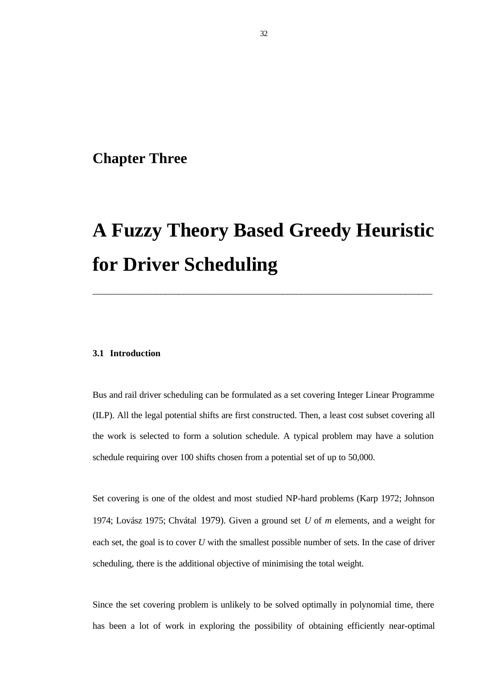## **Chapter Three**

# **A Fuzzy Theory Based Greedy Heuristic for Driver Scheduling**

\_\_\_\_\_\_\_\_\_\_\_\_\_\_\_\_\_\_\_\_\_\_\_\_\_\_\_\_\_\_\_\_\_\_\_\_\_\_\_\_\_\_\_\_\_\_\_\_\_\_\_\_\_\_\_\_\_\_\_\_\_\_\_\_\_\_\_\_\_\_\_\_\_\_\_

## **3.1 Introduction**

Bus and rail driver scheduling can be formulated as a set covering Integer Linear Programme (ILP). All the legal potential shifts are first constructed. Then, a least cost subset covering all the work is selected to form a solution schedule. A typical problem may have a solution schedule requiring over 100 shifts chosen from a potential set of up to 50,000.

Set covering is one of the oldest and most studied NP-hard problems (Karp 1972; Johnson 1974; Lovász 1975; Chvátal 1979). Given a ground set *U* of *m* elements, and a weight for each set, the goal is to cover *U* with the smallest possible number of sets. In the case of driver scheduling, there is the additional objective of minimising the total weight.

Since the set covering problem is unlikely to be solved optimally in polynomial time, there has been a lot of work in exploring the possibility of obtaining efficiently near-optimal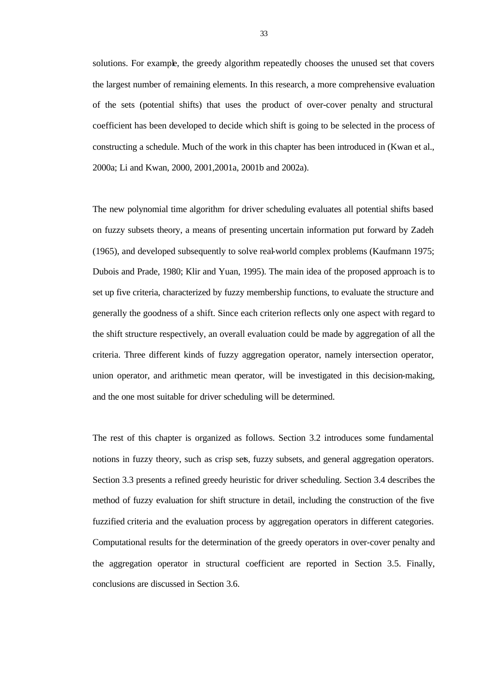solutions. For example, the greedy algorithm repeatedly chooses the unused set that covers the largest number of remaining elements. In this research, a more comprehensive evaluation of the sets (potential shifts) that uses the product of over-cover penalty and structural coefficient has been developed to decide which shift is going to be selected in the process of constructing a schedule. Much of the work in this chapter has been introduced in (Kwan et al., 2000a; Li and Kwan, 2000, 2001,2001a, 2001b and 2002a).

The new polynomial time algorithm for driver scheduling evaluates all potential shifts based on fuzzy subsets theory, a means of presenting uncertain information put forward by Zadeh (1965), and developed subsequently to solve real-world complex problems (Kaufmann 1975; Dubois and Prade, 1980; Klir and Yuan, 1995). The main idea of the proposed approach is to set up five criteria, characterized by fuzzy membership functions, to evaluate the structure and generally the goodness of a shift. Since each criterion reflects only one aspect with regard to the shift structure respectively, an overall evaluation could be made by aggregation of all the criteria. Three different kinds of fuzzy aggregation operator, namely intersection operator, union operator, and arithmetic mean operator, will be investigated in this decision-making, and the one most suitable for driver scheduling will be determined.

The rest of this chapter is organized as follows. Section 3.2 introduces some fundamental notions in fuzzy theory, such as crisp sets, fuzzy subsets, and general aggregation operators. Section 3.3 presents a refined greedy heuristic for driver scheduling. Section 3.4 describes the method of fuzzy evaluation for shift structure in detail, including the construction of the five fuzzified criteria and the evaluation process by aggregation operators in different categories. Computational results for the determination of the greedy operators in over-cover penalty and the aggregation operator in structural coefficient are reported in Section 3.5. Finally, conclusions are discussed in Section 3.6.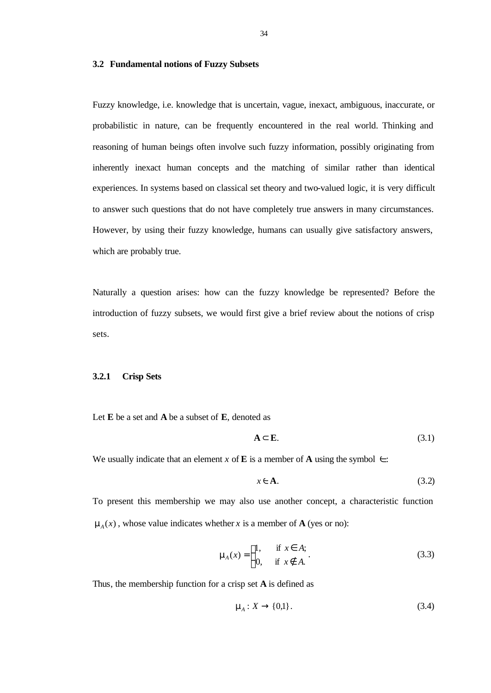## **3.2 Fundamental notions of Fuzzy Subsets**

Fuzzy knowledge, i.e. knowledge that is uncertain, vague, inexact, ambiguous, inaccurate, or probabilistic in nature, can be frequently encountered in the real world. Thinking and reasoning of human beings often involve such fuzzy information, possibly originating from inherently inexact human concepts and the matching of similar rather than identical experiences. In systems based on classical set theory and two-valued logic, it is very difficult to answer such questions that do not have completely true answers in many circumstances. However, by using their fuzzy knowledge, humans can usually give satisfactory answers, which are probably true.

Naturally a question arises: how can the fuzzy knowledge be represented? Before the introduction of fuzzy subsets, we would first give a brief review about the notions of crisp sets.

## **3.2.1 Crisp Sets**

Let **E** be a set and **A** be a subset of **E**, denoted as

$$
A \subset E. \tag{3.1}
$$

We usually indicate that an element *x* of **E** is a member of **A** using the symbol  $\in$ :

$$
x \in \mathbf{A}.\tag{3.2}
$$

To present this membership we may also use another concept, a characteristic function  $m_A(x)$ , whose value indicates whether *x* is a member of **A** (yes or no):

$$
\mathbf{m}_A(x) = \begin{cases} 1, & \text{if } x \in A; \\ 0, & \text{if } x \notin A. \end{cases} \tag{3.3}
$$

Thus, the membership function for a crisp set **A** is defined as

$$
\mathbf{m}_{A}: X \to \{0,1\}.\tag{3.4}
$$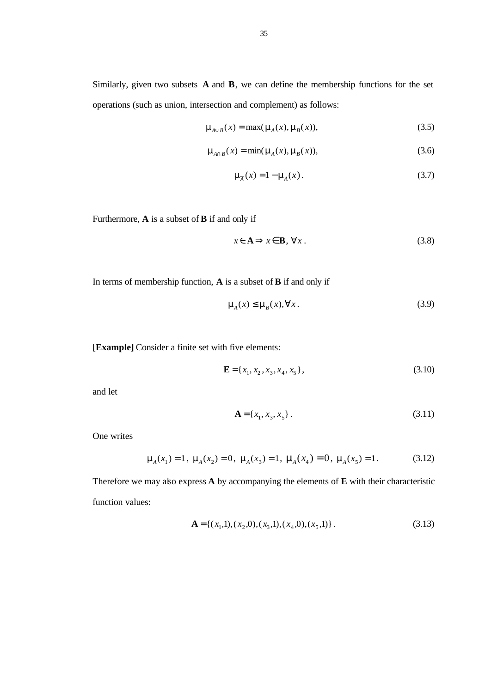Similarly, given two subsets **A** and **B**, we can define the membership functions for the set operations (such as union, intersection and complement) as follows:

$$
\mathbf{m}_{A\cup B}(x) = \max(\mathbf{m}_A(x), \mathbf{m}_B(x)),\tag{3.5}
$$

$$
\mathbf{m}_{A \cap B}(x) = \min(\mathbf{m}_A(x), \mathbf{m}_B(x)),\tag{3.6}
$$

$$
\mathbf{m}_{\overline{A}}(x) = 1 - \mathbf{m}_{A}(x). \tag{3.7}
$$

Furthermore, **A** is a subset of **B** if and only if

$$
x \in \mathbf{A} \Longrightarrow x \in \mathbf{B}, \,\forall x \,.
$$

In terms of membership function, **A** is a subset of **B** if and only if

$$
\mathbf{m}_{A}(x) \leq \mathbf{m}_{B}(x), \forall x.
$$
 (3.9)

[**Example]** Consider a finite set with five elements:

$$
\mathbf{E} = \{x_1, x_2, x_3, x_4, x_5\},\tag{3.10}
$$

and let

$$
\mathbf{A} = \{x_1, x_3, x_5\}.
$$
 (3.11)

One writes

$$
\mathbf{m}_{A}(x_{1}) = 1, \ \mathbf{m}_{A}(x_{2}) = 0, \ \mathbf{m}_{A}(x_{3}) = 1, \ \mathbf{m}_{A}(x_{4}) = 0, \ \mathbf{m}_{A}(x_{5}) = 1. \tag{3.12}
$$

Therefore we may also express **A** by accompanying the elements of **E** with their characteristic function values:

$$
\mathbf{A} = \{ (x_1, 1), (x_2, 0), (x_3, 1), (x_4, 0), (x_5, 1) \}.
$$
 (3.13)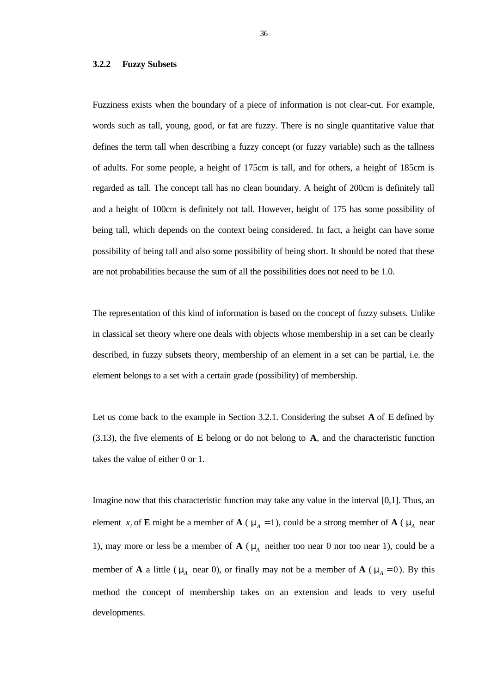## **3.2.2 Fuzzy Subsets**

Fuzziness exists when the boundary of a piece of information is not clear-cut. For example, words such as tall, young, good, or fat are fuzzy. There is no single quantitative value that defines the term tall when describing a fuzzy concept (or fuzzy variable) such as the tallness of adults. For some people, a height of 175cm is tall, and for others, a height of 185cm is regarded as tall. The concept tall has no clean boundary. A height of 200cm is definitely tall and a height of 100cm is definitely not tall. However, height of 175 has some possibility of being tall, which depends on the context being considered. In fact, a height can have some possibility of being tall and also some possibility of being short. It should be noted that these are not probabilities because the sum of all the possibilities does not need to be 1.0.

The representation of this kind of information is based on the concept of fuzzy subsets. Unlike in classical set theory where one deals with objects whose membership in a set can be clearly described, in fuzzy subsets theory, membership of an element in a set can be partial, i.e. the element belongs to a set with a certain grade (possibility) of membership.

Let us come back to the example in Section 3.2.1. Considering the subset **A** of **E** defined by (3.13), the five elements of **E** belong or do not belong to **A**, and the characteristic function takes the value of either 0 or 1.

Imagine now that this characteristic function may take any value in the interval [0,1]. Thus, an element *x*<sub>i</sub> of **E** might be a member of **A** ( $m_A = 1$ ), could be a strong member of **A** ( $m_A$  near 1), may more or less be a member of  $\mathbf{A}$  ( $\mathbf{m}$ <sub>A</sub> neither too near 0 nor too near 1), could be a member of **A** a little ( $m_A$  near 0), or finally may not be a member of **A** ( $m_A = 0$ ). By this method the concept of membership takes on an extension and leads to very useful developments.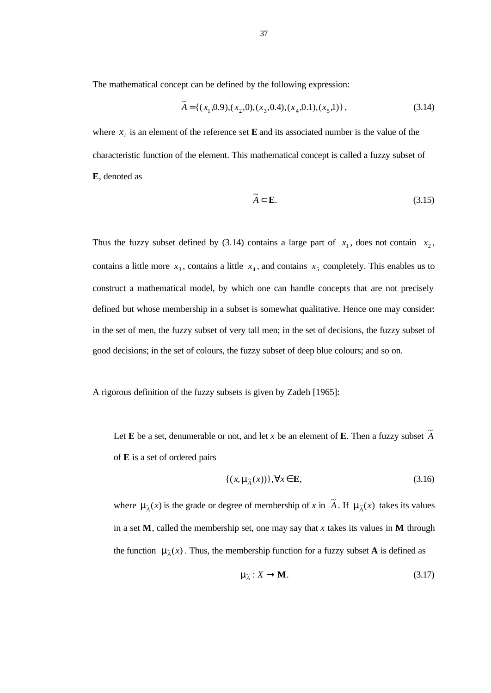The mathematical concept can be defined by the following expression:

$$
\widetilde{A} = \{ (x_1, 0.9), (x_2, 0), (x_3, 0.4), (x_4, 0.1), (x_5, 1) \},
$$
\n(3.14)

where  $x_i$  is an element of the reference set **E** and its associated number is the value of the characteristic function of the element. This mathematical concept is called a fuzzy subset of **E**, denoted as

$$
\widetilde{A} \subset \mathbf{E}.\tag{3.15}
$$

Thus the fuzzy subset defined by (3.14) contains a large part of  $x_1$ , does not contain  $x_2$ , contains a little more  $x_3$ , contains a little  $x_4$ , and contains  $x_5$  completely. This enables us to construct a mathematical model, by which one can handle concepts that are not precisely defined but whose membership in a subset is somewhat qualitative. Hence one may consider: in the set of men, the fuzzy subset of very tall men; in the set of decisions, the fuzzy subset of good decisions; in the set of colours, the fuzzy subset of deep blue colours; and so on.

A rigorous definition of the fuzzy subsets is given by Zadeh [1965]:

Let **E** be a set, denumerable or not, and let *x* be an element of **E**. Then a fuzzy subset  $\widetilde{A}$ of **E** is a set of ordered pairs

$$
\{(x, \mathbf{m}_{\widetilde{A}}(x))\}, \forall x \in \mathbf{E},\tag{3.16}
$$

where  $\mathbf{m}_{\tilde{A}}(x)$  is the grade or degree of membership of *x* in  $\tilde{A}$ . If  $\mathbf{m}_{\tilde{A}}(x)$  takes its values in a set  $M$ , called the membership set, one may say that *x* takes its values in  $M$  through the function  $\mathbf{m}_{\tilde{A}}(x)$ . Thus, the membership function for a fuzzy subset **A** is defined as

$$
\mathbf{m}_{\tilde{A}} : X \to \mathbf{M}.
$$
 (3.17)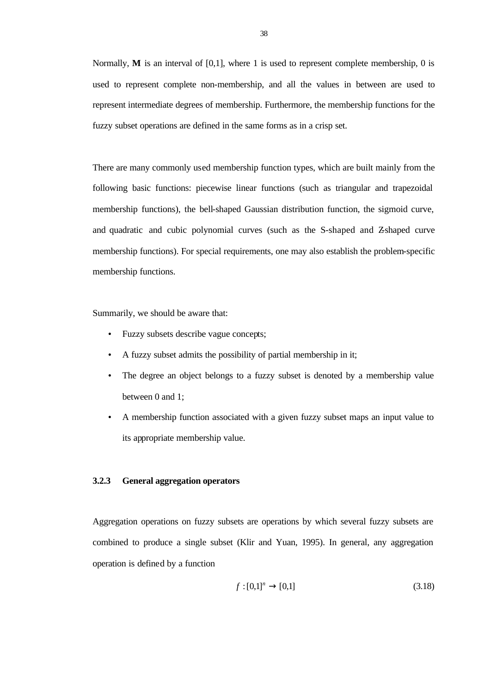Normally, **M** is an interval of [0,1], where 1 is used to represent complete membership, 0 is used to represent complete non-membership, and all the values in between are used to represent intermediate degrees of membership. Furthermore, the membership functions for the fuzzy subset operations are defined in the same forms as in a crisp set.

There are many commonly used membership function types, which are built mainly from the following basic functions: piecewise linear functions (such as triangular and trapezoidal membership functions), the bell-shaped Gaussian distribution function, the sigmoid curve, and quadratic and cubic polynomial curves (such as the S-shaped and Z-shaped curve membership functions). For special requirements, one may also establish the problem-specific membership functions.

Summarily, we should be aware that:

- Fuzzy subsets describe vague concepts;
- A fuzzy subset admits the possibility of partial membership in it;
- The degree an object belongs to a fuzzy subset is denoted by a membership value between 0 and 1;
- A membership function associated with a given fuzzy subset maps an input value to its appropriate membership value.

## **3.2.3 General aggregation operators**

Aggregation operations on fuzzy subsets are operations by which several fuzzy subsets are combined to produce a single subset (Klir and Yuan, 1995). In general, any aggregation operation is defined by a function

$$
f: [0,1]^n \to [0,1] \tag{3.18}
$$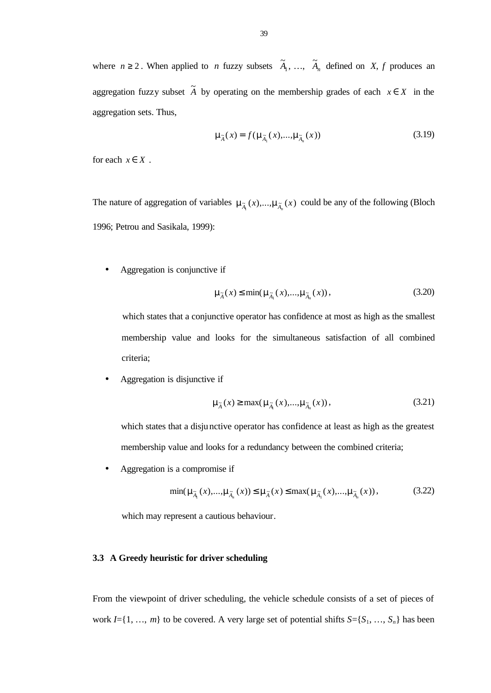where  $n \ge 2$ . When applied to *n* fuzzy subsets  $\tilde{A}_1, \ldots, \tilde{A}_n$  defined on *X*, *f* produces an aggregation fuzzy subset  $\tilde{A}$  by operating on the membership grades of each  $x \in X$  in the aggregation sets. Thus,

$$
\mathbf{m}_{\widetilde{A}}(x) = f(\mathbf{m}_{\widetilde{A}_1}(x),...,\mathbf{m}_{\widetilde{A}_n}(x))
$$
\n(3.19)

for each  $x \in X$ .

The nature of aggregation of variables  $m_{\tilde{A}_1}(x),...,m_{\tilde{A}_n}(x)$  could be any of the following (Bloch 1996; Petrou and Sasikala, 1999):

• Aggregation is conjunctive if

$$
\mathbf{m}_{\tilde{\mathbf{A}}}(x) \le \min(\mathbf{m}_{\tilde{\mathbf{A}}_1}(x),...,\mathbf{m}_{\tilde{\mathbf{A}}_n}(x)),
$$
\n(3.20)

which states that a conjunctive operator has confidence at most as high as the smallest membership value and looks for the simultaneous satisfaction of all combined criteria;

• Aggregation is disjunctive if

$$
\mathbf{m}_{\tilde{\mathbf{A}}}(x) \ge \max(\mathbf{m}_{\tilde{\mathbf{A}}_1}(x),...,\mathbf{m}_{\tilde{\mathbf{A}}_n}(x)),
$$
\n(3.21)

which states that a disjunctive operator has confidence at least as high as the greatest membership value and looks for a redundancy between the combined criteria;

• Aggregation is a compromise if

$$
\min(\mathbf{m}_{\tilde{A}_1}(x),...,\mathbf{m}_{\tilde{A}_n}(x)) \leq \mathbf{m}_{\tilde{A}}(x) \leq \max(\mathbf{m}_{\tilde{A}_1}(x),...,\mathbf{m}_{\tilde{A}_n}(x)),
$$
\n(3.22)

which may represent a cautious behaviour.

## **3.3 A Greedy heuristic for driver scheduling**

From the viewpoint of driver scheduling, the vehicle schedule consists of a set of pieces of work  $I = \{1, ..., m\}$  to be covered. A very large set of potential shifts  $S = \{S_1, ..., S_n\}$  has been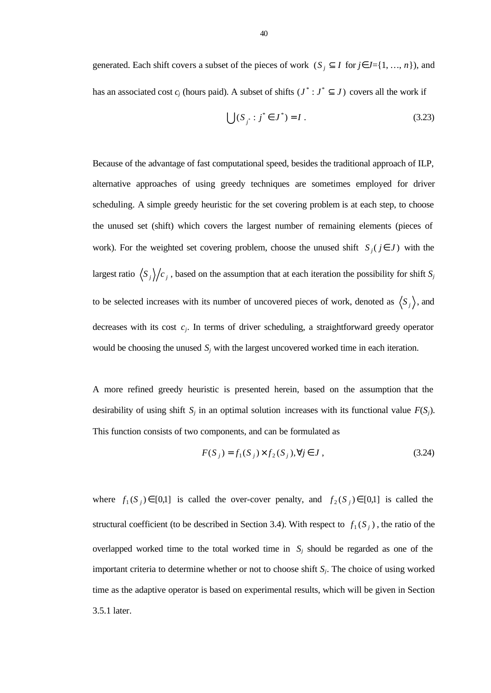generated. Each shift covers a subset of the pieces of work  $(S_j \subseteq I \text{ for } j \in J = \{1, ..., n\})$ , and has an associated cost  $c_j$  (hours paid). A subset of shifts  $(J^* : J^* \subseteq J)$  covers all the work if

$$
\bigcup (S_{j^*}: j^* \in J^*) = I .
$$
\n(3.23)

Because of the advantage of fast computational speed, besides the traditional approach of ILP, alternative approaches of using greedy techniques are sometimes employed for driver scheduling. A simple greedy heuristic for the set covering problem is at each step, to choose the unused set (shift) which covers the largest number of remaining elements (pieces of work). For the weighted set covering problem, choose the unused shift  $S_i$  ( $j \in J$ ) with the largest ratio  $\langle S_j \rangle/c_j$ , based on the assumption that at each iteration the possibility for shift  $S_j$ to be selected increases with its number of uncovered pieces of work, denoted as  $\langle S_j \rangle$ , and decreases with its cost  $c_j$ . In terms of driver scheduling, a straightforward greedy operator would be choosing the unused  $S_j$  with the largest uncovered worked time in each iteration.

A more refined greedy heuristic is presented herein, based on the assumption that the desirability of using shift  $S_j$  in an optimal solution increases with its functional value  $F(S_j)$ . This function consists of two components, and can be formulated as

$$
F(S_j) = f_1(S_j) \times f_2(S_j), \forall j \in J,
$$
\n(3.24)

where  $f_1(S_j) \in [0,1]$  is called the over-cover penalty, and  $f_2(S_j) \in [0,1]$  is called the structural coefficient (to be described in Section 3.4). With respect to  $f_1(S_j)$ , the ratio of the overlapped worked time to the total worked time in  $S_j$  should be regarded as one of the important criteria to determine whether or not to choose shift *S<sup>j</sup>* . The choice of using worked time as the adaptive operator is based on experimental results, which will be given in Section 3.5.1 later.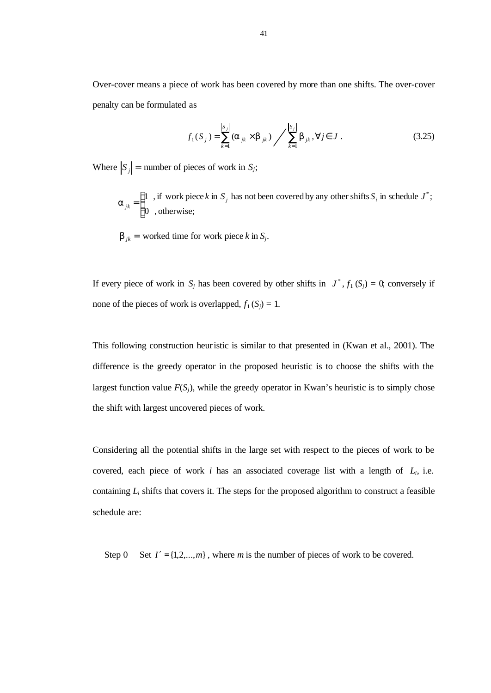Over-cover means a piece of work has been covered by more than one shifts. The over-cover penalty can be formulated as

$$
f_1(S_j) = \sum_{k=1}^{|S_j|} (a_{jk} \times b_{jk}) / \sum_{k=1}^{|S_j|} b_{jk}, \forall j \in J.
$$
 (3.25)

Where  $|S_j|$  = number of pieces of work in *S<sub>j</sub>*;

$$
\mathbf{a}_{jk} = \begin{cases} 1, & \text{if work piece } k \text{ in } S_j \text{ has not been covered by any other shifts } S_i \text{ in schedule } J^*; \\ 0, & \text{otherwise}; \end{cases}
$$

 $\mathbf{b}_{jk}$  = worked time for work piece *k* in *S*<sup>*j*</sup>.

If every piece of work in  $S_j$  has been covered by other shifts in  $J^*$ ,  $f_1(S_j) = 0$ , conversely if none of the pieces of work is overlapped,  $f_1(S_i) = 1$ .

This following construction heuristic is similar to that presented in (Kwan et al., 2001). The difference is the greedy operator in the proposed heuristic is to choose the shifts with the largest function value  $F(S_i)$ , while the greedy operator in Kwan's heuristic is to simply chose the shift with largest uncovered pieces of work.

Considering all the potential shifts in the large set with respect to the pieces of work to be covered, each piece of work  $i$  has an associated coverage list with a length of  $L_i$ , i.e. containing  $L_i$  shifts that covers it. The steps for the proposed algorithm to construct a feasible schedule are:

Step 0 Set  $I' = \{1, 2, ..., m\}$ , where *m* is the number of pieces of work to be covered.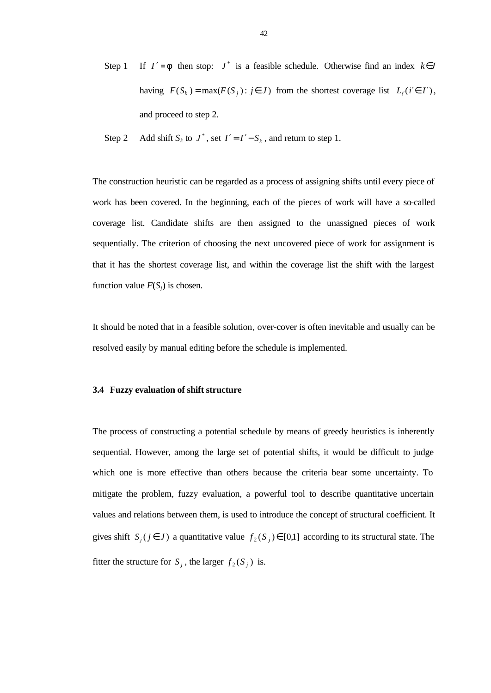- Step 1 If  $I' = f$  then stop:  $J^*$  is a feasible schedule. Otherwise find an index  $k \in J$ having  $F(S_k) = \max(F(S_j) : j \in J)$  from the shortest coverage list  $L_i(i' \in I')$ , and proceed to step 2.
- Step 2 Add shift  $S_k$  to  $J^*$ , set  $I' = I' S_k$ , and return to step 1.

The construction heuristic can be regarded as a process of assigning shifts until every piece of work has been covered. In the beginning, each of the pieces of work will have a so-called coverage list. Candidate shifts are then assigned to the unassigned pieces of work sequentially. The criterion of choosing the next uncovered piece of work for assignment is that it has the shortest coverage list, and within the coverage list the shift with the largest function value  $F(S_i)$  is chosen.

It should be noted that in a feasible solution, over-cover is often inevitable and usually can be resolved easily by manual editing before the schedule is implemented.

## **3.4 Fuzzy evaluation of shift structure**

The process of constructing a potential schedule by means of greedy heuristics is inherently sequential. However, among the large set of potential shifts, it would be difficult to judge which one is more effective than others because the criteria bear some uncertainty. To mitigate the problem, fuzzy evaluation, a powerful tool to describe quantitative uncertain values and relations between them, is used to introduce the concept of structural coefficient. It gives shift  $S_i$  ( $j \in J$ ) a quantitative value  $f_2$  ( $S_j$ )  $\in$  [0,1] according to its structural state. The fitter the structure for  $S_j$ , the larger  $f_2(S_j)$  is.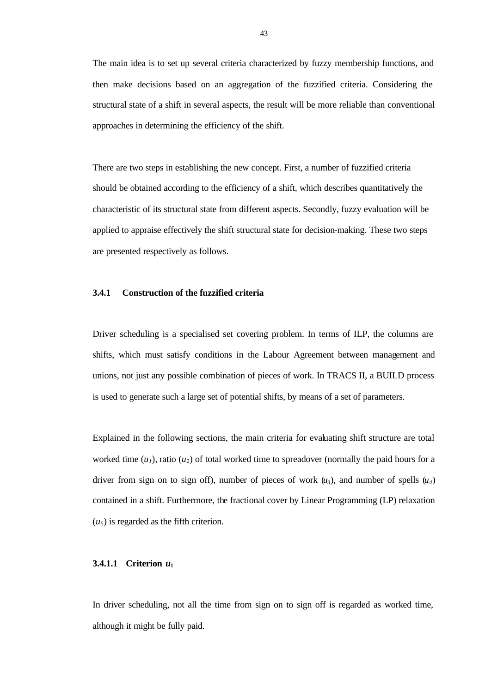The main idea is to set up several criteria characterized by fuzzy membership functions, and then make decisions based on an aggregation of the fuzzified criteria. Considering the structural state of a shift in several aspects, the result will be more reliable than conventional approaches in determining the efficiency of the shift.

There are two steps in establishing the new concept. First, a number of fuzzified criteria should be obtained according to the efficiency of a shift, which describes quantitatively the characteristic of its structural state from different aspects. Secondly, fuzzy evaluation will be applied to appraise effectively the shift structural state for decision-making. These two steps are presented respectively as follows.

## **3.4.1 Construction of the fuzzified criteria**

Driver scheduling is a specialised set covering problem. In terms of ILP, the columns are shifts, which must satisfy conditions in the Labour Agreement between management and unions, not just any possible combination of pieces of work. In TRACS II, a BUILD process is used to generate such a large set of potential shifts, by means of a set of parameters.

Explained in the following sections, the main criteria for evaluating shift structure are total worked time  $(u_1)$ , ratio  $(u_2)$  of total worked time to spreadover (normally the paid hours for a driver from sign on to sign off), number of pieces of work  $(u_3)$ , and number of spells  $(u_4)$ contained in a shift. Furthermore, the fractional cover by Linear Programming (LP) relaxation  $(u_5)$  is regarded as the fifth criterion.

## **3.4.1.1 Criterion** *u***<sup>1</sup>**

In driver scheduling, not all the time from sign on to sign off is regarded as worked time, although it might be fully paid.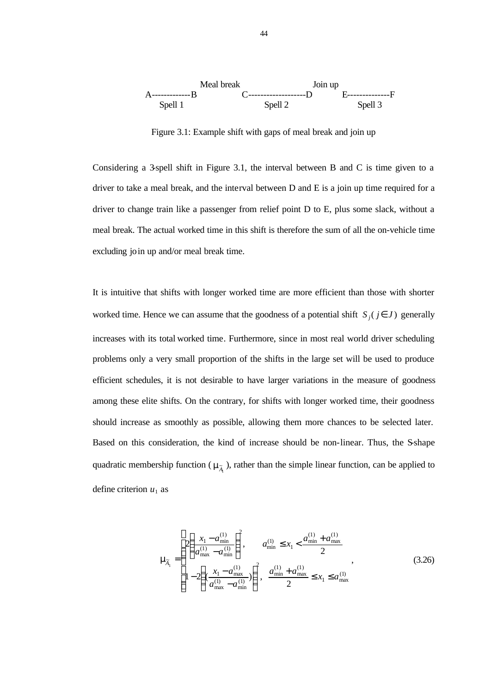

Figure 3.1: Example shift with gaps of meal break and join up

Considering a 3-spell shift in Figure 3.1, the interval between B and C is time given to a driver to take a meal break, and the interval between D and E is a join up time required for a driver to change train like a passenger from relief point D to E, plus some slack, without a meal break. The actual worked time in this shift is therefore the sum of all the on-vehicle time excluding join up and/or meal break time.

It is intuitive that shifts with longer worked time are more efficient than those with shorter worked time. Hence we can assume that the goodness of a potential shift  $S_i$  ( $j \in J$ ) generally increases with its total worked time. Furthermore, since in most real world driver scheduling problems only a very small proportion of the shifts in the large set will be used to produce efficient schedules, it is not desirable to have larger variations in the measure of goodness among these elite shifts. On the contrary, for shifts with longer worked time, their goodness should increase as smoothly as possible, allowing them more chances to be selected later. Based on this consideration, the kind of increase should be non-linear. Thus, the S-shape quadratic membership function ( $m_{\tilde{A}_1}$ ), rather than the simple linear function, can be applied to define criterion  $u_1$  as

$$
\mathbf{m}_{\overline{A}_1} = \begin{cases} 2\left(\frac{x_1 - a_{\min}^{(1)}}{a_{\max}^{(1)} - a_{\min}^{(1)}}\right)^2, & a_{\min}^{(1)} \le x_1 < \frac{a_{\min}^{(1)} + a_{\max}^{(1)}}{2} \\ 1 - 2\left(\frac{x_1 - a_{\max}^{(1)}}{a_{\max}^{(1)} - a_{\min}^{(1)}}\right)^2, & \frac{a_{\min}^{(1)} + a_{\max}^{(1)}}{2} \le x_1 \le a_{\max}^{(1)} \end{cases}
$$
(3.26)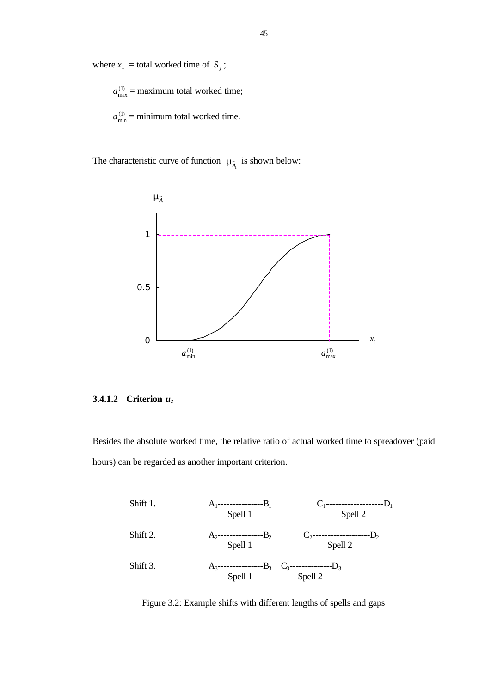where  $x_1$  = total worked time of  $S_j$ ;

 $a_{\text{max}}^{(1)}$  = maximum total worked time;

 $a_{\min}^{(1)}$  = minimum total worked time.

The characteristic curve of function  $m_{\tilde{A}_1}$  is shown below:



## **3.4.1.2 Criterion** *u***<sup>2</sup>**

Besides the absolute worked time, the relative ratio of actual worked time to spreadover (paid hours) can be regarded as another important criterion.

| Shift 1. | $A_1$ | $B_1$ | $C_1$ | $D_1$ |
|----------|-------|-------|-------|-------|
| Split 2. | $A_2$ | $B_2$ | $C_2$ | $D_2$ |
| Shift 2. | $A_2$ | $B_2$ | $C_2$ | $D_2$ |
| Split 3. | $A_3$ | $B_3$ | $C_3$ | $D_3$ |
| Split 4. | $B_3$ | $B_3$ | $B_3$ | $B_3$ |
| Split 5. | $B_3$ | $B_3$ | $B_3$ | $B_3$ |

Figure 3.2: Example shifts with different lengths of spells and gaps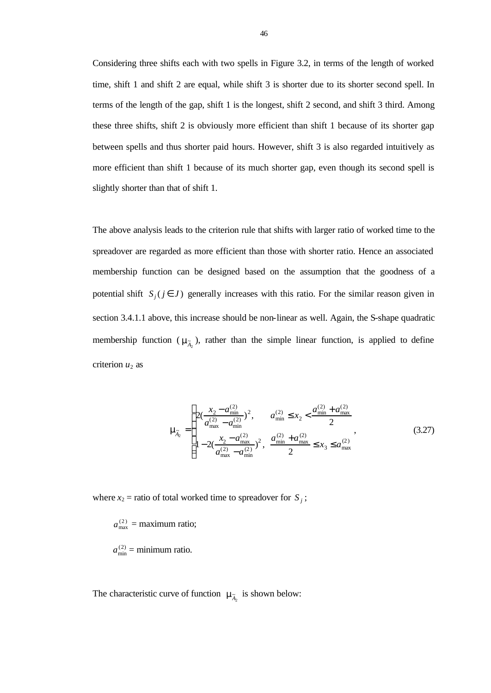Considering three shifts each with two spells in Figure 3.2, in terms of the length of worked time, shift 1 and shift 2 are equal, while shift 3 is shorter due to its shorter second spell. In terms of the length of the gap, shift 1 is the longest, shift 2 second, and shift 3 third. Among these three shifts, shift 2 is obviously more efficient than shift 1 because of its shorter gap between spells and thus shorter paid hours. However, shift 3 is also regarded intuitively as more efficient than shift 1 because of its much shorter gap, even though its second spell is slightly shorter than that of shift 1.

The above analysis leads to the criterion rule that shifts with larger ratio of worked time to the spreadover are regarded as more efficient than those with shorter ratio. Hence an associated membership function can be designed based on the assumption that the goodness of a potential shift  $S_i$  ( $j \in J$ ) generally increases with this ratio. For the similar reason given in section 3.4.1.1 above, this increase should be non-linear as well. Again, the S-shape quadratic membership function ( $m_{\tilde{\lambda}_2}$ ), rather than the simple linear function, is applied to define criterion  $u_2$  as

$$
\mathbf{m}_{\lambda_2} = \begin{cases} 2(\frac{x_2 - a_{\min}^{(2)}}{a_{\max}^{(2)} - a_{\min}^{(2)}})^2, & a_{\min}^{(2)} \le x_2 < \frac{a_{\min}^{(2)} + a_{\max}^{(2)}}{2} \\ 1 - 2(\frac{x_2 - a_{\max}^{(2)}}{a_{\max}^{(2)} - a_{\min}^{(2)}})^2, & \frac{a_{\min}^{(2)} + a_{\max}^{(2)}}{2} \le x_3 \le a_{\max}^{(2)} \end{cases}
$$
(3.27)

where  $x_2$  = ratio of total worked time to spreadover for  $S_j$ ;

 $a_{\text{max}}^{(2)}$  = maximum ratio;

 $a_{\min}^{(2)}$  = minimum ratio.

The characteristic curve of function  $\mathbf{m}_{\lambda_2}$  is shown below: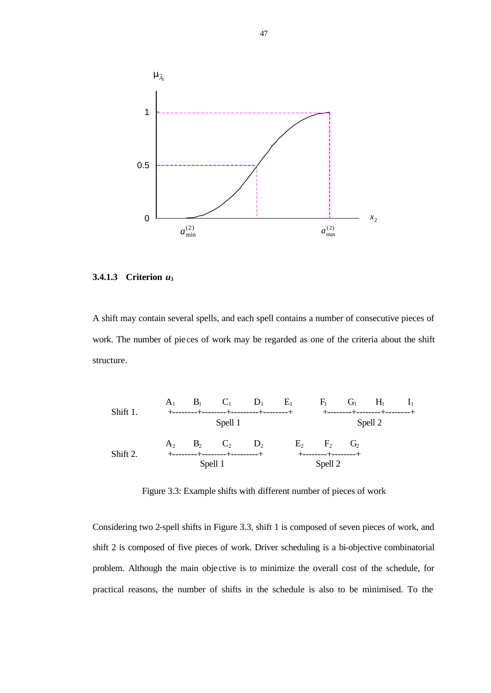

## **3.4.1.3 Criterion** *u***<sup>3</sup>**

A shift may contain several spells, and each spell contains a number of consecutive pieces of work. The number of pie ces of work may be regarded as one of the criteria about the shift structure.



Figure 3.3: Example shifts with different number of pieces of work

Considering two 2-spell shifts in Figure 3.3, shift 1 is composed of seven pieces of work, and shift 2 is composed of five pieces of work. Driver scheduling is a bi-objective combinatorial problem. Although the main objective is to minimize the overall cost of the schedule, for practical reasons, the number of shifts in the schedule is also to be minimised. To the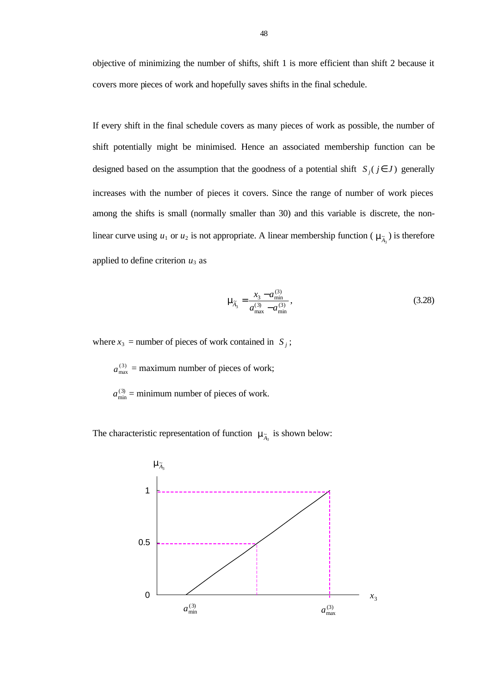objective of minimizing the number of shifts, shift 1 is more efficient than shift 2 because it covers more pieces of work and hopefully saves shifts in the final schedule.

If every shift in the final schedule covers as many pieces of work as possible, the number of shift potentially might be minimised. Hence an associated membership function can be designed based on the assumption that the goodness of a potential shift  $S_i$  ( $j \in J$ ) generally increases with the number of pieces it covers. Since the range of number of work pieces among the shifts is small (normally smaller than 30) and this variable is discrete, the nonlinear curve using  $u_1$  or  $u_2$  is not appropriate. A linear membership function ( $\mathbf{m}_{\overline{A}_3}$ ) is therefore applied to define criterion  $u_3$  as

$$
\mathbf{m}_{\overline{A}_3} = \frac{x_3 - a_{\text{min}}^{(3)}}{a_{\text{max}}^{(3)} - a_{\text{min}}^{(3)}},\tag{3.28}
$$

where  $x_3$  = number of pieces of work contained in  $S_j$ ;

 $a_{\text{max}}^{(3)}$  = maximum number of pieces of work;

 $a_{\min}^{(3)}$  = minimum number of pieces of work.

The characteristic representation of function  $\mathbf{m}_{\tilde{\lambda}_3}$  is shown below:

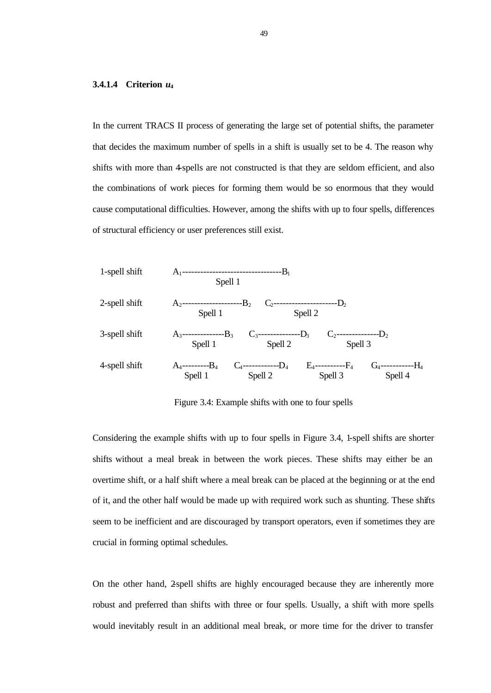#### **3.4.1.4 Criterion** *u***<sup>4</sup>**

In the current TRACS II process of generating the large set of potential shifts, the parameter that decides the maximum number of spells in a shift is usually set to be 4. The reason why shifts with more than 4-spells are not constructed is that they are seldom efficient, and also the combinations of work pieces for forming them would be so enormous that they would cause computational difficulties. However, among the shifts with up to four spells, differences of structural efficiency or user preferences still exist.



Figure 3.4: Example shifts with one to four spells

Considering the example shifts with up to four spells in Figure 3.4, 1-spell shifts are shorter shifts without a meal break in between the work pieces. These shifts may either be an overtime shift, or a half shift where a meal break can be placed at the beginning or at the end of it, and the other half would be made up with required work such as shunting. These shifts seem to be inefficient and are discouraged by transport operators, even if sometimes they are crucial in forming optimal schedules.

On the other hand, 2-spell shifts are highly encouraged because they are inherently more robust and preferred than shifts with three or four spells. Usually, a shift with more spells would inevitably result in an additional meal break, or more time for the driver to transfer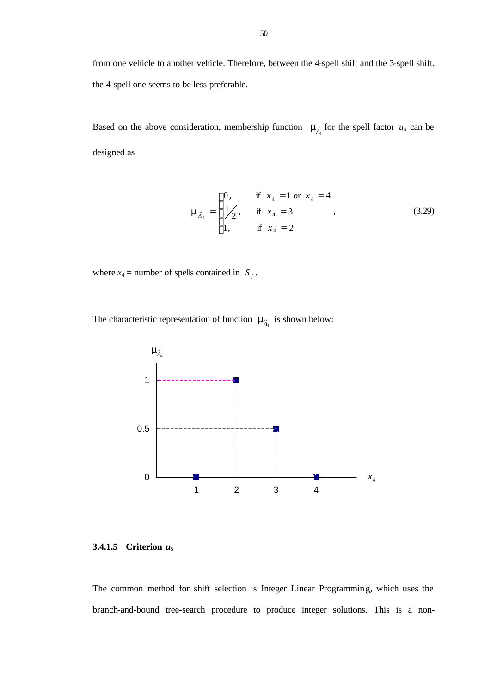from one vehicle to another vehicle. Therefore, between the 4-spell shift and the 3-spell shift, the 4-spell one seems to be less preferable.

Based on the above consideration, membership function  $m_{\tilde{A}_4}$  for the spell factor  $u_4$  can be designed as

$$
\mathbf{m}_{\tilde{A}_4} = \begin{cases} 0, & \text{if } x_4 = 1 \text{ or } x_4 = 4 \\ 1/2, & \text{if } x_4 = 3 \\ 1, & \text{if } x_4 = 2 \end{cases}
$$
 (3.29)

where  $x_4$  = number of spells contained in  $S_j$ .

The characteristic representation of function  $\mathbf{m}_{\tilde{\mathcal{A}}_4}$  is shown below:



**3.4.1.5 Criterion** *u***<sup>5</sup>**

The common method for shift selection is Integer Linear Programming, which uses the branch-and-bound tree-search procedure to produce integer solutions. This is a non-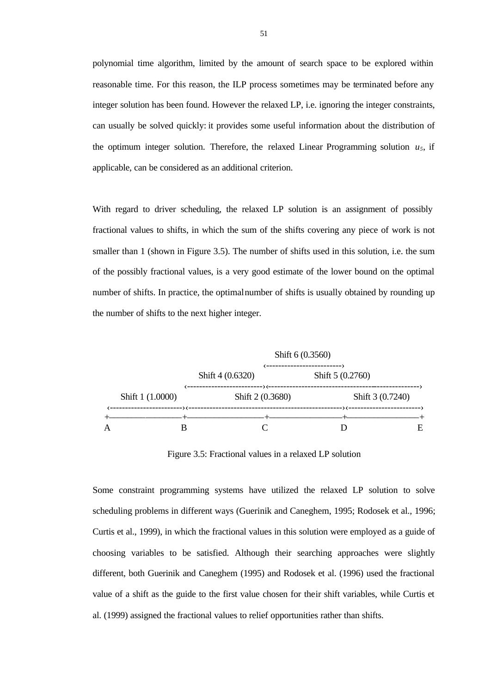polynomial time algorithm, limited by the amount of search space to be explored within reasonable time. For this reason, the ILP process sometimes may be terminated before any integer solution has been found. However the relaxed LP, i.e. ignoring the integer constraints, can usually be solved quickly: it provides some useful information about the distribution of the optimum integer solution. Therefore, the relaxed Linear Programming solution  $u_5$ , if applicable, can be considered as an additional criterion.

With regard to driver scheduling, the relaxed LP solution is an assignment of possibly fractional values to shifts, in which the sum of the shifts covering any piece of work is not smaller than 1 (shown in Figure 3.5). The number of shifts used in this solution, i.e. the sum of the possibly fractional values, is a very good estimate of the lower bound on the optimal number of shifts. In practice, the optimal number of shifts is usually obtained by rounding up the number of shifts to the next higher integer.



Figure 3.5: Fractional values in a relaxed LP solution

Some constraint programming systems have utilized the relaxed LP solution to solve scheduling problems in different ways (Guerinik and Caneghem, 1995; Rodosek et al., 1996; Curtis et al., 1999), in which the fractional values in this solution were employed as a guide of choosing variables to be satisfied. Although their searching approaches were slightly different, both Guerinik and Caneghem (1995) and Rodosek et al. (1996) used the fractional value of a shift as the guide to the first value chosen for their shift variables, while Curtis et al. (1999) assigned the fractional values to relief opportunities rather than shifts.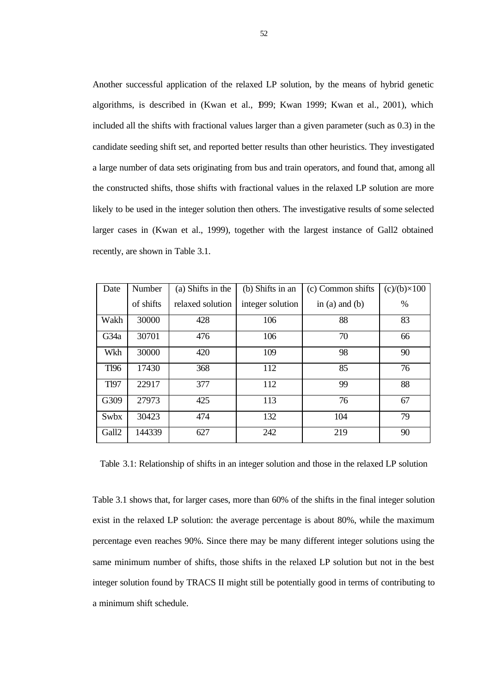Another successful application of the relaxed LP solution, by the means of hybrid genetic algorithms, is described in (Kwan et al., 1999; Kwan 1999; Kwan et al., 2001), which included all the shifts with fractional values larger than a given parameter (such as 0.3) in the candidate seeding shift set, and reported better results than other heuristics. They investigated a large number of data sets originating from bus and train operators, and found that, among all the constructed shifts, those shifts with fractional values in the relaxed LP solution are more likely to be used in the integer solution then others. The investigative results of some selected larger cases in (Kwan et al., 1999), together with the largest instance of Gall2 obtained recently, are shown in Table 3.1.

| Date              | Number    | (a) Shifts in the | (b) Shifts in an | (c) Common shifts | $(c)/(b)\times 100$ |
|-------------------|-----------|-------------------|------------------|-------------------|---------------------|
|                   | of shifts | relaxed solution  | integer solution | in (a) and (b)    | $\%$                |
| Wakh              | 30000     | 428               | 106              | 88                | 83                  |
| G <sub>34</sub> a | 30701     | 476               | 106              | 70                | 66                  |
| Wkh               | 30000     | 420               | 109              | 98                | 90                  |
| <b>T196</b>       | 17430     | 368               | 112              | 85                | 76                  |
| <b>T197</b>       | 22917     | 377               | 112              | 99                | 88                  |
| G309              | 27973     | 425               | 113              | 76                | 67                  |
| Swbx              | 30423     | 474               | 132              | 104               | 79                  |
| Gall2             | 144339    | 627               | 242              | 219               | 90                  |

Table 3.1: Relationship of shifts in an integer solution and those in the relaxed LP solution

Table 3.1 shows that, for larger cases, more than 60% of the shifts in the final integer solution exist in the relaxed LP solution: the average percentage is about 80%, while the maximum percentage even reaches 90%. Since there may be many different integer solutions using the same minimum number of shifts, those shifts in the relaxed LP solution but not in the best integer solution found by TRACS II might still be potentially good in terms of contributing to a minimum shift schedule.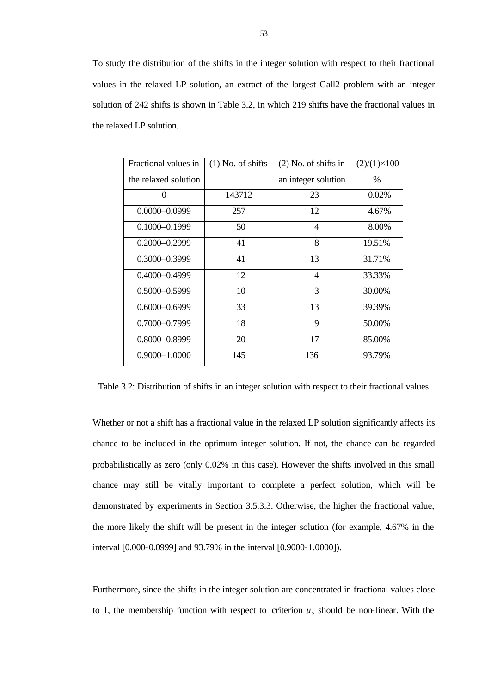To study the distribution of the shifts in the integer solution with respect to their fractional values in the relaxed LP solution, an extract of the largest Gall2 problem with an integer solution of 242 shifts is shown in Table 3.2, in which 219 shifts have the fractional values in the relaxed LP solution.

| Fractional values in | $(1)$ No. of shifts | $(2)$ No. of shifts in | $(2)/(1)\times100$ |
|----------------------|---------------------|------------------------|--------------------|
| the relaxed solution |                     | an integer solution    | %                  |
| 0                    | 143712              | 23                     | 0.02%              |
| $0.0000 - 0.0999$    | 257                 | 12                     | 4.67%              |
| $0.1000 - 0.1999$    | 50                  | $\overline{4}$         | 8.00%              |
| $0.2000 - 0.2999$    | 41                  | 8                      | 19.51%             |
| $0.3000 - 0.3999$    | 41                  | 13                     | 31.71%             |
| $0.4000 - 0.4999$    | 12                  | $\overline{4}$         | 33.33%             |
| $0.5000 - 0.5999$    | 10                  | 3                      | 30.00%             |
| $0.6000 - 0.6999$    | 33                  | 13                     | 39.39%             |
| $0.7000 - 0.7999$    | 18                  | 9                      | 50.00%             |
| $0.8000 - 0.8999$    | 20                  | 17                     | 85.00%             |
| $0.9000 - 1.0000$    | 145                 | 136                    | 93.79%             |

Table 3.2: Distribution of shifts in an integer solution with respect to their fractional values

Whether or not a shift has a fractional value in the relaxed LP solution significantly affects its chance to be included in the optimum integer solution. If not, the chance can be regarded probabilistically as zero (only 0.02% in this case). However the shifts involved in this small chance may still be vitally important to complete a perfect solution, which will be demonstrated by experiments in Section 3.5.3.3. Otherwise, the higher the fractional value, the more likely the shift will be present in the integer solution (for example, 4.67% in the interval [0.000-0.0999] and 93.79% in the interval [0.9000-1.0000]).

Furthermore, since the shifts in the integer solution are concentrated in fractional values close to 1, the membership function with respect to criterion  $u_5$  should be non-linear. With the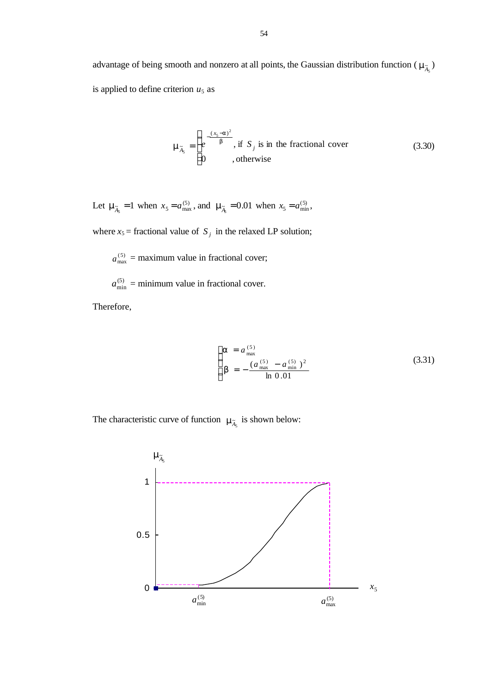advantage of being smooth and nonzero at all points, the Gaussian distribution function ( $m_{\tilde{A}_5}$ ) is applied to define criterion  $u_5$  as

$$
\mathbf{m}_{\tilde{\mathbf{A}}_5} = \begin{cases} e^{-\frac{(x_5 - \mathbf{a})^2}{\mathbf{b}}}, & \text{if } S_j \text{ is in the fractional cover} \\ 0, & \text{otherwise} \end{cases}
$$
(3.30)

Let  $\mathbf{m}_{\tilde{A}_5} = 1$  when  $x_5 = a_{\text{max}}^{(5)}$ , and  $\mathbf{m}_{\tilde{A}_5} = 0.01$  when  $x_5 = a_{\text{min}}^{(5)}$ ,

where  $x_5$  = fractional value of  $S_j$  in the relaxed LP solution;

 $a_{\text{max}}^{(5)}$  = maximum value in fractional cover;

 $a_{\min}^{(5)}$  = minimum value in fractional cover.

Therefore,

$$
\begin{cases}\n\mathbf{a} = a_{\text{max}}^{(5)} \\
\mathbf{b} = -\frac{(a_{\text{max}}^{(5)} - a_{\text{min}}^{(5)})^2}{\ln 0.01}\n\end{cases}
$$
\n(3.31)

The characteristic curve of function  $\mathbf{m}_{\tilde{A}_{5}}$  is shown below:

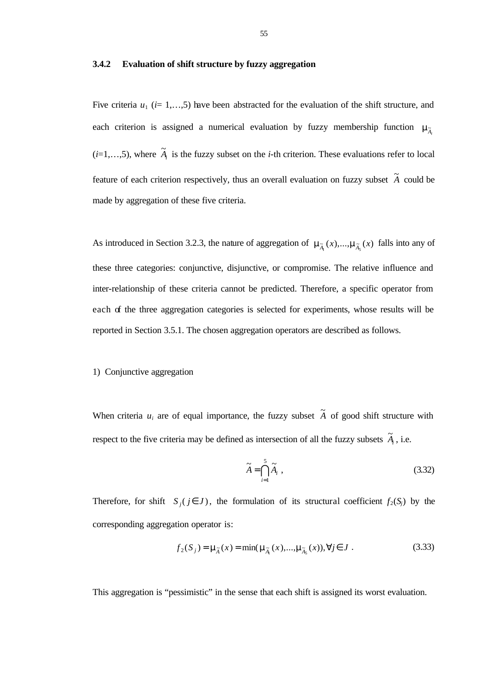## **3.4.2 Evaluation of shift structure by fuzzy aggregation**

Five criteria  $u_1$  ( $i=1,...,5$ ) have been abstracted for the evaluation of the shift structure, and each criterion is assigned a numerical evaluation by fuzzy membership function  $m_{\tilde{A}_i}$  $(i=1,...,5)$ , where  $\tilde{A}_i$  is the fuzzy subset on the *i*-th criterion. These evaluations refer to local feature of each criterion respectively, thus an overall evaluation on fuzzy subset  $\tilde{A}$  could be made by aggregation of these five criteria.

As introduced in Section 3.2.3, the nature of aggregation of  $m_{\tilde{A}_1}(x),..., m_{\tilde{A}_5}(x)$  falls into any of these three categories: conjunctive, disjunctive, or compromise. The relative influence and inter-relationship of these criteria cannot be predicted. Therefore, a specific operator from each of the three aggregation categories is selected for experiments, whose results will be reported in Section 3.5.1. The chosen aggregation operators are described as follows.

#### 1) Conjunctive aggregation

When criteria  $u_i$  are of equal importance, the fuzzy subset  $\tilde{A}$  of good shift structure with respect to the five criteria may be defined as intersection of all the fuzzy subsets  $\tilde{A}_i$ , i.e.

$$
\widetilde{A} = \bigcap_{i=1}^{5} \widetilde{A}_i , \qquad (3.32)
$$

Therefore, for shift  $S_i$  ( $j \in J$ ), the formulation of its structural coefficient  $f_2(S_i)$  by the corresponding aggregation operator is:

$$
f_2(S_j) = \mathbf{m}_{\widetilde{A}}(x) = \min(\mathbf{m}_{\widetilde{A}_1}(x),...,\mathbf{m}_{\widetilde{A}_5}(x)), \forall j \in J
$$
 (3.33)

This aggregation is "pessimistic" in the sense that each shift is assigned its worst evaluation.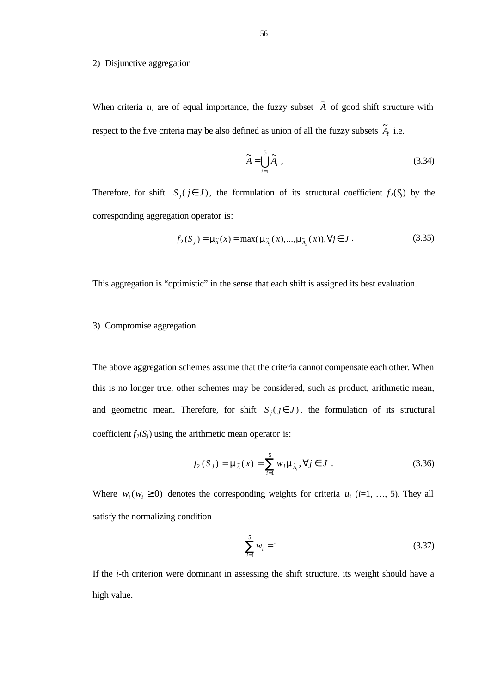### 2) Disjunctive aggregation

When criteria  $u_i$  are of equal importance, the fuzzy subset  $\tilde{A}$  of good shift structure with respect to the five criteria may be also defined as union of all the fuzzy subsets  $\tilde{A}_i$  i.e.

$$
\widetilde{A} = \bigcup_{i=1}^{5} \widetilde{A}_i , \qquad (3.34)
$$

Therefore, for shift  $S_i$  ( $j \in J$ ), the formulation of its structural coefficient  $f_2(S_i)$  by the corresponding aggregation operator is:

$$
f_2(S_j) = \mathbf{m}_{\tilde{A}}(x) = \max(\mathbf{m}_{\tilde{A}_1}(x),...,\mathbf{m}_{\tilde{A}_S}(x)), \forall j \in J.
$$
 (3.35)

This aggregation is "optimistic" in the sense that each shift is assigned its best evaluation.

## 3) Compromise aggregation

The above aggregation schemes assume that the criteria cannot compensate each other. When this is no longer true, other schemes may be considered, such as product, arithmetic mean, and geometric mean. Therefore, for shift  $S_i$  ( $j \in J$ ), the formulation of its structural coefficient  $f_2(S_i)$  using the arithmetic mean operator is:

$$
f_2(S_j) = \mathbf{m}_{\tilde{A}}(x) = \sum_{i=1}^{5} w_i \mathbf{m}_{\tilde{A}_i}, \forall j \in J
$$
 (3.36)

Where  $w_i$  ( $w_i \ge 0$ ) denotes the corresponding weights for criteria  $u_i$  (*i*=1, …, 5). They all satisfy the normalizing condition

$$
\sum_{i=1}^{5} w_i = 1 \tag{3.37}
$$

If the *i*-th criterion were dominant in assessing the shift structure, its weight should have a high value.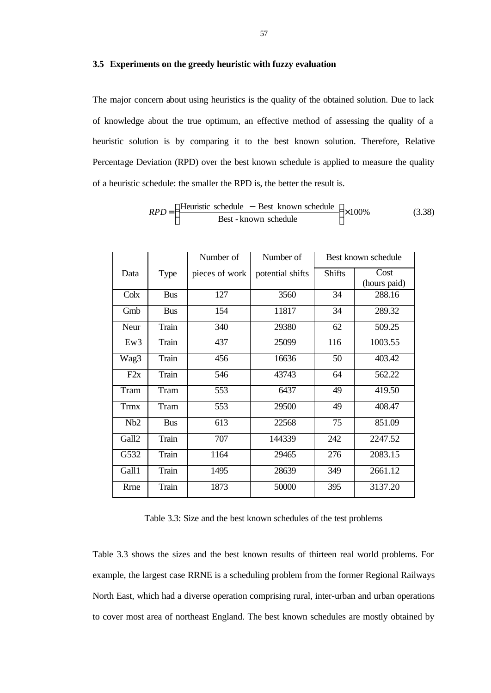## **3.5 Experiments on the greedy heuristic with fuzzy evaluation**

The major concern about using heuristics is the quality of the obtained solution. Due to lack of knowledge about the true optimum, an effective method of assessing the quality of a heuristic solution is by comparing it to the best known solution. Therefore, Relative Percentage Deviation (RPD) over the best known schedule is applied to measure the quality of a heuristic schedule: the smaller the RPD is, the better the result is.

$$
RPD = \left(\frac{\text{Heuristic schedule} - \text{Best known schedule}}{\text{Best - known schedule}}\right) \times 100\% \tag{3.38}
$$

|             |            | Number of      | Number of        | Best known schedule |                      |
|-------------|------------|----------------|------------------|---------------------|----------------------|
| Data        | Type       | pieces of work | potential shifts | <b>Shifts</b>       | Cost<br>(hours paid) |
| Colx        | <b>Bus</b> | 127            | 3560             | 34                  | 288.16               |
| Gmb         | <b>Bus</b> | 154            | 11817            | 34                  | 289.32               |
| Neur        | Train      | 340            | 29380            | 62                  | 509.25               |
| Ew3         | Train      | 437            | 25099            | 116                 | 1003.55              |
| Wag3        | Train      | 456            | 16636            | 50                  | 403.42               |
| F2x         | Train      | 546            | 43743            | 64                  | 562.22               |
| Tram        | Tram       | 553            | 6437             | 49                  | 419.50               |
| <b>Trmx</b> | Tram       | 553            | 29500            | 49                  | 408.47               |
| Nb2         | <b>Bus</b> | 613            | 22568            | 75                  | 851.09               |
| Gall2       | Train      | 707            | 144339           | 242                 | 2247.52              |
| G532        | Train      | 1164           | 29465            | 276                 | 2083.15              |
| Gall1       | Train      | 1495           | 28639            | 349                 | 2661.12              |
| Rrne        | Train      | 1873           | 50000            | 395                 | 3137.20              |

Table 3.3: Size and the best known schedules of the test problems

Table 3.3 shows the sizes and the best known results of thirteen real world problems. For example, the largest case RRNE is a scheduling problem from the former Regional Railways North East, which had a diverse operation comprising rural, inter-urban and urban operations to cover most area of northeast England. The best known schedules are mostly obtained by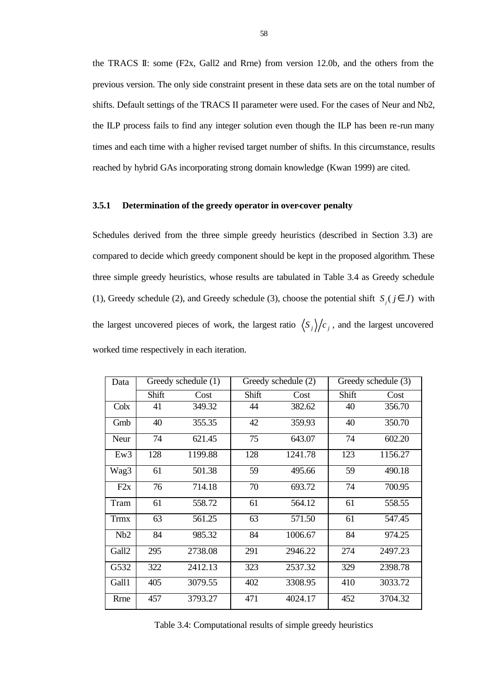the TRACS II: some (F2x, Gall2 and Rrne) from version 12.0b, and the others from the previous version. The only side constraint present in these data sets are on the total number of shifts. Default settings of the TRACS II parameter were used. For the cases of Neur and Nb2, the ILP process fails to find any integer solution even though the ILP has been re-run many times and each time with a higher revised target number of shifts. In this circumstance, results reached by hybrid GAs incorporating strong domain knowledge (Kwan 1999) are cited.

## **3.5.1 Determination of the greedy operator in over-cover penalty**

Schedules derived from the three simple greedy heuristics (described in Section 3.3) are compared to decide which greedy component should be kept in the proposed algorithm. These three simple greedy heuristics, whose results are tabulated in Table 3.4 as Greedy schedule (1), Greedy schedule (2), and Greedy schedule (3), choose the potential shift  $S_i$  ( $j \in J$ ) with the largest uncovered pieces of work, the largest ratio  $\langle S_j \rangle / c_j$ , and the largest uncovered worked time respectively in each iteration.

| Data    | Greedy schedule (1) |         |       | Greedy schedule (2) |       | Greedy schedule (3) |  |
|---------|---------------------|---------|-------|---------------------|-------|---------------------|--|
|         | Shift               | Cost    | Shift | Cost                | Shift | Cost                |  |
| $C$ olx | 41                  | 349.32  | 44    | 382.62              | 40    | 356.70              |  |
| Gmb     | 40                  | 355.35  | 42    | 359.93              | 40    | 350.70              |  |
| Neur    | 74                  | 621.45  | 75    | 643.07              | 74    | 602.20              |  |
| Ew3     | 128                 | 1199.88 | 128   | 1241.78             | 123   | 1156.27             |  |
| Wag3    | 61                  | 501.38  | 59    | 495.66              | 59    | 490.18              |  |
| F2x     | 76                  | 714.18  | 70    | 693.72              | 74    | 700.95              |  |
| Tram    | 61                  | 558.72  | 61    | 564.12              | 61    | 558.55              |  |
| Trmx    | 63                  | 561.25  | 63    | 571.50              | 61    | 547.45              |  |
| Nb2     | 84                  | 985.32  | 84    | 1006.67             | 84    | 974.25              |  |
| Gall2   | 295                 | 2738.08 | 291   | 2946.22             | 274   | 2497.23             |  |
| G532    | 322                 | 2412.13 | 323   | 2537.32             | 329   | 2398.78             |  |
| Gall1   | 405                 | 3079.55 | 402   | 3308.95             | 410   | 3033.72             |  |
| Rrne    | 457                 | 3793.27 | 471   | 4024.17             | 452   | 3704.32             |  |

Table 3.4: Computational results of simple greedy heuristics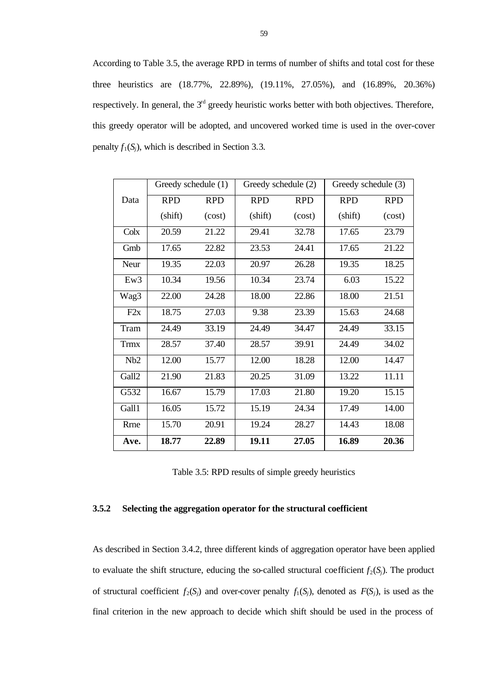According to Table 3.5, the average RPD in terms of number of shifts and total cost for these three heuristics are (18.77%, 22.89%), (19.11%, 27.05%), and (16.89%, 20.36%) respectively. In general, the  $3<sup>rd</sup>$  greedy heuristic works better with both objectives. Therefore, this greedy operator will be adopted, and uncovered worked time is used in the over-cover penalty  $f_1(S_i)$ , which is described in Section 3.3.

|             | Greedy schedule (1) |            | Greedy schedule (2) |            | Greedy schedule (3) |            |
|-------------|---------------------|------------|---------------------|------------|---------------------|------------|
| Data        | <b>RPD</b>          | <b>RPD</b> | <b>RPD</b>          | <b>RPD</b> | <b>RPD</b>          | <b>RPD</b> |
|             | (shift)             | (cost)     | (shift)             | (cost)     | (shift)             | (cost)     |
| Colx        | 20.59               | 21.22      | 29.41               | 32.78      | 17.65               | 23.79      |
| Gmb         | 17.65               | 22.82      | 23.53               | 24.41      | 17.65               | 21.22      |
| Neur        | 19.35               | 22.03      | 20.97               | 26.28      | 19.35               | 18.25      |
| Ew3         | 10.34               | 19.56      | 10.34               | 23.74      | 6.03                | 15.22      |
| Wag3        | 22.00               | 24.28      | 18.00               | 22.86      | 18.00               | 21.51      |
| F2x         | 18.75               | 27.03      | 9.38                | 23.39      | 15.63               | 24.68      |
| Tram        | 24.49               | 33.19      | 24.49               | 34.47      | 24.49               | 33.15      |
| <b>Trmx</b> | 28.57               | 37.40      | 28.57               | 39.91      | 24.49               | 34.02      |
| Nb2         | 12.00               | 15.77      | 12.00               | 18.28      | 12.00               | 14.47      |
| Gall2       | 21.90               | 21.83      | 20.25               | 31.09      | 13.22               | 11.11      |
| G532        | 16.67               | 15.79      | 17.03               | 21.80      | 19.20               | 15.15      |
| Gall1       | 16.05               | 15.72      | 15.19               | 24.34      | 17.49               | 14.00      |
| <b>Rrne</b> | 15.70               | 20.91      | 19.24               | 28.27      | 14.43               | 18.08      |
| Ave.        | 18.77               | 22.89      | 19.11               | 27.05      | 16.89               | 20.36      |

Table 3.5: RPD results of simple greedy heuristics

## **3.5.2 Selecting the aggregation operator for the structural coefficient**

As described in Section 3.4.2, three different kinds of aggregation operator have been applied to evaluate the shift structure, educing the so-called structural coefficient  $f_2(S_i)$ . The product of structural coefficient  $f_2(S_i)$  and over-cover penalty  $f_1(S_i)$ , denoted as  $F(S_i)$ , is used as the final criterion in the new approach to decide which shift should be used in the process of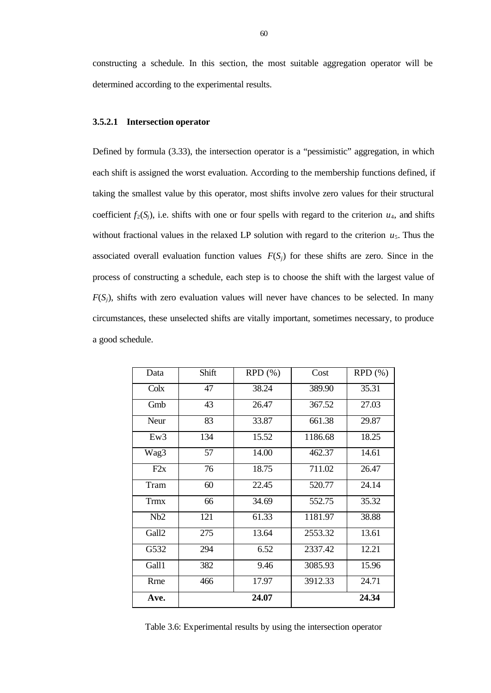constructing a schedule. In this section, the most suitable aggregation operator will be determined according to the experimental results.

## **3.5.2.1 Intersection operator**

Defined by formula (3.33), the intersection operator is a "pessimistic" aggregation, in which each shift is assigned the worst evaluation. According to the membership functions defined, if taking the smallest value by this operator, most shifts involve zero values for their structural coefficient  $f_2(S_i)$ , i.e. shifts with one or four spells with regard to the criterion  $u_4$ , and shifts without fractional values in the relaxed LP solution with regard to the criterion  $u_5$ . Thus the associated overall evaluation function values  $F(S_i)$  for these shifts are zero. Since in the process of constructing a schedule, each step is to choose the shift with the largest value of  $F(S_i)$ , shifts with zero evaluation values will never have chances to be selected. In many circumstances, these unselected shifts are vitally important, sometimes necessary, to produce a good schedule.

| Data        | Shift | RPD(%) | Cost    | RPD(%) |
|-------------|-------|--------|---------|--------|
| Colx        | 47    | 38.24  | 389.90  | 35.31  |
| Gmb         | 43    | 26.47  | 367.52  | 27.03  |
| Neur        | 83    | 33.87  | 661.38  | 29.87  |
| Ew3         | 134   | 15.52  | 1186.68 | 18.25  |
| Wag3        | 57    | 14.00  | 462.37  | 14.61  |
| F2x         | 76    | 18.75  | 711.02  | 26.47  |
| Tram        | 60    | 22.45  | 520.77  | 24.14  |
| <b>Trmx</b> | 66    | 34.69  | 552.75  | 35.32  |
| Nb2         | 121   | 61.33  | 1181.97 | 38.88  |
| Gall2       | 275   | 13.64  | 2553.32 | 13.61  |
| G532        | 294   | 6.52   | 2337.42 | 12.21  |
| Gall1       | 382   | 9.46   | 3085.93 | 15.96  |
| <b>Rrne</b> | 466   | 17.97  | 3912.33 | 24.71  |
| Ave.        |       | 24.07  |         | 24.34  |

Table 3.6: Experimental results by using the intersection operator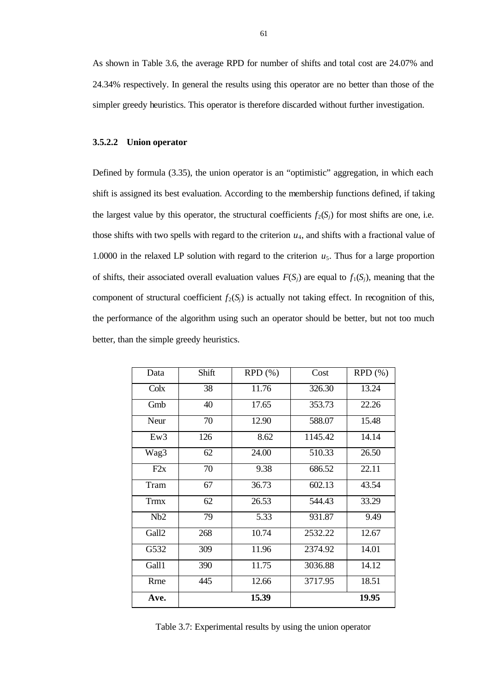As shown in Table 3.6, the average RPD for number of shifts and total cost are 24.07% and 24.34% respectively. In general the results using this operator are no better than those of the simpler greedy heuristics. This operator is therefore discarded without further investigation.

## **3.5.2.2 Union operator**

Defined by formula (3.35), the union operator is an "optimistic" aggregation, in which each shift is assigned its best evaluation. According to the membership functions defined, if taking the largest value by this operator, the structural coefficients  $f_2(S_i)$  for most shifts are one, i.e. those shifts with two spells with regard to the criterion  $u_4$ , and shifts with a fractional value of 1.0000 in the relaxed LP solution with regard to the criterion  $u_5$ . Thus for a large proportion of shifts, their associated overall evaluation values  $F(S_i)$  are equal to  $f_1(S_i)$ , meaning that the component of structural coefficient  $f_2(S_i)$  is actually not taking effect. In recognition of this, the performance of the algorithm using such an operator should be better, but not too much better, than the simple greedy heuristics.

| Data        | Shift | RPD(%) | Cost    | RPD(%) |
|-------------|-------|--------|---------|--------|
| Colx        | 38    | 11.76  | 326.30  | 13.24  |
| Gmb         | 40    | 17.65  | 353.73  | 22.26  |
| Neur        | 70    | 12.90  | 588.07  | 15.48  |
| Ew3         | 126   | 8.62   | 1145.42 | 14.14  |
| Wag3        | 62    | 24.00  | 510.33  | 26.50  |
| F2x         | 70    | 9.38   | 686.52  | 22.11  |
| Tram        | 67    | 36.73  | 602.13  | 43.54  |
| <b>Trmx</b> | 62    | 26.53  | 544.43  | 33.29  |
| Nb2         | 79    | 5.33   | 931.87  | 9.49   |
| Gall2       | 268   | 10.74  | 2532.22 | 12.67  |
| G532        | 309   | 11.96  | 2374.92 | 14.01  |
| Gall1       | 390   | 11.75  | 3036.88 | 14.12  |
| <b>Rrne</b> | 445   | 12.66  | 3717.95 | 18.51  |
| Ave.        |       | 15.39  |         | 19.95  |

Table 3.7: Experimental results by using the union operator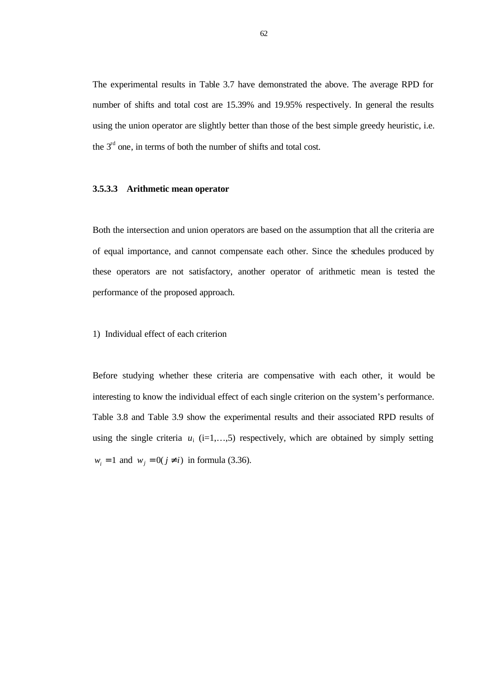The experimental results in Table 3.7 have demonstrated the above. The average RPD for number of shifts and total cost are 15.39% and 19.95% respectively. In general the results using the union operator are slightly better than those of the best simple greedy heuristic, i.e. the  $3<sup>rd</sup>$  one, in terms of both the number of shifts and total cost.

## **3.5.3.3 Arithmetic mean operator**

Both the intersection and union operators are based on the assumption that all the criteria are of equal importance, and cannot compensate each other. Since the schedules produced by these operators are not satisfactory, another operator of arithmetic mean is tested the performance of the proposed approach.

## 1) Individual effect of each criterion

Before studying whether these criteria are compensative with each other, it would be interesting to know the individual effect of each single criterion on the system's performance. Table 3.8 and Table 3.9 show the experimental results and their associated RPD results of using the single criteria  $u_i$  (i=1,...,5) respectively, which are obtained by simply setting  $w_i = 1$  and  $w_j = 0(j \neq i)$  in formula (3.36).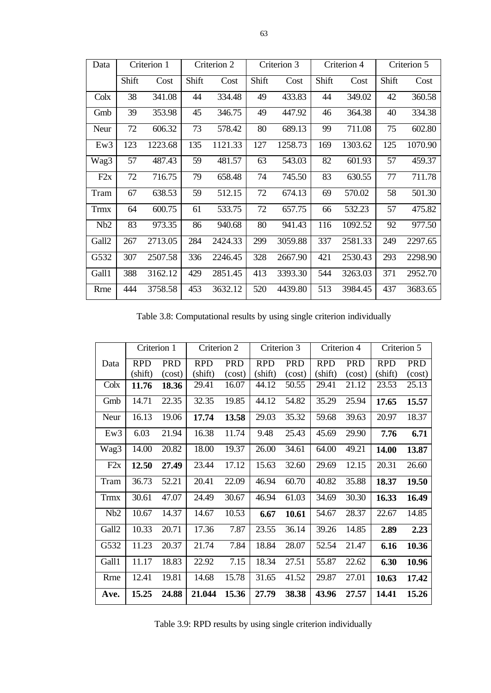| Data        | Criterion 1 |         |       | Criterion 2 |       | Criterion 3 |       | Criterion 4 | Criterion 5 |         |  |
|-------------|-------------|---------|-------|-------------|-------|-------------|-------|-------------|-------------|---------|--|
|             | Shift       | Cost    | Shift | Cost        | Shift | Cost        | Shift | Cost        | Shift       | Cost    |  |
| Colx        | 38          | 341.08  | 44    | 334.48      | 49    | 433.83      | 44    | 349.02      | 42          | 360.58  |  |
| Gmb         | 39          | 353.98  | 45    | 346.75      | 49    | 447.92      | 46    | 364.38      | 40          | 334.38  |  |
| Neur        | 72          | 606.32  | 73    | 578.42      | 80    | 689.13      | 99    | 711.08      | 75          | 602.80  |  |
| Ew3         | 123         | 1223.68 | 135   | 1121.33     | 127   | 1258.73     | 169   | 1303.62     | 125         | 1070.90 |  |
| Wag3        | 57          | 487.43  | 59    | 481.57      | 63    | 543.03      | 82    | 601.93      | 57          | 459.37  |  |
| F2x         | 72          | 716.75  | 79    | 658.48      | 74    | 745.50      | 83    | 630.55      | 77          | 711.78  |  |
| Tram        | 67          | 638.53  | 59    | 512.15      | 72    | 674.13      | 69    | 570.02      | 58          | 501.30  |  |
| <b>Trmx</b> | 64          | 600.75  | 61    | 533.75      | 72    | 657.75      | 66    | 532.23      | 57          | 475.82  |  |
| Nb2         | 83          | 973.35  | 86    | 940.68      | 80    | 941.43      | 116   | 1092.52     | 92          | 977.50  |  |
| Gall2       | 267         | 2713.05 | 284   | 2424.33     | 299   | 3059.88     | 337   | 2581.33     | 249         | 2297.65 |  |
| G532        | 307         | 2507.58 | 336   | 2246.45     | 328   | 2667.90     | 421   | 2530.43     | 293         | 2298.90 |  |
| Gall1       | 388         | 3162.12 | 429   | 2851.45     | 413   | 3393.30     | 544   | 3263.03     | 371         | 2952.70 |  |
| Rrne        | 444         | 3758.58 | 453   | 3632.12     | 520   | 4439.80     | 513   | 3984.45     | 437         | 3683.65 |  |

Table 3.8: Computational results by using single criterion individually

|             | Criterion 1 |            | Criterion 2 |            |            | Criterion 3 |            | Criterion 4 | Criterion 5 |            |  |
|-------------|-------------|------------|-------------|------------|------------|-------------|------------|-------------|-------------|------------|--|
| Data        | <b>RPD</b>  | <b>PRD</b> | <b>RPD</b>  | <b>PRD</b> | <b>RPD</b> | <b>PRD</b>  | <b>RPD</b> | <b>PRD</b>  | <b>RPD</b>  | <b>PRD</b> |  |
|             | (shift)     | (cost)     | (shift)     | (cost)     | (shift)    | (cost)      | (shift)    | (cost)      | (shift)     | (cost)     |  |
| Colx        | 11.76       | 18.36      | 29.41       | 16.07      | 44.12      | 50.55       | 29.41      | 21.12       | 23.53       | 25.13      |  |
| Gmb         | 14.71       | 22.35      | 32.35       | 19.85      | 44.12      | 54.82       | 35.29      | 25.94       | 17.65       | 15.57      |  |
| Neur        | 16.13       | 19.06      | 17.74       | 13.58      | 29.03      | 35.32       | 59.68      | 39.63       | 20.97       | 18.37      |  |
| Ew3         | 6.03        | 21.94      | 16.38       | 11.74      | 9.48       | 25.43       | 45.69      | 29.90       | 7.76        | 6.71       |  |
| Wag3        | 14.00       | 20.82      | 18.00       | 19.37      | 26.00      | 34.61       | 64.00      | 49.21       | 14.00       | 13.87      |  |
| F2x         | 12.50       | 27.49      | 23.44       | 17.12      | 15.63      | 32.60       | 29.69      | 12.15       | 20.31       | 26.60      |  |
| Tram        | 36.73       | 52.21      | 20.41       | 22.09      | 46.94      | 60.70       | 40.82      | 35.88       | 18.37       | 19.50      |  |
| <b>Trmx</b> | 30.61       | 47.07      | 24.49       | 30.67      | 46.94      | 61.03       | 34.69      | 30.30       | 16.33       | 16.49      |  |
| Nb2         | 10.67       | 14.37      | 14.67       | 10.53      | 6.67       | 10.61       | 54.67      | 28.37       | 22.67       | 14.85      |  |
| Gall2       | 10.33       | 20.71      | 17.36       | 7.87       | 23.55      | 36.14       | 39.26      | 14.85       | 2.89        | 2.23       |  |
| G532        | 11.23       | 20.37      | 21.74       | 7.84       | 18.84      | 28.07       | 52.54      | 21.47       | 6.16        | 10.36      |  |
| Gall1       | 11.17       | 18.83      | 22.92       | 7.15       | 18.34      | 27.51       | 55.87      | 22.62       | 6.30        | 10.96      |  |
| Rrne        | 12.41       | 19.81      | 14.68       | 15.78      | 31.65      | 41.52       | 29.87      | 27.01       | 10.63       | 17.42      |  |
| Ave.        | 15.25       | 24.88      | 21.044      | 15.36      | 27.79      | 38.38       | 43.96      | 27.57       | 14.41       | 15.26      |  |

Table 3.9: RPD results by using single criterion individually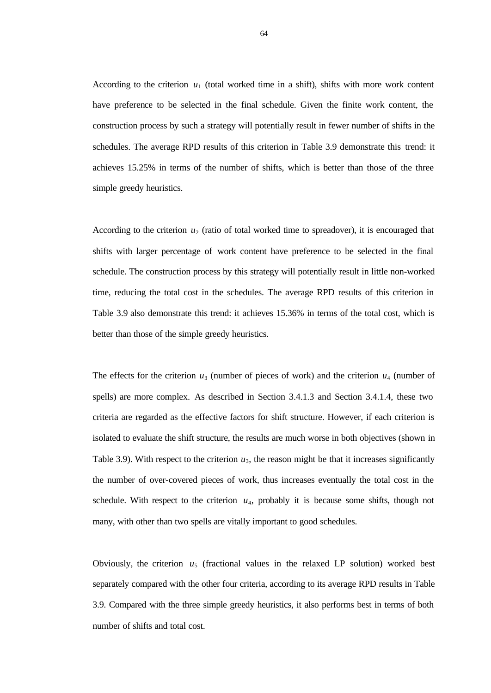According to the criterion  $u_1$  (total worked time in a shift), shifts with more work content have preference to be selected in the final schedule. Given the finite work content, the construction process by such a strategy will potentially result in fewer number of shifts in the schedules. The average RPD results of this criterion in Table 3.9 demonstrate this trend: it achieves 15.25% in terms of the number of shifts, which is better than those of the three simple greedy heuristics.

According to the criterion  $u_2$  (ratio of total worked time to spreadover), it is encouraged that shifts with larger percentage of work content have preference to be selected in the final schedule. The construction process by this strategy will potentially result in little non-worked time, reducing the total cost in the schedules. The average RPD results of this criterion in Table 3.9 also demonstrate this trend: it achieves 15.36% in terms of the total cost, which is better than those of the simple greedy heuristics.

The effects for the criterion  $u_3$  (number of pieces of work) and the criterion  $u_4$  (number of spells) are more complex. As described in Section 3.4.1.3 and Section 3.4.1.4, these two criteria are regarded as the effective factors for shift structure. However, if each criterion is isolated to evaluate the shift structure, the results are much worse in both objectives (shown in Table 3.9). With respect to the criterion  $u_3$ , the reason might be that it increases significantly the number of over-covered pieces of work, thus increases eventually the total cost in the schedule. With respect to the criterion  $u_4$ , probably it is because some shifts, though not many, with other than two spells are vitally important to good schedules.

Obviously, the criterion  $u_5$  (fractional values in the relaxed LP solution) worked best separately compared with the other four criteria, according to its average RPD results in Table 3.9. Compared with the three simple greedy heuristics, it also performs best in terms of both number of shifts and total cost.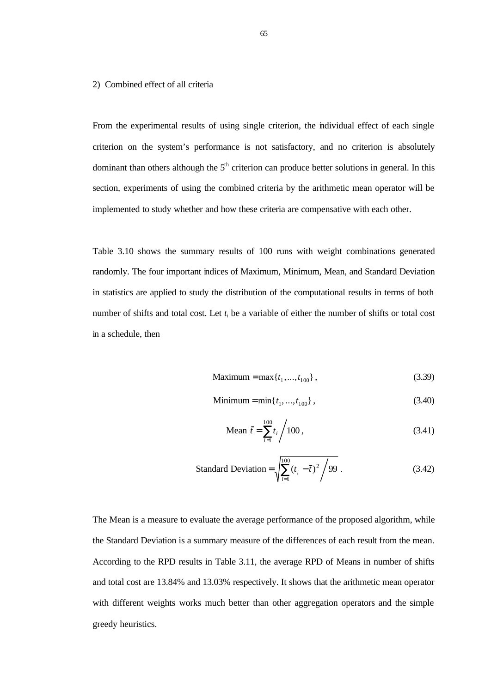#### 2) Combined effect of all criteria

From the experimental results of using single criterion, the individual effect of each single criterion on the system's performance is not satisfactory, and no criterion is absolutely dominant than others although the  $5<sup>th</sup>$  criterion can produce better solutions in general. In this section, experiments of using the combined criteria by the arithmetic mean operator will be implemented to study whether and how these criteria are compensative with each other.

Table 3.10 shows the summary results of 100 runs with weight combinations generated randomly. The four important indices of Maximum, Minimum, Mean, and Standard Deviation in statistics are applied to study the distribution of the computational results in terms of both number of shifts and total cost. Let  $t_i$  be a variable of either the number of shifts or total cost in a schedule, then

Maximum = max{
$$
t_1
$$
,..., $t_{100}$ }, (3.39)

$$
Minimum = min\{t_1, ..., t_{100}\},\tag{3.40}
$$

Mean 
$$
\bar{t} = \sum_{i=1}^{100} t_i / 100
$$
, (3.41)

Standard Deviation = 
$$
\sqrt{\sum_{i=1}^{100} (t_i - \bar{t})^2 / 99}
$$
. (3.42)

The Mean is a measure to evaluate the average performance of the proposed algorithm, while the Standard Deviation is a summary measure of the differences of each result from the mean. According to the RPD results in Table 3.11, the average RPD of Means in number of shifts and total cost are 13.84% and 13.03% respectively. It shows that the arithmetic mean operator with different weights works much better than other aggregation operators and the simple greedy heuristics.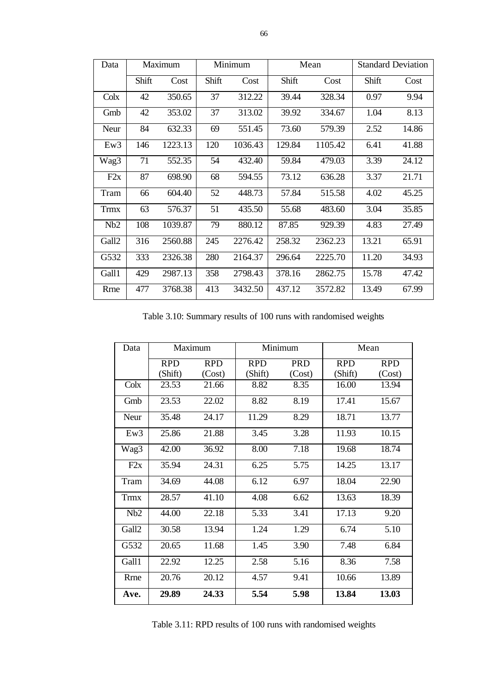| Data  |       | Maximum |       | Minimum |        | Mean    |       | <b>Standard Deviation</b> |
|-------|-------|---------|-------|---------|--------|---------|-------|---------------------------|
|       | Shift | Cost    | Shift | Cost    | Shift  | Cost    | Shift | Cost                      |
| Colx  | 42    | 350.65  | 37    | 312.22  | 39.44  | 328.34  | 0.97  | 9.94                      |
| Gmb   | 42    | 353.02  | 37    | 313.02  | 39.92  | 334.67  | 1.04  | 8.13                      |
| Neur  | 84    | 632.33  | 69    | 551.45  | 73.60  | 579.39  | 2.52  | 14.86                     |
| Ew3   | 146   | 1223.13 | 120   | 1036.43 | 129.84 | 1105.42 | 6.41  | 41.88                     |
| Wag3  | 71    | 552.35  | 54    | 432.40  | 59.84  | 479.03  | 3.39  | 24.12                     |
| F2x   | 87    | 698.90  | 68    | 594.55  | 73.12  | 636.28  | 3.37  | 21.71                     |
| Tram  | 66    | 604.40  | 52    | 448.73  | 57.84  | 515.58  | 4.02  | 45.25                     |
| Trmx  | 63    | 576.37  | 51    | 435.50  | 55.68  | 483.60  | 3.04  | 35.85                     |
| Nb2   | 108   | 1039.87 | 79    | 880.12  | 87.85  | 929.39  | 4.83  | 27.49                     |
| Gall2 | 316   | 2560.88 | 245   | 2276.42 | 258.32 | 2362.23 | 13.21 | 65.91                     |
| G532  | 333   | 2326.38 | 280   | 2164.37 | 296.64 | 2225.70 | 11.20 | 34.93                     |
| Gall1 | 429   | 2987.13 | 358   | 2798.43 | 378.16 | 2862.75 | 15.78 | 47.42                     |
| Rrne  | 477   | 3768.38 | 413   | 3432.50 | 437.12 | 3572.82 | 13.49 | 67.99                     |

Table 3.10: Summary results of 100 runs with randomised weights

| Data        |            | Maximum    |            | Minimum    |            | Mean       |
|-------------|------------|------------|------------|------------|------------|------------|
|             | <b>RPD</b> | <b>RPD</b> | <b>RPD</b> | <b>PRD</b> | <b>RPD</b> | <b>RPD</b> |
|             | (Shift)    | (Cost)     | (Shift)    | (Cost)     | (Shift)    | (Cost)     |
| Colx        | 23.53      | 21.66      | 8.82       | 8.35       | 16.00      | 13.94      |
| Gmb         | 23.53      | 22.02      | 8.82       | 8.19       | 17.41      | 15.67      |
| Neur        | 35.48      | 24.17      | 11.29      | 8.29       | 18.71      | 13.77      |
| Ew3         | 25.86      | 21.88      | 3.45       | 3.28       | 11.93      | 10.15      |
| Wag3        | 42.00      | 36.92      | 8.00       | 7.18       | 19.68      | 18.74      |
| F2x         | 35.94      | 24.31      | 6.25       | 5.75       | 14.25      | 13.17      |
| Tram        | 34.69      | 44.08      | 6.12       | 6.97       | 18.04      | 22.90      |
| <b>Trmx</b> | 28.57      | 41.10      | 4.08       | 6.62       | 13.63      | 18.39      |
| Nb2         | 44.00      | 22.18      | 5.33       | 3.41       | 17.13      | 9.20       |
| Gall2       | 30.58      | 13.94      | 1.24       | 1.29       | 6.74       | 5.10       |
| G532        | 20.65      | 11.68      | 1.45       | 3.90       | 7.48       | 6.84       |
| Gall1       | 22.92      | 12.25      | 2.58       | 5.16       | 8.36       | 7.58       |
| Rrne        | 20.76      | 20.12      | 4.57       | 9.41       | 10.66      | 13.89      |
| Ave.        | 29.89      | 24.33      | 5.54       | 5.98       | 13.84      | 13.03      |

Table 3.11: RPD results of 100 runs with randomised weights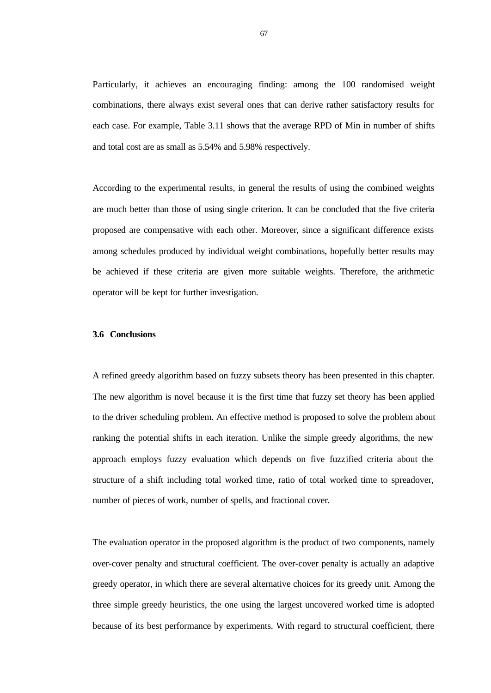Particularly, it achieves an encouraging finding: among the 100 randomised weight combinations, there always exist several ones that can derive rather satisfactory results for each case. For example, Table 3.11 shows that the average RPD of Min in number of shifts and total cost are as small as 5.54% and 5.98% respectively.

According to the experimental results, in general the results of using the combined weights are much better than those of using single criterion. It can be concluded that the five criteria proposed are compensative with each other. Moreover, since a significant difference exists among schedules produced by individual weight combinations, hopefully better results may be achieved if these criteria are given more suitable weights. Therefore, the arithmetic operator will be kept for further investigation.

### **3.6 Conclusions**

A refined greedy algorithm based on fuzzy subsets theory has been presented in this chapter. The new algorithm is novel because it is the first time that fuzzy set theory has been applied to the driver scheduling problem. An effective method is proposed to solve the problem about ranking the potential shifts in each iteration. Unlike the simple greedy algorithms, the new approach employs fuzzy evaluation which depends on five fuzzified criteria about the structure of a shift including total worked time, ratio of total worked time to spreadover, number of pieces of work, number of spells, and fractional cover.

The evaluation operator in the proposed algorithm is the product of two components, namely over-cover penalty and structural coefficient. The over-cover penalty is actually an adaptive greedy operator, in which there are several alternative choices for its greedy unit. Among the three simple greedy heuristics, the one using the largest uncovered worked time is adopted because of its best performance by experiments. With regard to structural coefficient, there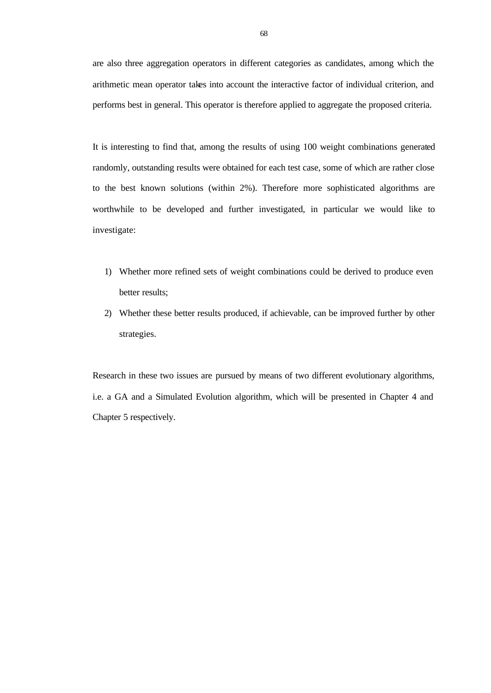are also three aggregation operators in different categories as candidates, among which the arithmetic mean operator takes into account the interactive factor of individual criterion, and performs best in general. This operator is therefore applied to aggregate the proposed criteria.

It is interesting to find that, among the results of using 100 weight combinations generated randomly, outstanding results were obtained for each test case, some of which are rather close to the best known solutions (within 2%). Therefore more sophisticated algorithms are worthwhile to be developed and further investigated, in particular we would like to investigate:

- 1) Whether more refined sets of weight combinations could be derived to produce even better results;
- 2) Whether these better results produced, if achievable, can be improved further by other strategies.

Research in these two issues are pursued by means of two different evolutionary algorithms, i.e. a GA and a Simulated Evolution algorithm, which will be presented in Chapter 4 and Chapter 5 respectively.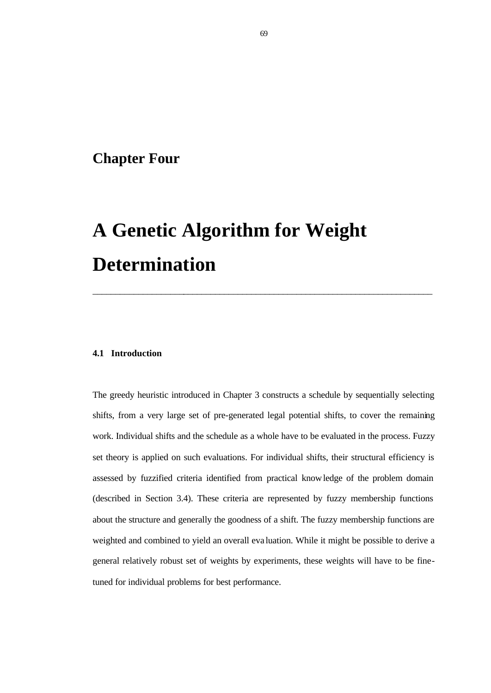# **Chapter Four**

# **A Genetic Algorithm for Weight Determination**

### **4.1 Introduction**

The greedy heuristic introduced in Chapter 3 constructs a schedule by sequentially selecting shifts, from a very large set of pre-generated legal potential shifts, to cover the remaining work. Individual shifts and the schedule as a whole have to be evaluated in the process. Fuzzy set theory is applied on such evaluations. For individual shifts, their structural efficiency is assessed by fuzzified criteria identified from practical knowledge of the problem domain (described in Section 3.4). These criteria are represented by fuzzy membership functions about the structure and generally the goodness of a shift. The fuzzy membership functions are weighted and combined to yield an overall eva luation. While it might be possible to derive a general relatively robust set of weights by experiments, these weights will have to be finetuned for individual problems for best performance.

\_\_\_\_\_\_\_\_\_\_\_\_\_\_\_\_\_\_\_\_\_\_\_\_\_\_\_\_\_\_\_\_\_\_\_\_\_\_\_\_\_\_\_\_\_\_\_\_\_\_\_\_\_\_\_\_\_\_\_\_\_\_\_\_\_\_\_\_\_\_\_\_\_\_\_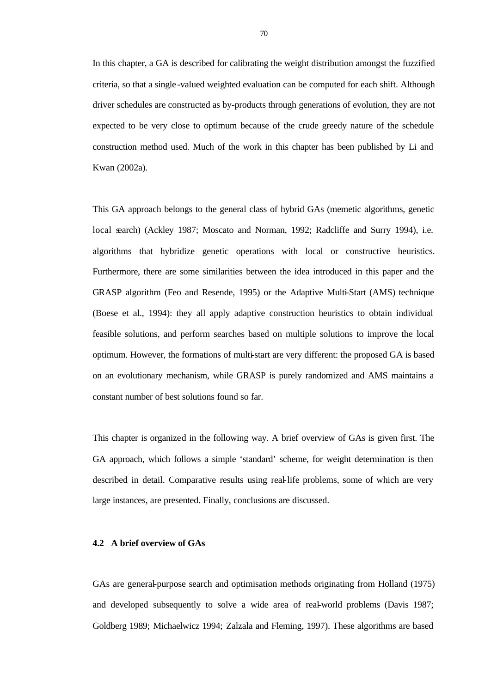In this chapter, a GA is described for calibrating the weight distribution amongst the fuzzified criteria, so that a single -valued weighted evaluation can be computed for each shift. Although driver schedules are constructed as by-products through generations of evolution, they are not expected to be very close to optimum because of the crude greedy nature of the schedule construction method used. Much of the work in this chapter has been published by Li and Kwan (2002a).

This GA approach belongs to the general class of hybrid GAs (memetic algorithms, genetic local search) (Ackley 1987; Moscato and Norman, 1992; Radcliffe and Surry 1994), i.e. algorithms that hybridize genetic operations with local or constructive heuristics. Furthermore, there are some similarities between the idea introduced in this paper and the GRASP algorithm (Feo and Resende, 1995) or the Adaptive Multi-Start (AMS) technique (Boese et al., 1994): they all apply adaptive construction heuristics to obtain individual feasible solutions, and perform searches based on multiple solutions to improve the local optimum. However, the formations of multi-start are very different: the proposed GA is based on an evolutionary mechanism, while GRASP is purely randomized and AMS maintains a constant number of best solutions found so far.

This chapter is organized in the following way. A brief overview of GAs is given first. The GA approach, which follows a simple 'standard' scheme, for weight determination is then described in detail. Comparative results using real-life problems, some of which are very large instances, are presented. Finally, conclusions are discussed.

### **4.2 A brief overview of GAs**

GAs are general-purpose search and optimisation methods originating from Holland (1975) and developed subsequently to solve a wide area of real-world problems (Davis 1987; Goldberg 1989; Michaelwicz 1994; Zalzala and Fleming, 1997). These algorithms are based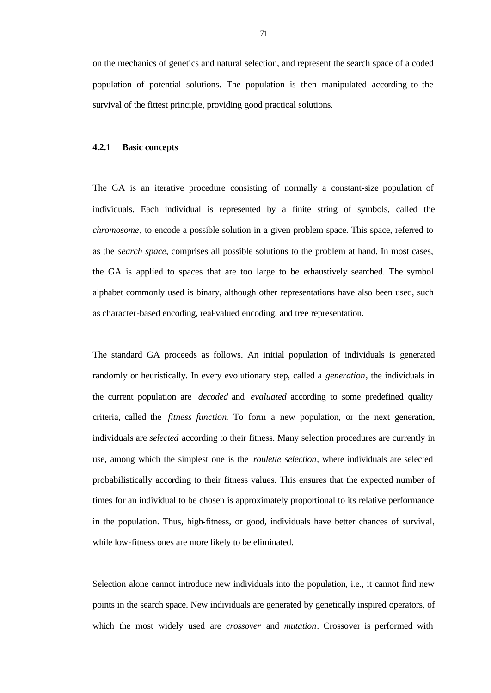on the mechanics of genetics and natural selection, and represent the search space of a coded population of potential solutions. The population is then manipulated according to the survival of the fittest principle, providing good practical solutions.

#### **4.2.1 Basic concepts**

The GA is an iterative procedure consisting of normally a constant-size population of individuals. Each individual is represented by a finite string of symbols, called the *chromosome*, to encode a possible solution in a given problem space. This space, referred to as the *search space*, comprises all possible solutions to the problem at hand. In most cases, the GA is applied to spaces that are too large to be exhaustively searched. The symbol alphabet commonly used is binary, although other representations have also been used, such as character-based encoding, real-valued encoding, and tree representation.

The standard GA proceeds as follows. An initial population of individuals is generated randomly or heuristically. In every evolutionary step, called a *generation*, the individuals in the current population are *decoded* and *evaluated* according to some predefined quality criteria, called the *fitness function*. To form a new population, or the next generation, individuals are *selected* according to their fitness. Many selection procedures are currently in use, among which the simplest one is the *roulette selection*, where individuals are selected probabilistically according to their fitness values. This ensures that the expected number of times for an individual to be chosen is approximately proportional to its relative performance in the population. Thus, high-fitness, or good, individuals have better chances of survival, while low-fitness ones are more likely to be eliminated.

Selection alone cannot introduce new individuals into the population, i.e., it cannot find new points in the search space. New individuals are generated by genetically inspired operators, of which the most widely used are *crossover* and *mutation*. Crossover is performed with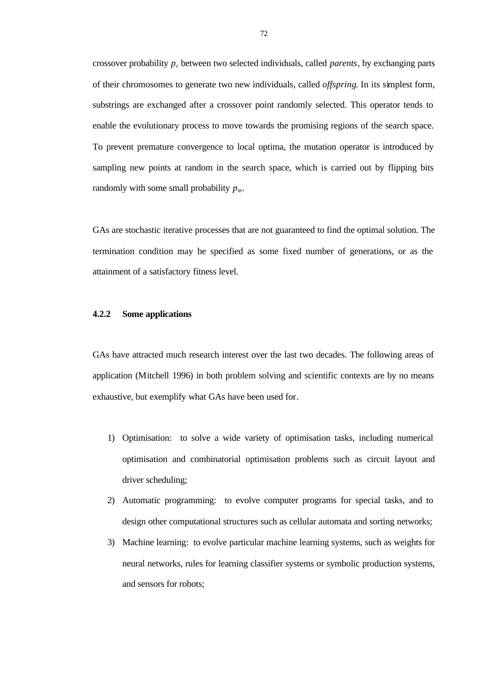crossover probability *p<sup>c</sup>* between two selected individuals, called *parents*, by exchanging parts of their chromosomes to generate two new individuals, called *offspring*. In its simplest form, substrings are exchanged after a crossover point randomly selected. This operator tends to enable the evolutionary process to move towards the promising regions of the search space. To prevent premature convergence to local optima, the mutation operator is introduced by sampling new points at random in the search space, which is carried out by flipping bits randomly with some small probability  $p_m$ .

GAs are stochastic iterative processes that are not guaranteed to find the optimal solution. The termination condition may be specified as some fixed number of generations, or as the attainment of a satisfactory fitness level.

# **4.2.2 Some applications**

GAs have attracted much research interest over the last two decades. The following areas of application (Mitchell 1996) in both problem solving and scientific contexts are by no means exhaustive, but exemplify what GAs have been used for.

- 1) Optimisation: to solve a wide variety of optimisation tasks, including numerical optimisation and combinatorial optimisation problems such as circuit layout and driver scheduling;
- 2) Automatic programming: to evolve computer programs for special tasks, and to design other computational structures such as cellular automata and sorting networks;
- 3) Machine learning: to evolve particular machine learning systems, such as weights for neural networks, rules for learning classifier systems or symbolic production systems, and sensors for robots;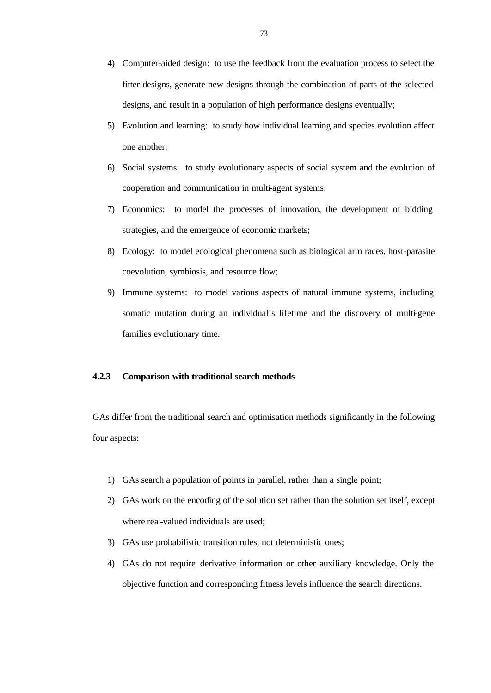- 4) Computer-aided design: to use the feedback from the evaluation process to select the fitter designs, generate new designs through the combination of parts of the selected designs, and result in a population of high performance designs eventually;
- 5) Evolution and learning: to study how individual learning and species evolution affect one another;
- 6) Social systems: to study evolutionary aspects of social system and the evolution of cooperation and communication in multi-agent systems;
- 7) Economics: to model the processes of innovation, the development of bidding strategies, and the emergence of economic markets;
- 8) Ecology: to model ecological phenomena such as biological arm races, host-parasite coevolution, symbiosis, and resource flow;
- 9) Immune systems: to model various aspects of natural immune systems, including somatic mutation during an individual's lifetime and the discovery of multi-gene families evolutionary time.

# **4.2.3 Comparison with traditional search methods**

GAs differ from the traditional search and optimisation methods significantly in the following four aspects:

- 1) GAs search a population of points in parallel, rather than a single point;
- 2) GAs work on the encoding of the solution set rather than the solution set itself, except where real-valued individuals are used;
- 3) GAs use probabilistic transition rules, not deterministic ones;
- 4) GAs do not require derivative information or other auxiliary knowledge. Only the objective function and corresponding fitness levels influence the search directions.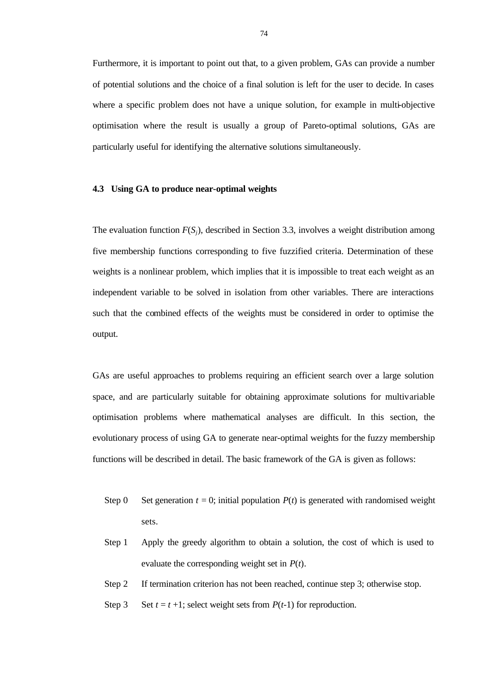Furthermore, it is important to point out that, to a given problem, GAs can provide a number of potential solutions and the choice of a final solution is left for the user to decide. In cases where a specific problem does not have a unique solution, for example in multi-objective optimisation where the result is usually a group of Pareto-optimal solutions, GAs are particularly useful for identifying the alternative solutions simultaneously.

## **4.3 Using GA to produce near-optimal weights**

The evaluation function *F*(*Sj*), described in Section 3.3, involves a weight distribution among five membership functions corresponding to five fuzzified criteria. Determination of these weights is a nonlinear problem, which implies that it is impossible to treat each weight as an independent variable to be solved in isolation from other variables. There are interactions such that the combined effects of the weights must be considered in order to optimise the output.

GAs are useful approaches to problems requiring an efficient search over a large solution space, and are particularly suitable for obtaining approximate solutions for multivariable optimisation problems where mathematical analyses are difficult. In this section, the evolutionary process of using GA to generate near-optimal weights for the fuzzy membership functions will be described in detail. The basic framework of the GA is given as follows:

- Step 0 Set generation  $t = 0$ ; initial population  $P(t)$  is generated with randomised weight sets.
- Step 1 Apply the greedy algorithm to obtain a solution, the cost of which is used to evaluate the corresponding weight set in *P*(*t*).
- Step 2 If termination criterion has not been reached, continue step 3; otherwise stop.
- Step 3 Set  $t = t + 1$ ; select weight sets from  $P(t-1)$  for reproduction.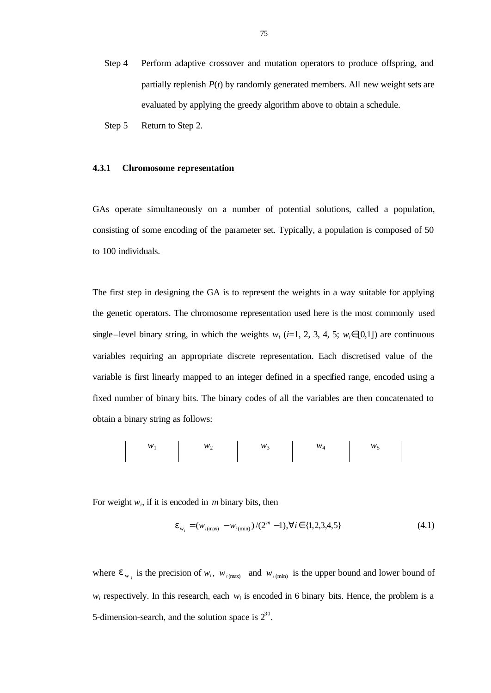- Step 4 Perform adaptive crossover and mutation operators to produce offspring, and partially replenish *P*(*t*) by randomly generated members. All new weight sets are evaluated by applying the greedy algorithm above to obtain a schedule.
- Step 5 Return to Step 2.

#### **4.3.1 Chromosome representation**

GAs operate simultaneously on a number of potential solutions, called a population, consisting of some encoding of the parameter set. Typically, a population is composed of 50 to 100 individuals.

The first step in designing the GA is to represent the weights in a way suitable for applying the genetic operators. The chromosome representation used here is the most commonly used single–level binary string, in which the weights  $w_i$  (*i*=1, 2, 3, 4, 5;  $w_i \in [0,1]$ ) are continuous variables requiring an appropriate discrete representation. Each discretised value of the variable is first linearly mapped to an integer defined in a specified range, encoded using a fixed number of binary bits. The binary codes of all the variables are then concatenated to obtain a binary string as follows:

| n | - | 342. | U) |  |
|---|---|------|----|--|
|   |   |      |    |  |

For weight  $w_i$ , if it is encoded in *m* binary bits, then

$$
\mathbf{e}_{w_i} = (w_{i(\text{max})} - w_{i(\text{min})})/(2^m - 1), \forall i \in \{1, 2, 3, 4, 5\}
$$
(4.1)

where  $e_{w_i}$  is the precision of  $w_i$ ,  $w_{i(\text{max})}$  and  $w_{i(\text{min})}$  is the upper bound and lower bound of  $w_i$  respectively. In this research, each  $w_i$  is encoded in 6 binary bits. Hence, the problem is a 5-dimension-search, and the solution space is  $2^{30}$ .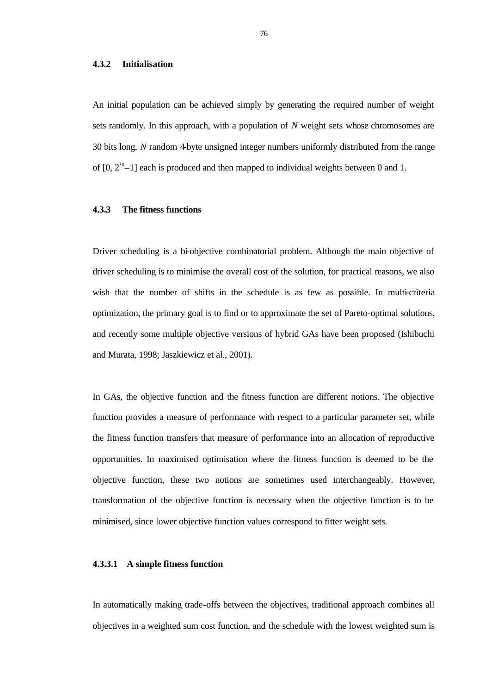#### **4.3.2 Initialisation**

An initial population can be achieved simply by generating the required number of weight sets randomly. In this approach, with a population of *N* weight sets whose chromosomes are 30 bits long, *N* random 4-byte unsigned integer numbers uniformly distributed from the range of  $[0, 2<sup>30</sup>-1]$  each is produced and then mapped to individual weights between 0 and 1.

# **4.3.3 The fitness functions**

Driver scheduling is a bi-objective combinatorial problem. Although the main objective of driver scheduling is to minimise the overall cost of the solution, for practical reasons, we also wish that the number of shifts in the schedule is as few as possible. In multi-criteria optimization, the primary goal is to find or to approximate the set of Pareto-optimal solutions, and recently some multiple objective versions of hybrid GAs have been proposed (Ishibuchi and Murata, 1998; Jaszkiewicz et al., 2001).

In GAs, the objective function and the fitness function are different notions. The objective function provides a measure of performance with respect to a particular parameter set, while the fitness function transfers that measure of performance into an allocation of reproductive opportunities. In maximised optimisation where the fitness function is deemed to be the objective function, these two notions are sometimes used interchangeably. However, transformation of the objective function is necessary when the objective function is to be minimised, since lower objective function values correspond to fitter weight sets.

# **4.3.3.1 A simple fitness function**

In automatically making trade-offs between the objectives, traditional approach combines all objectives in a weighted sum cost function, and the schedule with the lowest weighted sum is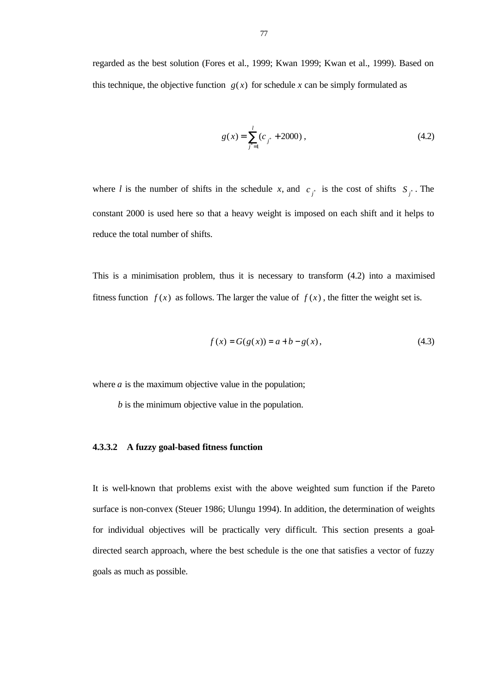regarded as the best solution (Fores et al., 1999; Kwan 1999; Kwan et al., 1999). Based on this technique, the objective function  $g(x)$  for schedule x can be simply formulated as

$$
g(x) = \sum_{j^* = 1}^{l} (c_{j^*} + 2000),
$$
 (4.2)

where *l* is the number of shifts in the schedule *x*, and  $c_j$  is the cost of shifts  $S_j$ . The constant 2000 is used here so that a heavy weight is imposed on each shift and it helps to reduce the total number of shifts.

This is a minimisation problem, thus it is necessary to transform (4.2) into a maximised fitness function  $f(x)$  as follows. The larger the value of  $f(x)$ , the fitter the weight set is.

$$
f(x) = G(g(x)) = a + b - g(x),
$$
\n(4.3)

where  $a$  is the maximum objective value in the population;

*b* is the minimum objective value in the population.

# **4.3.3.2 A fuzzy goal-based fitness function**

It is well-known that problems exist with the above weighted sum function if the Pareto surface is non-convex (Steuer 1986; Ulungu 1994). In addition, the determination of weights for individual objectives will be practically very difficult. This section presents a goaldirected search approach, where the best schedule is the one that satisfies a vector of fuzzy goals as much as possible.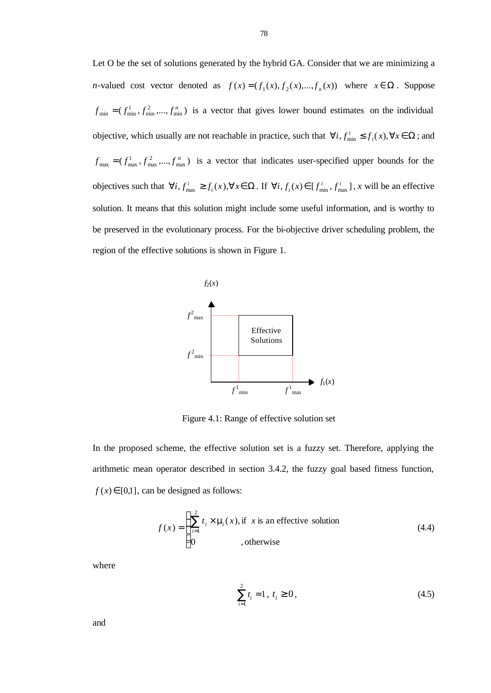Let O be the set of solutions generated by the hybrid GA. Consider that we are minimizing a *n*-valued cost vector denoted as  $f(x) = (f_1(x), f_2(x), \dots, f_n(x))$  where  $x \in \Omega$ . Suppose  $f_{\min} = (f_{\min}^1, f_{\min}^2, \dots, f_{\min}^n)$  is a vector that gives lower bound estimates on the individual objective, which usually are not reachable in practice, such that  $\forall i, f_{\min}^i \leq f_i(x), \forall x \in \Omega$ ; and  $f_{\text{max}} = (f_{\text{max}}^1, f_{\text{max}}^2, ..., f_{\text{max}}^n)$  is a vector that indicates user-specified upper bounds for the objectives such that  $\forall i, f_{\text{max}}^i \ge f_i(x), \forall x \in \Omega$ . If  $\forall i, f_i(x) \in [f_{\text{min}}^i, f_{\text{max}}^i]$ , x will be an effective solution. It means that this solution might include some useful information, and is worthy to be preserved in the evolutionary process. For the bi-objective driver scheduling problem, the region of the effective solutions is shown in Figure 1.



Figure 4.1: Range of effective solution set

In the proposed scheme, the effective solution set is a fuzzy set. Therefore, applying the arithmetic mean operator described in section 3.4.2, the fuzzy goal based fitness function,  $f(x) \in [0,1]$ , can be designed as follows:

$$
f(x) = \begin{cases} \sum_{i=1}^{2} t_i \times \mathbf{m}_i(x), \text{if } x \text{ is an effective solution} \\ 0, \text{otherwise} \end{cases}
$$
 (4.4)

where

$$
\sum_{i=1}^{2} t_i = 1, \ t_i \ge 0,
$$
\n(4.5)

and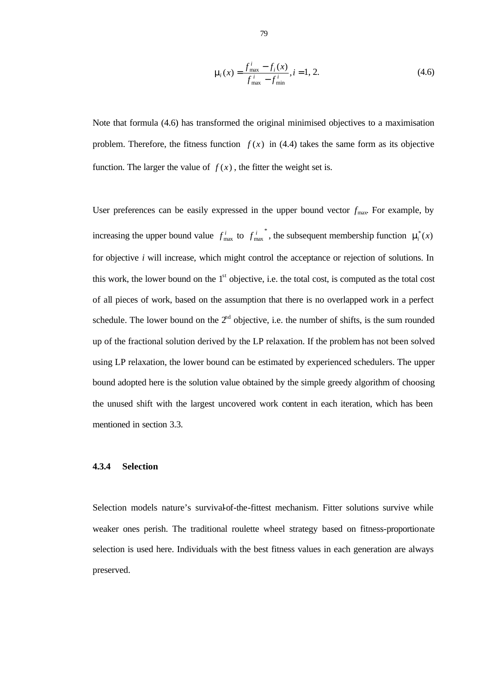$$
\mathbf{m}(x) = \frac{f_{\text{max}}^i - f_i(x)}{f_{\text{max}}^i - f_{\text{min}}^i}, i = 1, 2.
$$
 (4.6)

Note that formula (4.6) has transformed the original minimised objectives to a maximisation problem. Therefore, the fitness function  $f(x)$  in (4.4) takes the same form as its objective function. The larger the value of  $f(x)$ , the fitter the weight set is.

User preferences can be easily expressed in the upper bound vector  $f_{\text{max}}$ . For example, by increasing the upper bound value  $f_{\text{max}}^i$  to  $f_{\text{max}}^i$  $f_{\text{max}}^i$ , the subsequent membership function  $\mathbf{m}_i^*(x)$ for objective *i* will increase, which might control the acceptance or rejection of solutions. In this work, the lower bound on the  $1<sup>st</sup>$  objective, i.e. the total cost, is computed as the total cost of all pieces of work, based on the assumption that there is no overlapped work in a perfect schedule. The lower bound on the  $2<sup>nd</sup>$  objective, i.e. the number of shifts, is the sum rounded up of the fractional solution derived by the LP relaxation. If the problem has not been solved using LP relaxation, the lower bound can be estimated by experienced schedulers. The upper bound adopted here is the solution value obtained by the simple greedy algorithm of choosing the unused shift with the largest uncovered work content in each iteration, which has been mentioned in section 3.3.

## **4.3.4 Selection**

Selection models nature's survival-of-the-fittest mechanism. Fitter solutions survive while weaker ones perish. The traditional roulette wheel strategy based on fitness-proportionate selection is used here. Individuals with the best fitness values in each generation are always preserved.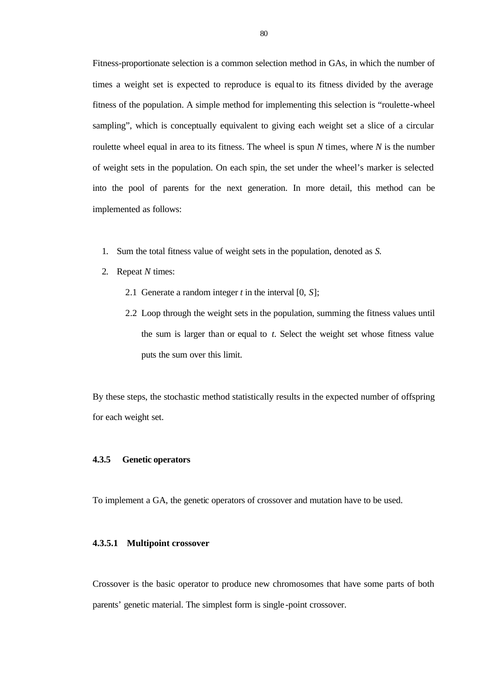Fitness-proportionate selection is a common selection method in GAs, in which the number of times a weight set is expected to reproduce is equal to its fitness divided by the average fitness of the population. A simple method for implementing this selection is "roulette-wheel sampling", which is conceptually equivalent to giving each weight set a slice of a circular roulette wheel equal in area to its fitness. The wheel is spun *N* times, where *N* is the number of weight sets in the population. On each spin, the set under the wheel's marker is selected into the pool of parents for the next generation. In more detail, this method can be implemented as follows:

- 1. Sum the total fitness value of weight sets in the population, denoted as *S*.
- 2. Repeat *N* times:
	- 2.1 Generate a random integer *t* in the interval [0, *S*];
	- 2.2 Loop through the weight sets in the population, summing the fitness values until the sum is larger than or equal to *t*. Select the weight set whose fitness value puts the sum over this limit.

By these steps, the stochastic method statistically results in the expected number of offspring for each weight set.

# **4.3.5 Genetic operators**

To implement a GA, the genetic operators of crossover and mutation have to be used.

# **4.3.5.1 Multipoint crossover**

Crossover is the basic operator to produce new chromosomes that have some parts of both parents' genetic material. The simplest form is single -point crossover.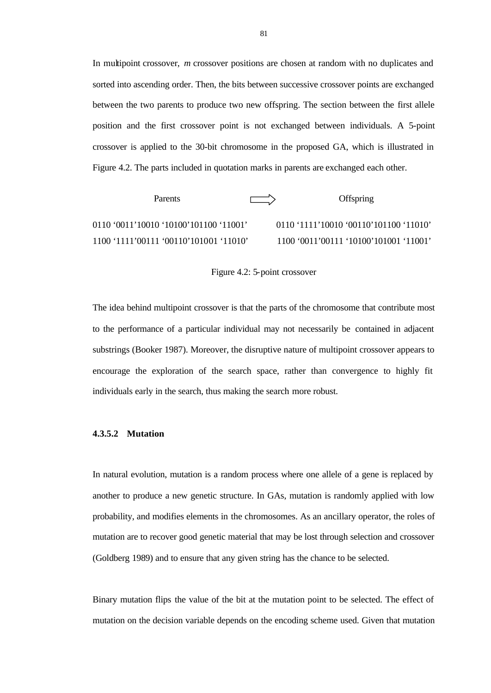In multipoint crossover, *m* crossover positions are chosen at random with no duplicates and sorted into ascending order. Then, the bits between successive crossover points are exchanged between the two parents to produce two new offspring. The section between the first allele position and the first crossover point is not exchanged between individuals. A 5-point crossover is applied to the 30-bit chromosome in the proposed GA, which is illustrated in Figure 4.2. The parts included in quotation marks in parents are exchanged each other.

| Parents                                | <b>The Common</b> | <b>Offspring</b>                         |  |
|----------------------------------------|-------------------|------------------------------------------|--|
|                                        |                   | $0110$ '1111'10010 '00110'101100 '11010' |  |
| 1100 '1111'00111 '00110'101001 '11010' |                   | 1100 '0011'00111 '10100'101001 '11001'   |  |

Figure 4.2: 5-point crossover

The idea behind multipoint crossover is that the parts of the chromosome that contribute most to the performance of a particular individual may not necessarily be contained in adjacent substrings (Booker 1987). Moreover, the disruptive nature of multipoint crossover appears to encourage the exploration of the search space, rather than convergence to highly fit individuals early in the search, thus making the search more robust.

# **4.3.5.2 Mutation**

In natural evolution, mutation is a random process where one allele of a gene is replaced by another to produce a new genetic structure. In GAs, mutation is randomly applied with low probability, and modifies elements in the chromosomes. As an ancillary operator, the roles of mutation are to recover good genetic material that may be lost through selection and crossover (Goldberg 1989) and to ensure that any given string has the chance to be selected.

Binary mutation flips the value of the bit at the mutation point to be selected. The effect of mutation on the decision variable depends on the encoding scheme used. Given that mutation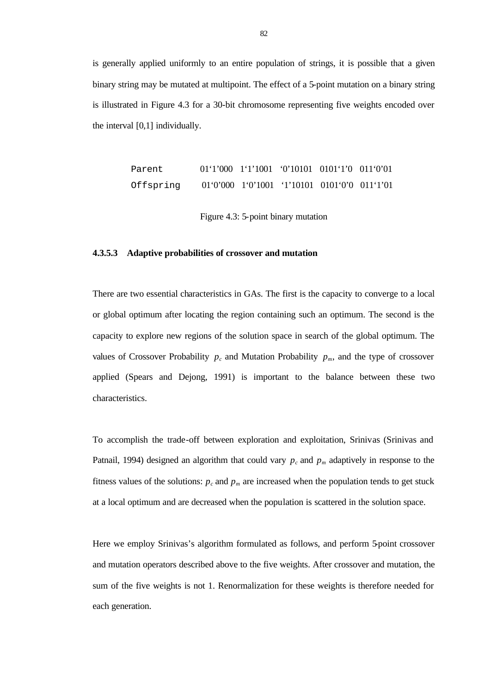is generally applied uniformly to an entire population of strings, it is possible that a given binary string may be mutated at multipoint. The effect of a 5-point mutation on a binary string is illustrated in Figure 4.3 for a 30-bit chromosome representing five weights encoded over the interval [0,1] individually.

> Parent 01'1'000 1'1'1001 '0'10101 0101'1'0 011'0'01 Offspring 01'0'000 1'0'1001 '1'10101 0101'0'0 011'1'01

> > Figure 4.3: 5-point binary mutation

# **4.3.5.3 Adaptive probabilities of crossover and mutation**

There are two essential characteristics in GAs. The first is the capacity to converge to a local or global optimum after locating the region containing such an optimum. The second is the capacity to explore new regions of the solution space in search of the global optimum. The values of Crossover Probability  $p_c$  and Mutation Probability  $p_m$ , and the type of crossover applied (Spears and Dejong, 1991) is important to the balance between these two characteristics.

To accomplish the trade-off between exploration and exploitation, Srinivas (Srinivas and Patnail, 1994) designed an algorithm that could vary  $p_c$  and  $p_m$  adaptively in response to the fitness values of the solutions:  $p_c$  and  $p_m$  are increased when the population tends to get stuck at a local optimum and are decreased when the population is scattered in the solution space.

Here we employ Srinivas's algorithm formulated as follows, and perform 5-point crossover and mutation operators described above to the five weights. After crossover and mutation, the sum of the five weights is not 1. Renormalization for these weights is therefore needed for each generation.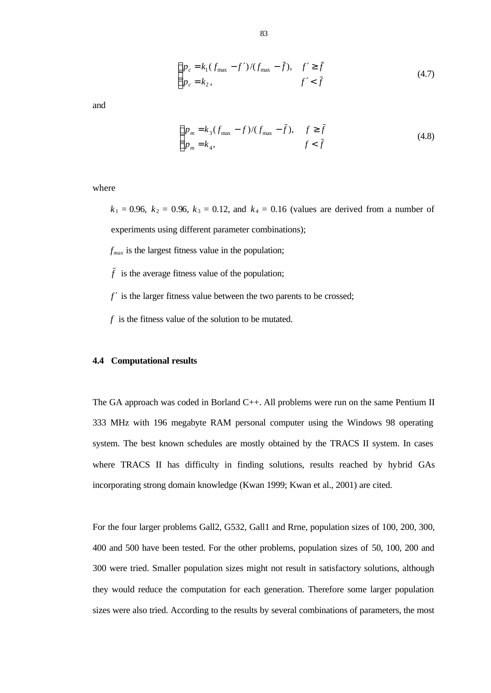$$
\begin{cases} p_c = k_1 (f_{\text{max}} - f') / (f_{\text{max}} - \bar{f}), & f' \ge \bar{f} \\ p_c = k_2, & f' < \bar{f} \end{cases}
$$
(4.7)

and

$$
\begin{cases} p_m = k_3 (f_{\text{max}} - f) / (f_{\text{max}} - \bar{f}), & f \ge \bar{f} \\ p_m = k_4, & f < \bar{f} \end{cases}
$$
(4.8)

where

 $k_1 = 0.96$ ,  $k_2 = 0.96$ ,  $k_3 = 0.12$ , and  $k_4 = 0.16$  (values are derived from a number of experiments using different parameter combinations);

 $f_{max}$  is the largest fitness value in the population;

 $\bar{f}$  is the average fitness value of the population;

*f* ′ is the larger fitness value between the two parents to be crossed;

*f* is the fitness value of the solution to be mutated.

# **4.4 Computational results**

The GA approach was coded in Borland C++. All problems were run on the same Pentium II 333 MHz with 196 megabyte RAM personal computer using the Windows 98 operating system. The best known schedules are mostly obtained by the TRACS II system. In cases where TRACS II has difficulty in finding solutions, results reached by hybrid GAs incorporating strong domain knowledge (Kwan 1999; Kwan et al., 2001) are cited.

For the four larger problems Gall2, G532, Gall1 and Rrne, population sizes of 100, 200, 300, 400 and 500 have been tested. For the other problems, population sizes of 50, 100, 200 and 300 were tried. Smaller population sizes might not result in satisfactory solutions, although they would reduce the computation for each generation. Therefore some larger population sizes were also tried. According to the results by several combinations of parameters, the most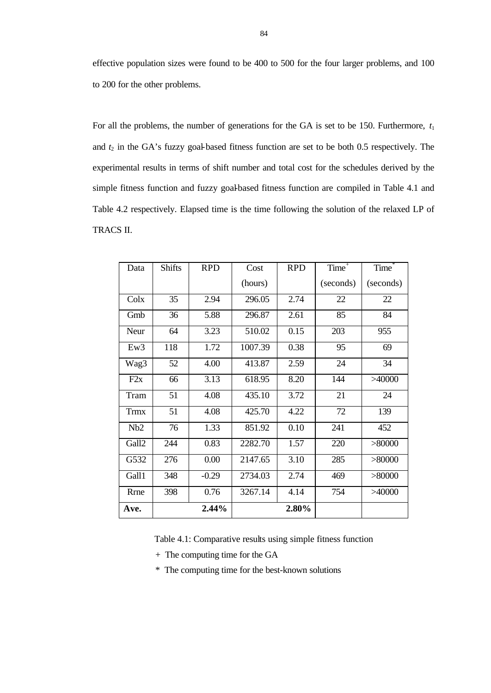effective population sizes were found to be 400 to 500 for the four larger problems, and 100 to 200 for the other problems.

For all the problems, the number of generations for the GA is set to be 150. Furthermore,  $t_1$ and  $t_2$  in the GA's fuzzy goal-based fitness function are set to be both 0.5 respectively. The experimental results in terms of shift number and total cost for the schedules derived by the simple fitness function and fuzzy goal-based fitness function are compiled in Table 4.1 and Table 4.2 respectively. Elapsed time is the time following the solution of the relaxed LP of TRACS II.

| Data  | <b>Shifts</b> | <b>RPD</b> | Cost    | <b>RPD</b> | Time <sup>+</sup> | Time <sup>*</sup> |
|-------|---------------|------------|---------|------------|-------------------|-------------------|
|       |               |            | (hours) |            | (seconds)         | (seconds)         |
| Colx  | 35            | 2.94       | 296.05  | 2.74       | 22                | 22                |
| Gmb   | 36            | 5.88       | 296.87  | 2.61       | 85                | 84                |
| Neur  | 64            | 3.23       | 510.02  | 0.15       | 203               | 955               |
| Ew3   | 118           | 1.72       | 1007.39 | 0.38       | 95                | 69                |
| Wag3  | 52            | 4.00       | 413.87  | 2.59       | 24                | 34                |
| F2x   | 66            | 3.13       | 618.95  | 8.20       | 144               | >40000            |
| Tram  | 51            | 4.08       | 435.10  | 3.72       | 21                | 24                |
| Trmx  | 51            | 4.08       | 425.70  | 4.22       | 72                | 139               |
| Nb2   | 76            | 1.33       | 851.92  | 0.10       | 241               | 452               |
| Gall2 | 244           | 0.83       | 2282.70 | 1.57       | 220               | >80000            |
| G532  | 276           | 0.00       | 2147.65 | 3.10       | 285               | >80000            |
| Gall1 | 348           | $-0.29$    | 2734.03 | 2.74       | 469               | > 80000           |
| Rrne  | 398           | 0.76       | 3267.14 | 4.14       | 754               | >40000            |
| Ave.  |               | 2.44%      |         | 2.80%      |                   |                   |

Table 4.1: Comparative results using simple fitness function

+ The computing time for the GA

\* The computing time for the best-known solutions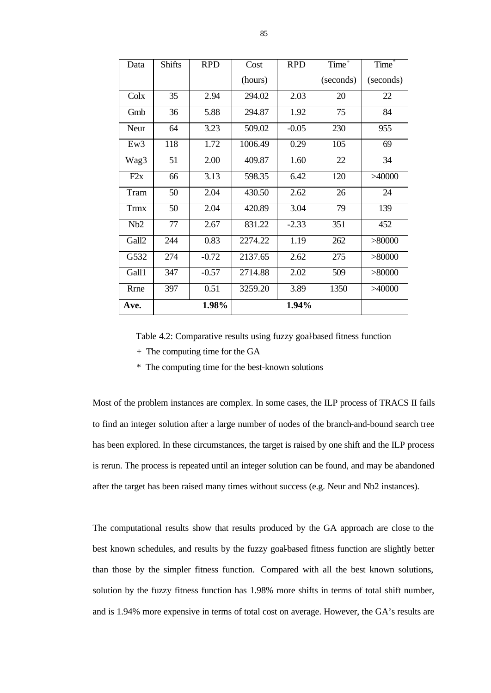| Data        | <b>Shifts</b> | <b>RPD</b> | Cost    | <b>RPD</b> | Time <sup>+</sup> | Time <sup>®</sup> |
|-------------|---------------|------------|---------|------------|-------------------|-------------------|
|             |               |            | (hours) |            | (seconds)         | (seconds)         |
| Colx        | 35            | 2.94       | 294.02  | 2.03       | 20                | 22                |
| Gmb         | 36            | 5.88       | 294.87  | 1.92       | 75                | 84                |
| Neur        | 64            | 3.23       | 509.02  | $-0.05$    | 230               | 955               |
| Ew3         | 118           | 1.72       | 1006.49 | 0.29       | 105               | 69                |
| Wag3        | 51            | 2.00       | 409.87  | 1.60       | 22                | 34                |
| F2x         | 66            | 3.13       | 598.35  | 6.42       | 120               | >40000            |
| Tram        | 50            | 2.04       | 430.50  | 2.62       | 26                | 24                |
| <b>Trmx</b> | 50            | 2.04       | 420.89  | 3.04       | 79                | 139               |
| Nb2         | 77            | 2.67       | 831.22  | $-2.33$    | 351               | 452               |
| Gall2       | 244           | 0.83       | 2274.22 | 1.19       | 262               | >80000            |
| G532        | 274           | $-0.72$    | 2137.65 | 2.62       | 275               | >80000            |
| Gall1       | 347           | $-0.57$    | 2714.88 | 2.02       | 509               | >80000            |
| Rrne        | 397           | 0.51       | 3259.20 | 3.89       | 1350              | >40000            |
| Ave.        |               | 1.98%      |         | 1.94%      |                   |                   |

Table 4.2: Comparative results using fuzzy goal-based fitness function

- + The computing time for the GA
- \* The computing time for the best-known solutions

Most of the problem instances are complex. In some cases, the ILP process of TRACS II fails to find an integer solution after a large number of nodes of the branch-and-bound search tree has been explored. In these circumstances, the target is raised by one shift and the ILP process is rerun. The process is repeated until an integer solution can be found, and may be abandoned after the target has been raised many times without success (e.g. Neur and Nb2 instances).

The computational results show that results produced by the GA approach are close to the best known schedules, and results by the fuzzy goal-based fitness function are slightly better than those by the simpler fitness function. Compared with all the best known solutions, solution by the fuzzy fitness function has 1.98% more shifts in terms of total shift number, and is 1.94% more expensive in terms of total cost on average. However, the GA's results are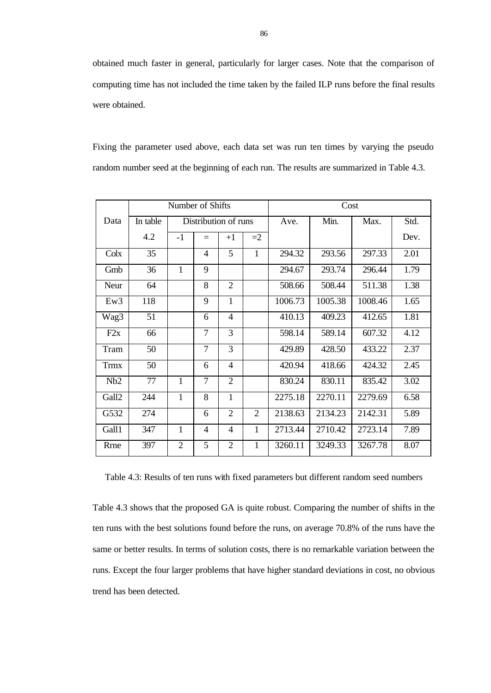obtained much faster in general, particularly for larger cases. Note that the comparison of computing time has not included the time taken by the failed ILP runs before the final results were obtained.

| Fixing the parameter used above, each data set was run ten times by varying the pseudo    |  |  |  |  |  |  |  |
|-------------------------------------------------------------------------------------------|--|--|--|--|--|--|--|
| random number seed at the beginning of each run. The results are summarized in Table 4.3. |  |  |  |  |  |  |  |

|             | Number of Shifts |      |     |                      |      |         | Cost    |         |      |
|-------------|------------------|------|-----|----------------------|------|---------|---------|---------|------|
| Data        | In table         |      |     | Distribution of runs |      | Ave.    | Min.    | Max.    | Std. |
|             | 4.2              | $-1$ | $=$ | $+1$                 | $=2$ |         |         |         | Dev. |
| Colx        | 35               |      | 4   | 5                    | 1    | 294.32  | 293.56  | 297.33  | 2.01 |
| Gmb         | 36               | 1    | 9   |                      |      | 294.67  | 293.74  | 296.44  | 1.79 |
| Neur        | 64               |      | 8   | $\overline{2}$       |      | 508.66  | 508.44  | 511.38  | 1.38 |
| Ew3         | 118              |      | 9   | 1                    |      | 1006.73 | 1005.38 | 1008.46 | 1.65 |
| Wag3        | 51               |      | 6   | 4                    |      | 410.13  | 409.23  | 412.65  | 1.81 |
| F2x         | 66               |      | 7   | 3                    |      | 598.14  | 589.14  | 607.32  | 4.12 |
| Tram        | 50               |      | 7   | 3                    |      | 429.89  | 428.50  | 433.22  | 2.37 |
| <b>Trmx</b> | 50               |      | 6   | 4                    |      | 420.94  | 418.66  | 424.32  | 2.45 |
| Nb2         | 77               | 1    | 7   | $\overline{2}$       |      | 830.24  | 830.11  | 835.42  | 3.02 |
| Gall2       | 244              | 1    | 8   | $\mathbf{1}$         |      | 2275.18 | 2270.11 | 2279.69 | 6.58 |
| G532        | 274              |      | 6   | $\overline{2}$       | 2    | 2138.63 | 2134.23 | 2142.31 | 5.89 |
| Gall1       | 347              | 1    | 4   | 4                    | 1    | 2713.44 | 2710.42 | 2723.14 | 7.89 |
| Rrne        | 397              | 2    | 5   | $\overline{2}$       | 1    | 3260.11 | 3249.33 | 3267.78 | 8.07 |

Table 4.3: Results of ten runs with fixed parameters but different random seed numbers

Table 4.3 shows that the proposed GA is quite robust. Comparing the number of shifts in the ten runs with the best solutions found before the runs, on average 70.8% of the runs have the same or better results. In terms of solution costs, there is no remarkable variation between the runs. Except the four larger problems that have higher standard deviations in cost, no obvious trend has been detected.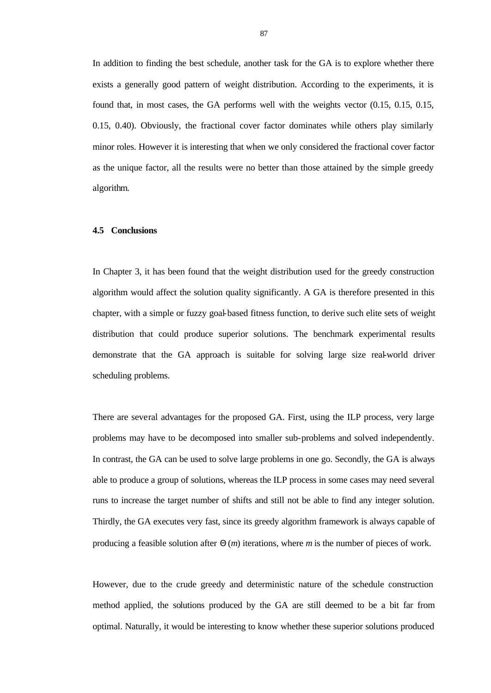In addition to finding the best schedule, another task for the GA is to explore whether there exists a generally good pattern of weight distribution. According to the experiments, it is found that, in most cases, the GA performs well with the weights vector (0.15, 0.15, 0.15, 0.15, 0.40). Obviously, the fractional cover factor dominates while others play similarly minor roles. However it is interesting that when we only considered the fractional cover factor as the unique factor, all the results were no better than those attained by the simple greedy algorithm.

## **4.5 Conclusions**

In Chapter 3, it has been found that the weight distribution used for the greedy construction algorithm would affect the solution quality significantly. A GA is therefore presented in this chapter, with a simple or fuzzy goal-based fitness function, to derive such elite sets of weight distribution that could produce superior solutions. The benchmark experimental results demonstrate that the GA approach is suitable for solving large size real-world driver scheduling problems.

There are several advantages for the proposed GA. First, using the ILP process, very large problems may have to be decomposed into smaller sub-problems and solved independently. In contrast, the GA can be used to solve large problems in one go. Secondly, the GA is always able to produce a group of solutions, whereas the ILP process in some cases may need several runs to increase the target number of shifts and still not be able to find any integer solution. Thirdly, the GA executes very fast, since its greedy algorithm framework is always capable of producing a feasible solution after Θ (*m*) iterations, where *m* is the number of pieces of work.

However, due to the crude greedy and deterministic nature of the schedule construction method applied, the solutions produced by the GA are still deemed to be a bit far from optimal. Naturally, it would be interesting to know whether these superior solutions produced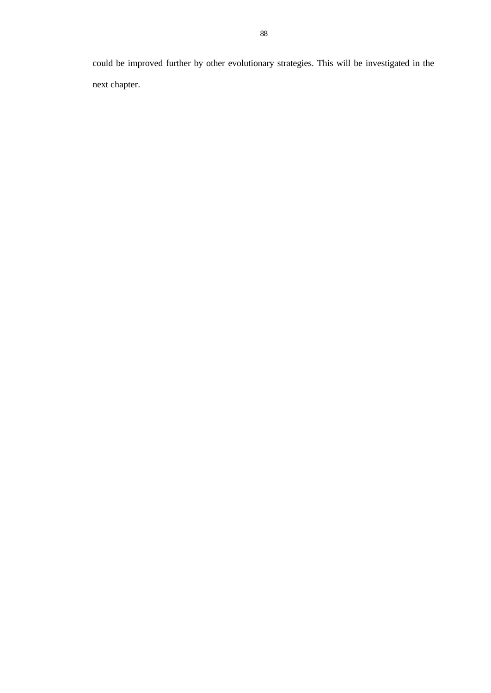could be improved further by other evolutionary strategies. This will be investigated in the next chapter.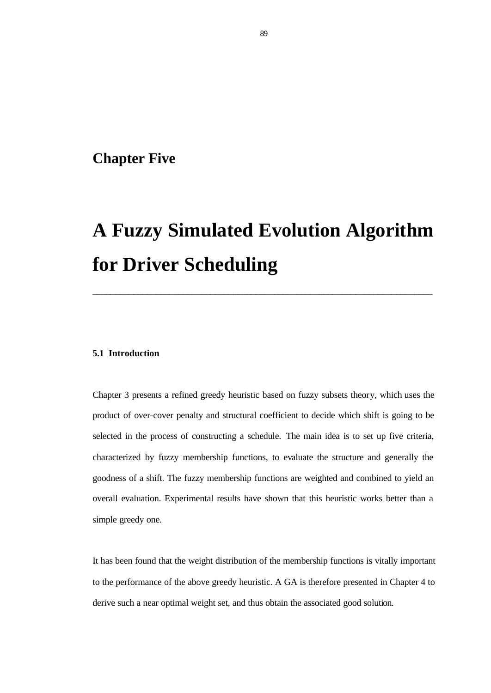# **Chapter Five**

# **A Fuzzy Simulated Evolution Algorithm for Driver Scheduling**

\_\_\_\_\_\_\_\_\_\_\_\_\_\_\_\_\_\_\_\_\_\_\_\_\_\_\_\_\_\_\_\_\_\_\_\_\_\_\_\_\_\_\_\_\_\_\_\_\_\_\_\_\_\_\_\_\_\_\_\_\_\_\_\_\_\_\_\_\_\_\_\_\_\_\_

### **5.1 Introduction**

Chapter 3 presents a refined greedy heuristic based on fuzzy subsets theory, which uses the product of over-cover penalty and structural coefficient to decide which shift is going to be selected in the process of constructing a schedule. The main idea is to set up five criteria, characterized by fuzzy membership functions, to evaluate the structure and generally the goodness of a shift. The fuzzy membership functions are weighted and combined to yield an overall evaluation. Experimental results have shown that this heuristic works better than a simple greedy one.

It has been found that the weight distribution of the membership functions is vitally important to the performance of the above greedy heuristic. A GA is therefore presented in Chapter 4 to derive such a near optimal weight set, and thus obtain the associated good solution.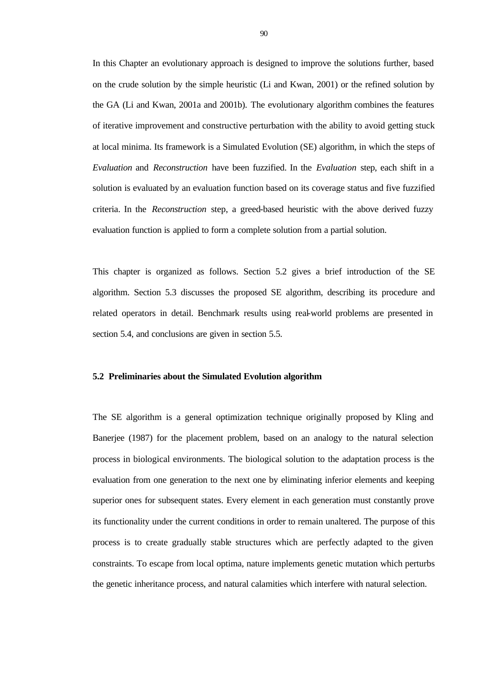In this Chapter an evolutionary approach is designed to improve the solutions further, based on the crude solution by the simple heuristic (Li and Kwan, 2001) or the refined solution by the GA (Li and Kwan, 2001a and 2001b). The evolutionary algorithm combines the features of iterative improvement and constructive perturbation with the ability to avoid getting stuck at local minima. Its framework is a Simulated Evolution (SE) algorithm, in which the steps of *Evaluation* and *Reconstruction* have been fuzzified. In the *Evaluation* step, each shift in a solution is evaluated by an evaluation function based on its coverage status and five fuzzified criteria. In the *Reconstruction* step, a greed-based heuristic with the above derived fuzzy evaluation function is applied to form a complete solution from a partial solution.

This chapter is organized as follows. Section 5.2 gives a brief introduction of the SE algorithm. Section 5.3 discusses the proposed SE algorithm, describing its procedure and related operators in detail. Benchmark results using real-world problems are presented in section 5.4, and conclusions are given in section 5.5.

# **5.2 Preliminaries about the Simulated Evolution algorithm**

The SE algorithm is a general optimization technique originally proposed by Kling and Banerjee (1987) for the placement problem, based on an analogy to the natural selection process in biological environments. The biological solution to the adaptation process is the evaluation from one generation to the next one by eliminating inferior elements and keeping superior ones for subsequent states. Every element in each generation must constantly prove its functionality under the current conditions in order to remain unaltered. The purpose of this process is to create gradually stable structures which are perfectly adapted to the given constraints. To escape from local optima, nature implements genetic mutation which perturbs the genetic inheritance process, and natural calamities which interfere with natural selection.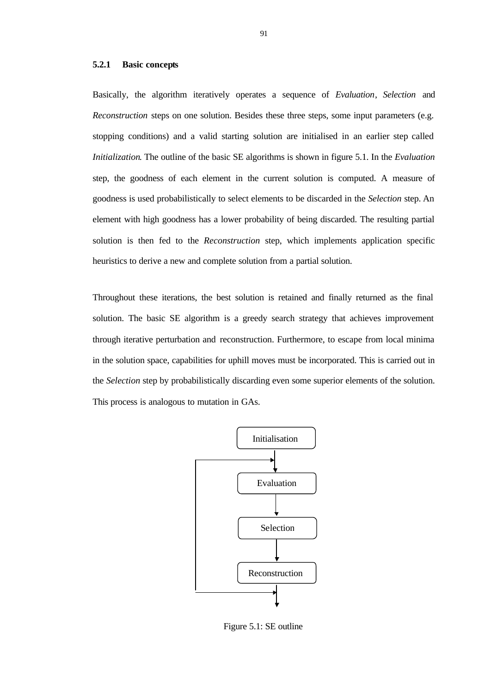#### **5.2.1 Basic concepts**

Basically, the algorithm iteratively operates a sequence of *Evaluation*, *Selection* and *Reconstruction* steps on one solution. Besides these three steps, some input parameters (e.g. stopping conditions) and a valid starting solution are initialised in an earlier step called *Initialization*. The outline of the basic SE algorithms is shown in figure 5.1. In the *Evaluation* step, the goodness of each element in the current solution is computed. A measure of goodness is used probabilistically to select elements to be discarded in the *Selection* step. An element with high goodness has a lower probability of being discarded. The resulting partial solution is then fed to the *Reconstruction* step, which implements application specific heuristics to derive a new and complete solution from a partial solution.

Throughout these iterations, the best solution is retained and finally returned as the final solution. The basic SE algorithm is a greedy search strategy that achieves improvement through iterative perturbation and reconstruction. Furthermore, to escape from local minima in the solution space, capabilities for uphill moves must be incorporated. This is carried out in the *Selection* step by probabilistically discarding even some superior elements of the solution. This process is analogous to mutation in GAs.



Figure 5.1: SE outline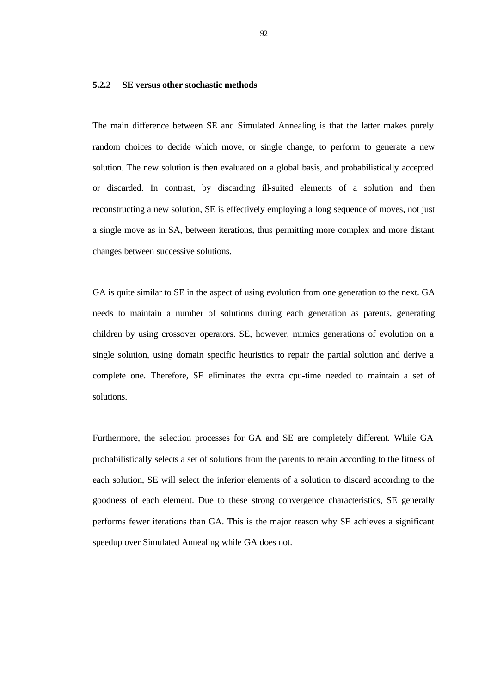# **5.2.2 SE versus other stochastic methods**

The main difference between SE and Simulated Annealing is that the latter makes purely random choices to decide which move, or single change, to perform to generate a new solution. The new solution is then evaluated on a global basis, and probabilistically accepted or discarded. In contrast, by discarding ill-suited elements of a solution and then reconstructing a new solution, SE is effectively employing a long sequence of moves, not just a single move as in SA, between iterations, thus permitting more complex and more distant changes between successive solutions.

GA is quite similar to SE in the aspect of using evolution from one generation to the next. GA needs to maintain a number of solutions during each generation as parents, generating children by using crossover operators. SE, however, mimics generations of evolution on a single solution, using domain specific heuristics to repair the partial solution and derive a complete one. Therefore, SE eliminates the extra cpu-time needed to maintain a set of solutions.

Furthermore, the selection processes for GA and SE are completely different. While GA probabilistically selects a set of solutions from the parents to retain according to the fitness of each solution, SE will select the inferior elements of a solution to discard according to the goodness of each element. Due to these strong convergence characteristics, SE generally performs fewer iterations than GA. This is the major reason why SE achieves a significant speedup over Simulated Annealing while GA does not.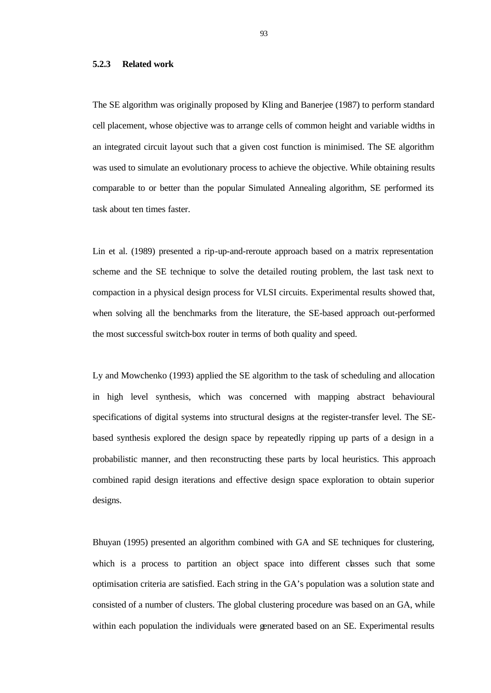# **5.2.3 Related work**

The SE algorithm was originally proposed by Kling and Banerjee (1987) to perform standard cell placement, whose objective was to arrange cells of common height and variable widths in an integrated circuit layout such that a given cost function is minimised. The SE algorithm was used to simulate an evolutionary process to achieve the objective. While obtaining results comparable to or better than the popular Simulated Annealing algorithm, SE performed its task about ten times faster.

Lin et al. (1989) presented a rip-up-and-reroute approach based on a matrix representation scheme and the SE technique to solve the detailed routing problem, the last task next to compaction in a physical design process for VLSI circuits. Experimental results showed that, when solving all the benchmarks from the literature, the SE-based approach out-performed the most successful switch-box router in terms of both quality and speed.

Ly and Mowchenko (1993) applied the SE algorithm to the task of scheduling and allocation in high level synthesis, which was concerned with mapping abstract behavioural specifications of digital systems into structural designs at the register-transfer level. The SEbased synthesis explored the design space by repeatedly ripping up parts of a design in a probabilistic manner, and then reconstructing these parts by local heuristics. This approach combined rapid design iterations and effective design space exploration to obtain superior designs.

Bhuyan (1995) presented an algorithm combined with GA and SE techniques for clustering, which is a process to partition an object space into different classes such that some optimisation criteria are satisfied. Each string in the GA's population was a solution state and consisted of a number of clusters. The global clustering procedure was based on an GA, while within each population the individuals were generated based on an SE. Experimental results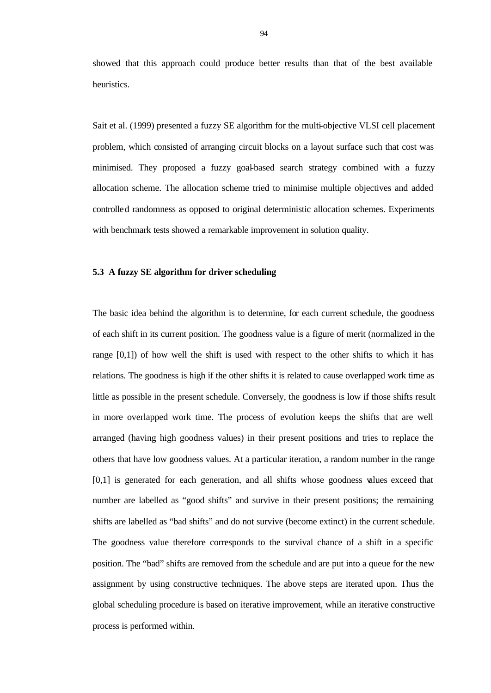showed that this approach could produce better results than that of the best available heuristics.

Sait et al. (1999) presented a fuzzy SE algorithm for the multi-objective VLSI cell placement problem, which consisted of arranging circuit blocks on a layout surface such that cost was minimised. They proposed a fuzzy goal-based search strategy combined with a fuzzy allocation scheme. The allocation scheme tried to minimise multiple objectives and added controlled randomness as opposed to original deterministic allocation schemes. Experiments with benchmark tests showed a remarkable improvement in solution quality.

## **5.3 A fuzzy SE algorithm for driver scheduling**

The basic idea behind the algorithm is to determine, for each current schedule, the goodness of each shift in its current position. The goodness value is a figure of merit (normalized in the range [0,1]) of how well the shift is used with respect to the other shifts to which it has relations. The goodness is high if the other shifts it is related to cause overlapped work time as little as possible in the present schedule. Conversely, the goodness is low if those shifts result in more overlapped work time. The process of evolution keeps the shifts that are well arranged (having high goodness values) in their present positions and tries to replace the others that have low goodness values. At a particular iteration, a random number in the range [0,1] is generated for each generation, and all shifts whose goodness values exceed that number are labelled as "good shifts" and survive in their present positions; the remaining shifts are labelled as "bad shifts" and do not survive (become extinct) in the current schedule. The goodness value therefore corresponds to the survival chance of a shift in a specific position. The "bad" shifts are removed from the schedule and are put into a queue for the new assignment by using constructive techniques. The above steps are iterated upon. Thus the global scheduling procedure is based on iterative improvement, while an iterative constructive process is performed within.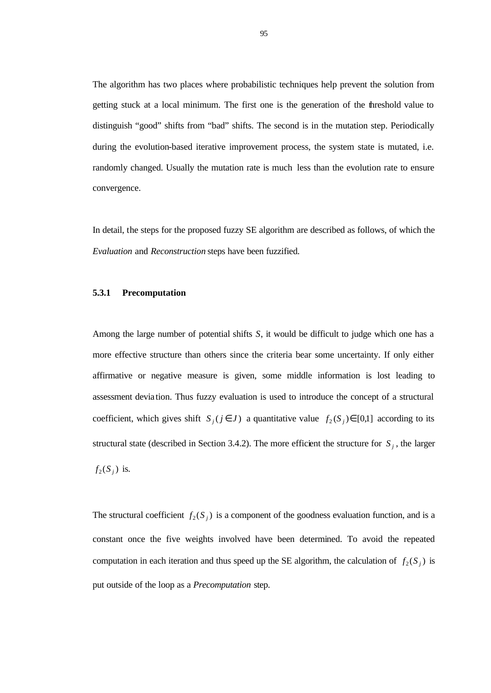The algorithm has two places where probabilistic techniques help prevent the solution from getting stuck at a local minimum. The first one is the generation of the threshold value to distinguish "good" shifts from "bad" shifts. The second is in the mutation step. Periodically during the evolution-based iterative improvement process, the system state is mutated, i.e. randomly changed. Usually the mutation rate is much less than the evolution rate to ensure convergence.

In detail, the steps for the proposed fuzzy SE algorithm are described as follows, of which the *Evaluation* and *Reconstruction* steps have been fuzzified.

# **5.3.1 Precomputation**

Among the large number of potential shifts *S*, it would be difficult to judge which one has a more effective structure than others since the criteria bear some uncertainty. If only either affirmative or negative measure is given, some middle information is lost leading to assessment devia tion. Thus fuzzy evaluation is used to introduce the concept of a structural coefficient, which gives shift  $S_i$  ( $j \in J$ ) a quantitative value  $f_2$  ( $S_j$ )  $\in [0,1]$  according to its structural state (described in Section 3.4.2). The more efficient the structure for  $S_j$ , the larger  $f_2(S_j)$  is.

The structural coefficient  $f_2(S_j)$  is a component of the goodness evaluation function, and is a constant once the five weights involved have been determined. To avoid the repeated computation in each iteration and thus speed up the SE algorithm, the calculation of  $f_2(S_j)$  is put outside of the loop as a *Precomputation* step.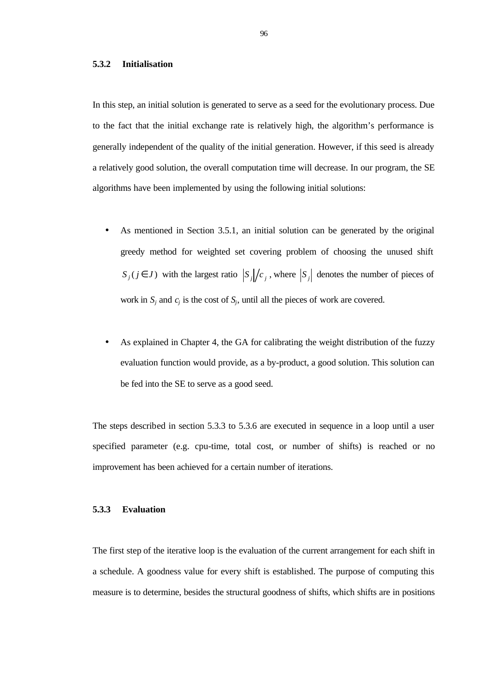#### **5.3.2 Initialisation**

In this step, an initial solution is generated to serve as a seed for the evolutionary process. Due to the fact that the initial exchange rate is relatively high, the algorithm's performance is generally independent of the quality of the initial generation. However, if this seed is already a relatively good solution, the overall computation time will decrease. In our program, the SE algorithms have been implemented by using the following initial solutions:

- As mentioned in Section 3.5.1, an initial solution can be generated by the original greedy method for weighted set covering problem of choosing the unused shift *S*<sub>*j*</sub>(*j* ∈ *J*) with the largest ratio  $|S_j|/c_j$ , where  $|S_j|$  denotes the number of pieces of work in  $S_j$  and  $c_j$  is the cost of  $S_j$ , until all the pieces of work are covered.
- As explained in Chapter 4, the GA for calibrating the weight distribution of the fuzzy evaluation function would provide, as a by-product, a good solution. This solution can be fed into the SE to serve as a good seed.

The steps described in section 5.3.3 to 5.3.6 are executed in sequence in a loop until a user specified parameter (e.g. cpu-time, total cost, or number of shifts) is reached or no improvement has been achieved for a certain number of iterations.

#### **5.3.3 Evaluation**

The first step of the iterative loop is the evaluation of the current arrangement for each shift in a schedule. A goodness value for every shift is established. The purpose of computing this measure is to determine, besides the structural goodness of shifts, which shifts are in positions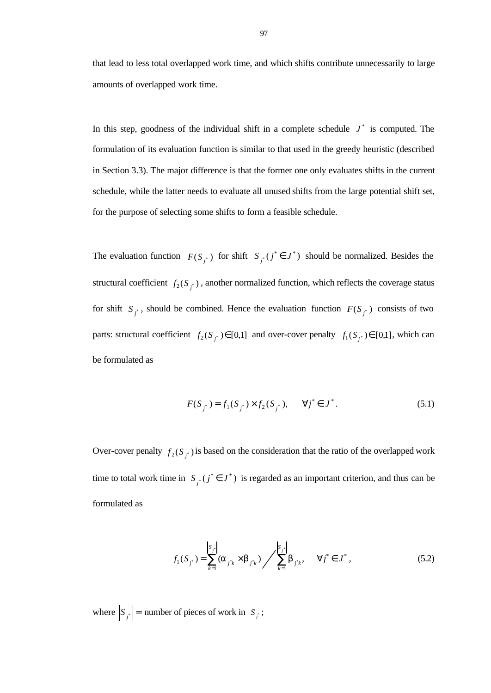that lead to less total overlapped work time, and which shifts contribute unnecessarily to large amounts of overlapped work time.

In this step, goodness of the individual shift in a complete schedule  $J^*$  is computed. The formulation of its evaluation function is similar to that used in the greedy heuristic (described in Section 3.3). The major difference is that the former one only evaluates shifts in the current schedule, while the latter needs to evaluate all unused shifts from the large potential shift set, for the purpose of selecting some shifts to form a feasible schedule.

The evaluation function  $F(S_{i^*})$  for shift  $S_{i^*}(j^* \in J^*)$  should be normalized. Besides the structural coefficient  $f_2(S_{i})$ , another normalized function, which reflects the coverage status for shift  $S_{i}$ , should be combined. Hence the evaluation function  $F(S_{i}$ ) consists of two parts: structural coefficient  $f_2(S_i) \in [0,1]$  and over-cover penalty  $f_1(S_i) \in [0,1]$ , which can be formulated as

$$
F(S_{j^*}) = f_1(S_{j^*}) \times f_2(S_{j^*}), \quad \forall j^* \in J^*.
$$
 (5.1)

Over-cover penalty  $f_2(S_j)$  is based on the consideration that the ratio of the overlapped work time to total work time in  $S_{i}$  ( $j^* \in J^*$ ) is regarded as an important criterion, and thus can be formulated as

$$
f_1(S_{j^*}) = \sum_{k=1}^{|S_{j^*}|} (a_{j^*k} \times b_{j^*k}) / \sum_{k=1}^{|S_{j^*}|} b_{j^*k}, \quad \forall j^* \in J^*,
$$
 (5.2)

where  $\left| S_{i} \right|$  = number of pieces of work in  $S_{i}$ ;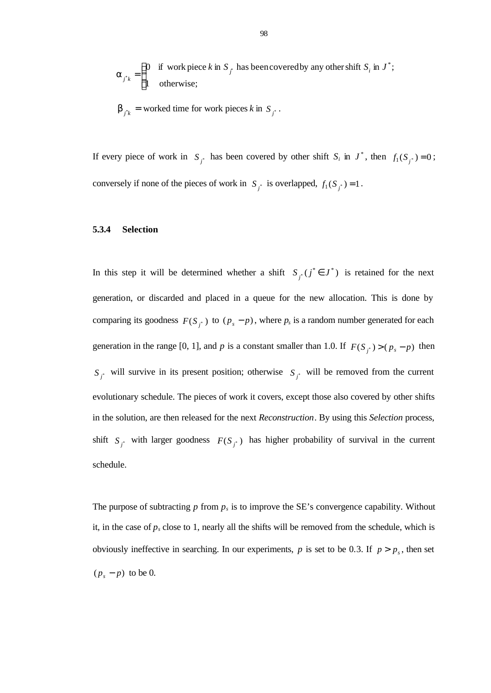$$
\mathbf{a}_{j^*k} = \begin{cases} 0 & \text{if work piece } k \text{ in } S_{j^*} \text{ has been covered by any other shift } S_i \text{ in } J^*; \\ 1 & \text{otherwise}; \end{cases}
$$

$$
\mathbf{b}_{j^*k} = \text{worked time for work pieces } k \text{ in } S_{j^*}.
$$

If every piece of work in  $S_j^*$  has been covered by other shift  $S_i$  in  $J^*$ , then  $f_1(S_j^*)=0$ ; conversely if none of the pieces of work in  $S_j^*$  is overlapped,  $f_1(S_j^*) = 1$ .

# **5.3.4 Selection**

In this step it will be determined whether a shift  $S_i$  ( $j^* \in J^*$ ) is retained for the next generation, or discarded and placed in a queue for the new allocation. This is done by comparing its goodness  $F(S_j^*)$  to  $(p_s - p)$ , where  $p_s$  is a random number generated for each generation in the range [0, 1], and *p* is a constant smaller than 1.0. If  $F(S_{i^*}) > (p_s - p)$  then  $S_{i^*}$  will survive in its present position; otherwise  $S_{i^*}$  will be removed from the current evolutionary schedule. The pieces of work it covers, except those also covered by other shifts in the solution, are then released for the next *Reconstruction*. By using this *Selection* process, shift  $S_j^*$  with larger goodness  $F(S_j^*)$  has higher probability of survival in the current schedule.

The purpose of subtracting  $p$  from  $p_s$  is to improve the SE's convergence capability. Without it, in the case of  $p_s$  close to 1, nearly all the shifts will be removed from the schedule, which is obviously ineffective in searching. In our experiments,  $p$  is set to be 0.3. If  $p > p_s$ , then set  $(p_s - p)$  to be 0.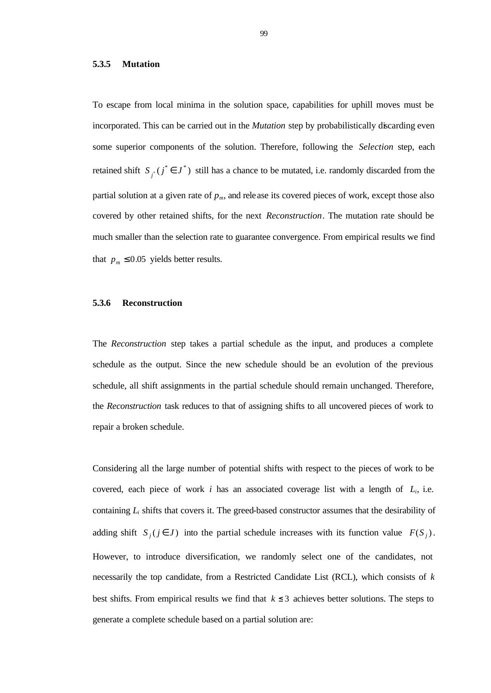# **5.3.5 Mutation**

To escape from local minima in the solution space, capabilities for uphill moves must be incorporated. This can be carried out in the *Mutation* step by probabilistically discarding even some superior components of the solution. Therefore, following the *Selection* step, each retained shift  $S_{i^*}(j^* \in J^*)$  still has a chance to be mutated, i.e. randomly discarded from the partial solution at a given rate of  $p_m$ , and release its covered pieces of work, except those also covered by other retained shifts, for the next *Reconstruction*. The mutation rate should be much smaller than the selection rate to guarantee convergence. From empirical results we find that  $p_m \le 0.05$  yields better results.

# **5.3.6 Reconstruction**

The *Reconstruction* step takes a partial schedule as the input, and produces a complete schedule as the output. Since the new schedule should be an evolution of the previous schedule, all shift assignments in the partial schedule should remain unchanged. Therefore, the *Reconstruction* task reduces to that of assigning shifts to all uncovered pieces of work to repair a broken schedule.

Considering all the large number of potential shifts with respect to the pieces of work to be covered, each piece of work  $i$  has an associated coverage list with a length of  $L_i$ , i.e. containing  $L_i$  shifts that covers it. The greed-based constructor assumes that the desirability of adding shift  $S_j$  ( $j \in J$ ) into the partial schedule increases with its function value  $F(S_j)$ . However, to introduce diversification, we randomly select one of the candidates, not necessarily the top candidate, from a Restricted Candidate List (RCL), which consists of *k* best shifts. From empirical results we find that  $k \leq 3$  achieves better solutions. The steps to generate a complete schedule based on a partial solution are: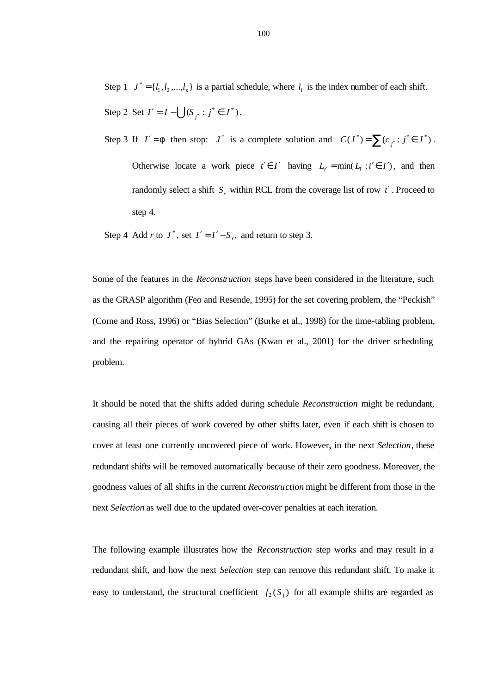Step 1  $J^* = \{l_1, l_2, ..., l_s\}$  is a partial schedule, where  $l_i$  is the index number of each shift. Step 2 Set  $I' = I - \bigcup (S_{i'} : j^* \in J^*)$ .

Step 3 If  $I' = f$  then stop:  $J^*$  is a complete solution and  $C(J^*) = \sum_{j} (c_{j^*} : j^* \in J^*)$ . Otherwise locate a work piece  $t' \in I'$  having  $L_{t'} = \min(L_{t'} : i' \in I')$ , and then randomly select a shift  $S_r$  within RCL from the coverage list of row  $t'$ . Proceed to step 4.

Step 4 Add *r* to  $J^*$ , set  $I' = I' - S_r$ , and return to step 3.

Some of the features in the *Reconstruction* steps have been considered in the literature, such as the GRASP algorithm (Feo and Resende, 1995) for the set covering problem, the "Peckish" (Corne and Ross, 1996) or "Bias Selection" (Burke et al., 1998) for the time-tabling problem, and the repairing operator of hybrid GAs (Kwan et al., 2001) for the driver scheduling problem.

It should be noted that the shifts added during schedule *Reconstruction* might be redundant, causing all their pieces of work covered by other shifts later, even if each shift is chosen to cover at least one currently uncovered piece of work. However, in the next *Selection*, these redundant shifts will be removed automatically because of their zero goodness. Moreover, the goodness values of all shifts in the current *Reconstruction* might be different from those in the next *Selection* as well due to the updated over-cover penalties at each iteration.

The following example illustrates how the *Reconstruction* step works and may result in a redundant shift, and how the next *Selection* step can remove this redundant shift. To make it easy to understand, the structural coefficient  $f_2(S_j)$  for all example shifts are regarded as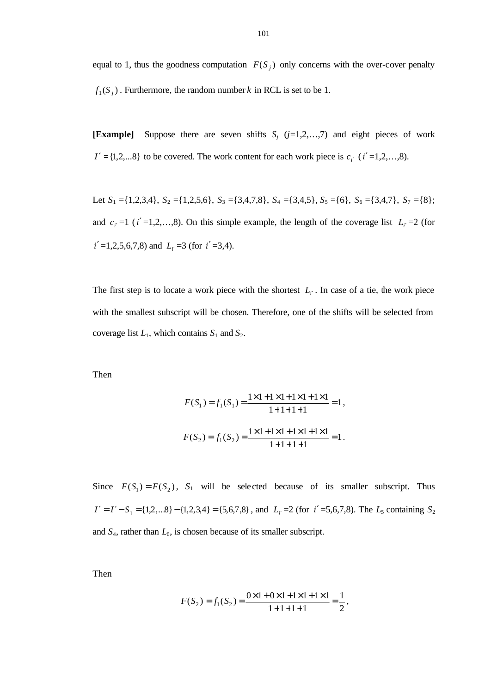equal to 1, thus the goodness computation  $F(S_i)$  only concerns with the over-cover penalty  $f_1(S_j)$ . Furthermore, the random number *k* in RCL is set to be 1.

**[Example]** Suppose there are seven shifts  $S_j$  ( $j=1,2,...,7$ ) and eight pieces of work  $I' = \{1, 2, \ldots 8\}$  to be covered. The work content for each work piece is  $c_i$  (*i*  $' = 1, 2, \ldots, 8$ ).

Let  $S_1 = \{1,2,3,4\}$ ,  $S_2 = \{1,2,5,6\}$ ,  $S_3 = \{3,4,7,8\}$ ,  $S_4 = \{3,4,5\}$ ,  $S_5 = \{6\}$ ,  $S_6 = \{3,4,7\}$ ,  $S_7 = \{8\}$ ; and  $c_i = 1$  ( $i' = 1, 2, \ldots, 8$ ). On this simple example, the length of the coverage list  $L_i = 2$  (for *i*′ =1,2,5,6,7,8) and *Li*′ =3 (for *i*′ =3,4).

The first step is to locate a work piece with the shortest  $L_i$ . In case of a tie, the work piece with the smallest subscript will be chosen. Therefore, one of the shifts will be selected from coverage list  $L_1$ , which contains  $S_1$  and  $S_2$ .

Then

$$
F(S_1) = f_1(S_1) = \frac{1 \times 1 + 1 \times 1 + 1 \times 1 + 1 \times 1}{1 + 1 + 1 + 1} = 1,
$$
  

$$
F(S_2) = f_1(S_2) = \frac{1 \times 1 + 1 \times 1 + 1 \times 1 + 1 \times 1}{1 + 1 + 1 + 1} = 1.
$$

Since  $F(S_1) = F(S_2)$ ,  $S_1$  will be selected because of its smaller subscript. Thus  $I' = I' - S_1 = \{1,2,...8\} - \{1,2,3,4\} = \{5,6,7,8\}$ , and  $L_i' = 2$  (for  $i' = 5,6,7,8$ ). The  $L_5$  containing  $S_2$ and  $S_4$ , rather than  $L_6$ , is chosen because of its smaller subscript.

Then

$$
F(S_2) = f_1(S_2) = \frac{0 \times 1 + 0 \times 1 + 1 \times 1 + 1 \times 1}{1 + 1 + 1 + 1} = \frac{1}{2},
$$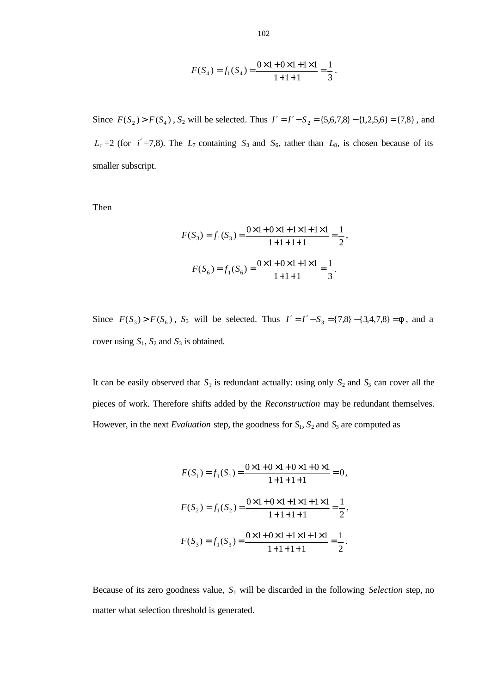$$
F(S_4) = f_1(S_4) = \frac{0 \times 1 + 0 \times 1 + 1 \times 1}{1 + 1 + 1} = \frac{1}{3}.
$$

Since  $F(S_2) > F(S_4)$ ,  $S_2$  will be selected. Thus  $I' = I' - S_2 = \{5,6,7,8\} - \{1,2,5,6\} = \{7,8\}$ , and  $L_i$ <sup> $=$ </sup> $2$  (for *i*<sup> $'$ </sup> $=$ 7,8). The  $L_7$  containing *S*<sub>3</sub> and *S*<sub>6</sub>, rather than *L*<sub>8</sub>, is chosen because of its smaller subscript.

Then

$$
F(S_3) = f_1(S_3) = \frac{0 \times 1 + 0 \times 1 + 1 \times 1 + 1 \times 1}{1 + 1 + 1 + 1} = \frac{1}{2},
$$
  

$$
F(S_6) = f_1(S_6) = \frac{0 \times 1 + 0 \times 1 + 1 \times 1}{1 + 1 + 1} = \frac{1}{3}.
$$

Since  $F(S_3) > F(S_6)$ ,  $S_3$  will be selected. Thus  $I' = I' - S_3 = \{7,8\} - \{3,4,7,8\} = f$ , and a cover using  $S_1$ ,  $S_2$  and  $S_3$  is obtained.

It can be easily observed that  $S_1$  is redundant actually: using only  $S_2$  and  $S_3$  can cover all the pieces of work. Therefore shifts added by the *Reconstruction* may be redundant themselves. However, in the next *Evaluation* step, the goodness for  $S_1$ ,  $S_2$  and  $S_3$  are computed as

$$
F(S_1) = f_1(S_1) = \frac{0 \times 1 + 0 \times 1 + 0 \times 1 + 0 \times 1}{1 + 1 + 1 + 1} = 0,
$$
  

$$
F(S_2) = f_1(S_2) = \frac{0 \times 1 + 0 \times 1 + 1 \times 1 + 1 \times 1}{1 + 1 + 1 + 1} = \frac{1}{2},
$$
  

$$
F(S_3) = f_1(S_3) = \frac{0 \times 1 + 0 \times 1 + 1 \times 1 + 1 \times 1}{1 + 1 + 1 + 1} = \frac{1}{2}.
$$

Because of its zero goodness value, *S*1 will be discarded in the following *Selection* step, no matter what selection threshold is generated.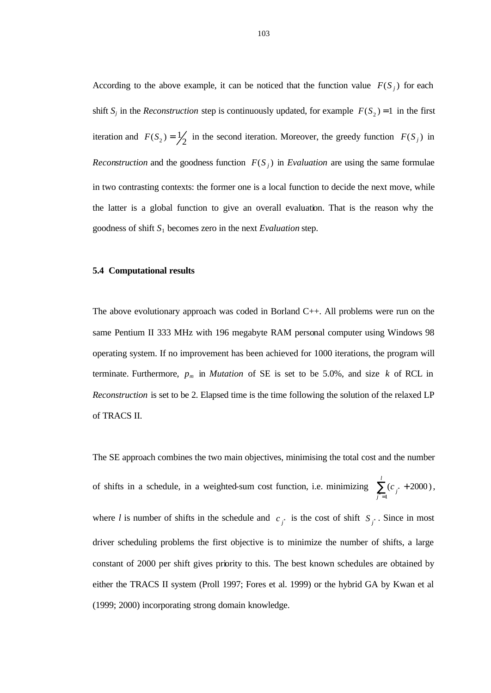According to the above example, it can be noticed that the function value  $F(S_j)$  for each shift  $S_j$  in the *Reconstruction* step is continuously updated, for example  $F(S_2) = 1$  in the first iteration and  $F(S_2) = \frac{1}{2}$  in the second iteration. Moreover, the greedy function  $F(S_j)$  in *Reconstruction* and the goodness function  $F(S_j)$  in *Evaluation* are using the same formulae in two contrasting contexts: the former one is a local function to decide the next move, while the latter is a global function to give an overall evaluation. That is the reason why the goodness of shift  $S_1$  becomes zero in the next *Evaluation* step.

#### **5.4 Computational results**

The above evolutionary approach was coded in Borland C++. All problems were run on the same Pentium II 333 MHz with 196 megabyte RAM personal computer using Windows 98 operating system. If no improvement has been achieved for 1000 iterations, the program will terminate. Furthermore,  $p_m$  in *Mutation* of SE is set to be 5.0%, and size k of RCL in *Reconstruction* is set to be 2. Elapsed time is the time following the solution of the relaxed LP of TRACS II.

The SE approach combines the two main objectives, minimising the total cost and the number of shifts in a schedule, in a weighted-sum cost function, i.e. minimizing  $\sum_{j^*=\mathbb{Z}}$  $\sum_{i=1}^{l}$  (c<sub>x</sub> +  $\sum_{j^*=1}$   $(c_j)$  $\sum_{i=1}^{\infty}$  ( $c_{i}$  + 2000), where *l* is number of shifts in the schedule and  $c_j$  is the cost of shift  $S_j$ . Since in most driver scheduling problems the first objective is to minimize the number of shifts, a large constant of 2000 per shift gives priority to this. The best known schedules are obtained by either the TRACS II system (Proll 1997; Fores et al. 1999) or the hybrid GA by Kwan et al (1999; 2000) incorporating strong domain knowledge.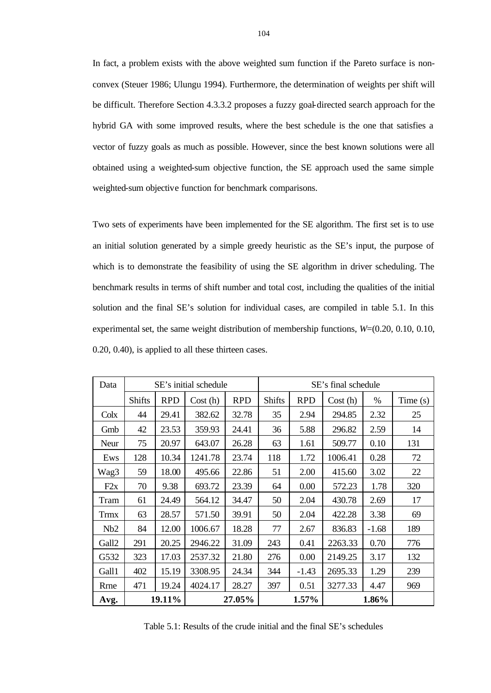In fact, a problem exists with the above weighted sum function if the Pareto surface is nonconvex (Steuer 1986; Ulungu 1994). Furthermore, the determination of weights per shift will be difficult. Therefore Section 4.3.3.2 proposes a fuzzy goal-directed search approach for the hybrid GA with some improved results, where the best schedule is the one that satisfies a vector of fuzzy goals as much as possible. However, since the best known solutions were all obtained using a weighted-sum objective function, the SE approach used the same simple weighted-sum objective function for benchmark comparisons.

Two sets of experiments have been implemented for the SE algorithm. The first set is to use an initial solution generated by a simple greedy heuristic as the SE's input, the purpose of which is to demonstrate the feasibility of using the SE algorithm in driver scheduling. The benchmark results in terms of shift number and total cost, including the qualities of the initial solution and the final SE's solution for individual cases, are compiled in table 5.1. In this experimental set, the same weight distribution of membership functions, *W*=(0.20, 0.10, 0.10, 0.20, 0.40), is applied to all these thirteen cases.

| Data        |                  |            | SE's initial schedule |            | SE's final schedule |            |         |         |         |
|-------------|------------------|------------|-----------------------|------------|---------------------|------------|---------|---------|---------|
|             | <b>Shifts</b>    | <b>RPD</b> | Cost(h)               | <b>RPD</b> | <b>Shifts</b>       | <b>RPD</b> | Cost(h) | $\%$    | Time(s) |
| Colx        | 44               | 29.41      | 382.62                | 32.78      | 35                  | 2.94       | 294.85  | 2.32    | 25      |
| Gmb         | 42               | 23.53      | 359.93                | 24.41      | 36                  | 5.88       | 296.82  | 2.59    | 14      |
| Neur        | 75               | 20.97      | 643.07                | 26.28      | 63                  | 1.61       | 509.77  | 0.10    | 131     |
| Ews         | 128              | 10.34      | 1241.78               | 23.74      | 118                 | 1.72       | 1006.41 | 0.28    | 72      |
| Wag3        | 59               | 18.00      | 495.66                | 22.86      | 51                  | 2.00       | 415.60  | 3.02    | 22      |
| F2x         | 70               | 9.38       | 693.72                | 23.39      | 64                  | 0.00       | 572.23  | 1.78    | 320     |
| Tram        | 61               | 24.49      | 564.12                | 34.47      | 50                  | 2.04       | 430.78  | 2.69    | 17      |
| <b>Trmx</b> | 63               | 28.57      | 571.50                | 39.91      | 50                  | 2.04       | 422.28  | 3.38    | 69      |
| Nb2         | 84               | 12.00      | 1006.67               | 18.28      | 77                  | 2.67       | 836.83  | $-1.68$ | 189     |
| Gall2       | 291              | 20.25      | 2946.22               | 31.09      | 243                 | 0.41       | 2263.33 | 0.70    | 776     |
| G532        | 323              | 17.03      | 2537.32               | 21.80      | 276                 | 0.00       | 2149.25 | 3.17    | 132     |
| Gall1       | 402              | 15.19      | 3308.95               | 24.34      | 344                 | $-1.43$    | 2695.33 | 1.29    | 239     |
| Rrne        | 471              | 19.24      | 4024.17               | 28.27      | 397                 | 0.51       | 3277.33 | 4.47    | 969     |
| Avg.        | 19.11%<br>27.05% |            |                       | 1.57%      |                     | 1.86%      |         |         |         |

Table 5.1: Results of the crude initial and the final SE's schedules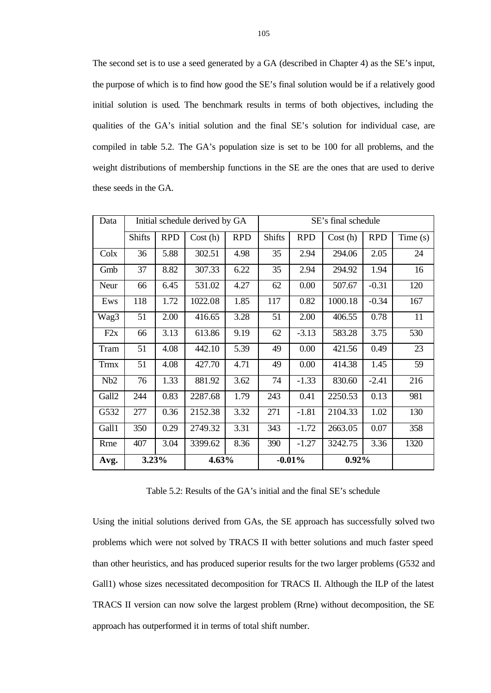The second set is to use a seed generated by a GA (described in Chapter 4) as the SE's input, the purpose of which is to find how good the SE's final solution would be if a relatively good initial solution is used. The benchmark results in terms of both objectives, including the qualities of the GA's initial solution and the final SE's solution for individual case, are compiled in table 5.2. The GA's population size is set to be 100 for all problems, and the weight distributions of membership functions in the SE are the ones that are used to derive these seeds in the GA.

| Data        |               |            | Initial schedule derived by GA |            | SE's final schedule |            |         |            |         |
|-------------|---------------|------------|--------------------------------|------------|---------------------|------------|---------|------------|---------|
|             | <b>Shifts</b> | <b>RPD</b> | Cost(h)                        | <b>RPD</b> | <b>Shifts</b>       | <b>RPD</b> | Cost(h) | <b>RPD</b> | Time(s) |
| Colx        | 36            | 5.88       | 302.51                         | 4.98       | 35                  | 2.94       | 294.06  | 2.05       | 24      |
| Gmb         | 37            | 8.82       | 307.33                         | 6.22       | 35                  | 2.94       | 294.92  | 1.94       | 16      |
| Neur        | 66            | 6.45       | 531.02                         | 4.27       | 62                  | 0.00       | 507.67  | $-0.31$    | 120     |
| Ews         | 118           | 1.72       | 1022.08                        | 1.85       | 117                 | 0.82       | 1000.18 | $-0.34$    | 167     |
| Wag3        | 51            | 2.00       | 416.65                         | 3.28       | 51                  | 2.00       | 406.55  | 0.78       | 11      |
| F2x         | 66            | 3.13       | 613.86                         | 9.19       | 62                  | $-3.13$    | 583.28  | 3.75       | 530     |
| Tram        | 51            | 4.08       | 442.10                         | 5.39       | 49                  | 0.00       | 421.56  | 0.49       | 23      |
| <b>Trmx</b> | 51            | 4.08       | 427.70                         | 4.71       | 49                  | 0.00       | 414.38  | 1.45       | 59      |
| Nb2         | 76            | 1.33       | 881.92                         | 3.62       | 74                  | $-1.33$    | 830.60  | $-2.41$    | 216     |
| Gall2       | 244           | 0.83       | 2287.68                        | 1.79       | 243                 | 0.41       | 2250.53 | 0.13       | 981     |
| G532        | 277           | 0.36       | 2152.38                        | 3.32       | 271                 | $-1.81$    | 2104.33 | 1.02       | 130     |
| Gall1       | 350           | 0.29       | 2749.32                        | 3.31       | 343                 | $-1.72$    | 2663.05 | 0.07       | 358     |
| Rrne        | 407           | 3.04       | 3399.62                        | 8.36       | 390                 | $-1.27$    | 3242.75 | 3.36       | 1320    |
| Avg.        | 3.23%         |            | 4.63%                          |            | $-0.01%$            |            | 0.92%   |            |         |

Table 5.2: Results of the GA's initial and the final SE's schedule

Using the initial solutions derived from GAs, the SE approach has successfully solved two problems which were not solved by TRACS II with better solutions and much faster speed than other heuristics, and has produced superior results for the two larger problems (G532 and Gall1) whose sizes necessitated decomposition for TRACS II. Although the ILP of the latest TRACS II version can now solve the largest problem (Rrne) without decomposition, the SE approach has outperformed it in terms of total shift number.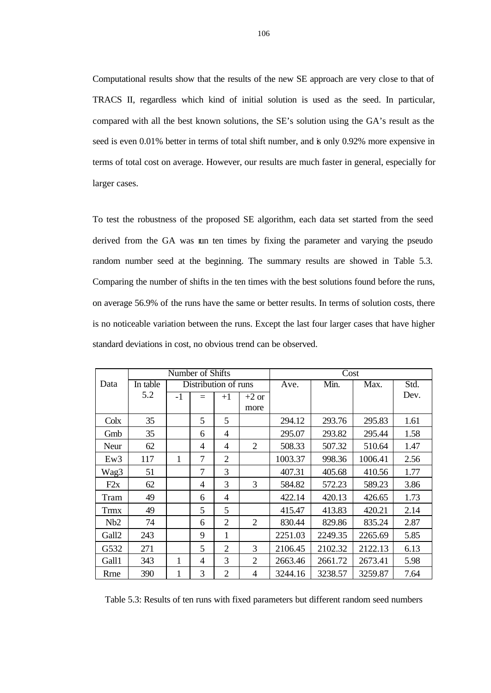Computational results show that the results of the new SE approach are very close to that of TRACS II, regardless which kind of initial solution is used as the seed. In particular, compared with all the best known solutions, the SE's solution using the GA's result as the seed is even 0.01% better in terms of total shift number, and is only 0.92% more expensive in terms of total cost on average. However, our results are much faster in general, especially for larger cases.

To test the robustness of the proposed SE algorithm, each data set started from the seed derived from the GA was un ten times by fixing the parameter and varying the pseudo random number seed at the beginning. The summary results are showed in Table 5.3. Comparing the number of shifts in the ten times with the best solutions found before the runs, on average 56.9% of the runs have the same or better results. In terms of solution costs, there is no noticeable variation between the runs. Except the last four larger cases that have higher standard deviations in cost, no obvious trend can be observed.

|                   | Number of Shifts |      |                |                      |                |         | Cost    |         |      |
|-------------------|------------------|------|----------------|----------------------|----------------|---------|---------|---------|------|
| Data              | In table         |      |                | Distribution of runs |                | Ave.    | Min.    | Max.    | Std. |
|                   | 5.2              | $-1$ | $=$            | $+1$                 | $+2$ or        |         |         |         | Dev. |
|                   |                  |      |                |                      | more           |         |         |         |      |
| $C$ olx           | 35               |      | 5              | 5                    |                | 294.12  | 293.76  | 295.83  | 1.61 |
| Gmb               | 35               |      | 6              | 4                    |                | 295.07  | 293.82  | 295.44  | 1.58 |
| Neur              | 62               |      | $\overline{4}$ | $\overline{4}$       | 2              | 508.33  | 507.32  | 510.64  | 1.47 |
| Ew3               | 117              | 1    | 7              | $\overline{2}$       |                | 1003.37 | 998.36  | 1006.41 | 2.56 |
| Wag3              | 51               |      | 7              | 3                    |                | 407.31  | 405.68  | 410.56  | 1.77 |
| F2x               | 62               |      | $\overline{4}$ | 3                    | 3              | 584.82  | 572.23  | 589.23  | 3.86 |
| Tram              | 49               |      | 6              | 4                    |                | 422.14  | 420.13  | 426.65  | 1.73 |
| <b>Trmx</b>       | 49               |      | 5              | 5                    |                | 415.47  | 413.83  | 420.21  | 2.14 |
| Nb2               | 74               |      | 6              | $\overline{2}$       | 2              | 830.44  | 829.86  | 835.24  | 2.87 |
| Gall <sub>2</sub> | 243              |      | 9              | 1                    |                | 2251.03 | 2249.35 | 2265.69 | 5.85 |
| G532              | 271              |      | 5              | 2                    | 3              | 2106.45 | 2102.32 | 2122.13 | 6.13 |
| Gall1             | 343              | 1    | $\overline{4}$ | 3                    | $\overline{2}$ | 2663.46 | 2661.72 | 2673.41 | 5.98 |
| Rrne              | 390              | 1    | 3              | $\overline{2}$       | 4              | 3244.16 | 3238.57 | 3259.87 | 7.64 |

Table 5.3: Results of ten runs with fixed parameters but different random seed numbers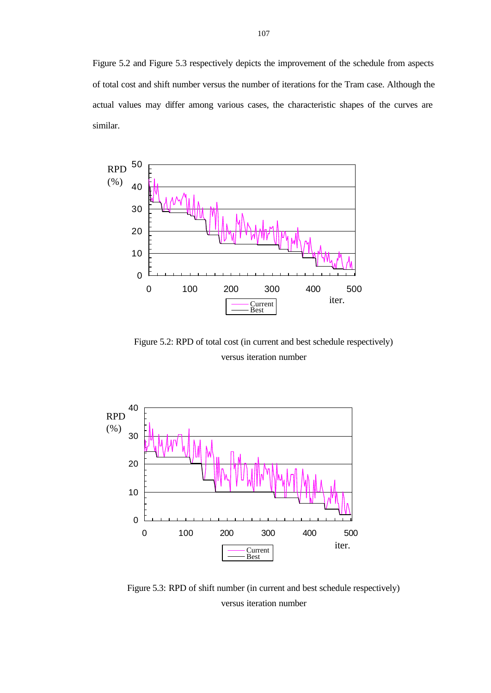Figure 5.2 and Figure 5.3 respectively depicts the improvement of the schedule from aspects of total cost and shift number versus the number of iterations for the Tram case. Although the actual values may differ among various cases, the characteristic shapes of the curves are similar.



Figure 5.2: RPD of total cost (in current and best schedule respectively) versus iteration number



Figure 5.3: RPD of shift number (in current and best schedule respectively) versus iteration number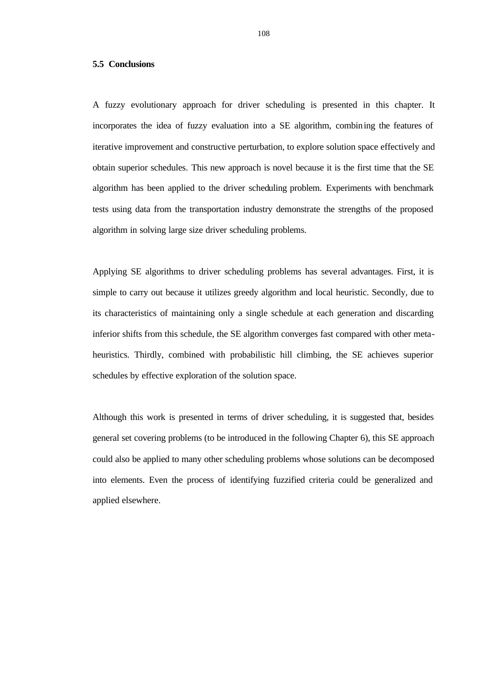#### **5.5 Conclusions**

A fuzzy evolutionary approach for driver scheduling is presented in this chapter. It incorporates the idea of fuzzy evaluation into a SE algorithm, combining the features of iterative improvement and constructive perturbation, to explore solution space effectively and obtain superior schedules. This new approach is novel because it is the first time that the SE algorithm has been applied to the driver scheduling problem. Experiments with benchmark tests using data from the transportation industry demonstrate the strengths of the proposed algorithm in solving large size driver scheduling problems.

Applying SE algorithms to driver scheduling problems has several advantages. First, it is simple to carry out because it utilizes greedy algorithm and local heuristic. Secondly, due to its characteristics of maintaining only a single schedule at each generation and discarding inferior shifts from this schedule, the SE algorithm converges fast compared with other metaheuristics. Thirdly, combined with probabilistic hill climbing, the SE achieves superior schedules by effective exploration of the solution space.

Although this work is presented in terms of driver scheduling, it is suggested that, besides general set covering problems (to be introduced in the following Chapter 6), this SE approach could also be applied to many other scheduling problems whose solutions can be decomposed into elements. Even the process of identifying fuzzified criteria could be generalized and applied elsewhere.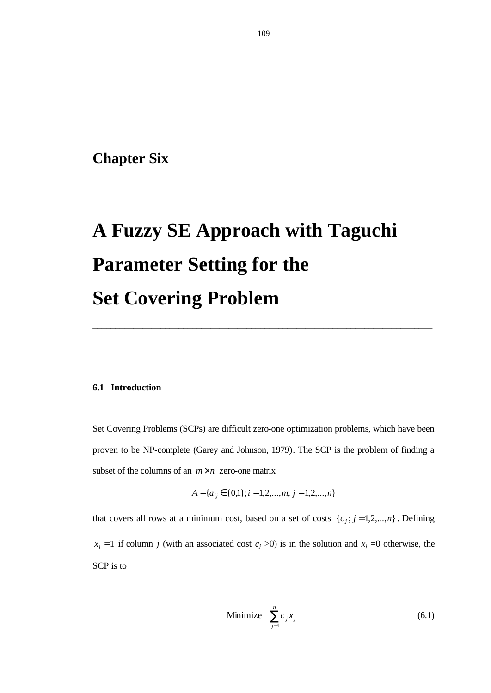# **Chapter Six**

# **A Fuzzy SE Approach with Taguchi Parameter Setting for the Set Covering Problem**

# **6.1 Introduction**

Set Covering Problems (SCPs) are difficult zero-one optimization problems, which have been proven to be NP-complete (Garey and Johnson, 1979). The SCP is the problem of finding a subset of the columns of an  $m \times n$  zero-one matrix

\_\_\_\_\_\_\_\_\_\_\_\_\_\_\_\_\_\_\_\_\_\_\_\_\_\_\_\_\_\_\_\_\_\_\_\_\_\_\_\_\_\_\_\_\_\_\_\_\_\_\_\_\_\_\_\_\_\_\_\_\_\_\_\_\_\_\_\_\_\_\_\_\_\_\_

$$
A = \{a_{ij} \in \{0,1\}; i = 1,2,...,m; j = 1,2,...,n\}
$$

that covers all rows at a minimum cost, based on a set of costs  $\{c_j; j = 1, 2, ..., n\}$ . Defining  $x_i = 1$  if column *j* (with an associated cost  $c_j > 0$ ) is in the solution and  $x_j = 0$  otherwise, the SCP is to

$$
\text{Minimize} \quad \sum_{j=1}^{n} c_j x_j \tag{6.1}
$$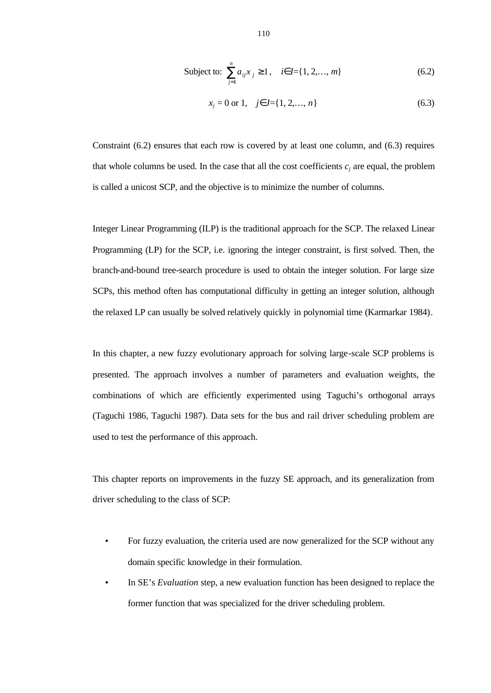Subject to: 
$$
\sum_{j=1}^{n} a_{ij} x_j \ge 1, \quad i \in I = \{1, 2, ..., m\}
$$
 (6.2)

$$
x_j = 0 \text{ or } 1, \quad j \in J = \{1, 2, \dots, n\}
$$
\n
$$
(6.3)
$$

Constraint (6.2) ensures that each row is covered by at least one column, and (6.3) requires that whole columns be used. In the case that all the cost coefficients  $c_j$  are equal, the problem is called a unicost SCP, and the objective is to minimize the number of columns.

Integer Linear Programming (ILP) is the traditional approach for the SCP. The relaxed Linear Programming (LP) for the SCP, i.e. ignoring the integer constraint, is first solved. Then, the branch-and-bound tree-search procedure is used to obtain the integer solution. For large size SCPs, this method often has computational difficulty in getting an integer solution, although the relaxed LP can usually be solved relatively quickly in polynomial time (Karmarkar 1984).

In this chapter, a new fuzzy evolutionary approach for solving large-scale SCP problems is presented. The approach involves a number of parameters and evaluation weights, the combinations of which are efficiently experimented using Taguchi's orthogonal arrays (Taguchi 1986, Taguchi 1987). Data sets for the bus and rail driver scheduling problem are used to test the performance of this approach.

This chapter reports on improvements in the fuzzy SE approach, and its generalization from driver scheduling to the class of SCP:

- For fuzzy evaluation, the criteria used are now generalized for the SCP without any domain specific knowledge in their formulation.
- In SE's *Evaluation* step, a new evaluation function has been designed to replace the former function that was specialized for the driver scheduling problem.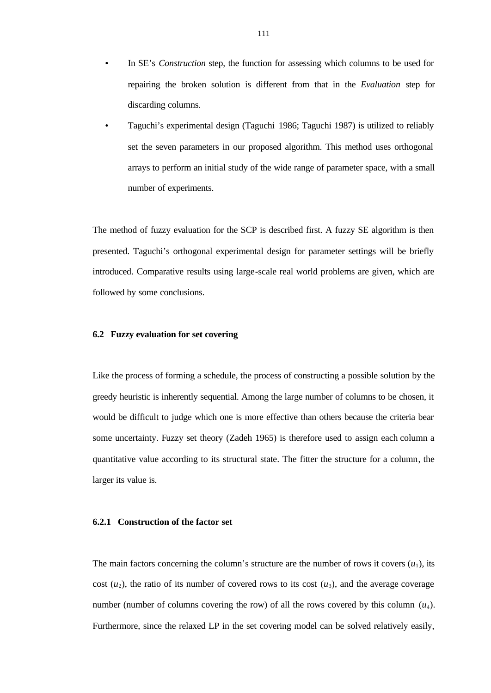- In SE's *Construction* step, the function for assessing which columns to be used for repairing the broken solution is different from that in the *Evaluation* step for discarding columns.
- Taguchi's experimental design (Taguchi 1986; Taguchi 1987) is utilized to reliably set the seven parameters in our proposed algorithm. This method uses orthogonal arrays to perform an initial study of the wide range of parameter space, with a small number of experiments.

The method of fuzzy evaluation for the SCP is described first. A fuzzy SE algorithm is then presented. Taguchi's orthogonal experimental design for parameter settings will be briefly introduced. Comparative results using large-scale real world problems are given, which are followed by some conclusions.

#### **6.2 Fuzzy evaluation for set covering**

Like the process of forming a schedule, the process of constructing a possible solution by the greedy heuristic is inherently sequential. Among the large number of columns to be chosen, it would be difficult to judge which one is more effective than others because the criteria bear some uncertainty. Fuzzy set theory (Zadeh 1965) is therefore used to assign each column a quantitative value according to its structural state. The fitter the structure for a column, the larger its value is.

#### **6.2.1 Construction of the factor set**

The main factors concerning the column's structure are the number of rows it covers  $(u_1)$ , its cost  $(u_2)$ , the ratio of its number of covered rows to its cost  $(u_3)$ , and the average coverage number (number of columns covering the row) of all the rows covered by this column  $(u_4)$ . Furthermore, since the relaxed LP in the set covering model can be solved relatively easily,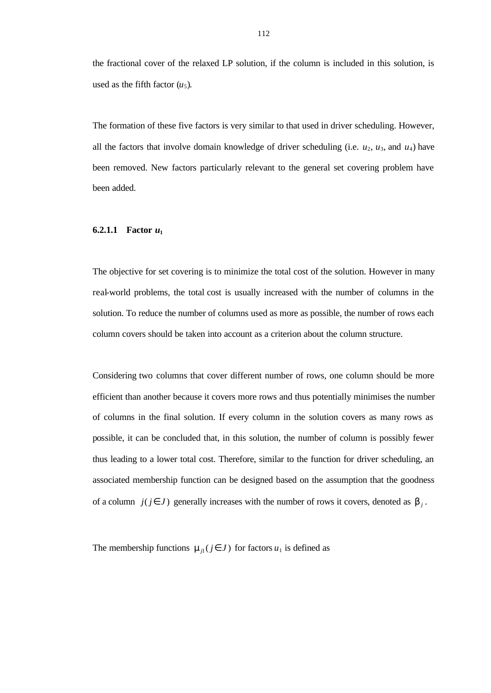the fractional cover of the relaxed LP solution, if the column is included in this solution, is used as the fifth factor  $(u_5)$ .

The formation of these five factors is very similar to that used in driver scheduling. However, all the factors that involve domain knowledge of driver scheduling (i.e.  $u_2$ ,  $u_3$ , and  $u_4$ ) have been removed. New factors particularly relevant to the general set covering problem have been added.

# **6.2.1.1 Factor** *u***<sup>1</sup>**

The objective for set covering is to minimize the total cost of the solution. However in many real-world problems, the total cost is usually increased with the number of columns in the solution. To reduce the number of columns used as more as possible, the number of rows each column covers should be taken into account as a criterion about the column structure.

Considering two columns that cover different number of rows, one column should be more efficient than another because it covers more rows and thus potentially minimises the number of columns in the final solution. If every column in the solution covers as many rows as possible, it can be concluded that, in this solution, the number of column is possibly fewer thus leading to a lower total cost. Therefore, similar to the function for driver scheduling, an associated membership function can be designed based on the assumption that the goodness of a column  $j(j \in J)$  generally increases with the number of rows it covers, denoted as  $\mathbf{b}_j$ .

The membership functions  $\mathbf{m}_{j1}$  ( $j \in J$ ) for factors  $u_1$  is defined as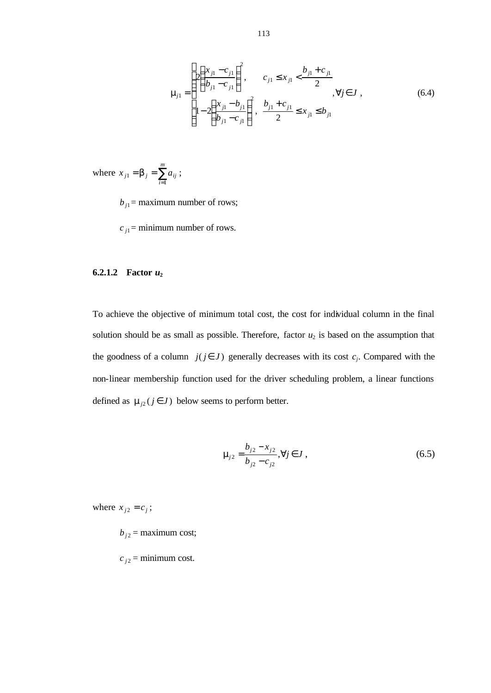$$
\mathbf{m}_{j1} = \begin{cases} 2\left(\frac{x_{j1} - c_{j1}}{b_{j1} - c_{j1}}\right)^2, & c_{j1} \le x_{j1} < \frac{b_{j1} + c_{j1}}{2}, \\ 1 - 2\left(\frac{x_{j1} - b_{j1}}{b_{j1} - c_{j1}}\right)^2, & \frac{b_{j1} + c_{j1}}{2} \le x_{j1} \le b_{j1} \end{cases}
$$
(6.4)

where  $x_{j1} = b_j = \sum_{i=1}^{m}$ *i*  $x_{j1} = b_j = \sum a_{ij}$ 1  $a_1 = b_j = \sum a_{ij}$ ;

 $b_{j1}$  = maximum number of rows;

 $c_{j1}$  = minimum number of rows.

# **6.2.1.2 Factor** *u***<sup>2</sup>**

To achieve the objective of minimum total cost, the cost for individual column in the final solution should be as small as possible. Therefore, factor  $u_2$  is based on the assumption that the goodness of a column  $j(j \in J)$  generally decreases with its cost  $c_j$ . Compared with the non-linear membership function used for the driver scheduling problem, a linear functions defined as  $\mathbf{m}_{j2}$  ( $j \in J$ ) below seems to perform better.

$$
\mathbf{m}_{j2} = \frac{b_{j2} - x_{j2}}{b_{j2} - c_{j2}}, \forall j \in J,
$$
\n(6.5)

where  $x_{j2} = c_j$ ;

- $b_{j2}$  = maximum cost;
- $c_{j2}$  = minimum cost.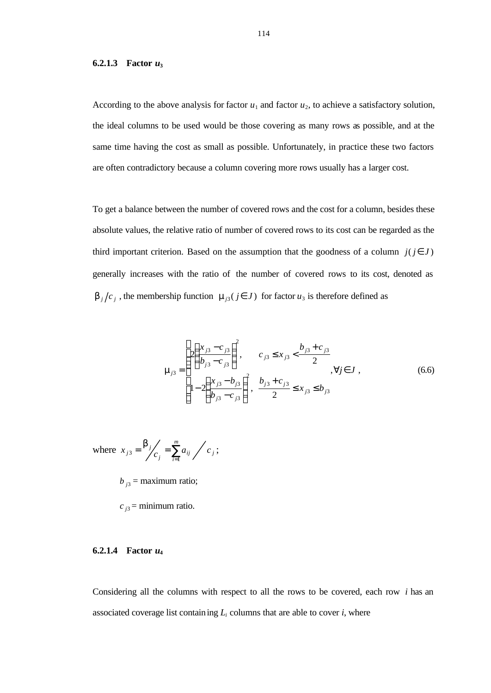#### **6.2.1.3 Factor** *u***<sup>3</sup>**

According to the above analysis for factor  $u_1$  and factor  $u_2$ , to achieve a satisfactory solution, the ideal columns to be used would be those covering as many rows as possible, and at the same time having the cost as small as possible. Unfortunately, in practice these two factors are often contradictory because a column covering more rows usually has a larger cost.

To get a balance between the number of covered rows and the cost for a column, besides these absolute values, the relative ratio of number of covered rows to its cost can be regarded as the third important criterion. Based on the assumption that the goodness of a column  $j(j \in J)$ generally increases with the ratio of the number of covered rows to its cost, denoted as **<sub>***j***</sub>**  $/c$ **<sup>***j***</sup>, the membership function**  $\mathbf{m}_{j3}$  **(** $j \in J$ **) for factor**  $u_3$  **is therefore defined as** 

$$
\mathbf{m}_{j3} = \begin{cases} 2\left(\frac{x_{j3} - c_{j3}}{b_{j3} - c_{j3}}\right)^2, & c_{j3} \le x_{j3} < \frac{b_{j3} + c_{j3}}{2}, \\ 1 - 2\left(\frac{x_{j3} - b_{j3}}{b_{j3} - c_{j3}}\right)^2, & \frac{b_{j3} + c_{j3}}{2} \le x_{j3} \le b_{j3} \end{cases}
$$
(6.6)

where 
$$
x_{j3} = \frac{\mathbf{b}_j}{c_j} = \sum_{i=1}^m a_{ij} / c_j;
$$

 $b_{j3}$  = maximum ratio;

 $c_{i3}$  = minimum ratio.

# **6.2.1.4 Factor** *u***<sup>4</sup>**

Considering all the columns with respect to all the rows to be covered, each row *i* has an associated coverage list containing  $L_i$  columns that are able to cover  $i$ , where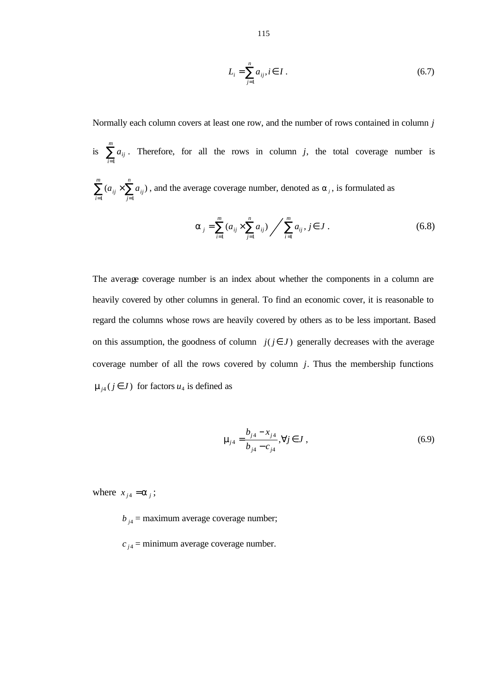$$
L_i = \sum_{j=1}^{n} a_{ij}, i \in I.
$$
 (6.7)

Normally each column covers at least one row, and the number of rows contained in column *j*

is  $\sum_{i=1}^m$ *i aij* 1 . Therefore, for all the rows in column  $j$ , the total coverage number is  $\sum_{i=1}^{\infty} (a_{ij} \times \sum_{j=1}^{\infty}$  $\sum_{i=1}^{m}$   $(a_{ii} \times$ *n*  $a_{ij} \times \sum a_{ij}$  $(a_{ii} \times \sum a_{ii})$ , and the average coverage number, denoted as  $a_{i}$ , is formulated as

$$
a_{j} = \sum_{i=1}^{m} (a_{ij} \times \sum_{j=1}^{n} a_{ij}) / \sum_{i=1}^{m} a_{ij}, j \in J.
$$
 (6.8)

The average coverage number is an index about whether the components in a column are heavily covered by other columns in general. To find an economic cover, it is reasonable to regard the columns whose rows are heavily covered by others as to be less important. Based on this assumption, the goodness of column  $j(j \in J)$  generally decreases with the average coverage number of all the rows covered by column *j*. Thus the membership functions  $\mathbf{m}_{j4}$  ( $j \in J$ ) for factors  $u_4$  is defined as

$$
\mathbf{m}_{j4} = \frac{b_{j4} - x_{j4}}{b_{j4} - c_{j4}}, \forall j \in J,
$$
\n(6.9)

where  $x_{i4} = a_i$ ;

*i*

*j*

1  $j=1$ 

 $b_{j4}$  = maximum average coverage number;

 $c_{i4}$  = minimum average coverage number.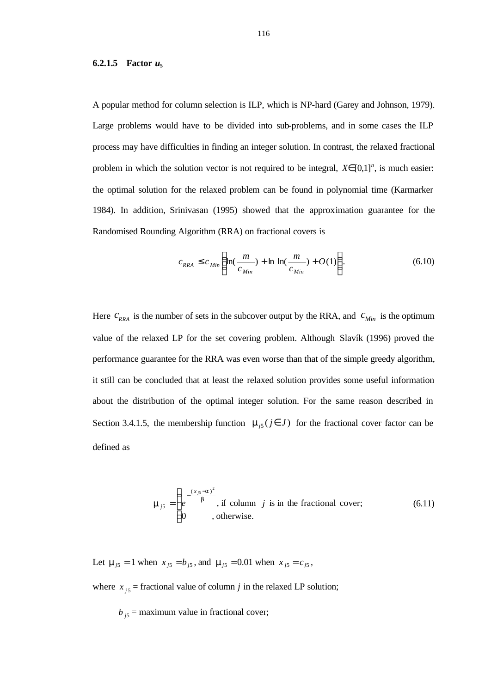#### **6.2.1.5 Factor** *u***<sup>5</sup>**

A popular method for column selection is ILP, which is NP-hard (Garey and Johnson, 1979). Large problems would have to be divided into sub-problems, and in some cases the ILP process may have difficulties in finding an integer solution. In contrast, the relaxed fractional problem in which the solution vector is not required to be integral,  $X \in [0,1]^n$ , is much easier: the optimal solution for the relaxed problem can be found in polynomial time (Karmarker 1984). In addition, Srinivasan (1995) showed that the approximation guarantee for the Randomised Rounding Algorithm (RRA) on fractional covers is

$$
c_{RRA} \le c_{Min} \left( \ln(\frac{m}{c_{Min}}) + \ln \ln(\frac{m}{c_{Min}}) + O(1) \right). \tag{6.10}
$$

Here  $c_{<sub>RRA</sub>}$  is the number of sets in the subcover output by the RRA, and  $c_{<sub>Min</sub>}$  is the optimum value of the relaxed LP for the set covering problem. Although Slavík (1996) proved the performance guarantee for the RRA was even worse than that of the simple greedy algorithm, it still can be concluded that at least the relaxed solution provides some useful information about the distribution of the optimal integer solution. For the same reason described in Section 3.4.1.5, the membership function  $\mathbf{m}_{j5}$  ( $j \in J$ ) for the fractional cover factor can be defined as

$$
\mathbf{m}_{j5} = \begin{cases} e^{-\frac{(x_{j5}-\mathbf{a})^2}{\mathbf{b}}}, & \text{if column } j \text{ is in the fractional cover;}\\ 0, & \text{otherwise.} \end{cases}
$$
 (6.11)

Let  $\mathbf{m}_{j5} = 1$  when  $x_{j5} = b_{j5}$ , and  $\mathbf{m}_{j5} = 0.01$  when  $x_{j5} = c_{j5}$ ,

where  $x_{j5}$  = fractional value of column *j* in the relaxed LP solution;

 $b_{j5}$  = maximum value in fractional cover;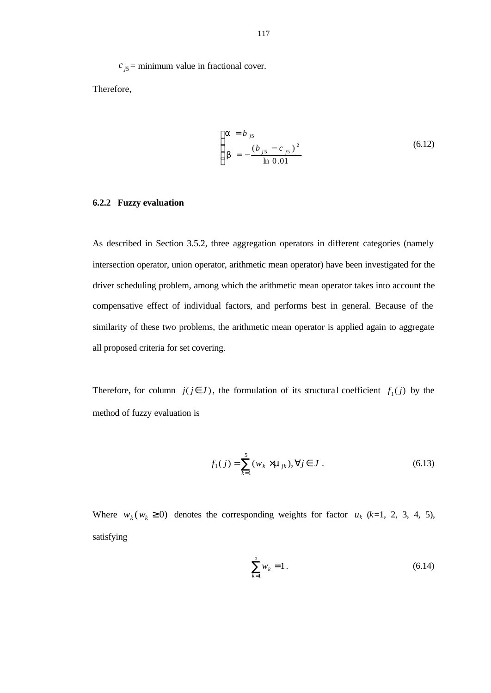$c_{j5}$  = minimum value in fractional cover.

Therefore,

$$
\begin{cases}\n\mathbf{a} = b_{j5} \\
\mathbf{b} = -\frac{(b_{j5} - c_{j5})^2}{\ln 0.01}\n\end{cases}
$$
\n(6.12)

# **6.2.2 Fuzzy evaluation**

As described in Section 3.5.2, three aggregation operators in different categories (namely intersection operator, union operator, arithmetic mean operator) have been investigated for the driver scheduling problem, among which the arithmetic mean operator takes into account the compensative effect of individual factors, and performs best in general. Because of the similarity of these two problems, the arithmetic mean operator is applied again to aggregate all proposed criteria for set covering.

Therefore, for column  $j(j \in J)$ , the formulation of its structural coefficient  $f_1(j)$  by the method of fuzzy evaluation is

$$
f_1(j) = \sum_{k=1}^{5} (w_k \times \mathbf{m}_{jk}), \forall j \in J.
$$
 (6.13)

Where  $w_k$  ( $w_k \ge 0$ ) denotes the corresponding weights for factor  $u_k$  ( $k=1, 2, 3, 4, 5$ ), satisfying

$$
\sum_{k=1}^{5} w_k = 1.
$$
\n(6.14)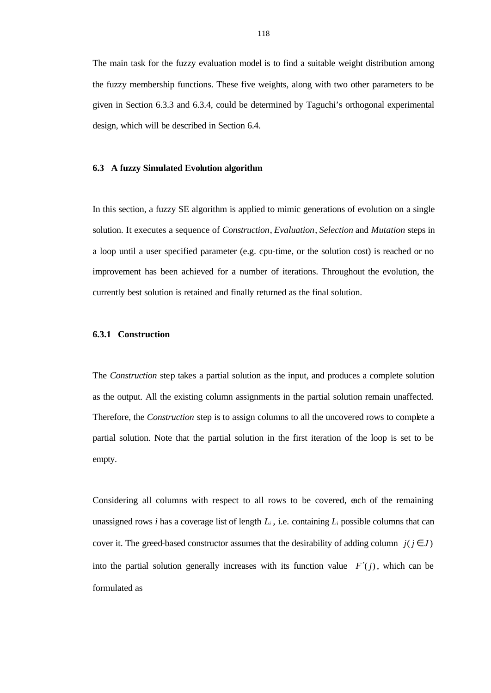The main task for the fuzzy evaluation model is to find a suitable weight distribution among the fuzzy membership functions. These five weights, along with two other parameters to be given in Section 6.3.3 and 6.3.4, could be determined by Taguchi's orthogonal experimental design, which will be described in Section 6.4.

#### **6.3 A fuzzy Simulated Evolution algorithm**

In this section, a fuzzy SE algorithm is applied to mimic generations of evolution on a single solution. It executes a sequence of *Construction*, *Evaluation*, *Selection* and *Mutation* steps in a loop until a user specified parameter (e.g. cpu-time, or the solution cost) is reached or no improvement has been achieved for a number of iterations. Throughout the evolution, the currently best solution is retained and finally returned as the final solution.

#### **6.3.1 Construction**

The *Construction* step takes a partial solution as the input, and produces a complete solution as the output. All the existing column assignments in the partial solution remain unaffected. Therefore, the *Construction* step is to assign columns to all the uncovered rows to complete a partial solution. Note that the partial solution in the first iteration of the loop is set to be empty.

Considering all columns with respect to all rows to be covered, each of the remaining unassigned rows *i* has a coverage list of length  $L_i$ , i.e. containing  $L_i$  possible columns that can cover it. The greed-based constructor assumes that the desirability of adding column  $j$ ( $j \in J$ ) into the partial solution generally increases with its function value  $F'(i)$ , which can be formulated as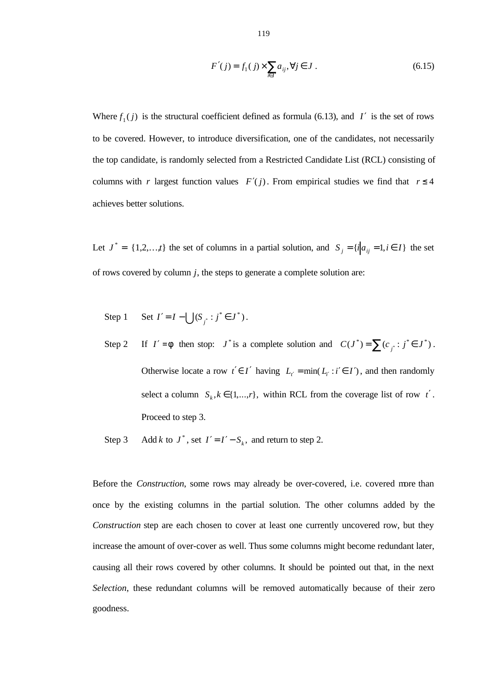$$
F'(j) = f_1(j) \times \sum_{i \in I'} a_{ij}, \forall j \in J.
$$
 (6.15)

Where  $f_1(j)$  is the structural coefficient defined as formula (6.13), and *I'* is the set of rows to be covered. However, to introduce diversification, one of the candidates, not necessarily the top candidate, is randomly selected from a Restricted Candidate List (RCL) consisting of columns with *r* largest function values  $F'(j)$ . From empirical studies we find that  $r \leq 4$ achieves better solutions.

Let  $J^* = \{1,2,...,t\}$  the set of columns in a partial solution, and  $S_j = \{i | a_{ij} = 1, i \in I\}$  the set of rows covered by column *j*, the steps to generate a complete solution are:

Step 1 Set 
$$
I' = I - \bigcup (S_{j^*} : j^* \in J^*)
$$
.

- Step 2 If  $I' = f$  then stop:  $J^*$  is a complete solution and  $C(J^*) = \sum_{j} (c_{j^*} : j^* \in J^*)$ . Otherwise locate a row  $t' \in I'$  having  $L_{t'} = \min(L_{t'} : i' \in I')$ , and then randomly select a column  $S_k, k \in \{1, ..., r\}$ , within RCL from the coverage list of row *t'*. Proceed to step 3.
- Step 3 Add *k* to  $J^*$ , set  $I' = I' S_k$ , and return to step 2.

Before the *Construction*, some rows may already be over-covered, i.e. covered more than once by the existing columns in the partial solution. The other columns added by the *Construction* step are each chosen to cover at least one currently uncovered row, but they increase the amount of over-cover as well. Thus some columns might become redundant later, causing all their rows covered by other columns. It should be pointed out that, in the next *Selection*, these redundant columns will be removed automatically because of their zero goodness.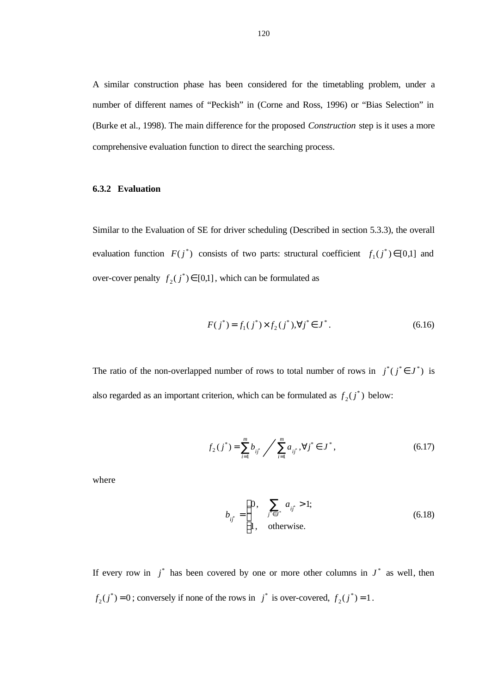A similar construction phase has been considered for the timetabling problem, under a number of different names of "Peckish" in (Corne and Ross, 1996) or "Bias Selection" in (Burke et al., 1998). The main difference for the proposed *Construction* step is it uses a more comprehensive evaluation function to direct the searching process.

# **6.3.2 Evaluation**

Similar to the Evaluation of SE for driver scheduling (Described in section 5.3.3), the overall evaluation function  $F(j^*)$  consists of two parts: structural coefficient  $f_1(j^*) \in [0,1]$  and over-cover penalty  $f_2(j^*) \in [0,1]$ , which can be formulated as

$$
F(j^*) = f_1(j^*) \times f_2(j^*), \forall j^* \in J^*.
$$
\n(6.16)

The ratio of the non-overlapped number of rows to total number of rows in  $j^*(j^* \in J^*)$  is also regarded as an important criterion, which can be formulated as  $f_2(j^*)$  below:

$$
f_2(j^*) = \sum_{i=1}^m b_{ij^*} / \sum_{i=1}^m a_{ij^*}, \forall j^* \in J^*,
$$
 (6.17)

where

$$
b_{ij} = \begin{cases} 0, & \sum_{j^* \in J^*} a_{ij} > 1; \\ 1, & \text{otherwise.} \end{cases}
$$
 (6.18)

If every row in  $j^*$  has been covered by one or more other columns in  $J^*$  as well, then  $f_2(j^*) = 0$ ; conversely if none of the rows in  $j^*$  is over-covered,  $f_2(j^*) = 1$ .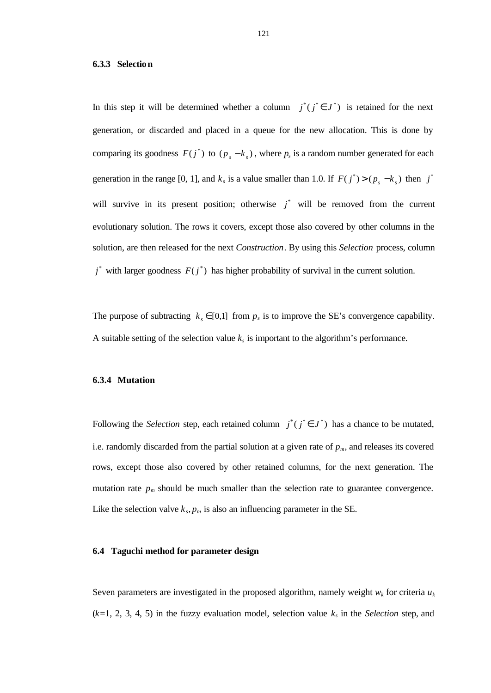#### **6.3.3 Selection**

In this step it will be determined whether a column  $j^*(j^* \in J^*)$  is retained for the next generation, or discarded and placed in a queue for the new allocation. This is done by comparing its goodness  $F(j^*)$  to  $(p_s - k_s)$ , where  $p_s$  is a random number generated for each generation in the range [0, 1], and  $k_s$  is a value smaller than 1.0. If  $F(j^*) > (p_s - k_s)$  then  $j^*$ will survive in its present position; otherwise  $j^*$  will be removed from the current evolutionary solution. The rows it covers, except those also covered by other columns in the solution, are then released for the next *Construction*. By using this *Selection* process, column  $j^*$  with larger goodness  $F(j^*)$  has higher probability of survival in the current solution.

The purpose of subtracting  $k_s \in [0,1]$  from  $p_s$  is to improve the SE's convergence capability. A suitable setting of the selection value  $k_s$  is important to the algorithm's performance.

#### **6.3.4 Mutation**

Following the *Selection* step, each retained column  $j^*(j^* \in J^*)$  has a chance to be mutated, i.e. randomly discarded from the partial solution at a given rate of  $p<sub>m</sub>$ , and releases its covered rows, except those also covered by other retained columns, for the next generation. The mutation rate  $p_m$  should be much smaller than the selection rate to guarantee convergence. Like the selection valve  $k_s$ ,  $p_m$  is also an influencing parameter in the SE.

#### **6.4 Taguchi method for parameter design**

Seven parameters are investigated in the proposed algorithm, namely weight  $w_k$  for criteria  $u_k$  $(k=1, 2, 3, 4, 5)$  in the fuzzy evaluation model, selection value  $k_s$  in the *Selection* step, and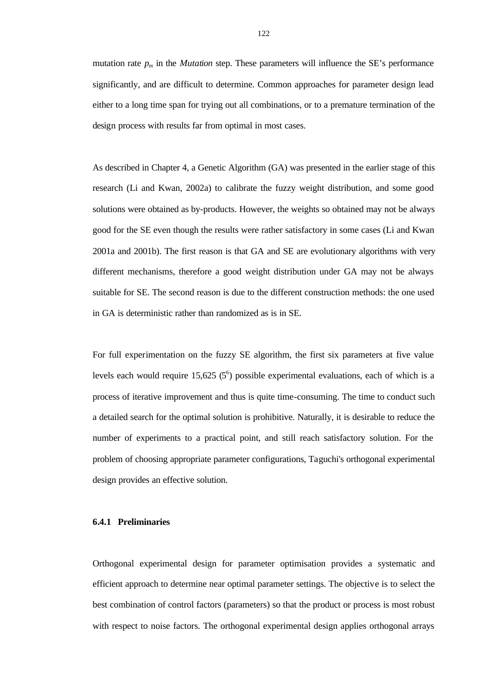mutation rate  $p_m$  in the *Mutation* step. These parameters will influence the SE's performance significantly, and are difficult to determine. Common approaches for parameter design lead either to a long time span for trying out all combinations, or to a premature termination of the design process with results far from optimal in most cases.

As described in Chapter 4, a Genetic Algorithm (GA) was presented in the earlier stage of this research (Li and Kwan, 2002a) to calibrate the fuzzy weight distribution, and some good solutions were obtained as by-products. However, the weights so obtained may not be always good for the SE even though the results were rather satisfactory in some cases (Li and Kwan 2001a and 2001b). The first reason is that GA and SE are evolutionary algorithms with very different mechanisms, therefore a good weight distribution under GA may not be always suitable for SE. The second reason is due to the different construction methods: the one used in GA is deterministic rather than randomized as is in SE.

For full experimentation on the fuzzy SE algorithm, the first six parameters at five value levels each would require  $15,625$  ( $5^6$ ) possible experimental evaluations, each of which is a process of iterative improvement and thus is quite time-consuming. The time to conduct such a detailed search for the optimal solution is prohibitive. Naturally, it is desirable to reduce the number of experiments to a practical point, and still reach satisfactory solution. For the problem of choosing appropriate parameter configurations, Taguchi's orthogonal experimental design provides an effective solution.

#### **6.4.1 Preliminaries**

Orthogonal experimental design for parameter optimisation provides a systematic and efficient approach to determine near optimal parameter settings. The objective is to select the best combination of control factors (parameters) so that the product or process is most robust with respect to noise factors. The orthogonal experimental design applies orthogonal arrays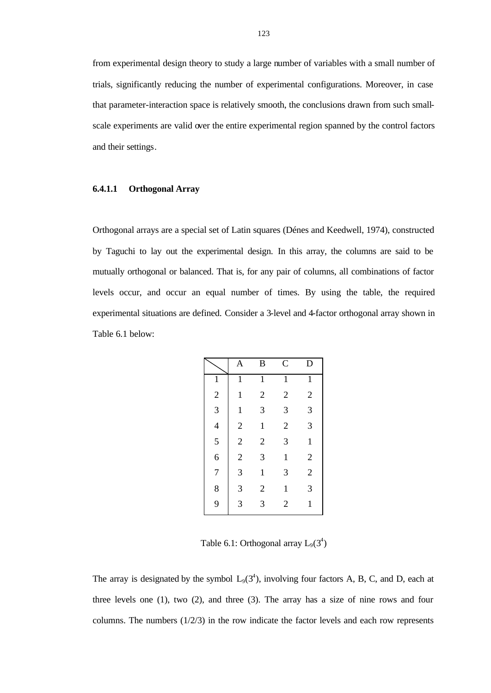from experimental design theory to study a large number of variables with a small number of trials, significantly reducing the number of experimental configurations. Moreover, in case that parameter-interaction space is relatively smooth, the conclusions drawn from such smallscale experiments are valid over the entire experimental region spanned by the control factors and their settings.

#### **6.4.1.1 Orthogonal Array**

Orthogonal arrays are a special set of Latin squares (Dénes and Keedwell, 1974), constructed by Taguchi to lay out the experimental design. In this array, the columns are said to be mutually orthogonal or balanced. That is, for any pair of columns, all combinations of factor levels occur, and occur an equal number of times. By using the table, the required experimental situations are defined. Consider a 3-level and 4-factor orthogonal array shown in Table 6.1 below:

|                | $\overline{A}$ | B              | $\overline{C}$ | D              |
|----------------|----------------|----------------|----------------|----------------|
| $\mathbf{1}$   | $\mathbf{1}$   | $\mathbf 1$    | $\mathbf{1}$   | $\mathbf{1}$   |
| $\overline{c}$ | $\mathbf{1}$   | $\overline{2}$ | $\overline{2}$ | $\overline{2}$ |
| 3              | $\mathbf{1}$   | 3              | 3              | 3              |
| $\overline{4}$ | $\overline{2}$ | $\mathbf 1$    | $\overline{c}$ | 3              |
| 5              | $\overline{2}$ | $\overline{2}$ | 3              | $\mathbf{1}$   |
| 6              | $\sqrt{2}$     | 3              | $\mathbf{1}$   | $\mathbf{2}$   |
| 7              | 3              | $\mathbf{1}$   | 3              | $\overline{c}$ |
| 8              | 3              | $\overline{2}$ | $\mathbf{1}$   | 3              |
| 9              | 3              | 3              | $\overline{2}$ | $\mathbf{1}$   |

Table 6.1: Orthogonal array  $L_9(3^4)$ 

The array is designated by the symbol  $L_9(3^4)$ , involving four factors A, B, C, and D, each at three levels one (1), two (2), and three (3). The array has a size of nine rows and four columns. The numbers  $(1/2/3)$  in the row indicate the factor levels and each row represents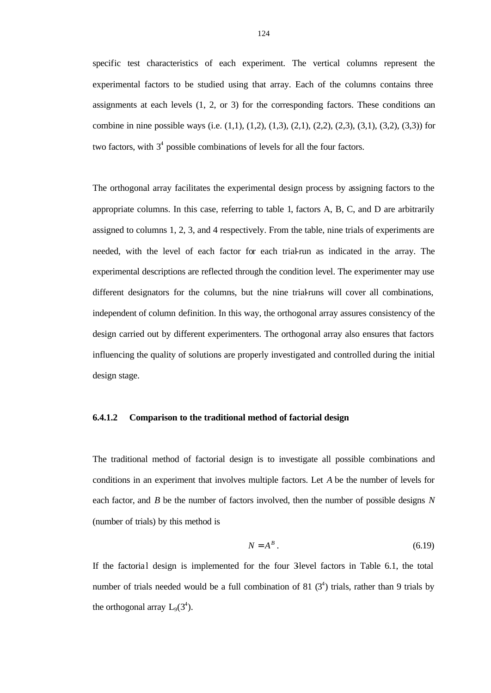specific test characteristics of each experiment. The vertical columns represent the experimental factors to be studied using that array. Each of the columns contains three assignments at each levels (1, 2, or 3) for the corresponding factors. These conditions can combine in nine possible ways (i.e.  $(1,1)$ ,  $(1,2)$ ,  $(1,3)$ ,  $(2,1)$ ,  $(2,2)$ ,  $(2,3)$ ,  $(3,1)$ ,  $(3,2)$ ,  $(3,3)$ ) for two factors, with  $3<sup>4</sup>$  possible combinations of levels for all the four factors.

The orthogonal array facilitates the experimental design process by assigning factors to the appropriate columns. In this case, referring to table 1, factors A, B, C, and D are arbitrarily assigned to columns 1, 2, 3, and 4 respectively. From the table, nine trials of experiments are needed, with the level of each factor for each trial-run as indicated in the array. The experimental descriptions are reflected through the condition level. The experimenter may use different designators for the columns, but the nine trial-runs will cover all combinations, independent of column definition. In this way, the orthogonal array assures consistency of the design carried out by different experimenters. The orthogonal array also ensures that factors influencing the quality of solutions are properly investigated and controlled during the initial design stage.

# **6.4.1.2 Comparison to the traditional method of factorial design**

The traditional method of factorial design is to investigate all possible combinations and conditions in an experiment that involves multiple factors. Let *A* be the number of levels for each factor, and *B* be the number of factors involved, then the number of possible designs *N* (number of trials) by this method is

$$
N = A^B. \tag{6.19}
$$

If the factorial design is implemented for the four 3-level factors in Table 6.1, the total number of trials needed would be a full combination of 81  $(3^4)$  trials, rather than 9 trials by the orthogonal array  $L_9(3^4)$ .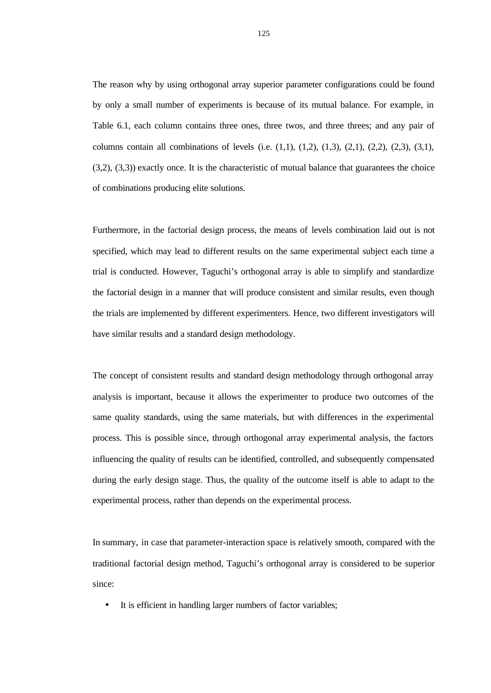The reason why by using orthogonal array superior parameter configurations could be found by only a small number of experiments is because of its mutual balance. For example, in Table 6.1, each column contains three ones, three twos, and three threes; and any pair of columns contain all combinations of levels (i.e.  $(1,1)$ ,  $(1,2)$ ,  $(1,3)$ ,  $(2,1)$ ,  $(2,2)$ ,  $(2,3)$ ,  $(3,1)$ ,  $(3,2)$ ,  $(3,3)$ ) exactly once. It is the characteristic of mutual balance that guarantees the choice of combinations producing elite solutions.

Furthermore, in the factorial design process, the means of levels combination laid out is not specified, which may lead to different results on the same experimental subject each time a trial is conducted. However, Taguchi's orthogonal array is able to simplify and standardize the factorial design in a manner that will produce consistent and similar results, even though the trials are implemented by different experimenters. Hence, two different investigators will have similar results and a standard design methodology.

The concept of consistent results and standard design methodology through orthogonal array analysis is important, because it allows the experimenter to produce two outcomes of the same quality standards, using the same materials, but with differences in the experimental process. This is possible since, through orthogonal array experimental analysis, the factors influencing the quality of results can be identified, controlled, and subsequently compensated during the early design stage. Thus, the quality of the outcome itself is able to adapt to the experimental process, rather than depends on the experimental process.

In summary, in case that parameter-interaction space is relatively smooth, compared with the traditional factorial design method, Taguchi's orthogonal array is considered to be superior since:

• It is efficient in handling larger numbers of factor variables;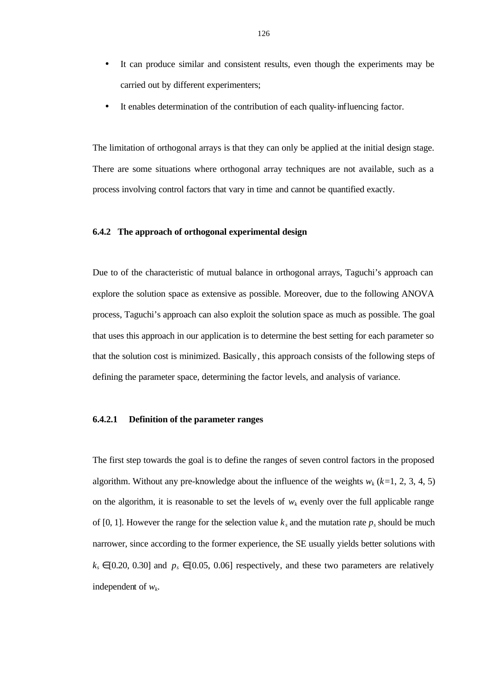- It can produce similar and consistent results, even though the experiments may be carried out by different experimenters;
- It enables determination of the contribution of each quality-influencing factor.

The limitation of orthogonal arrays is that they can only be applied at the initial design stage. There are some situations where orthogonal array techniques are not available, such as a process involving control factors that vary in time and cannot be quantified exactly.

# **6.4.2 The approach of orthogonal experimental design**

Due to of the characteristic of mutual balance in orthogonal arrays, Taguchi's approach can explore the solution space as extensive as possible. Moreover, due to the following ANOVA process, Taguchi's approach can also exploit the solution space as much as possible. The goal that uses this approach in our application is to determine the best setting for each parameter so that the solution cost is minimized. Basically, this approach consists of the following steps of defining the parameter space, determining the factor levels, and analysis of variance.

# **6.4.2.1 Definition of the parameter ranges**

The first step towards the goal is to define the ranges of seven control factors in the proposed algorithm. Without any pre-knowledge about the influence of the weights  $w_k$  ( $k=1, 2, 3, 4, 5$ ) on the algorithm, it is reasonable to set the levels of  $w_k$  evenly over the full applicable range of [0, 1]. However the range for the selection value  $k_s$  and the mutation rate  $p_s$  should be much narrower, since according to the former experience, the SE usually yields better solutions with  $k_s \in [0.20, 0.30]$  and  $p_s \in [0.05, 0.06]$  respectively, and these two parameters are relatively independent of *w<sup>k</sup>* .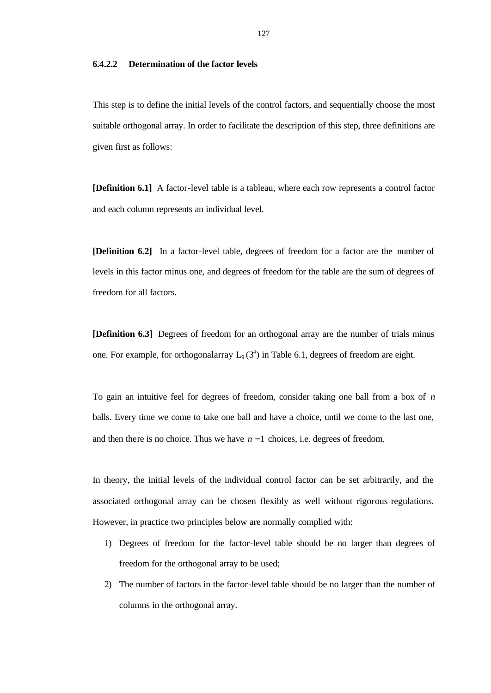#### **6.4.2.2 Determination of the factor levels**

This step is to define the initial levels of the control factors, and sequentially choose the most suitable orthogonal array. In order to facilitate the description of this step, three definitions are given first as follows:

**[Definition 6.1]** A factor-level table is a tableau, where each row represents a control factor and each column represents an individual level.

**[Definition 6.2]** In a factor-level table, degrees of freedom for a factor are the number of levels in this factor minus one, and degrees of freedom for the table are the sum of degrees of freedom for all factors.

**[Definition 6.3]** Degrees of freedom for an orthogonal array are the number of trials minus one. For example, for orthogonal array  $L_9(3^4)$  in Table 6.1, degrees of freedom are eight.

To gain an intuitive feel for degrees of freedom, consider taking one ball from a box of *n* balls. Every time we come to take one ball and have a choice, until we come to the last one, and then there is no choice. Thus we have *n* −1 choices, i.e. degrees of freedom.

In theory, the initial levels of the individual control factor can be set arbitrarily, and the associated orthogonal array can be chosen flexibly as well without rigorous regulations. However, in practice two principles below are normally complied with:

- 1) Degrees of freedom for the factor-level table should be no larger than degrees of freedom for the orthogonal array to be used;
- 2) The number of factors in the factor-level table should be no larger than the number of columns in the orthogonal array.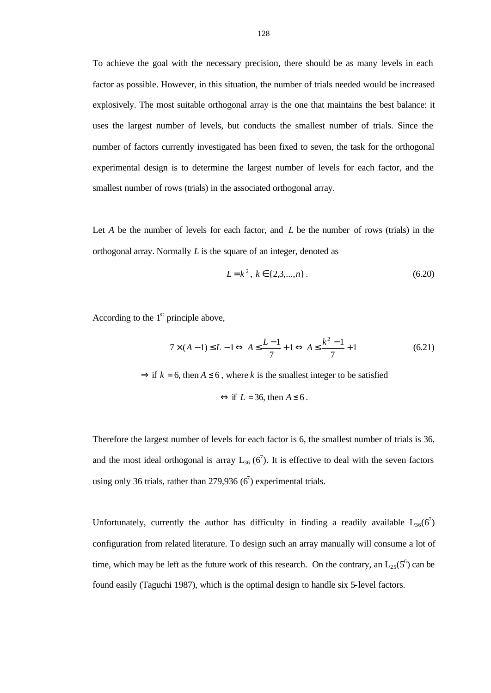To achieve the goal with the necessary precision, there should be as many levels in each factor as possible. However, in this situation, the number of trials needed would be increased explosively. The most suitable orthogonal array is the one that maintains the best balance: it uses the largest number of levels, but conducts the smallest number of trials. Since the number of factors currently investigated has been fixed to seven, the task for the orthogonal experimental design is to determine the largest number of levels for each factor, and the smallest number of rows (trials) in the associated orthogonal array.

Let *A* be the number of levels for each factor, and *L* be the number of rows (trials) in the orthogonal array. Normally *L* is the square of an integer, denoted as

$$
L = k^2, \ k \in \{2, 3, \dots, n\} \,. \tag{6.20}
$$

According to the  $1<sup>st</sup>$  principle above,

$$
7 \times (A-1) \le L - 1 \Leftrightarrow A \le \frac{L-1}{7} + 1 \Leftrightarrow A \le \frac{k^2 - 1}{7} + 1 \tag{6.21}
$$

 $\Rightarrow$  if  $k = 6$ , then  $A \le 6$ , where k is the smallest integer to be satisfied

$$
\Leftrightarrow
$$
 if  $L = 36$ , then  $A \le 6$ .

Therefore the largest number of levels for each factor is 6, the smallest number of trials is 36, and the most ideal orthogonal is array  $L_{36}$  (6<sup>7</sup>). It is effective to deal with the seven factors using only 36 trials, rather than 279,936  $(6^7)$  experimental trials.

Unfortunately, currently the author has difficulty in finding a readily available  $L_{36}(6^7)$ configuration from related literature. To design such an array manually will consume a lot of time, which may be left as the future work of this research. On the contrary, an  $L_{25}(5^6)$  can be found easily (Taguchi 1987), which is the optimal design to handle six 5-level factors.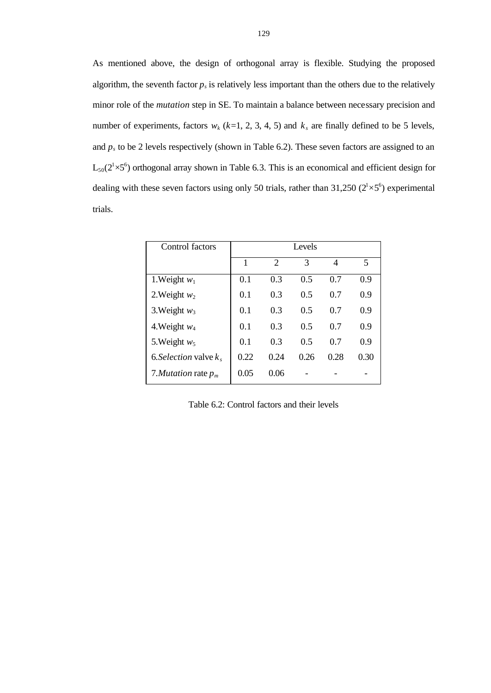As mentioned above, the design of orthogonal array is flexible. Studying the proposed algorithm, the seventh factor  $p_s$  is relatively less important than the others due to the relatively minor role of the *mutation* step in SE. To maintain a balance between necessary precision and number of experiments, factors  $w_k$  ( $k=1, 2, 3, 4, 5$ ) and  $k_s$  are finally defined to be 5 levels, and *p<sup>s</sup>* to be 2 levels respectively (shown in Table 6.2). These seven factors are assigned to an  $L_{50}(2^{1}\times5^{6})$  orthogonal array shown in Table 6.3. This is an economical and efficient design for dealing with these seven factors using only 50 trials, rather than 31,250  $(2^1 \times 5^6)$  experimental trials.

| Control factors          |      |                | Levels |      |      |
|--------------------------|------|----------------|--------|------|------|
|                          | 1    | $\mathfrak{D}$ | 3      | 4    | 5    |
| 1. Weight $w_1$          | 0.1  | 0.3            | 0.5    | 0.7  | 0.9  |
| 2. Weight $w_2$          | 0.1  | 0.3            | 0.5    | 0.7  | 0.9  |
| 3. Weight $w_3$          | 0.1  | 0.3            | 0.5    | 0.7  | 0.9  |
| 4. Weight $w_4$          | 0.1  | 0.3            | 0.5    | 0.7  | 0.9  |
| 5. Weight $w_5$          | 0.1  | 0.3            | 0.5    | 0.7  | 0.9  |
| 6. Selection valve $k_s$ | 0.22 | 0.24           | 0.26   | 0.28 | 0.30 |
| 7. Mutation rate $p_m$   | 0.05 | 0.06           |        |      |      |

Table 6.2: Control factors and their levels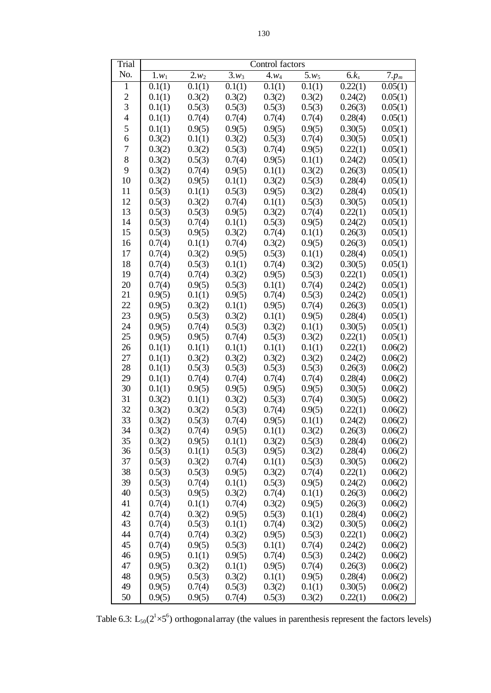| Trial          | Control factors  |                    |                     |                     |                    |                    |                      |  |  |
|----------------|------------------|--------------------|---------------------|---------------------|--------------------|--------------------|----------------------|--|--|
| No.            | $1.w_1$          | $\overline{2}.w_2$ | $\overline{3.w_3}$  | $\overline{4.w_4}$  | $\overline{5.w_5}$ | $6k_s$             | $7.p_m$              |  |  |
| 1              | 0.1(1)           | 0.1(1)             | $\overline{0.1(1)}$ | $\overline{0.1(1)}$ | 0.1(1)             | 0.22(1)            | $\overline{0.05(1)}$ |  |  |
| $\overline{c}$ | 0.1(1)           | 0.3(2)             | 0.3(2)              | 0.3(2)              | 0.3(2)             | 0.24(2)            | 0.05(1)              |  |  |
| 3              | 0.1(1)           | 0.5(3)             | 0.5(3)              | 0.5(3)              | 0.5(3)             | 0.26(3)            | 0.05(1)              |  |  |
| $\overline{4}$ | 0.1(1)           | 0.7(4)             | 0.7(4)              | 0.7(4)              | 0.7(4)             | 0.28(4)            | 0.05(1)              |  |  |
| 5              | 0.1(1)           | 0.9(5)             | 0.9(5)              | 0.9(5)              | 0.9(5)             | 0.30(5)            | 0.05(1)              |  |  |
| 6              | 0.3(2)           | 0.1(1)             | 0.3(2)              | 0.5(3)              | 0.7(4)             | 0.30(5)            | 0.05(1)              |  |  |
| 7              | 0.3(2)           | 0.3(2)             | 0.5(3)              | 0.7(4)              | 0.9(5)             | 0.22(1)            | 0.05(1)              |  |  |
| 8              | 0.3(2)           | 0.5(3)             | 0.7(4)              | 0.9(5)              | 0.1(1)             | 0.24(2)            | 0.05(1)              |  |  |
| 9              | 0.3(2)           | 0.7(4)             | 0.9(5)              | 0.1(1)              | 0.3(2)             | 0.26(3)            | 0.05(1)              |  |  |
| 10             | 0.3(2)           | 0.9(5)             | 0.1(1)              | 0.3(2)              | 0.5(3)             | 0.28(4)            | 0.05(1)              |  |  |
| 11             | 0.5(3)           | 0.1(1)             | 0.5(3)              | 0.9(5)              | 0.3(2)             | 0.28(4)            | 0.05(1)              |  |  |
| 12             | 0.5(3)           | 0.3(2)             | 0.7(4)              | 0.1(1)              | 0.5(3)             | 0.30(5)            | 0.05(1)              |  |  |
| 13             | 0.5(3)           | 0.5(3)             | 0.9(5)              | 0.3(2)              | 0.7(4)             | 0.22(1)            | 0.05(1)              |  |  |
| 14             | 0.5(3)           | 0.7(4)             | 0.1(1)              | 0.5(3)              | 0.9(5)             | 0.24(2)            | 0.05(1)              |  |  |
| 15             | 0.5(3)           | 0.9(5)             | 0.3(2)              | 0.7(4)              | 0.1(1)             | 0.26(3)            | 0.05(1)              |  |  |
| 16             | 0.7(4)           | 0.1(1)             | 0.7(4)              | 0.3(2)              | 0.9(5)             | 0.26(3)            | 0.05(1)              |  |  |
| 17             | 0.7(4)           | 0.3(2)             | 0.9(5)              | 0.5(3)              | 0.1(1)             | 0.28(4)            | 0.05(1)              |  |  |
| 18             | 0.7(4)           | 0.5(3)             | 0.1(1)              | 0.7(4)              | 0.3(2)             | 0.30(5)            | 0.05(1)              |  |  |
| 19             | 0.7(4)           | 0.7(4)             | 0.3(2)              | 0.9(5)              | 0.5(3)             | 0.22(1)            | 0.05(1)              |  |  |
| 20             | 0.7(4)           | 0.9(5)             | 0.5(3)              | 0.1(1)              | 0.7(4)             | 0.24(2)            | 0.05(1)              |  |  |
| 21             | 0.9(5)           | 0.1(1)             | 0.9(5)              | 0.7(4)              | 0.5(3)             | 0.24(2)            | 0.05(1)              |  |  |
| 22             | 0.9(5)           | 0.3(2)             | 0.1(1)              | 0.9(5)              | 0.7(4)             | 0.26(3)            | 0.05(1)              |  |  |
| 23             | 0.9(5)           | 0.5(3)             | 0.3(2)              | 0.1(1)              | 0.9(5)             | 0.28(4)            | 0.05(1)              |  |  |
| 24             | 0.9(5)           | 0.7(4)             | 0.5(3)              | 0.3(2)              | 0.1(1)             | 0.30(5)            | 0.05(1)              |  |  |
| 25             | 0.9(5)           | 0.9(5)             | 0.7(4)              | 0.5(3)              | 0.3(2)             | 0.22(1)            | 0.05(1)              |  |  |
| 26             | 0.1(1)           | 0.1(1)             | 0.1(1)              | 0.1(1)              | 0.1(1)             | 0.22(1)            | 0.06(2)              |  |  |
| 27             | 0.1(1)           | 0.3(2)             | 0.3(2)              | 0.3(2)              | 0.3(2)             | 0.24(2)            | 0.06(2)              |  |  |
| 28             | 0.1(1)           | 0.5(3)             | 0.5(3)              | 0.5(3)              | 0.5(3)             | 0.26(3)            | 0.06(2)              |  |  |
| 29             | 0.1(1)           | 0.7(4)             | 0.7(4)              | 0.7(4)              | 0.7(4)             | 0.28(4)            | 0.06(2)              |  |  |
| 30             | 0.1(1)           | 0.9(5)             | 0.9(5)              | 0.9(5)              | 0.9(5)             | 0.30(5)            | 0.06(2)              |  |  |
| 31             | 0.3(2)           | 0.1(1)             | 0.3(2)              | 0.5(3)              | 0.7(4)             | 0.30(5)            | 0.06(2)              |  |  |
| 32             | 0.3(2)           | 0.3(2)             | 0.5(3)              | 0.7(4)              | 0.9(5)             | 0.22(1)            | 0.06(2)              |  |  |
| 33             | 0.3(2)           | 0.5(3)             | 0.7(4)              | 0.9(5)              | 0.1(1)             | 0.24(2)            | 0.06(2)              |  |  |
| 34             | 0.3(2)           | 0.7(4)             | 0.9(5)              | 0.1(1)              | 0.3(2)             | 0.26(3)            | 0.06(2)              |  |  |
| 35             | 0.3(2)           | 0.9(5)             | 0.1(1)              | 0.3(2)              | 0.5(3)             | 0.28(4)            | 0.06(2)              |  |  |
| 36             | 0.5(3)           | 0.1(1)             | 0.5(3)              | 0.9(5)              | 0.3(2)             | 0.28(4)            | 0.06(2)              |  |  |
| 37             | 0.5(3)           | 0.3(2)             | 0.7(4)              | 0.1(1)              | 0.5(3)             | 0.30(5)            | 0.06(2)              |  |  |
| 38             | 0.5(3)           | 0.5(3)             | 0.9(5)              | 0.3(2)              | 0.7(4)             | 0.22(1)            | 0.06(2)              |  |  |
| 39             | 0.5(3)           | 0.7(4)             | 0.1(1)              | 0.5(3)              | 0.9(5)             | 0.24(2)            | 0.06(2)              |  |  |
| 40             | 0.5(3)           | 0.9(5)             | 0.3(2)              | 0.7(4)              | 0.1(1)             | 0.26(3)            | 0.06(2)              |  |  |
| 41             | 0.7(4)           | 0.1(1)             | 0.7(4)              | 0.3(2)              | 0.9(5)             | 0.26(3)            | 0.06(2)              |  |  |
| 42             | 0.7(4)           | 0.3(2)             | 0.9(5)              | 0.5(3)              | 0.1(1)             | 0.28(4)            | 0.06(2)              |  |  |
| 43<br>44       | 0.7(4)           | 0.5(3)             | 0.1(1)              | 0.7(4)              | 0.3(2)             | 0.30(5)            | 0.06(2)              |  |  |
| 45             | 0.7(4)           | 0.7(4)             | 0.3(2)              | 0.9(5)              | 0.5(3)             | 0.22(1)            | 0.06(2)              |  |  |
| 46             | 0.7(4)           | 0.9(5)             | 0.5(3)              | 0.1(1)              | 0.7(4)             | 0.24(2)            | 0.06(2)              |  |  |
| 47             | 0.9(5)           | 0.1(1)             | 0.9(5)              | 0.7(4)              | 0.5(3)             | 0.24(2)            | 0.06(2)              |  |  |
| 48             | 0.9(5)<br>0.9(5) | 0.3(2)<br>0.5(3)   | 0.1(1)<br>0.3(2)    | 0.9(5)<br>0.1(1)    | 0.7(4)<br>0.9(5)   | 0.26(3)<br>0.28(4) | 0.06(2)<br>0.06(2)   |  |  |
| 49             | 0.9(5)           | 0.7(4)             | 0.5(3)              | 0.3(2)              | 0.1(1)             | 0.30(5)            | 0.06(2)              |  |  |
| 50             | 0.9(5)           | 0.9(5)             | 0.7(4)              | 0.5(3)              | 0.3(2)             | 0.22(1)            | 0.06(2)              |  |  |
|                |                  |                    |                     |                     |                    |                    |                      |  |  |

Table 6.3:  $L_{50}(2^{1} \times 5^{6})$  orthogonal array (the values in parenthesis represent the factors levels)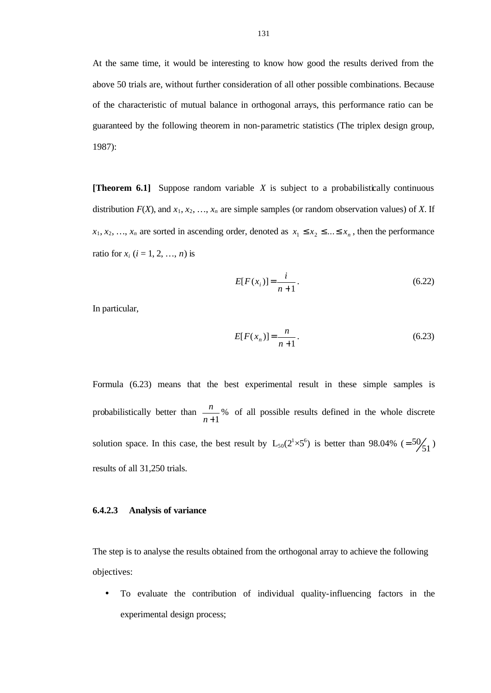At the same time, it would be interesting to know how good the results derived from the above 50 trials are, without further consideration of all other possible combinations. Because of the characteristic of mutual balance in orthogonal arrays, this performance ratio can be guaranteed by the following theorem in non-parametric statistics (The triplex design group, 1987):

**[Theorem 6.1]** Suppose random variable *X* is subject to a probabilistically continuous distribution  $F(X)$ , and  $x_1, x_2, ..., x_n$  are simple samples (or random observation values) of X. If  $x_1, x_2, \ldots, x_n$  are sorted in ascending order, denoted as  $x_1 \le x_2 \le \ldots \le x_n$ , then the performance ratio for  $x_i$  ( $i = 1, 2, ..., n$ ) is

$$
E[F(x_i)] = \frac{i}{n+1}.
$$
\n(6.22)

In particular,

$$
E[F(x_n)] = \frac{n}{n+1}.
$$
\n(6.23)

Formula (6.23) means that the best experimental result in these simple samples is probabilistically better than  $\frac{n}{x}$ % *n* +1  $\frac{n}{n}$  % of all possible results defined in the whole discrete solution space. In this case, the best result by  $L_{50}(2^{1} \times 5^{6})$  is better than 98.04%  $(50/51)$ results of all 31,250 trials.

#### **6.4.2.3 Analysis of variance**

The step is to analyse the results obtained from the orthogonal array to achieve the following objectives:

• To evaluate the contribution of individual quality-influencing factors in the experimental design process;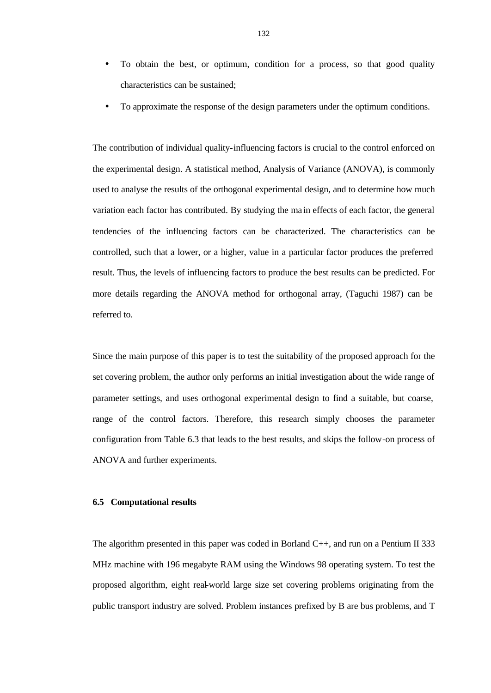- To obtain the best, or optimum, condition for a process, so that good quality characteristics can be sustained;
- To approximate the response of the design parameters under the optimum conditions.

The contribution of individual quality-influencing factors is crucial to the control enforced on the experimental design. A statistical method, Analysis of Variance (ANOVA), is commonly used to analyse the results of the orthogonal experimental design, and to determine how much variation each factor has contributed. By studying the ma in effects of each factor, the general tendencies of the influencing factors can be characterized. The characteristics can be controlled, such that a lower, or a higher, value in a particular factor produces the preferred result. Thus, the levels of influencing factors to produce the best results can be predicted. For more details regarding the ANOVA method for orthogonal array, (Taguchi 1987) can be referred to.

Since the main purpose of this paper is to test the suitability of the proposed approach for the set covering problem, the author only performs an initial investigation about the wide range of parameter settings, and uses orthogonal experimental design to find a suitable, but coarse, range of the control factors. Therefore, this research simply chooses the parameter configuration from Table 6.3 that leads to the best results, and skips the follow-on process of ANOVA and further experiments.

# **6.5 Computational results**

The algorithm presented in this paper was coded in Borland C++, and run on a Pentium II 333 MHz machine with 196 megabyte RAM using the Windows 98 operating system. To test the proposed algorithm, eight real-world large size set covering problems originating from the public transport industry are solved. Problem instances prefixed by B are bus problems, and T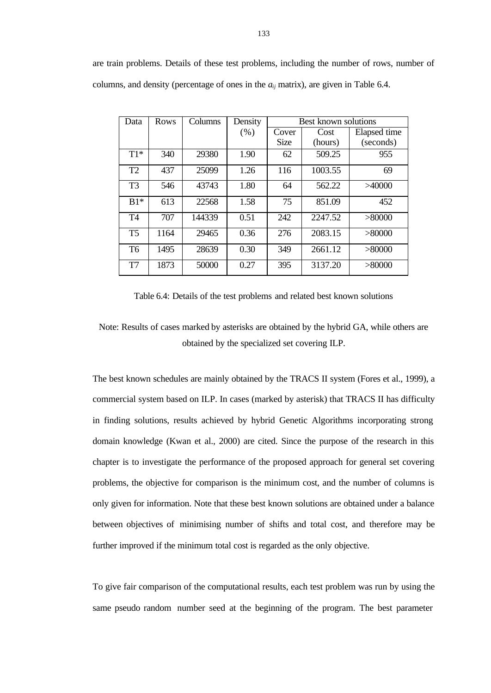| Data           | Rows | Columns | Density | <b>Best known solutions</b> |         |              |  |  |
|----------------|------|---------|---------|-----------------------------|---------|--------------|--|--|
|                |      |         | (% )    | Cover                       | Cost    | Elapsed time |  |  |
|                |      |         |         | <b>Size</b>                 | (hours) | (seconds)    |  |  |
| $T1*$          | 340  | 29380   | 1.90    | 62                          | 509.25  | 955          |  |  |
| T <sub>2</sub> | 437  | 25099   | 1.26    | 116                         | 1003.55 | 69           |  |  |
| T <sub>3</sub> | 546  | 43743   | 1.80    | 64                          | 562.22  | >40000       |  |  |
| $B1*$          | 613  | 22568   | 1.58    | 75                          | 851.09  | 452          |  |  |
| T4             | 707  | 144339  | 0.51    | 242                         | 2247.52 | >80000       |  |  |
| T <sub>5</sub> | 1164 | 29465   | 0.36    | 276                         | 2083.15 | > 80000      |  |  |
| T <sub>6</sub> | 1495 | 28639   | 0.30    | 349                         | 2661.12 | > 80000      |  |  |
| T7             | 1873 | 50000   | 0.27    | 395                         | 3137.20 | > 80000      |  |  |

Table 6.4: Details of the test problems and related best known solutions

Note: Results of cases marked by asterisks are obtained by the hybrid GA, while others are obtained by the specialized set covering ILP.

The best known schedules are mainly obtained by the TRACS II system (Fores et al., 1999), a commercial system based on ILP. In cases (marked by asterisk) that TRACS II has difficulty in finding solutions, results achieved by hybrid Genetic Algorithms incorporating strong domain knowledge (Kwan et al., 2000) are cited. Since the purpose of the research in this chapter is to investigate the performance of the proposed approach for general set covering problems, the objective for comparison is the minimum cost, and the number of columns is only given for information. Note that these best known solutions are obtained under a balance between objectives of minimising number of shifts and total cost, and therefore may be further improved if the minimum total cost is regarded as the only objective.

To give fair comparison of the computational results, each test problem was run by using the same pseudo random number seed at the beginning of the program. The best parameter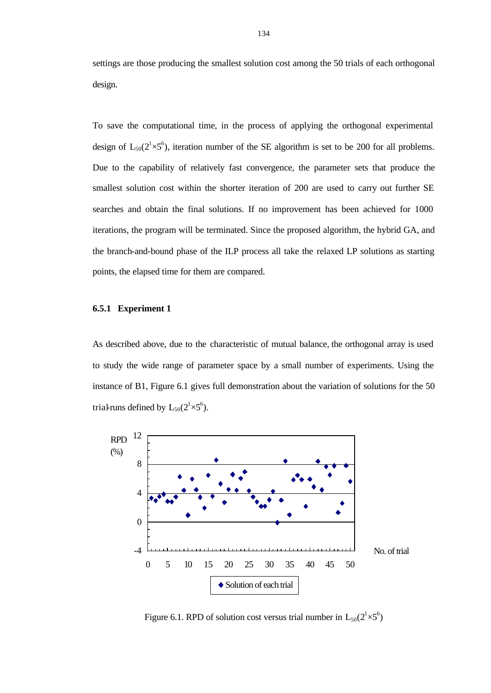settings are those producing the smallest solution cost among the 50 trials of each orthogonal design.

To save the computational time, in the process of applying the orthogonal experimental design of  $L_{50}(2^{1}\times5^{6})$ , iteration number of the SE algorithm is set to be 200 for all problems. Due to the capability of relatively fast convergence, the parameter sets that produce the smallest solution cost within the shorter iteration of 200 are used to carry out further SE searches and obtain the final solutions. If no improvement has been achieved for 1000 iterations, the program will be terminated. Since the proposed algorithm, the hybrid GA, and the branch-and-bound phase of the ILP process all take the relaxed LP solutions as starting points, the elapsed time for them are compared.

#### **6.5.1 Experiment 1**

As described above, due to the characteristic of mutual balance, the orthogonal array is used to study the wide range of parameter space by a small number of experiments. Using the instance of B1, Figure 6.1 gives full demonstration about the variation of solutions for the 50 trial-runs defined by  $L_{50}(2^{1}\times5^{6})$ .



Figure 6.1. RPD of solution cost versus trial number in  $L_{50}(2^1 \times 5^6)$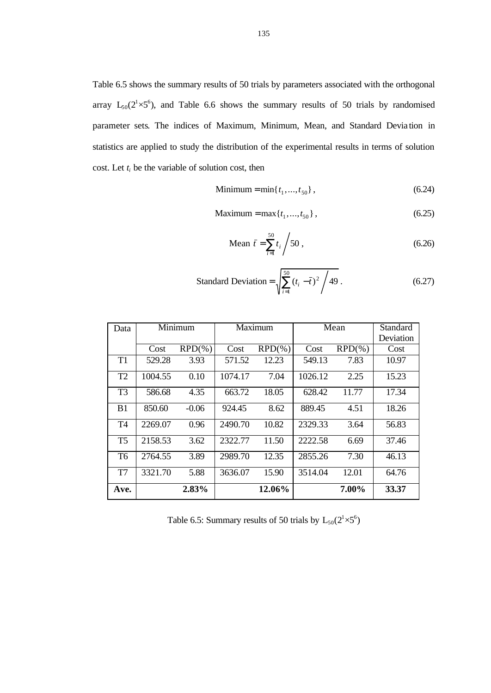Table 6.5 shows the summary results of 50 trials by parameters associated with the orthogonal array  $L_{50}(2^{1}\times5^{6})$ , and Table 6.6 shows the summary results of 50 trials by randomised parameter sets. The indices of Maximum, Minimum, Mean, and Standard Devia tion in statistics are applied to study the distribution of the experimental results in terms of solution cost. Let  $t_i$  be the variable of solution cost, then

$$
Minimum = min\{t_1, ..., t_{50}\},\tag{6.24}
$$

Maximum = max{
$$
t_1, ..., t_{50}
$$
}, (6.25)

Mean 
$$
\bar{t} = \sum_{i=1}^{50} t_i / 50
$$
, (6.26)

Standard Deviation = 
$$
\sqrt{\sum_{i=1}^{50} (t_i - \bar{t})^2 / 49}
$$
 (6.27)

| Data           |         | Minimum    |         | Maximum    | Mean    |            | Standard  |
|----------------|---------|------------|---------|------------|---------|------------|-----------|
|                |         |            |         |            |         |            | Deviation |
|                | Cost    | $RPD(\% )$ | Cost    | $RPD(\% )$ | Cost    | $RPD(\% )$ | Cost      |
| T <sub>1</sub> | 529.28  | 3.93       | 571.52  | 12.23      | 549.13  | 7.83       | 10.97     |
| T <sub>2</sub> | 1004.55 | 0.10       | 1074.17 | 7.04       | 1026.12 | 2.25       | 15.23     |
| T <sub>3</sub> | 586.68  | 4.35       | 663.72  | 18.05      | 628.42  | 11.77      | 17.34     |
| B <sub>1</sub> | 850.60  | $-0.06$    | 924.45  | 8.62       | 889.45  | 4.51       | 18.26     |
| T <sub>4</sub> | 2269.07 | 0.96       | 2490.70 | 10.82      | 2329.33 | 3.64       | 56.83     |
| T <sub>5</sub> | 2158.53 | 3.62       | 2322.77 | 11.50      | 2222.58 | 6.69       | 37.46     |
| T <sub>6</sub> | 2764.55 | 3.89       | 2989.70 | 12.35      | 2855.26 | 7.30       | 46.13     |
| T7             | 3321.70 | 5.88       | 3636.07 | 15.90      | 3514.04 | 12.01      | 64.76     |
| Ave.           |         | 2.83%      |         | 12.06%     |         | 7.00%      | 33.37     |

Table 6.5: Summary results of 50 trials by  $L_{50}(2^1 \times 5^6)$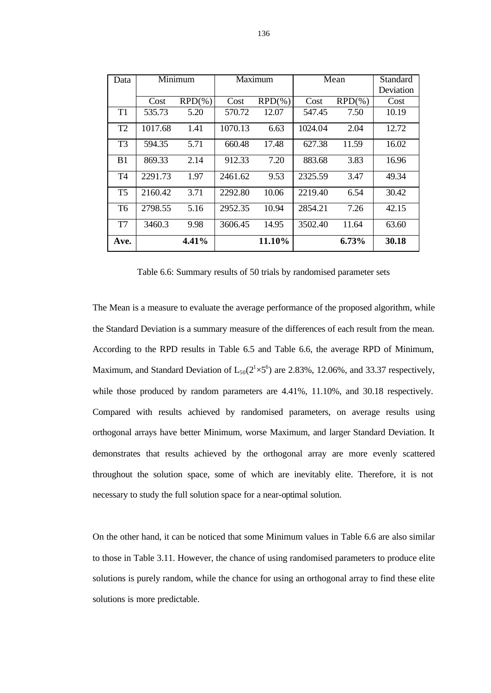| Data           | Minimum |            | Maximum |            | Mean    |            | Standard  |
|----------------|---------|------------|---------|------------|---------|------------|-----------|
|                |         |            |         |            |         |            | Deviation |
|                | Cost    | $RPD(\% )$ | Cost    | $RPD(\% )$ | Cost    | $RPD(\% )$ | Cost      |
| T1             | 535.73  | 5.20       | 570.72  | 12.07      | 547.45  | 7.50       | 10.19     |
| T <sub>2</sub> | 1017.68 | 1.41       | 1070.13 | 6.63       | 1024.04 | 2.04       | 12.72     |
| T <sub>3</sub> | 594.35  | 5.71       | 660.48  | 17.48      | 627.38  | 11.59      | 16.02     |
| B <sub>1</sub> | 869.33  | 2.14       | 912.33  | 7.20       | 883.68  | 3.83       | 16.96     |
| T <sub>4</sub> | 2291.73 | 1.97       | 2461.62 | 9.53       | 2325.59 | 3.47       | 49.34     |
| T <sub>5</sub> | 2160.42 | 3.71       | 2292.80 | 10.06      | 2219.40 | 6.54       | 30.42     |
| T <sub>6</sub> | 2798.55 | 5.16       | 2952.35 | 10.94      | 2854.21 | 7.26       | 42.15     |
| T <sub>7</sub> | 3460.3  | 9.98       | 3606.45 | 14.95      | 3502.40 | 11.64      | 63.60     |
| Ave.           |         | 4.41%      |         | 11.10%     |         | 6.73%      | 30.18     |

Table 6.6: Summary results of 50 trials by randomised parameter sets

The Mean is a measure to evaluate the average performance of the proposed algorithm, while the Standard Deviation is a summary measure of the differences of each result from the mean. According to the RPD results in Table 6.5 and Table 6.6, the average RPD of Minimum, Maximum, and Standard Deviation of  $L_{50}(2^{1} \times 5^{6})$  are 2.83%, 12.06%, and 33.37 respectively, while those produced by random parameters are 4.41%, 11.10%, and 30.18 respectively. Compared with results achieved by randomised parameters, on average results using orthogonal arrays have better Minimum, worse Maximum, and larger Standard Deviation. It demonstrates that results achieved by the orthogonal array are more evenly scattered throughout the solution space, some of which are inevitably elite. Therefore, it is not necessary to study the full solution space for a near-optimal solution.

On the other hand, it can be noticed that some Minimum values in Table 6.6 are also similar to those in Table 3.11. However, the chance of using randomised parameters to produce elite solutions is purely random, while the chance for using an orthogonal array to find these elite solutions is more predictable.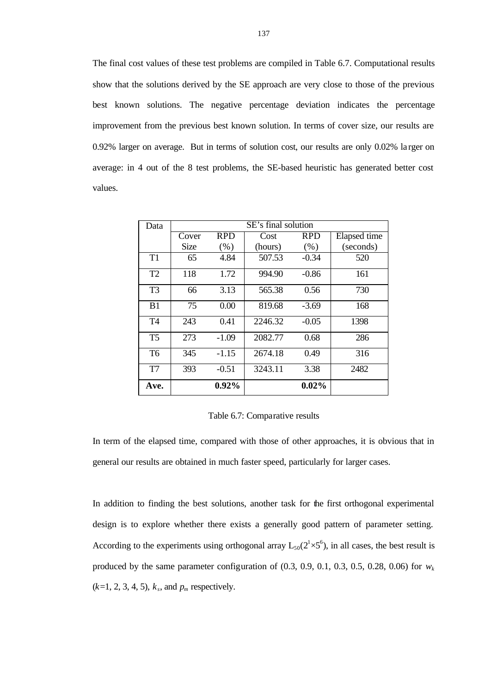The final cost values of these test problems are compiled in Table 6.7. Computational results show that the solutions derived by the SE approach are very close to those of the previous best known solutions. The negative percentage deviation indicates the percentage improvement from the previous best known solution. In terms of cover size, our results are 0.92% larger on average. But in terms of solution cost, our results are only 0.02% la rger on average: in 4 out of the 8 test problems, the SE-based heuristic has generated better cost values.

| Data           | SE's final solution |            |         |            |              |  |  |  |
|----------------|---------------------|------------|---------|------------|--------------|--|--|--|
|                | Cover               | <b>RPD</b> | Cost    | <b>RPD</b> | Elapsed time |  |  |  |
|                | Size                | (% )       | (hours) | (% )       | (seconds)    |  |  |  |
| T1             | 65                  | 4.84       | 507.53  | $-0.34$    | 520          |  |  |  |
| T <sub>2</sub> | 118                 | 1.72       | 994.90  | $-0.86$    | 161          |  |  |  |
| T <sub>3</sub> | 66                  | 3.13       | 565.38  | 0.56       | 730          |  |  |  |
| B <sub>1</sub> | 75                  | 0.00       | 819.68  | $-3.69$    | 168          |  |  |  |
| T <sub>4</sub> | 243                 | 0.41       | 2246.32 | $-0.05$    | 1398         |  |  |  |
| T <sub>5</sub> | 273                 | $-1.09$    | 2082.77 | 0.68       | 286          |  |  |  |
| T <sub>6</sub> | 345                 | $-1.15$    | 2674.18 | 0.49       | 316          |  |  |  |
| T7             | 393                 | $-0.51$    | 3243.11 | 3.38       | 2482         |  |  |  |
| Ave.           |                     | 0.92%      |         | 0.02%      |              |  |  |  |

Table 6.7: Comparative results

In term of the elapsed time, compared with those of other approaches, it is obvious that in general our results are obtained in much faster speed, particularly for larger cases.

In addition to finding the best solutions, another task for the first orthogonal experimental design is to explore whether there exists a generally good pattern of parameter setting. According to the experiments using orthogonal array  $L_{50}(2^{1} \times 5^{6})$ , in all cases, the best result is produced by the same parameter configuration of  $(0.3, 0.9, 0.1, 0.3, 0.5, 0.28, 0.06)$  for  $w_k$  $(k=1, 2, 3, 4, 5)$ ,  $k_s$ , and  $p_m$  respectively.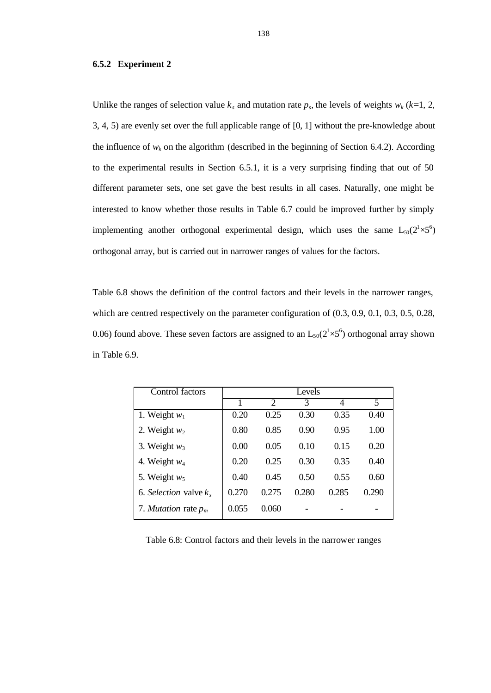#### **6.5.2 Experiment 2**

Unlike the ranges of selection value  $k_s$  and mutation rate  $p_s$ , the levels of weights  $w_k$  ( $k=1, 2,$ ) 3, 4, 5) are evenly set over the full applicable range of [0, 1] without the pre-knowledge about the influence of  $w_k$  on the algorithm (described in the beginning of Section 6.4.2). According to the experimental results in Section 6.5.1, it is a very surprising finding that out of 50 different parameter sets, one set gave the best results in all cases. Naturally, one might be interested to know whether those results in Table 6.7 could be improved further by simply implementing another orthogonal experimental design, which uses the same  $L_{50}(2^{1}\times5^{6})$ orthogonal array, but is carried out in narrower ranges of values for the factors.

Table 6.8 shows the definition of the control factors and their levels in the narrower ranges, which are centred respectively on the parameter configuration of  $(0.3, 0.9, 0.1, 0.3, 0.5, 0.28, ...)$ 0.06) found above. These seven factors are assigned to an  $L_{50}(2^{1} \times 5^{6})$  orthogonal array shown in Table 6.9.

| Control factors               |       |                | Levels |       |       |
|-------------------------------|-------|----------------|--------|-------|-------|
|                               |       | $\mathfrak{D}$ | 3      | 4     | 5     |
| 1. Weight $w_1$               | 0.20  | 0.25           | 0.30   | 0.35  | 0.40  |
| 2. Weight $w_2$               | 0.80  | 0.85           | 0.90   | 0.95  | 1.00  |
| 3. Weight $w_3$               | 0.00  | 0.05           | 0.10   | 0.15  | 0.20  |
| 4. Weight $w_4$               | 0.20  | 0.25           | 0.30   | 0.35  | 0.40  |
| 5. Weight $w_5$               | 0.40  | 0.45           | 0.50   | 0.55  | 0.60  |
| 6. Selection valve $k_s$      | 0.270 | 0.275          | 0.280  | 0.285 | 0.290 |
| 7. <i>Mutation</i> rate $p_m$ | 0.055 | 0.060          |        |       |       |

Table 6.8: Control factors and their levels in the narrower ranges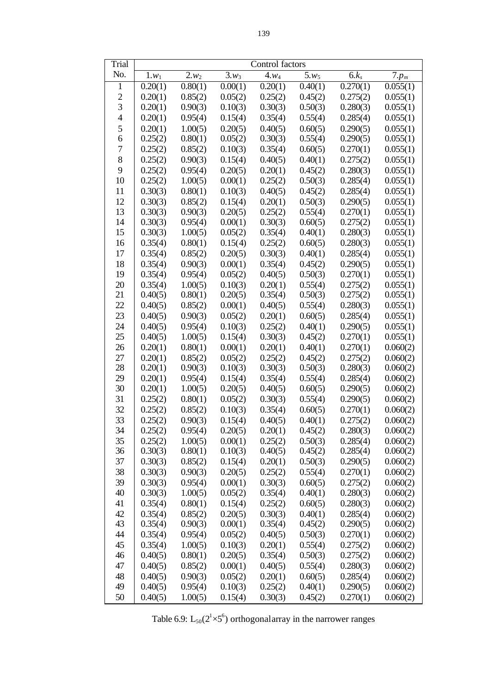| Trial          | Control factors    |         |                    |                        |                        |          |          |
|----------------|--------------------|---------|--------------------|------------------------|------------------------|----------|----------|
| No.            | $\overline{1}.w_1$ | $2.w_2$ | $\overline{3}.w_3$ | $\overline{4}$ . $w_4$ | $\overline{5}$ . $w_5$ | $6.k_s$  | $7.p_m$  |
| 1              | 0.20(1)            | 0.80(1) | 0.00(1)            | 0.20(1)                | 0.40(1)                | 0.270(1) | 0.055(1) |
| $\overline{2}$ | 0.20(1)            | 0.85(2) | 0.05(2)            | 0.25(2)                | 0.45(2)                | 0.275(2) | 0.055(1) |
| 3              | 0.20(1)            | 0.90(3) | 0.10(3)            | 0.30(3)                | 0.50(3)                | 0.280(3) | 0.055(1) |
| $\overline{4}$ | 0.20(1)            | 0.95(4) | 0.15(4)            | 0.35(4)                | 0.55(4)                | 0.285(4) | 0.055(1) |
| 5              | 0.20(1)            | 1.00(5) | 0.20(5)            | 0.40(5)                | 0.60(5)                | 0.290(5) | 0.055(1) |
| 6              | 0.25(2)            | 0.80(1) | 0.05(2)            | 0.30(3)                | 0.55(4)                | 0.290(5) | 0.055(1) |
| 7              | 0.25(2)            | 0.85(2) | 0.10(3)            | 0.35(4)                | 0.60(5)                | 0.270(1) | 0.055(1) |
| 8              | 0.25(2)            | 0.90(3) | 0.15(4)            | 0.40(5)                | 0.40(1)                | 0.275(2) | 0.055(1) |
| 9              | 0.25(2)            | 0.95(4) | 0.20(5)            | 0.20(1)                | 0.45(2)                | 0.280(3) | 0.055(1) |
| 10             | 0.25(2)            | 1.00(5) | 0.00(1)            | 0.25(2)                | 0.50(3)                | 0.285(4) | 0.055(1) |
| 11             | 0.30(3)            | 0.80(1) | 0.10(3)            | 0.40(5)                | 0.45(2)                | 0.285(4) | 0.055(1) |
| 12             | 0.30(3)            | 0.85(2) | 0.15(4)            | 0.20(1)                | 0.50(3)                | 0.290(5) | 0.055(1) |
| 13             | 0.30(3)            | 0.90(3) | 0.20(5)            | 0.25(2)                | 0.55(4)                | 0.270(1) | 0.055(1) |
| 14             | 0.30(3)            | 0.95(4) | 0.00(1)            | 0.30(3)                | 0.60(5)                | 0.275(2) | 0.055(1) |
| 15             | 0.30(3)            | 1.00(5) | 0.05(2)            | 0.35(4)                | 0.40(1)                | 0.280(3) | 0.055(1) |
| 16             | 0.35(4)            | 0.80(1) | 0.15(4)            | 0.25(2)                | 0.60(5)                | 0.280(3) | 0.055(1) |
| 17             | 0.35(4)            | 0.85(2) | 0.20(5)            | 0.30(3)                | 0.40(1)                | 0.285(4) | 0.055(1) |
| 18             | 0.35(4)            | 0.90(3) | 0.00(1)            | 0.35(4)                | 0.45(2)                | 0.290(5) | 0.055(1) |
| 19             | 0.35(4)            | 0.95(4) | 0.05(2)            | 0.40(5)                | 0.50(3)                | 0.270(1) | 0.055(1) |
| 20             | 0.35(4)            | 1.00(5) | 0.10(3)            | 0.20(1)                | 0.55(4)                | 0.275(2) | 0.055(1) |
| 21             | 0.40(5)            | 0.80(1) | 0.20(5)            | 0.35(4)                | 0.50(3)                | 0.275(2) | 0.055(1) |
| 22             | 0.40(5)            | 0.85(2) | 0.00(1)            | 0.40(5)                | 0.55(4)                | 0.280(3) | 0.055(1) |
| 23             | 0.40(5)            | 0.90(3) | 0.05(2)            | 0.20(1)                | 0.60(5)                | 0.285(4) | 0.055(1) |
| 24             | 0.40(5)            | 0.95(4) | 0.10(3)            | 0.25(2)                | 0.40(1)                | 0.290(5) | 0.055(1) |
| 25             | 0.40(5)            | 1.00(5) | 0.15(4)            | 0.30(3)                | 0.45(2)                | 0.270(1) | 0.055(1) |
| 26             | 0.20(1)            | 0.80(1) | 0.00(1)            | 0.20(1)                | 0.40(1)                | 0.270(1) | 0.060(2) |
| 27             | 0.20(1)            | 0.85(2) | 0.05(2)            | 0.25(2)                | 0.45(2)                | 0.275(2) | 0.060(2) |
| 28             | 0.20(1)            | 0.90(3) | 0.10(3)            | 0.30(3)                | 0.50(3)                | 0.280(3) | 0.060(2) |
| 29             | 0.20(1)            | 0.95(4) | 0.15(4)            | 0.35(4)                | 0.55(4)                | 0.285(4) | 0.060(2) |
| 30             | 0.20(1)            | 1.00(5) | 0.20(5)            | 0.40(5)                | 0.60(5)                | 0.290(5) | 0.060(2) |
| 31             | 0.25(2)            | 0.80(1) | 0.05(2)            | 0.30(3)                | 0.55(4)                | 0.290(5) | 0.060(2) |
| 32             | 0.25(2)            | 0.85(2) | 0.10(3)            | 0.35(4)                | 0.60(5)                | 0.270(1) | 0.060(2) |
| 33             | 0.25(2)            | 0.90(3) | 0.15(4)            | 0.40(5)                | 0.40(1)                | 0.275(2) | 0.060(2) |
| 34             | 0.25(2)            | 0.95(4) | 0.20(5)            | 0.20(1)                | 0.45(2)                | 0.280(3) | 0.060(2) |
| 35             | 0.25(2)            | 1.00(5) | 0.00(1)            | 0.25(2)                | 0.50(3)                | 0.285(4) | 0.060(2) |
| 36             | 0.30(3)            | 0.80(1) | 0.10(3)            | 0.40(5)                | 0.45(2)                | 0.285(4) | 0.060(2) |
| 37             | 0.30(3)            | 0.85(2) | 0.15(4)            | 0.20(1)                | 0.50(3)                | 0.290(5) | 0.060(2) |
| 38             | 0.30(3)            | 0.90(3) | 0.20(5)            | 0.25(2)                | 0.55(4)                | 0.270(1) | 0.060(2) |
| 39             | 0.30(3)            | 0.95(4) | 0.00(1)            | 0.30(3)                | 0.60(5)                | 0.275(2) | 0.060(2) |
| 40             | 0.30(3)            | 1.00(5) | 0.05(2)            | 0.35(4)                | 0.40(1)                | 0.280(3) | 0.060(2) |
| 41             | 0.35(4)            | 0.80(1) | 0.15(4)            | 0.25(2)                | 0.60(5)                | 0.280(3) | 0.060(2) |
| 42             | 0.35(4)            | 0.85(2) | 0.20(5)            | 0.30(3)                | 0.40(1)                | 0.285(4) | 0.060(2) |
| 43             | 0.35(4)            | 0.90(3) | 0.00(1)            | 0.35(4)                | 0.45(2)                | 0.290(5) | 0.060(2) |
| 44             | 0.35(4)            | 0.95(4) | 0.05(2)            | 0.40(5)                | 0.50(3)                | 0.270(1) | 0.060(2) |
| 45             | 0.35(4)            | 1.00(5) | 0.10(3)            | 0.20(1)                | 0.55(4)                | 0.275(2) | 0.060(2) |
| 46             | 0.40(5)            | 0.80(1) | 0.20(5)            | 0.35(4)                | 0.50(3)                | 0.275(2) | 0.060(2) |
| 47             | 0.40(5)            | 0.85(2) | 0.00(1)            | 0.40(5)                | 0.55(4)                | 0.280(3) | 0.060(2) |
| 48             | 0.40(5)            | 0.90(3) | 0.05(2)            | 0.20(1)                | 0.60(5)                | 0.285(4) | 0.060(2) |
| 49             | 0.40(5)            | 0.95(4) | 0.10(3)            | 0.25(2)                | 0.40(1)                | 0.290(5) | 0.060(2) |
| 50             | 0.40(5)            | 1.00(5) | 0.15(4)            | 0.30(3)                | 0.45(2)                | 0.270(1) | 0.060(2) |

Table 6.9:  $L_{50}(2^{1} \times 5^{6})$  orthogonal array in the narrower ranges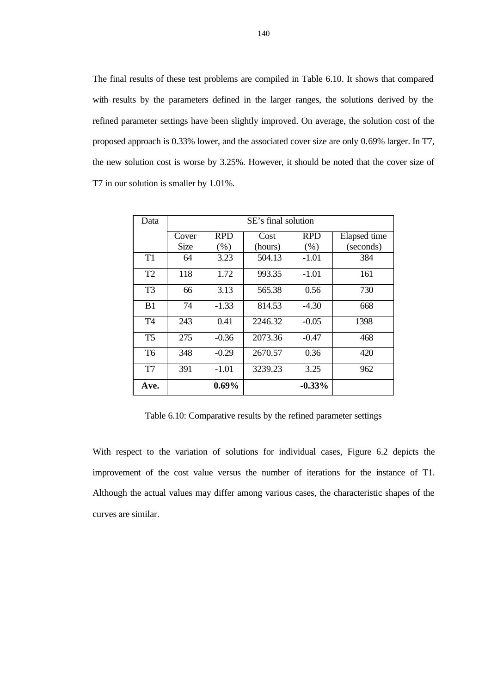The final results of these test problems are compiled in Table 6.10. It shows that compared with results by the parameters defined in the larger ranges, the solutions derived by the refined parameter settings have been slightly improved. On average, the solution cost of the proposed approach is 0.33% lower, and the associated cover size are only 0.69% larger. In T7, the new solution cost is worse by 3.25%. However, it should be noted that the cover size of T7 in our solution is smaller by 1.01%.

| Data           | SE's final solution |            |         |            |              |  |  |  |
|----------------|---------------------|------------|---------|------------|--------------|--|--|--|
|                | Cover               | <b>RPD</b> | Cost    | <b>RPD</b> | Elapsed time |  |  |  |
|                | <b>Size</b>         | (% )       | (hours) | (% )       | (seconds)    |  |  |  |
| T1             | 64                  | 3.23       | 504.13  | $-1.01$    | 384          |  |  |  |
| T <sub>2</sub> | 118                 | 1.72       | 993.35  | $-1.01$    | 161          |  |  |  |
| T3             | 66                  | 3.13       | 565.38  | 0.56       | 730          |  |  |  |
| B <sub>1</sub> | 74                  | $-1.33$    | 814.53  | $-4.30$    | 668          |  |  |  |
| T <sub>4</sub> | 243                 | 0.41       | 2246.32 | $-0.05$    | 1398         |  |  |  |
| T <sub>5</sub> | 275                 | $-0.36$    | 2073.36 | $-0.47$    | 468          |  |  |  |
| T <sub>6</sub> | 348                 | $-0.29$    | 2670.57 | 0.36       | 420          |  |  |  |
| T7             | 391                 | $-1.01$    | 3239.23 | 3.25       | 962          |  |  |  |
| Ave.           |                     | $0.69\%$   |         | $-0.33%$   |              |  |  |  |

Table 6.10: Comparative results by the refined parameter settings

With respect to the variation of solutions for individual cases, Figure 6.2 depicts the improvement of the cost value versus the number of iterations for the instance of T1. Although the actual values may differ among various cases, the characteristic shapes of the curves are similar.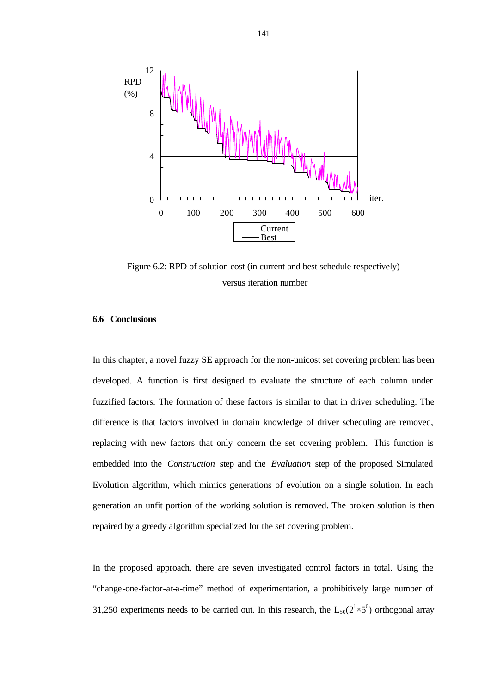

Figure 6.2: RPD of solution cost (in current and best schedule respectively) versus iteration number

### **6.6 Conclusions**

In this chapter, a novel fuzzy SE approach for the non-unicost set covering problem has been developed. A function is first designed to evaluate the structure of each column under fuzzified factors. The formation of these factors is similar to that in driver scheduling. The difference is that factors involved in domain knowledge of driver scheduling are removed, replacing with new factors that only concern the set covering problem. This function is embedded into the *Construction* step and the *Evaluation* step of the proposed Simulated Evolution algorithm, which mimics generations of evolution on a single solution. In each generation an unfit portion of the working solution is removed. The broken solution is then repaired by a greedy algorithm specialized for the set covering problem.

In the proposed approach, there are seven investigated control factors in total. Using the "change-one-factor-at-a-time" method of experimentation, a prohibitively large number of 31,250 experiments needs to be carried out. In this research, the  $L_{50}(2^{1}\times5^{6})$  orthogonal array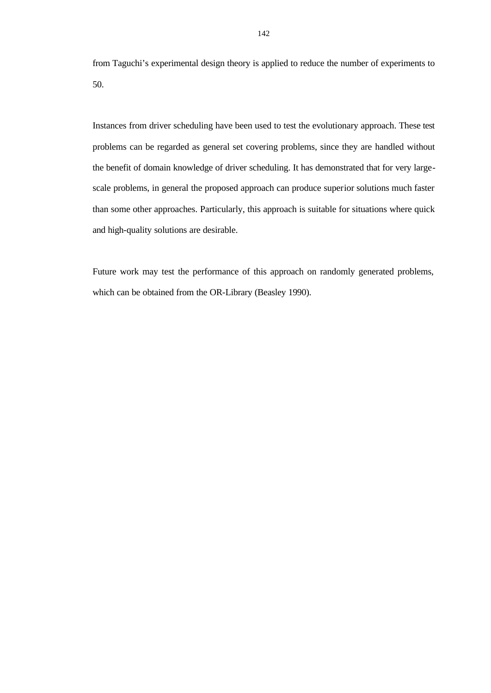from Taguchi's experimental design theory is applied to reduce the number of experiments to 50.

Instances from driver scheduling have been used to test the evolutionary approach. These test problems can be regarded as general set covering problems, since they are handled without the benefit of domain knowledge of driver scheduling. It has demonstrated that for very largescale problems, in general the proposed approach can produce superior solutions much faster than some other approaches. Particularly, this approach is suitable for situations where quick and high-quality solutions are desirable.

Future work may test the performance of this approach on randomly generated problems, which can be obtained from the OR-Library (Beasley 1990).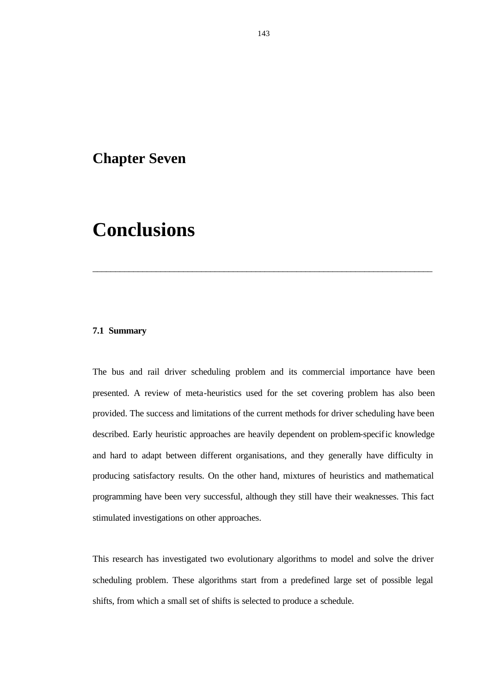### **Chapter Seven**

# **Conclusions**

#### **7.1 Summary**

The bus and rail driver scheduling problem and its commercial importance have been presented. A review of meta-heuristics used for the set covering problem has also been provided. The success and limitations of the current methods for driver scheduling have been described. Early heuristic approaches are heavily dependent on problem-specific knowledge and hard to adapt between different organisations, and they generally have difficulty in producing satisfactory results. On the other hand, mixtures of heuristics and mathematical programming have been very successful, although they still have their weaknesses. This fact stimulated investigations on other approaches.

\_\_\_\_\_\_\_\_\_\_\_\_\_\_\_\_\_\_\_\_\_\_\_\_\_\_\_\_\_\_\_\_\_\_\_\_\_\_\_\_\_\_\_\_\_\_\_\_\_\_\_\_\_\_\_\_\_\_\_\_\_\_\_\_\_\_\_\_\_\_\_\_\_\_\_

This research has investigated two evolutionary algorithms to model and solve the driver scheduling problem. These algorithms start from a predefined large set of possible legal shifts, from which a small set of shifts is selected to produce a schedule.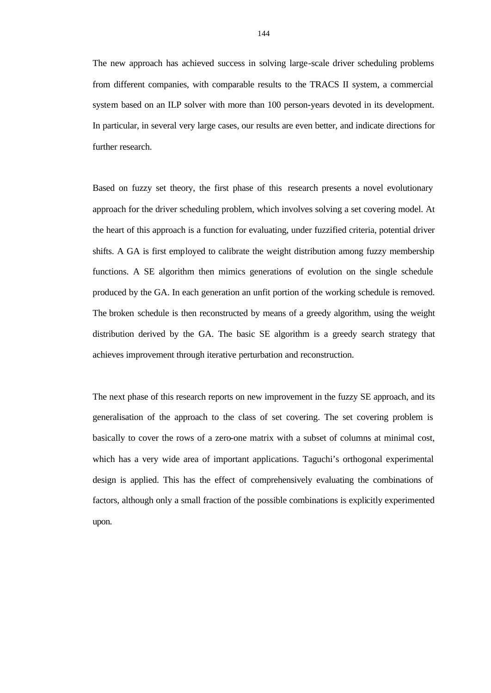The new approach has achieved success in solving large-scale driver scheduling problems from different companies, with comparable results to the TRACS II system, a commercial system based on an ILP solver with more than 100 person-years devoted in its development. In particular, in several very large cases, our results are even better, and indicate directions for further research.

Based on fuzzy set theory, the first phase of this research presents a novel evolutionary approach for the driver scheduling problem, which involves solving a set covering model. At the heart of this approach is a function for evaluating, under fuzzified criteria, potential driver shifts. A GA is first employed to calibrate the weight distribution among fuzzy membership functions. A SE algorithm then mimics generations of evolution on the single schedule produced by the GA. In each generation an unfit portion of the working schedule is removed. The broken schedule is then reconstructed by means of a greedy algorithm, using the weight distribution derived by the GA. The basic SE algorithm is a greedy search strategy that achieves improvement through iterative perturbation and reconstruction.

The next phase of this research reports on new improvement in the fuzzy SE approach, and its generalisation of the approach to the class of set covering. The set covering problem is basically to cover the rows of a zero-one matrix with a subset of columns at minimal cost, which has a very wide area of important applications. Taguchi's orthogonal experimental design is applied. This has the effect of comprehensively evaluating the combinations of factors, although only a small fraction of the possible combinations is explicitly experimented upon.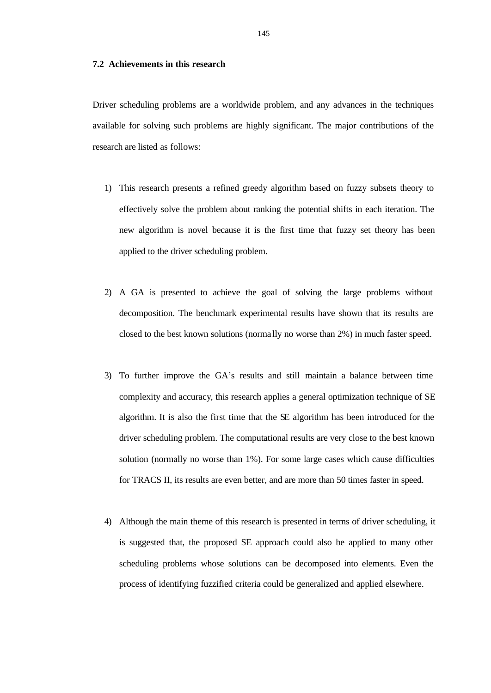#### **7.2 Achievements in this research**

Driver scheduling problems are a worldwide problem, and any advances in the techniques available for solving such problems are highly significant. The major contributions of the research are listed as follows:

- 1) This research presents a refined greedy algorithm based on fuzzy subsets theory to effectively solve the problem about ranking the potential shifts in each iteration. The new algorithm is novel because it is the first time that fuzzy set theory has been applied to the driver scheduling problem.
- 2) A GA is presented to achieve the goal of solving the large problems without decomposition. The benchmark experimental results have shown that its results are closed to the best known solutions (norma lly no worse than 2%) in much faster speed.
- 3) To further improve the GA's results and still maintain a balance between time complexity and accuracy, this research applies a general optimization technique of SE algorithm. It is also the first time that the SE algorithm has been introduced for the driver scheduling problem. The computational results are very close to the best known solution (normally no worse than 1%). For some large cases which cause difficulties for TRACS II, its results are even better, and are more than 50 times faster in speed.
- 4) Although the main theme of this research is presented in terms of driver scheduling, it is suggested that, the proposed SE approach could also be applied to many other scheduling problems whose solutions can be decomposed into elements. Even the process of identifying fuzzified criteria could be generalized and applied elsewhere.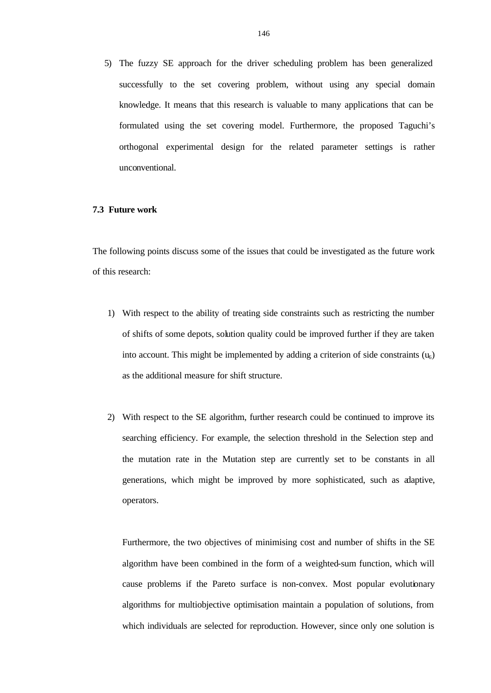5) The fuzzy SE approach for the driver scheduling problem has been generalized successfully to the set covering problem, without using any special domain knowledge. It means that this research is valuable to many applications that can be formulated using the set covering model. Furthermore, the proposed Taguchi's orthogonal experimental design for the related parameter settings is rather unconventional.

#### **7.3 Future work**

The following points discuss some of the issues that could be investigated as the future work of this research:

- 1) With respect to the ability of treating side constraints such as restricting the number of shifts of some depots, solution quality could be improved further if they are taken into account. This might be implemented by adding a criterion of side constraints  $(u_6)$ as the additional measure for shift structure.
- 2) With respect to the SE algorithm, further research could be continued to improve its searching efficiency. For example, the selection threshold in the Selection step and the mutation rate in the Mutation step are currently set to be constants in all generations, which might be improved by more sophisticated, such as adaptive, operators.

Furthermore, the two objectives of minimising cost and number of shifts in the SE algorithm have been combined in the form of a weighted-sum function, which will cause problems if the Pareto surface is non-convex. Most popular evolutionary algorithms for multiobjective optimisation maintain a population of solutions, from which individuals are selected for reproduction. However, since only one solution is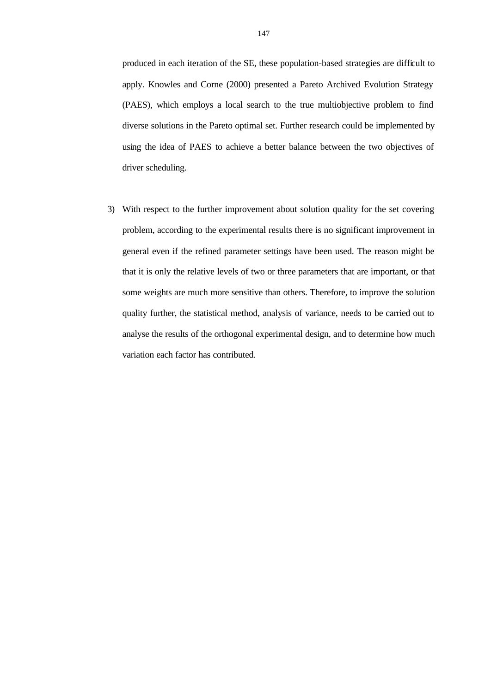produced in each iteration of the SE, these population-based strategies are difficult to apply. Knowles and Corne (2000) presented a Pareto Archived Evolution Strategy (PAES), which employs a local search to the true multiobjective problem to find diverse solutions in the Pareto optimal set. Further research could be implemented by using the idea of PAES to achieve a better balance between the two objectives of driver scheduling.

3) With respect to the further improvement about solution quality for the set covering problem, according to the experimental results there is no significant improvement in general even if the refined parameter settings have been used. The reason might be that it is only the relative levels of two or three parameters that are important, or that some weights are much more sensitive than others. Therefore, to improve the solution quality further, the statistical method, analysis of variance, needs to be carried out to analyse the results of the orthogonal experimental design, and to determine how much variation each factor has contributed.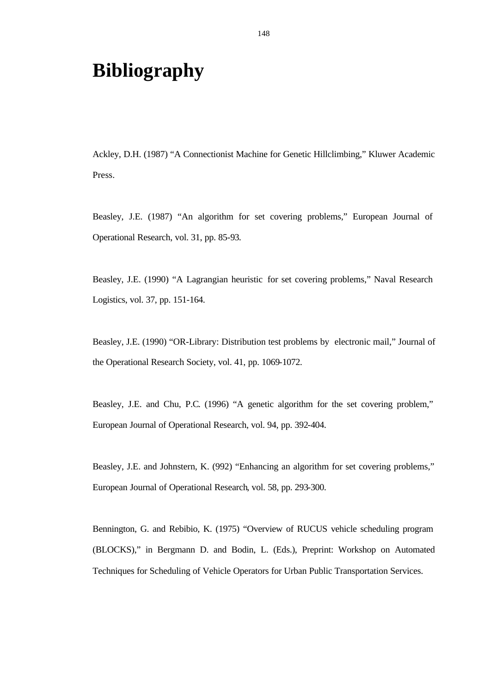# **Bibliography**

Ackley, D.H. (1987) "A Connectionist Machine for Genetic Hillclimbing," Kluwer Academic Press.

Beasley, J.E. (1987) "An algorithm for set covering problems," European Journal of Operational Research, vol. 31, pp. 85-93.

Beasley, J.E. (1990) "A Lagrangian heuristic for set covering problems," Naval Research Logistics, vol. 37, pp. 151-164.

Beasley, J.E. (1990) "OR-Library: Distribution test problems by electronic mail," Journal of the Operational Research Society, vol. 41, pp. 1069-1072.

Beasley, J.E. and Chu, P.C. (1996) "A genetic algorithm for the set covering problem," European Journal of Operational Research, vol. 94, pp. 392-404.

Beasley, J.E. and Johnstern, K. (992) "Enhancing an algorithm for set covering problems," European Journal of Operational Research, vol. 58, pp. 293-300.

Bennington, G. and Rebibio, K. (1975) "Overview of RUCUS vehicle scheduling program (BLOCKS)," in Bergmann D. and Bodin, L. (Eds.), Preprint: Workshop on Automated Techniques for Scheduling of Vehicle Operators for Urban Public Transportation Services.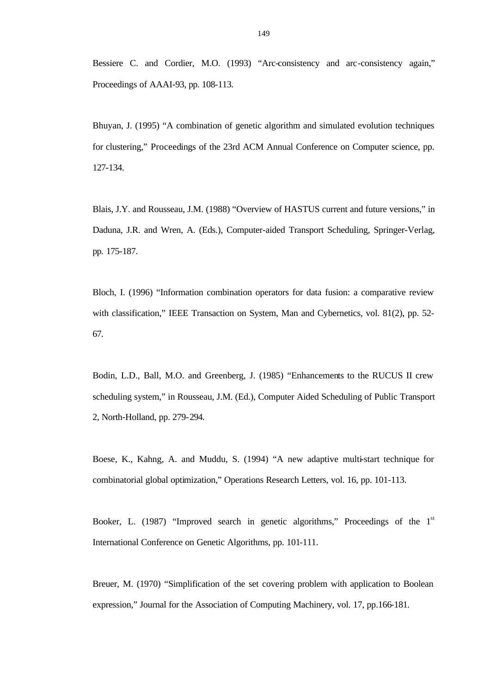Bessiere C. and Cordier, M.O. (1993) "Arc-consistency and arc-consistency again," Proceedings of AAAI-93, pp. 108-113.

Bhuyan, J. (1995) "A combination of genetic algorithm and simulated evolution techniques for clustering," Proceedings of the 23rd ACM Annual Conference on Computer science, pp. 127-134.

Blais, J.Y. and Rousseau, J.M. (1988) "Overview of HASTUS current and future versions," in Daduna, J.R. and Wren, A. (Eds.), Computer-aided Transport Scheduling, Springer-Verlag, pp. 175-187.

Bloch, I. (1996) "Information combination operators for data fusion: a comparative review with classification," IEEE Transaction on System, Man and Cybernetics, vol. 81(2), pp. 52-67.

Bodin, L.D., Ball, M.O. and Greenberg, J. (1985) "Enhancements to the RUCUS II crew scheduling system," in Rousseau, J.M. (Ed.), Computer Aided Scheduling of Public Transport 2, North-Holland, pp. 279-294.

Boese, K., Kahng, A. and Muddu, S. (1994) "A new adaptive multi-start technique for combinatorial global optimization," Operations Research Letters, vol. 16, pp. 101-113.

Booker, L.  $(1987)$  "Improved search in genetic algorithms," Proceedings of the  $1<sup>st</sup>$ International Conference on Genetic Algorithms, pp. 101-111.

Breuer, M. (1970) "Simplification of the set covering problem with application to Boolean expression," Journal for the Association of Computing Machinery, vol. 17, pp.166-181.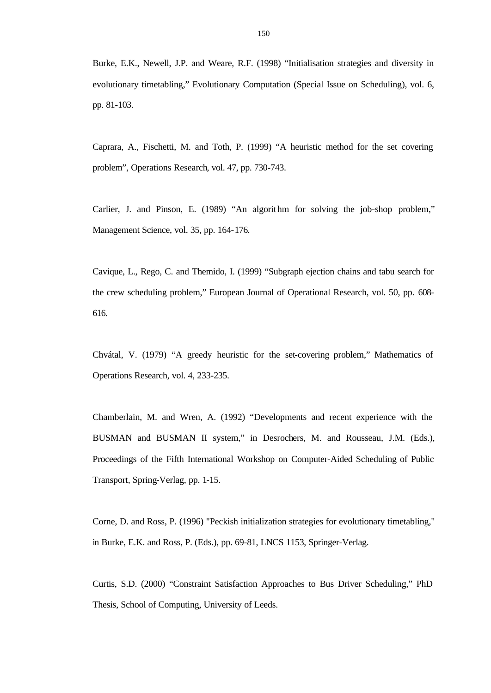Burke, E.K., Newell, J.P. and Weare, R.F. (1998) "Initialisation strategies and diversity in evolutionary timetabling," Evolutionary Computation (Special Issue on Scheduling), vol. 6, pp. 81-103.

Caprara, A., Fischetti, M. and Toth, P. (1999) "A heuristic method for the set covering problem", Operations Research, vol. 47, pp. 730-743.

Carlier, J. and Pinson, E. (1989) "An algorithm for solving the job-shop problem," Management Science, vol. 35, pp. 164-176.

Cavique, L., Rego, C. and Themido, I. (1999) "Subgraph ejection chains and tabu search for the crew scheduling problem," European Journal of Operational Research, vol. 50, pp. 608- 616.

Chvátal, V. (1979) "A greedy heuristic for the set-covering problem," Mathematics of Operations Research, vol. 4, 233-235.

Chamberlain, M. and Wren, A. (1992) "Developments and recent experience with the BUSMAN and BUSMAN II system," in Desrochers, M. and Rousseau, J.M. (Eds.), Proceedings of the Fifth International Workshop on Computer-Aided Scheduling of Public Transport, Spring-Verlag, pp. 1-15.

Corne, D. and Ross, P. (1996) "Peckish initialization strategies for evolutionary timetabling," in Burke, E.K. and Ross, P. (Eds.), pp. 69-81, LNCS 1153, Springer-Verlag.

Curtis, S.D. (2000) "Constraint Satisfaction Approaches to Bus Driver Scheduling," PhD Thesis, School of Computing, University of Leeds.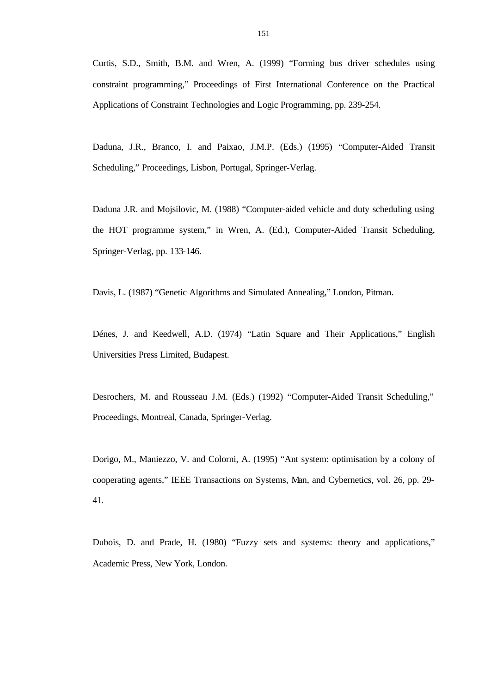Curtis, S.D., Smith, B.M. and Wren, A. (1999) "Forming bus driver schedules using constraint programming," Proceedings of First International Conference on the Practical Applications of Constraint Technologies and Logic Programming, pp. 239-254.

Daduna, J.R., Branco, I. and Paixao, J.M.P. (Eds.) (1995) "Computer-Aided Transit Scheduling," Proceedings, Lisbon, Portugal, Springer-Verlag.

Daduna J.R. and Mojsilovic, M. (1988) "Computer-aided vehicle and duty scheduling using the HOT programme system," in Wren, A. (Ed.), Computer-Aided Transit Scheduling, Springer-Verlag, pp. 133-146.

Davis, L. (1987) "Genetic Algorithms and Simulated Annealing," London, Pitman.

Dénes, J. and Keedwell, A.D. (1974) "Latin Square and Their Applications," English Universities Press Limited, Budapest.

Desrochers, M. and Rousseau J.M. (Eds.) (1992) "Computer-Aided Transit Scheduling," Proceedings, Montreal, Canada, Springer-Verlag.

Dorigo, M., Maniezzo, V. and Colorni, A. (1995) "Ant system: optimisation by a colony of cooperating agents," IEEE Transactions on Systems, Man, and Cybernetics, vol. 26, pp. 29- 41.

Dubois, D. and Prade, H. (1980) "Fuzzy sets and systems: theory and applications," Academic Press, New York, London.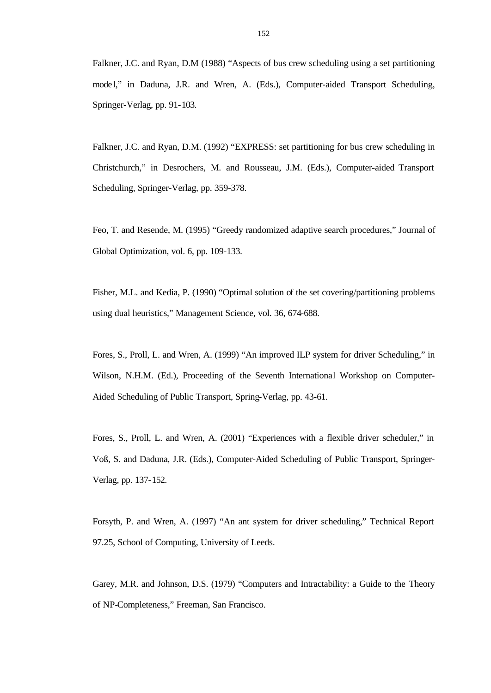Falkner, J.C. and Ryan, D.M (1988) "Aspects of bus crew scheduling using a set partitioning model," in Daduna, J.R. and Wren, A. (Eds.), Computer-aided Transport Scheduling, Springer-Verlag, pp. 91-103.

Falkner, J.C. and Ryan, D.M. (1992) "EXPRESS: set partitioning for bus crew scheduling in Christchurch," in Desrochers, M. and Rousseau, J.M. (Eds.), Computer-aided Transport Scheduling, Springer-Verlag, pp. 359-378.

Feo, T. and Resende, M. (1995) "Greedy randomized adaptive search procedures," Journal of Global Optimization, vol. 6, pp. 109-133.

Fisher, M.L. and Kedia, P. (1990) "Optimal solution of the set covering/partitioning problems using dual heuristics," Management Science, vol. 36, 674-688.

Fores, S., Proll, L. and Wren, A. (1999) "An improved ILP system for driver Scheduling," in Wilson, N.H.M. (Ed.), Proceeding of the Seventh International Workshop on Computer-Aided Scheduling of Public Transport, Spring-Verlag, pp. 43-61.

Fores, S., Proll, L. and Wren, A. (2001) "Experiences with a flexible driver scheduler," in Voß, S. and Daduna, J.R. (Eds.), Computer-Aided Scheduling of Public Transport, Springer-Verlag, pp. 137-152.

Forsyth, P. and Wren, A. (1997) "An ant system for driver scheduling," Technical Report 97.25, School of Computing, University of Leeds.

Garey, M.R. and Johnson, D.S. (1979) "Computers and Intractability: a Guide to the Theory of NP-Completeness," Freeman, San Francisco.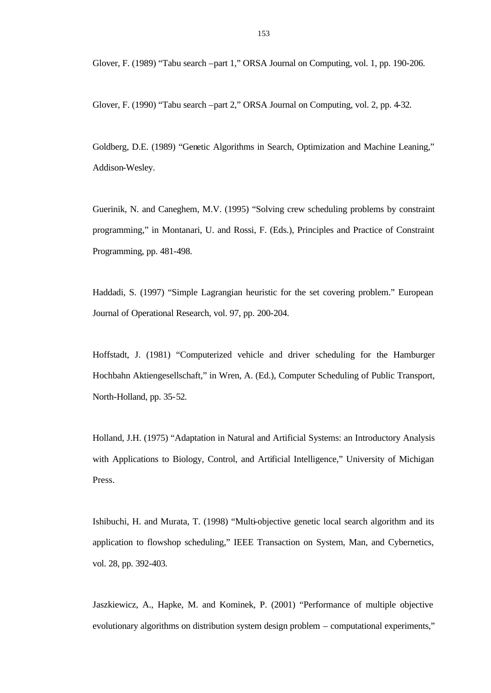Glover, F. (1989) "Tabu search –part 1," ORSA Journal on Computing, vol. 1, pp. 190-206.

Glover, F. (1990) "Tabu search –part 2," ORSA Journal on Computing, vol. 2, pp. 4-32.

Goldberg, D.E. (1989) "Genetic Algorithms in Search, Optimization and Machine Leaning," Addison-Wesley.

Guerinik, N. and Caneghem, M.V. (1995) "Solving crew scheduling problems by constraint programming," in Montanari, U. and Rossi, F. (Eds.), Principles and Practice of Constraint Programming, pp. 481-498.

Haddadi, S. (1997) "Simple Lagrangian heuristic for the set covering problem." European Journal of Operational Research, vol. 97, pp. 200-204.

Hoffstadt, J. (1981) "Computerized vehicle and driver scheduling for the Hamburger Hochbahn Aktiengesellschaft," in Wren, A. (Ed.), Computer Scheduling of Public Transport, North-Holland, pp. 35-52.

Holland, J.H. (1975) "Adaptation in Natural and Artificial Systems: an Introductory Analysis with Applications to Biology, Control, and Artificial Intelligence," University of Michigan Press.

Ishibuchi, H. and Murata, T. (1998) "Multi-objective genetic local search algorithm and its application to flowshop scheduling," IEEE Transaction on System, Man, and Cybernetics, vol. 28, pp. 392-403.

Jaszkiewicz, A., Hapke, M. and Kominek, P. (2001) "Performance of multiple objective evolutionary algorithms on distribution system design problem – computational experiments,"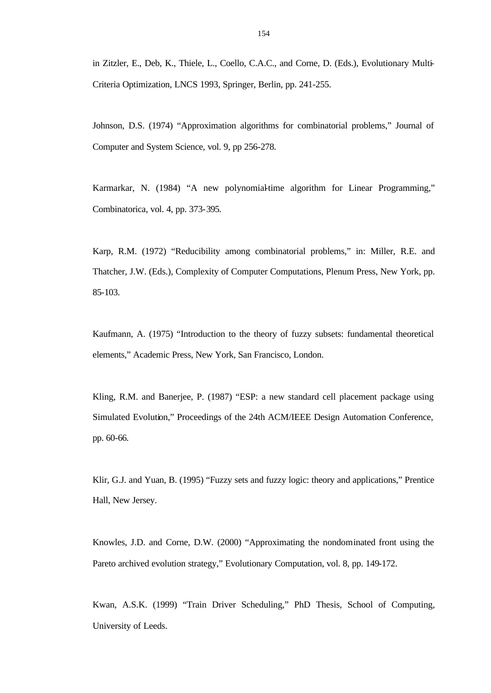in Zitzler, E., Deb, K., Thiele, L., Coello, C.A.C., and Corne, D. (Eds.), Evolutionary Multi-Criteria Optimization, LNCS 1993, Springer, Berlin, pp. 241-255.

Johnson, D.S. (1974) "Approximation algorithms for combinatorial problems," Journal of Computer and System Science, vol. 9, pp 256-278.

Karmarkar, N. (1984) "A new polynomial-time algorithm for Linear Programming," Combinatorica, vol. 4, pp. 373-395.

Karp, R.M. (1972) "Reducibility among combinatorial problems," in: Miller, R.E. and Thatcher, J.W. (Eds.), Complexity of Computer Computations, Plenum Press, New York, pp. 85-103.

Kaufmann, A. (1975) "Introduction to the theory of fuzzy subsets: fundamental theoretical elements," Academic Press, New York, San Francisco, London.

Kling, R.M. and Banerjee, P. (1987) "ESP: a new standard cell placement package using Simulated Evolution," Proceedings of the 24th ACM/IEEE Design Automation Conference, pp. 60-66.

Klir, G.J. and Yuan, B. (1995) "Fuzzy sets and fuzzy logic: theory and applications," Prentice Hall, New Jersey.

Knowles, J.D. and Corne, D.W. (2000) "Approximating the nondominated front using the Pareto archived evolution strategy," Evolutionary Computation, vol. 8, pp. 149-172.

Kwan, A.S.K. (1999) "Train Driver Scheduling," PhD Thesis, School of Computing, University of Leeds.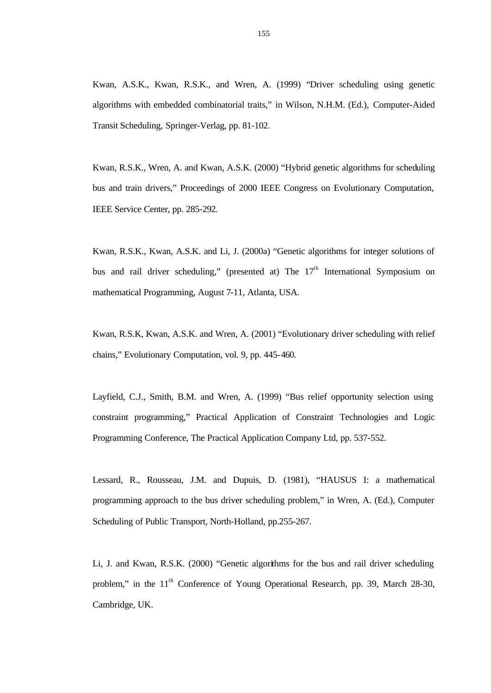Kwan, A.S.K., Kwan, R.S.K., and Wren, A. (1999) "Driver scheduling using genetic algorithms with embedded combinatorial traits," in Wilson, N.H.M. (Ed.), Computer-Aided Transit Scheduling, Springer-Verlag, pp. 81-102.

Kwan, R.S.K., Wren, A. and Kwan, A.S.K. (2000) "Hybrid genetic algorithms for scheduling bus and train drivers," Proceedings of 2000 IEEE Congress on Evolutionary Computation, IEEE Service Center, pp. 285-292.

Kwan, R.S.K., Kwan, A.S.K. and Li, J. (2000a) "Genetic algorithms for integer solutions of bus and rail driver scheduling," (presented at) The  $17<sup>th</sup>$  International Symposium on mathematical Programming, August 7-11, Atlanta, USA.

Kwan, R.S.K, Kwan, A.S.K. and Wren, A. (2001) "Evolutionary driver scheduling with relief chains," Evolutionary Computation, vol. 9, pp. 445-460.

Layfield, C.J., Smith, B.M. and Wren, A. (1999) "Bus relief opportunity selection using constraint programming," Practical Application of Constraint Technologies and Logic Programming Conference, The Practical Application Company Ltd, pp. 537-552.

Lessard, R., Rousseau, J.M. and Dupuis, D. (1981), "HAUSUS I: a mathematical programming approach to the bus driver scheduling problem," in Wren, A. (Ed.), Computer Scheduling of Public Transport, North-Holland, pp.255-267.

Li, J. and Kwan, R.S.K. (2000) "Genetic algorithms for the bus and rail driver scheduling problem," in the 11<sup>th</sup> Conference of Young Operational Research, pp. 39, March 28-30, Cambridge, UK.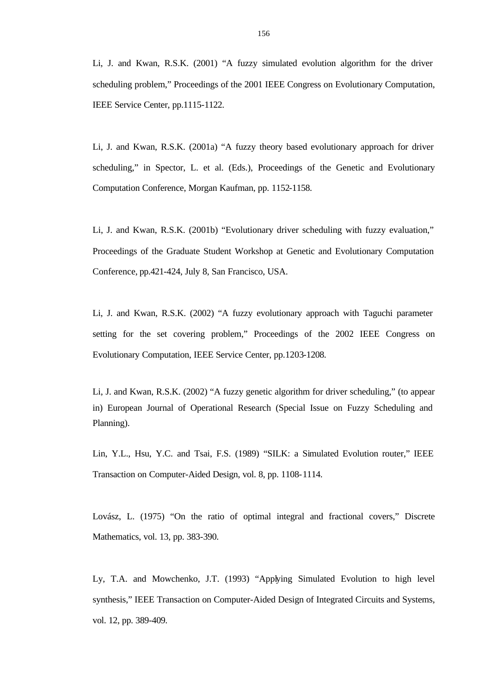Li, J. and Kwan, R.S.K. (2001) "A fuzzy simulated evolution algorithm for the driver scheduling problem," Proceedings of the 2001 IEEE Congress on Evolutionary Computation, IEEE Service Center, pp.1115-1122.

Li, J. and Kwan, R.S.K. (2001a) "A fuzzy theory based evolutionary approach for driver scheduling," in Spector, L. et al. (Eds.), Proceedings of the Genetic and Evolutionary Computation Conference, Morgan Kaufman, pp. 1152-1158.

Li, J. and Kwan, R.S.K. (2001b) "Evolutionary driver scheduling with fuzzy evaluation," Proceedings of the Graduate Student Workshop at Genetic and Evolutionary Computation Conference, pp.421-424, July 8, San Francisco, USA.

Li, J. and Kwan, R.S.K. (2002) "A fuzzy evolutionary approach with Taguchi parameter setting for the set covering problem," Proceedings of the 2002 IEEE Congress on Evolutionary Computation, IEEE Service Center, pp.1203-1208.

Li, J. and Kwan, R.S.K. (2002) "A fuzzy genetic algorithm for driver scheduling," (to appear in) European Journal of Operational Research (Special Issue on Fuzzy Scheduling and Planning).

Lin, Y.L., Hsu, Y.C. and Tsai, F.S. (1989) "SILK: a Simulated Evolution router," IEEE Transaction on Computer-Aided Design, vol. 8, pp. 1108-1114.

Lovász, L. (1975) "On the ratio of optimal integral and fractional covers," Discrete Mathematics, vol. 13, pp. 383-390.

Ly, T.A. and Mowchenko, J.T. (1993) "Applying Simulated Evolution to high level synthesis," IEEE Transaction on Computer-Aided Design of Integrated Circuits and Systems, vol. 12, pp. 389-409.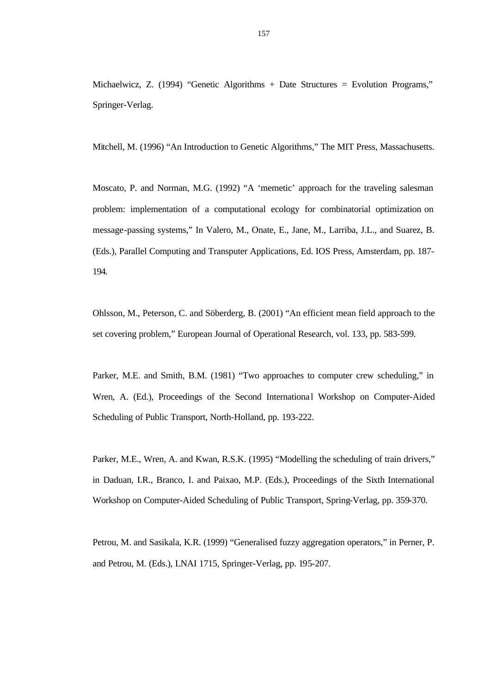Michaelwicz, Z. (1994) "Genetic Algorithms + Date Structures = Evolution Programs," Springer-Verlag.

Mitchell, M. (1996) "An Introduction to Genetic Algorithms," The MIT Press, Massachusetts.

Moscato, P. and Norman, M.G. (1992) "A 'memetic' approach for the traveling salesman problem: implementation of a computational ecology for combinatorial optimization on message-passing systems," In Valero, M., Onate, E., Jane, M., Larriba, J.L., and Suarez, B. (Eds.), Parallel Computing and Transputer Applications, Ed. IOS Press, Amsterdam, pp. 187- 194.

Ohlsson, M., Peterson, C. and Söberderg, B. (2001) "An efficient mean field approach to the set covering problem," European Journal of Operational Research, vol. 133, pp. 583-599.

Parker, M.E. and Smith, B.M. (1981) "Two approaches to computer crew scheduling," in Wren, A. (Ed.), Proceedings of the Second International Workshop on Computer-Aided Scheduling of Public Transport, North-Holland, pp. 193-222.

Parker, M.E., Wren, A. and Kwan, R.S.K. (1995) "Modelling the scheduling of train drivers," in Daduan, I.R., Branco, I. and Paixao, M.P. (Eds.), Proceedings of the Sixth International Workshop on Computer-Aided Scheduling of Public Transport, Spring-Verlag, pp. 359-370.

Petrou, M. and Sasikala, K.R. (1999) "Generalised fuzzy aggregation operators," in Perner, P. and Petrou, M. (Eds.), LNAI 1715, Springer-Verlag, pp. 195-207.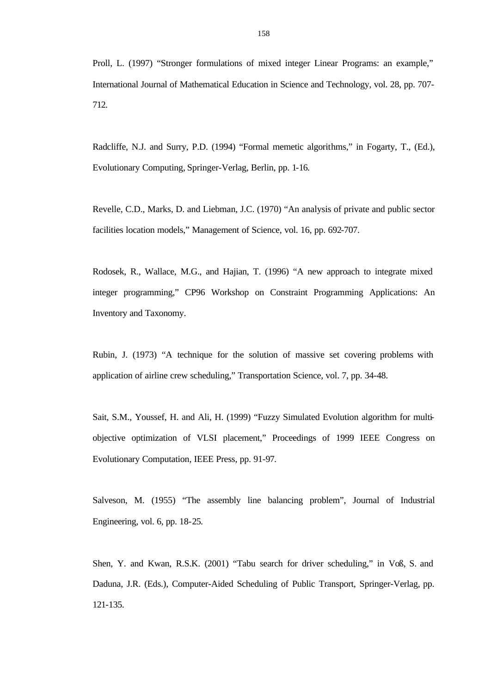Proll, L. (1997) "Stronger formulations of mixed integer Linear Programs: an example," International Journal of Mathematical Education in Science and Technology, vol. 28, pp. 707- 712.

Radcliffe, N.J. and Surry, P.D. (1994) "Formal memetic algorithms," in Fogarty, T., (Ed.), Evolutionary Computing, Springer-Verlag, Berlin, pp. 1-16.

Revelle, C.D., Marks, D. and Liebman, J.C. (1970) "An analysis of private and public sector facilities location models," Management of Science, vol. 16, pp. 692-707.

Rodosek, R., Wallace, M.G., and Hajian, T. (1996) "A new approach to integrate mixed integer programming," CP96 Workshop on Constraint Programming Applications: An Inventory and Taxonomy.

Rubin, J. (1973) "A technique for the solution of massive set covering problems with application of airline crew scheduling," Transportation Science, vol. 7, pp. 34-48.

Sait, S.M., Youssef, H. and Ali, H. (1999) "Fuzzy Simulated Evolution algorithm for multiobjective optimization of VLSI placement," Proceedings of 1999 IEEE Congress on Evolutionary Computation, IEEE Press, pp. 91-97.

Salveson, M. (1955) "The assembly line balancing problem", Journal of Industrial Engineering, vol. 6, pp. 18-25.

Shen, Y. and Kwan, R.S.K. (2001) "Tabu search for driver scheduling," in Voß, S. and Daduna, J.R. (Eds.), Computer-Aided Scheduling of Public Transport, Springer-Verlag, pp. 121-135.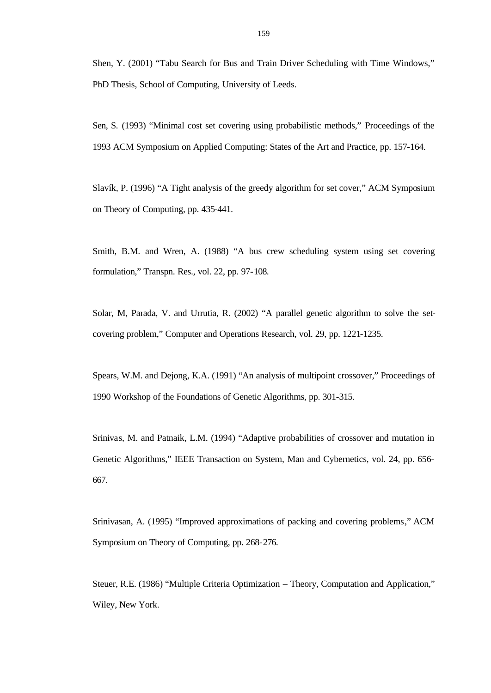Shen, Y. (2001) "Tabu Search for Bus and Train Driver Scheduling with Time Windows," PhD Thesis, School of Computing, University of Leeds.

Sen, S. (1993) "Minimal cost set covering using probabilistic methods," Proceedings of the 1993 ACM Symposium on Applied Computing: States of the Art and Practice, pp. 157-164.

Slavík, P. (1996) "A Tight analysis of the greedy algorithm for set cover," ACM Symposium on Theory of Computing, pp. 435-441.

Smith, B.M. and Wren, A. (1988) "A bus crew scheduling system using set covering formulation," Transpn. Res., vol. 22, pp. 97-108.

Solar, M, Parada, V. and Urrutia, R. (2002) "A parallel genetic algorithm to solve the setcovering problem," Computer and Operations Research, vol. 29, pp. 1221-1235.

Spears, W.M. and Dejong, K.A. (1991) "An analysis of multipoint crossover," Proceedings of 1990 Workshop of the Foundations of Genetic Algorithms, pp. 301-315.

Srinivas, M. and Patnaik, L.M. (1994) "Adaptive probabilities of crossover and mutation in Genetic Algorithms," IEEE Transaction on System, Man and Cybernetics, vol. 24, pp. 656- 667.

Srinivasan, A. (1995) "Improved approximations of packing and covering problems," ACM Symposium on Theory of Computing, pp. 268-276.

Steuer, R.E. (1986) "Multiple Criteria Optimization – Theory, Computation and Application," Wiley, New York.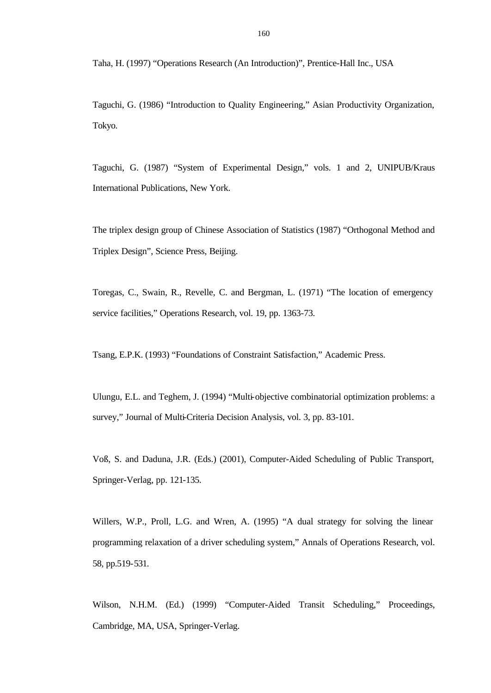Taha, H. (1997) "Operations Research (An Introduction)", Prentice-Hall Inc., USA

Taguchi, G. (1986) "Introduction to Quality Engineering," Asian Productivity Organization, Tokyo.

Taguchi, G. (1987) "System of Experimental Design," vols. 1 and 2, UNIPUB/Kraus International Publications, New York.

The triplex design group of Chinese Association of Statistics (1987) "Orthogonal Method and Triplex Design", Science Press, Beijing.

Toregas, C., Swain, R., Revelle, C. and Bergman, L. (1971) "The location of emergency service facilities," Operations Research, vol. 19, pp. 1363-73.

Tsang, E.P.K. (1993) "Foundations of Constraint Satisfaction," Academic Press.

Ulungu, E.L. and Teghem, J. (1994) "Multi-objective combinatorial optimization problems: a survey," Journal of Multi-Criteria Decision Analysis, vol. 3, pp. 83-101.

Voß, S. and Daduna, J.R. (Eds.) (2001), Computer-Aided Scheduling of Public Transport, Springer-Verlag, pp. 121-135.

Willers, W.P., Proll, L.G. and Wren, A. (1995) "A dual strategy for solving the linear programming relaxation of a driver scheduling system," Annals of Operations Research, vol. 58, pp.519-531.

Wilson, N.H.M. (Ed.) (1999) "Computer-Aided Transit Scheduling," Proceedings, Cambridge, MA, USA, Springer-Verlag.